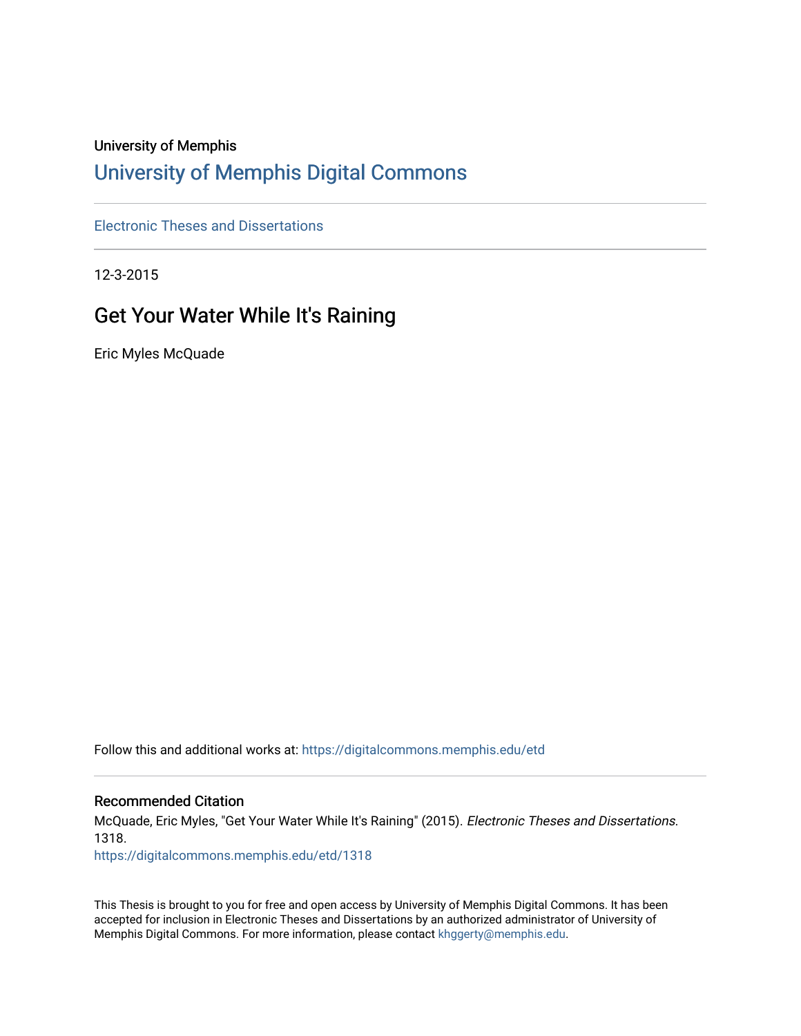### University of Memphis

# [University of Memphis Digital Commons](https://digitalcommons.memphis.edu/)

[Electronic Theses and Dissertations](https://digitalcommons.memphis.edu/etd)

12-3-2015

## Get Your Water While It's Raining

Eric Myles McQuade

Follow this and additional works at: [https://digitalcommons.memphis.edu/etd](https://digitalcommons.memphis.edu/etd?utm_source=digitalcommons.memphis.edu%2Fetd%2F1318&utm_medium=PDF&utm_campaign=PDFCoverPages) 

#### Recommended Citation

McQuade, Eric Myles, "Get Your Water While It's Raining" (2015). Electronic Theses and Dissertations. 1318.

[https://digitalcommons.memphis.edu/etd/1318](https://digitalcommons.memphis.edu/etd/1318?utm_source=digitalcommons.memphis.edu%2Fetd%2F1318&utm_medium=PDF&utm_campaign=PDFCoverPages) 

This Thesis is brought to you for free and open access by University of Memphis Digital Commons. It has been accepted for inclusion in Electronic Theses and Dissertations by an authorized administrator of University of Memphis Digital Commons. For more information, please contact [khggerty@memphis.edu.](mailto:khggerty@memphis.edu)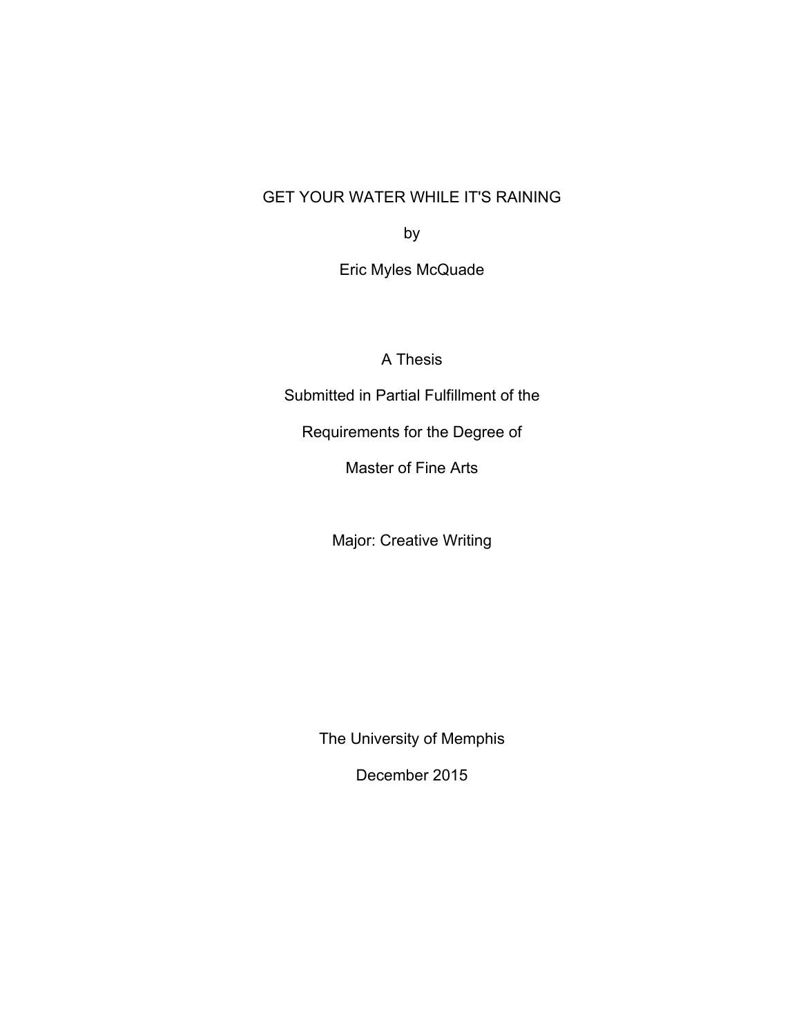## GET YOUR WATER WHILE IT'S RAINING

by

Eric Myles McQuade

A Thesis

Submitted in Partial Fulfillment of the

Requirements for the Degree of

Master of Fine Arts

Major: Creative Writing

The University of Memphis

December 2015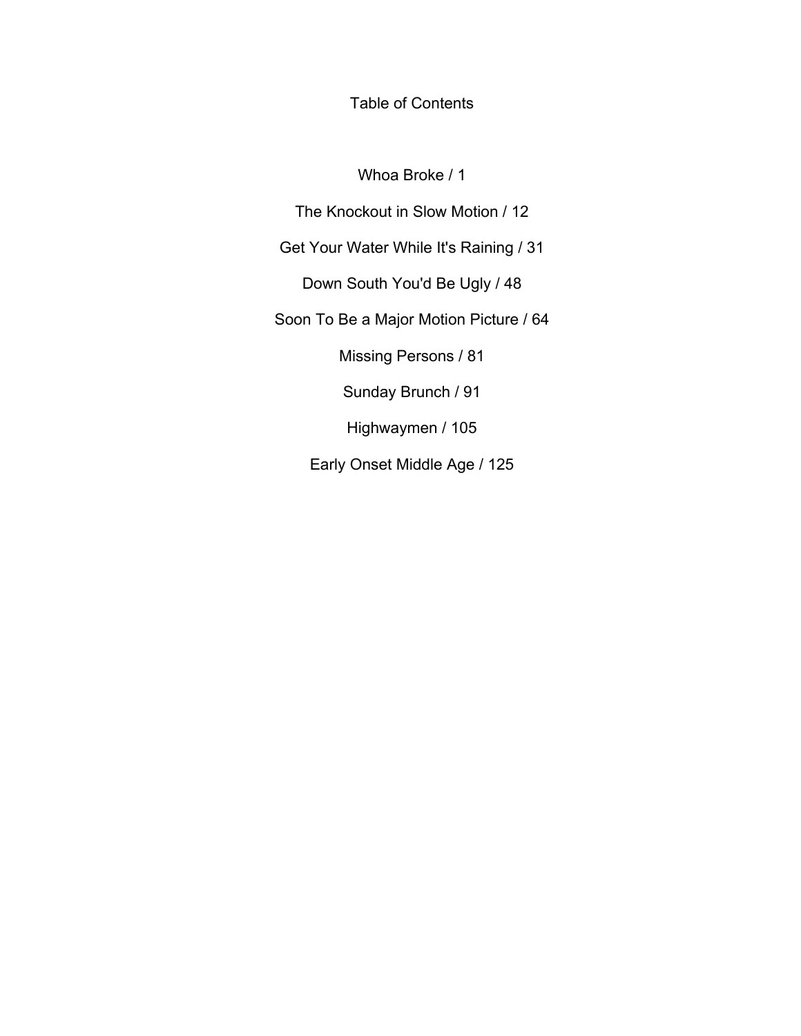Table of Contents

Whoa Broke / 1

The Knockout in Slow Motion / 12

Get Your Water While It's Raining / 31

Down South You'd Be Ugly / 48

Soon To Be a Major Motion Picture / 64

Missing Persons / 81

Sunday Brunch / 91

Highwaymen / 105

Early Onset Middle Age / 125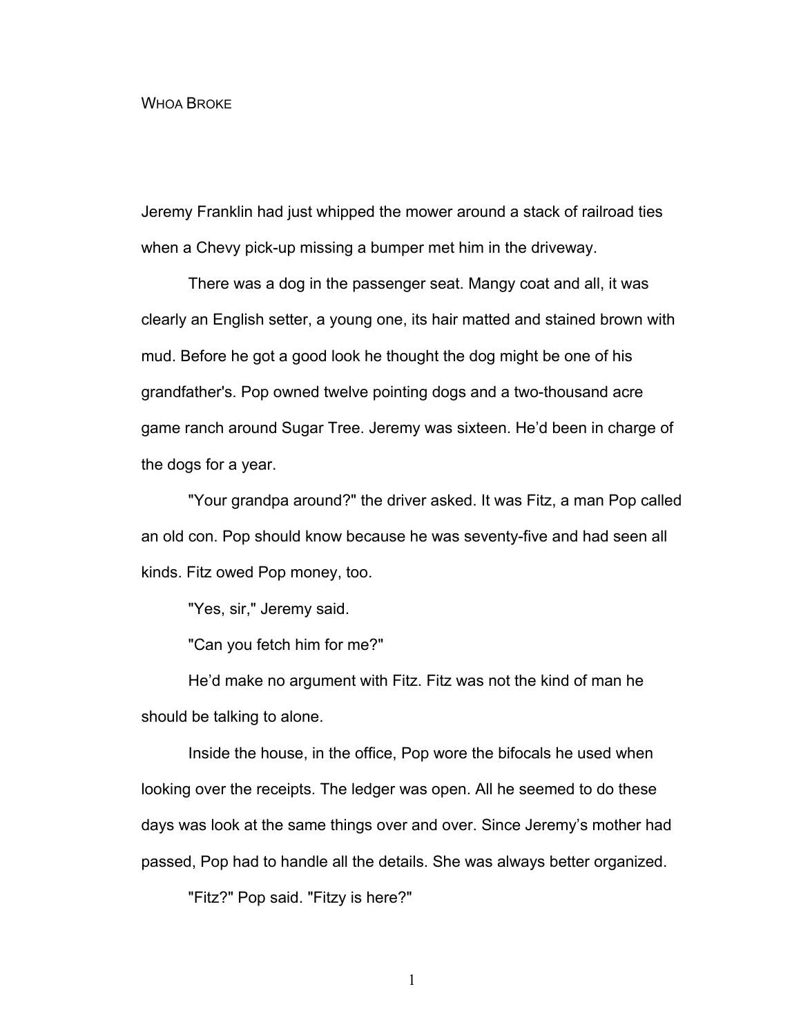#### WHOA BROKE

Jeremy Franklin had just whipped the mower around a stack of railroad ties when a Chevy pick-up missing a bumper met him in the driveway.

There was a dog in the passenger seat. Mangy coat and all, it was clearly an English setter, a young one, its hair matted and stained brown with mud. Before he got a good look he thought the dog might be one of his grandfather's. Pop owned twelve pointing dogs and a two-thousand acre game ranch around Sugar Tree. Jeremy was sixteen. He'd been in charge of the dogs for a year.

"Your grandpa around?" the driver asked. It was Fitz, a man Pop called an old con. Pop should know because he was seventy-five and had seen all kinds. Fitz owed Pop money, too.

"Yes, sir," Jeremy said.

"Can you fetch him for me?"

He'd make no argument with Fitz. Fitz was not the kind of man he should be talking to alone.

Inside the house, in the office, Pop wore the bifocals he used when looking over the receipts. The ledger was open. All he seemed to do these days was look at the same things over and over. Since Jeremy's mother had passed, Pop had to handle all the details. She was always better organized.

"Fitz?" Pop said. "Fitzy is here?"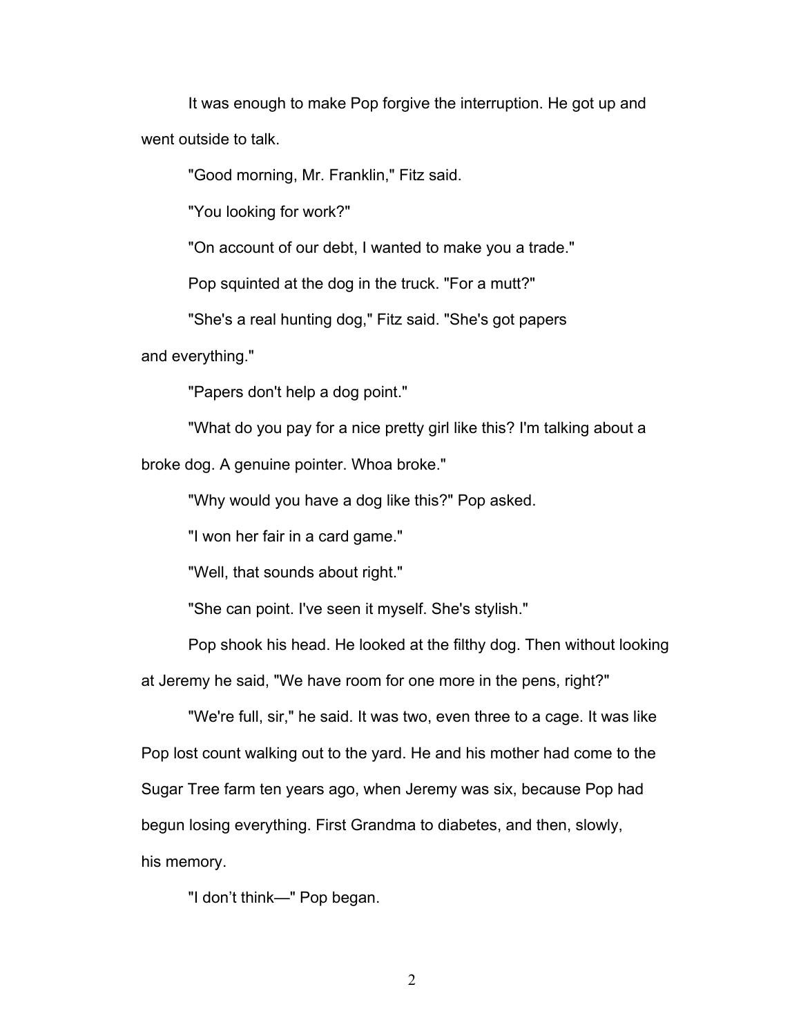It was enough to make Pop forgive the interruption. He got up and went outside to talk.

"Good morning, Mr. Franklin," Fitz said.

"You looking for work?"

"On account of our debt, I wanted to make you a trade."

Pop squinted at the dog in the truck. "For a mutt?"

"She's a real hunting dog," Fitz said. "She's got papers

and everything."

"Papers don't help a dog point."

"What do you pay for a nice pretty girl like this? I'm talking about a broke dog. A genuine pointer. Whoa broke."

"Why would you have a dog like this?" Pop asked.

"I won her fair in a card game."

"Well, that sounds about right."

"She can point. I've seen it myself. She's stylish."

Pop shook his head. He looked at the filthy dog. Then without looking at Jeremy he said, "We have room for one more in the pens, right?"

"We're full, sir," he said. It was two, even three to a cage. It was like Pop lost count walking out to the yard. He and his mother had come to the Sugar Tree farm ten years ago, when Jeremy was six, because Pop had begun losing everything. First Grandma to diabetes, and then, slowly, his memory.

"I don't think—" Pop began.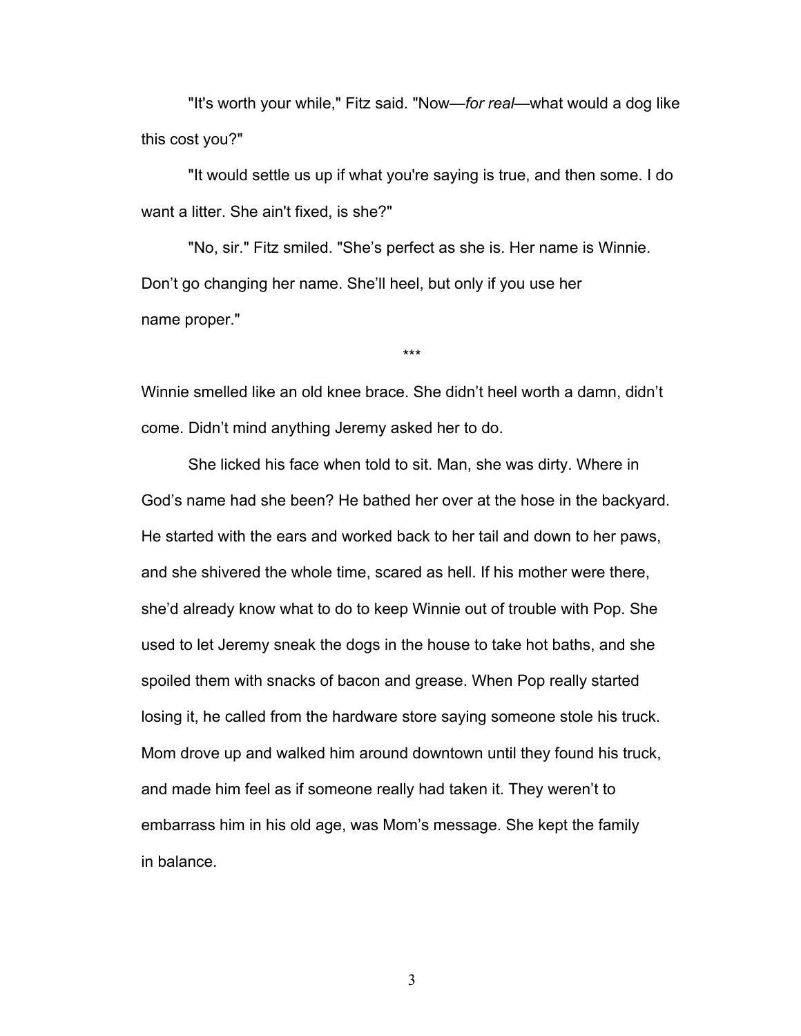"It's worth your while," Fitz said. "Now—*for real*—what would a dog like this cost you?"

"It would settle us up if what you're saying is true, and then some. I do want a litter. She ain't fixed, is she?"

"No, sir." Fitz smiled. "She's perfect as she is. Her name is Winnie. Don't go changing her name. She'll heel, but only if you use her name proper."

Winnie smelled like an old knee brace. She didn't heel worth a damn, didn't come. Didn't mind anything Jeremy asked her to do.

\*\*\*

She licked his face when told to sit. Man, she was dirty. Where in God's name had she been? He bathed her over at the hose in the backyard. He started with the ears and worked back to her tail and down to her paws, and she shivered the whole time, scared as hell. If his mother were there, she'd already know what to do to keep Winnie out of trouble with Pop. She used to let Jeremy sneak the dogs in the house to take hot baths, and she spoiled them with snacks of bacon and grease. When Pop really started losing it, he called from the hardware store saying someone stole his truck. Mom drove up and walked him around downtown until they found his truck, and made him feel as if someone really had taken it. They weren't to embarrass him in his old age, was Mom's message. She kept the family in balance.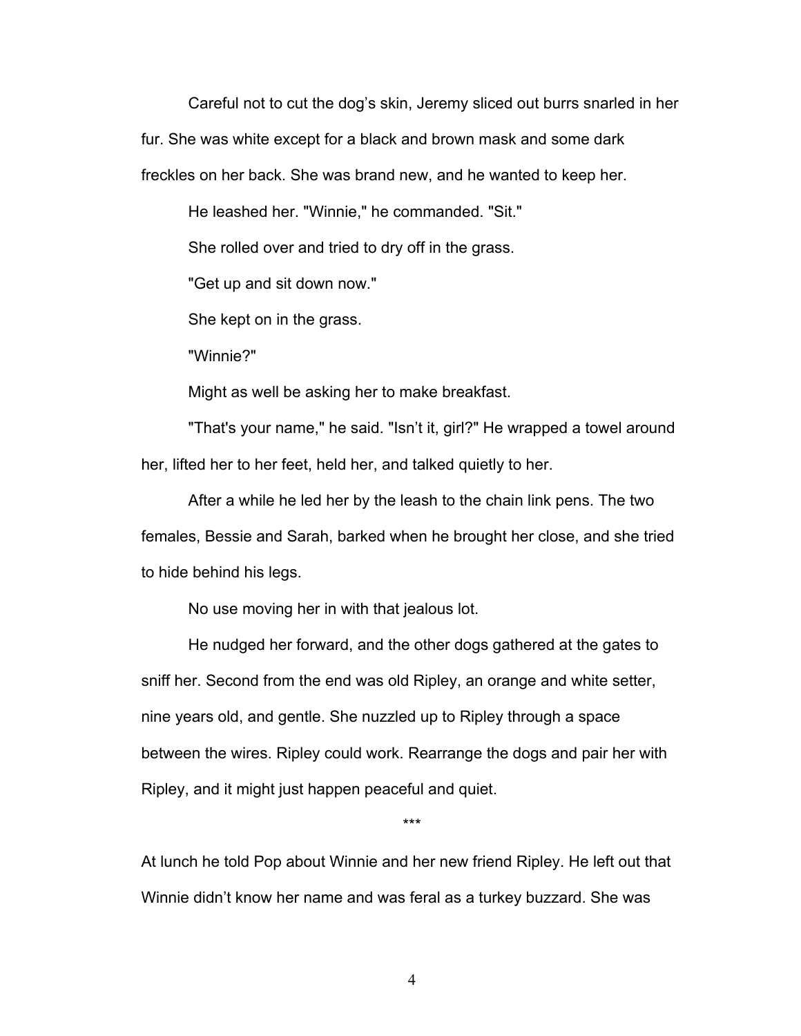Careful not to cut the dog's skin, Jeremy sliced out burrs snarled in her fur. She was white except for a black and brown mask and some dark freckles on her back. She was brand new, and he wanted to keep her.

He leashed her. "Winnie," he commanded. "Sit."

She rolled over and tried to dry off in the grass.

"Get up and sit down now."

She kept on in the grass.

"Winnie?"

Might as well be asking her to make breakfast.

"That's your name," he said. "Isn't it, girl?" He wrapped a towel around her, lifted her to her feet, held her, and talked quietly to her.

After a while he led her by the leash to the chain link pens. The two females, Bessie and Sarah, barked when he brought her close, and she tried to hide behind his legs.

No use moving her in with that jealous lot.

He nudged her forward, and the other dogs gathered at the gates to sniff her. Second from the end was old Ripley, an orange and white setter, nine years old, and gentle. She nuzzled up to Ripley through a space between the wires. Ripley could work. Rearrange the dogs and pair her with Ripley, and it might just happen peaceful and quiet.

\*\*\*

At lunch he told Pop about Winnie and her new friend Ripley. He left out that Winnie didn't know her name and was feral as a turkey buzzard. She was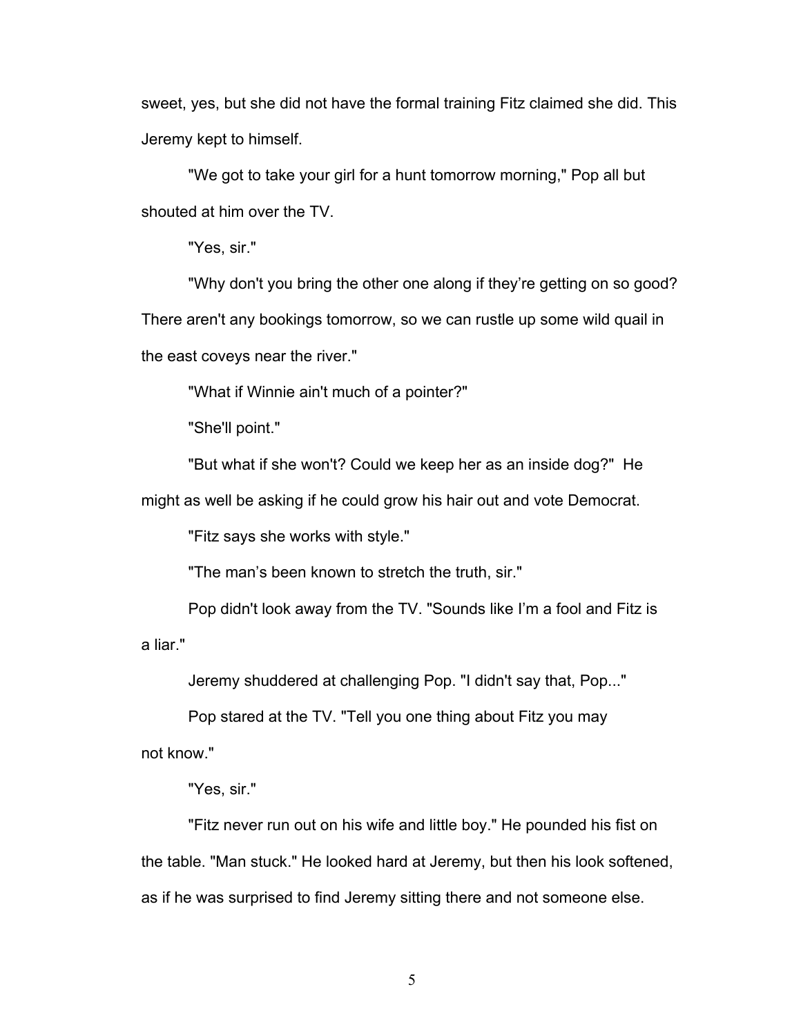sweet, yes, but she did not have the formal training Fitz claimed she did. This Jeremy kept to himself.

"We got to take your girl for a hunt tomorrow morning," Pop all but shouted at him over the TV.

"Yes, sir."

"Why don't you bring the other one along if they're getting on so good? There aren't any bookings tomorrow, so we can rustle up some wild quail in the east coveys near the river."

"What if Winnie ain't much of a pointer?"

"She'll point."

"But what if she won't? Could we keep her as an inside dog?" He

might as well be asking if he could grow his hair out and vote Democrat.

"Fitz says she works with style."

"The man's been known to stretch the truth, sir."

Pop didn't look away from the TV. "Sounds like I'm a fool and Fitz is a liar."

Jeremy shuddered at challenging Pop. "I didn't say that, Pop..."

Pop stared at the TV. "Tell you one thing about Fitz you may not know."

"Yes, sir."

"Fitz never run out on his wife and little boy." He pounded his fist on the table. "Man stuck." He looked hard at Jeremy, but then his look softened, as if he was surprised to find Jeremy sitting there and not someone else.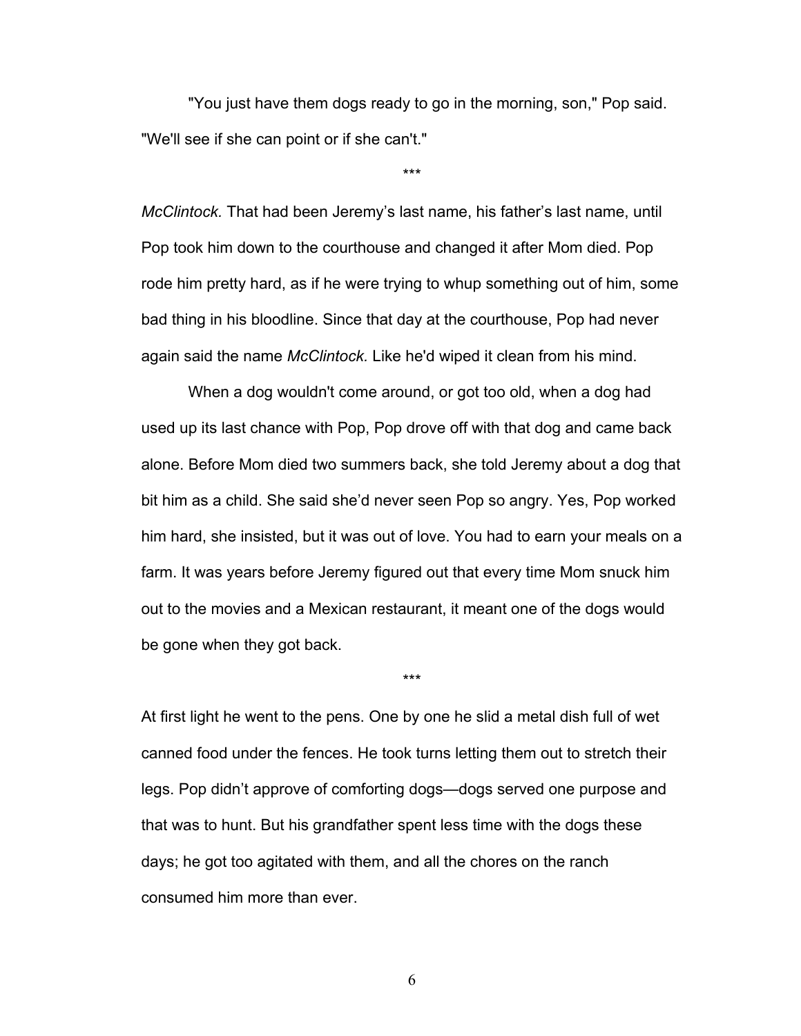"You just have them dogs ready to go in the morning, son," Pop said. "We'll see if she can point or if she can't."

\*\*\*

*McClintock.* That had been Jeremy's last name, his father's last name, until Pop took him down to the courthouse and changed it after Mom died. Pop rode him pretty hard, as if he were trying to whup something out of him, some bad thing in his bloodline. Since that day at the courthouse, Pop had never again said the name *McClintock.* Like he'd wiped it clean from his mind.

When a dog wouldn't come around, or got too old, when a dog had used up its last chance with Pop, Pop drove off with that dog and came back alone. Before Mom died two summers back, she told Jeremy about a dog that bit him as a child. She said she'd never seen Pop so angry. Yes, Pop worked him hard, she insisted, but it was out of love. You had to earn your meals on a farm. It was years before Jeremy figured out that every time Mom snuck him out to the movies and a Mexican restaurant, it meant one of the dogs would be gone when they got back.

\*\*\*

At first light he went to the pens. One by one he slid a metal dish full of wet canned food under the fences. He took turns letting them out to stretch their legs. Pop didn't approve of comforting dogs—dogs served one purpose and that was to hunt. But his grandfather spent less time with the dogs these days; he got too agitated with them, and all the chores on the ranch consumed him more than ever.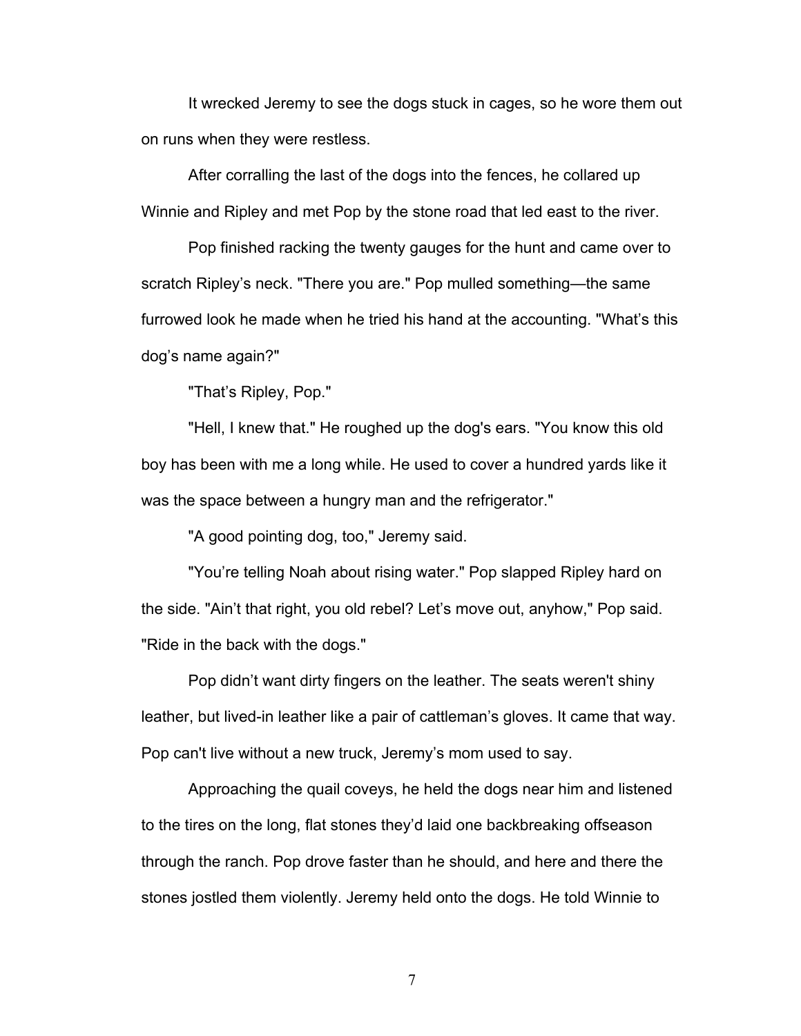It wrecked Jeremy to see the dogs stuck in cages, so he wore them out on runs when they were restless.

After corralling the last of the dogs into the fences, he collared up Winnie and Ripley and met Pop by the stone road that led east to the river.

Pop finished racking the twenty gauges for the hunt and came over to scratch Ripley's neck. "There you are." Pop mulled something—the same furrowed look he made when he tried his hand at the accounting. "What's this dog's name again?"

"That's Ripley, Pop."

"Hell, I knew that." He roughed up the dog's ears. "You know this old boy has been with me a long while. He used to cover a hundred yards like it was the space between a hungry man and the refrigerator."

"A good pointing dog, too," Jeremy said.

"You're telling Noah about rising water." Pop slapped Ripley hard on the side. "Ain't that right, you old rebel? Let's move out, anyhow," Pop said. "Ride in the back with the dogs."

Pop didn't want dirty fingers on the leather. The seats weren't shiny leather, but lived-in leather like a pair of cattleman's gloves. It came that way. Pop can't live without a new truck, Jeremy's mom used to say.

Approaching the quail coveys, he held the dogs near him and listened to the tires on the long, flat stones they'd laid one backbreaking offseason through the ranch. Pop drove faster than he should, and here and there the stones jostled them violently. Jeremy held onto the dogs. He told Winnie to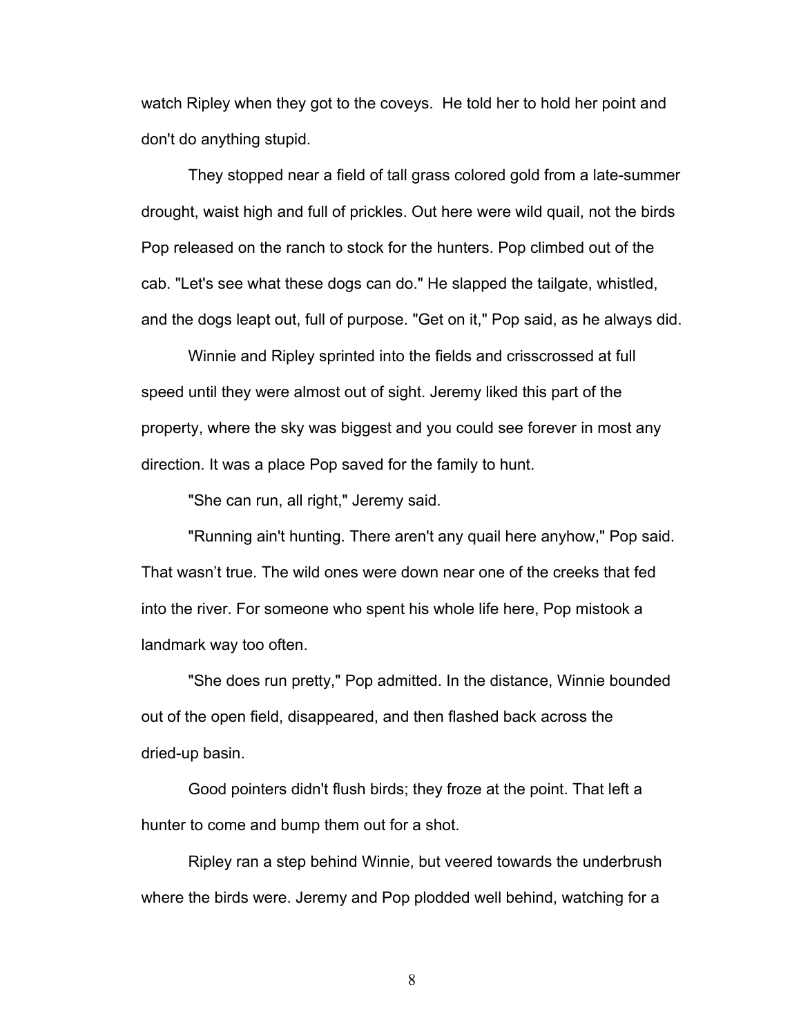watch Ripley when they got to the coveys. He told her to hold her point and don't do anything stupid.

They stopped near a field of tall grass colored gold from a late-summer drought, waist high and full of prickles. Out here were wild quail, not the birds Pop released on the ranch to stock for the hunters. Pop climbed out of the cab. "Let's see what these dogs can do." He slapped the tailgate, whistled, and the dogs leapt out, full of purpose. "Get on it," Pop said, as he always did.

Winnie and Ripley sprinted into the fields and crisscrossed at full speed until they were almost out of sight. Jeremy liked this part of the property, where the sky was biggest and you could see forever in most any direction. It was a place Pop saved for the family to hunt.

"She can run, all right," Jeremy said.

"Running ain't hunting. There aren't any quail here anyhow," Pop said. That wasn't true. The wild ones were down near one of the creeks that fed into the river. For someone who spent his whole life here, Pop mistook a landmark way too often.

"She does run pretty," Pop admitted. In the distance, Winnie bounded out of the open field, disappeared, and then flashed back across the dried-up basin.

Good pointers didn't flush birds; they froze at the point. That left a hunter to come and bump them out for a shot.

Ripley ran a step behind Winnie, but veered towards the underbrush where the birds were. Jeremy and Pop plodded well behind, watching for a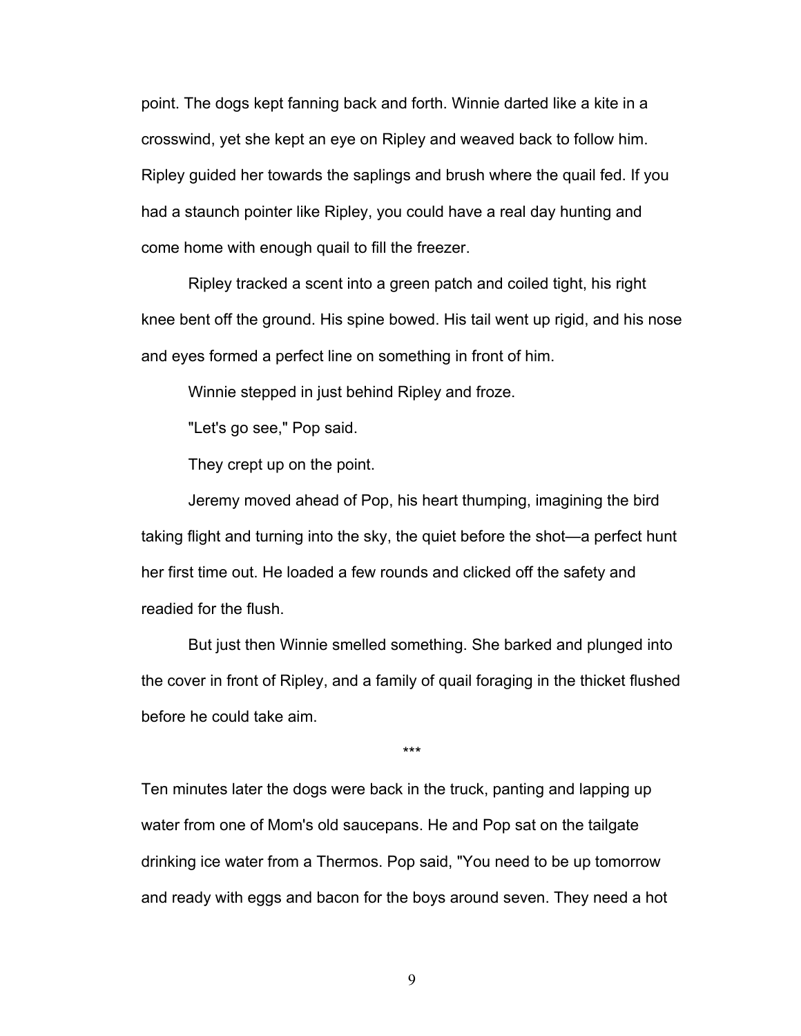point. The dogs kept fanning back and forth. Winnie darted like a kite in a crosswind, yet she kept an eye on Ripley and weaved back to follow him. Ripley guided her towards the saplings and brush where the quail fed. If you had a staunch pointer like Ripley, you could have a real day hunting and come home with enough quail to fill the freezer.

Ripley tracked a scent into a green patch and coiled tight, his right knee bent off the ground. His spine bowed. His tail went up rigid, and his nose and eyes formed a perfect line on something in front of him.

Winnie stepped in just behind Ripley and froze.

"Let's go see," Pop said.

They crept up on the point.

Jeremy moved ahead of Pop, his heart thumping, imagining the bird taking flight and turning into the sky, the quiet before the shot—a perfect hunt her first time out. He loaded a few rounds and clicked off the safety and readied for the flush.

But just then Winnie smelled something. She barked and plunged into the cover in front of Ripley, and a family of quail foraging in the thicket flushed before he could take aim.

\*\*\*

Ten minutes later the dogs were back in the truck, panting and lapping up water from one of Mom's old saucepans. He and Pop sat on the tailgate drinking ice water from a Thermos. Pop said, "You need to be up tomorrow and ready with eggs and bacon for the boys around seven. They need a hot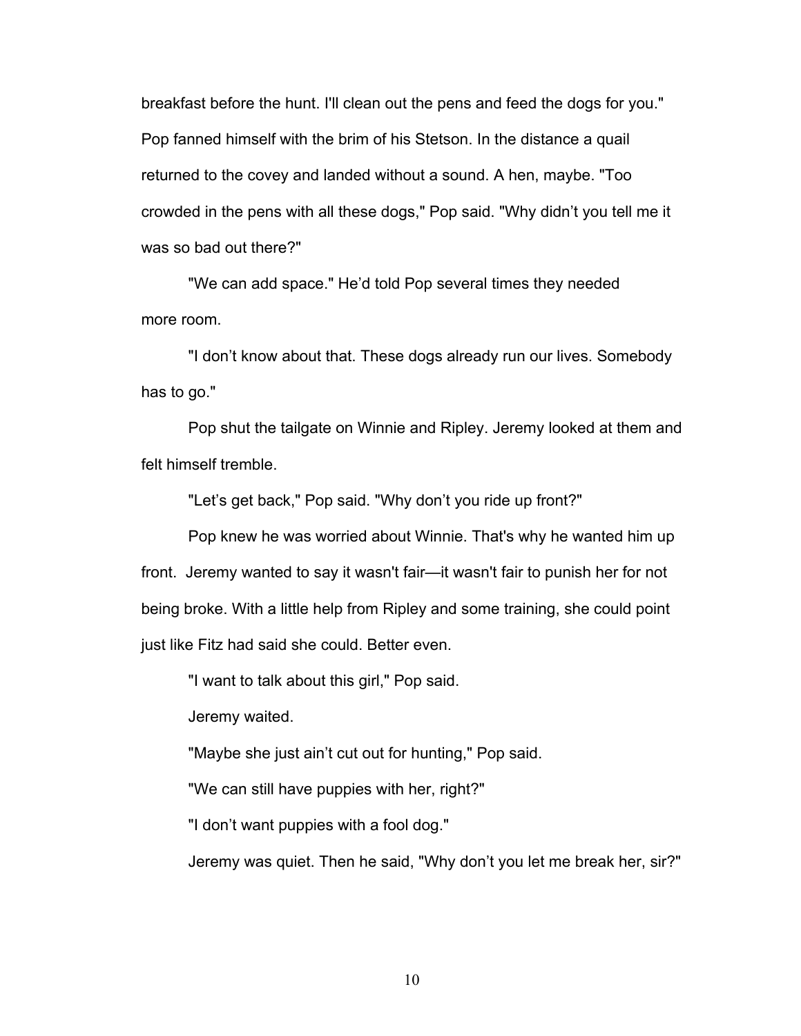breakfast before the hunt. I'll clean out the pens and feed the dogs for you." Pop fanned himself with the brim of his Stetson. In the distance a quail returned to the covey and landed without a sound. A hen, maybe. "Too crowded in the pens with all these dogs," Pop said. "Why didn't you tell me it was so bad out there?"

"We can add space." He'd told Pop several times they needed more room.

"I don't know about that. These dogs already run our lives. Somebody has to go."

Pop shut the tailgate on Winnie and Ripley. Jeremy looked at them and felt himself tremble.

"Let's get back," Pop said. "Why don't you ride up front?"

Pop knew he was worried about Winnie. That's why he wanted him up front. Jeremy wanted to say it wasn't fair—it wasn't fair to punish her for not being broke. With a little help from Ripley and some training, she could point just like Fitz had said she could. Better even.

"I want to talk about this girl," Pop said.

Jeremy waited.

"Maybe she just ain't cut out for hunting," Pop said.

"We can still have puppies with her, right?"

"I don't want puppies with a fool dog."

Jeremy was quiet. Then he said, "Why don't you let me break her, sir?"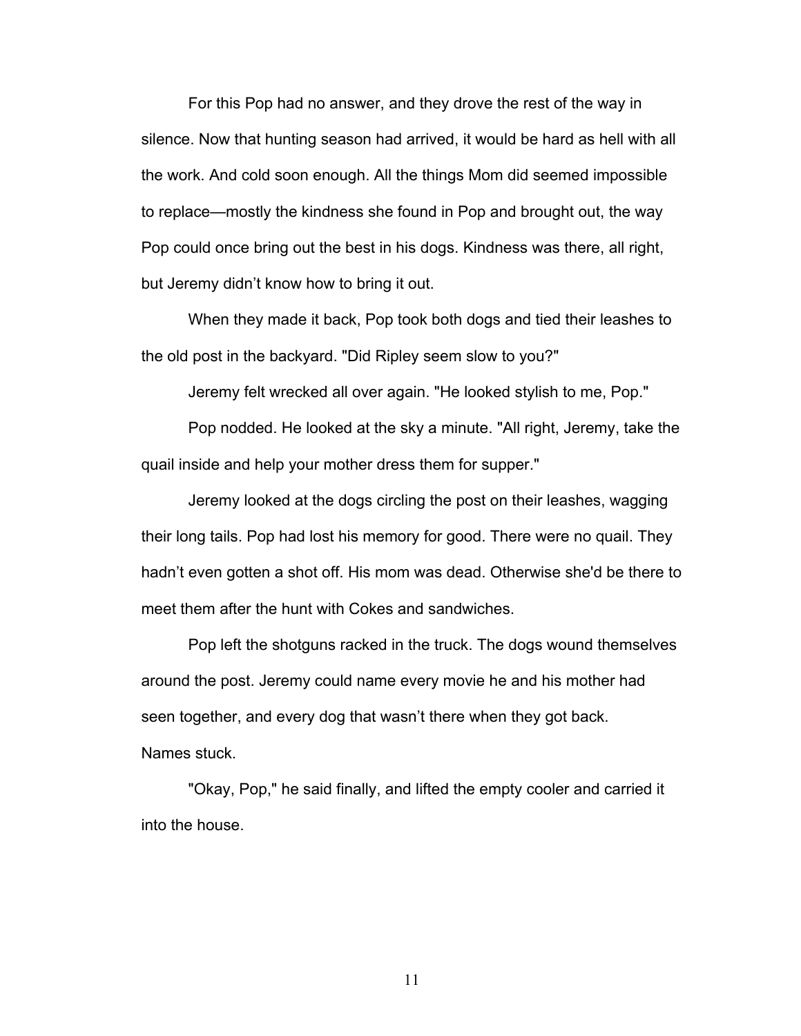For this Pop had no answer, and they drove the rest of the way in silence. Now that hunting season had arrived, it would be hard as hell with all the work. And cold soon enough. All the things Mom did seemed impossible to replace—mostly the kindness she found in Pop and brought out, the way Pop could once bring out the best in his dogs. Kindness was there, all right, but Jeremy didn't know how to bring it out.

When they made it back, Pop took both dogs and tied their leashes to the old post in the backyard. "Did Ripley seem slow to you?"

Jeremy felt wrecked all over again. "He looked stylish to me, Pop."

Pop nodded. He looked at the sky a minute. "All right, Jeremy, take the quail inside and help your mother dress them for supper."

Jeremy looked at the dogs circling the post on their leashes, wagging their long tails. Pop had lost his memory for good. There were no quail. They hadn't even gotten a shot off. His mom was dead. Otherwise she'd be there to meet them after the hunt with Cokes and sandwiches.

Pop left the shotguns racked in the truck. The dogs wound themselves around the post. Jeremy could name every movie he and his mother had seen together, and every dog that wasn't there when they got back. Names stuck.

"Okay, Pop," he said finally, and lifted the empty cooler and carried it into the house.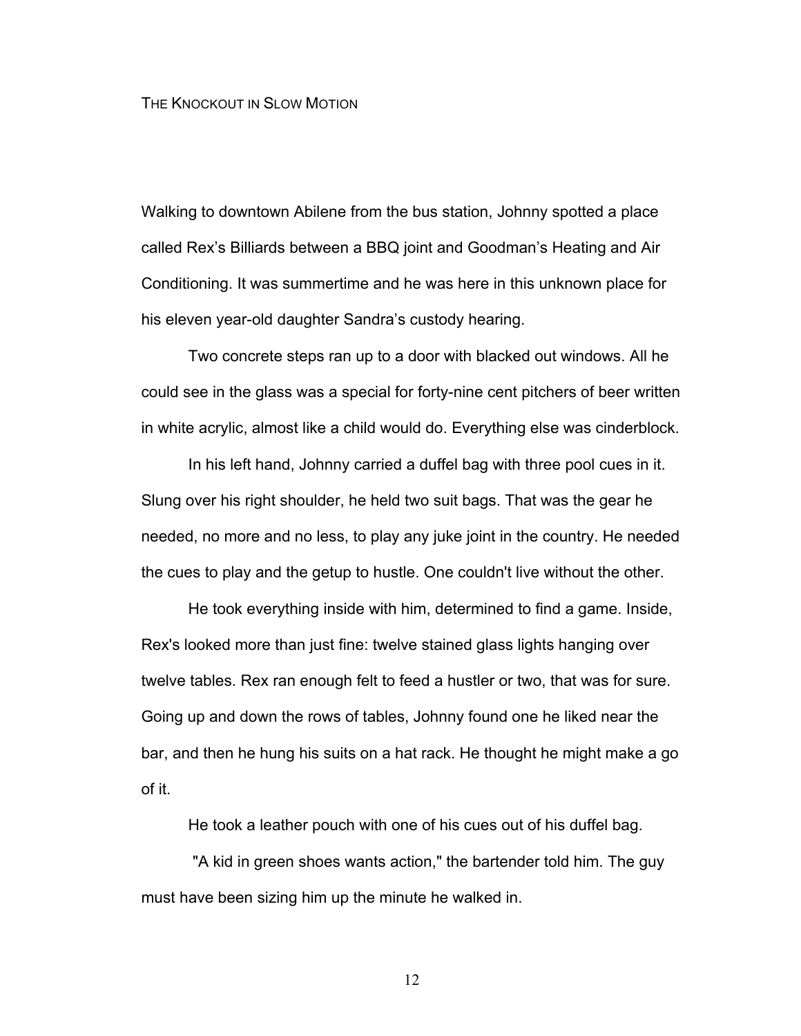### THE KNOCKOUT IN SLOW MOTION

Walking to downtown Abilene from the bus station, Johnny spotted a place called Rex's Billiards between a BBQ joint and Goodman's Heating and Air Conditioning. It was summertime and he was here in this unknown place for his eleven year-old daughter Sandra's custody hearing.

Two concrete steps ran up to a door with blacked out windows. All he could see in the glass was a special for forty-nine cent pitchers of beer written in white acrylic, almost like a child would do. Everything else was cinderblock.

In his left hand, Johnny carried a duffel bag with three pool cues in it. Slung over his right shoulder, he held two suit bags. That was the gear he needed, no more and no less, to play any juke joint in the country. He needed the cues to play and the getup to hustle. One couldn't live without the other.

He took everything inside with him, determined to find a game. Inside, Rex's looked more than just fine: twelve stained glass lights hanging over twelve tables. Rex ran enough felt to feed a hustler or two, that was for sure. Going up and down the rows of tables, Johnny found one he liked near the bar, and then he hung his suits on a hat rack. He thought he might make a go of it.

He took a leather pouch with one of his cues out of his duffel bag.

"A kid in green shoes wants action," the bartender told him. The guy must have been sizing him up the minute he walked in.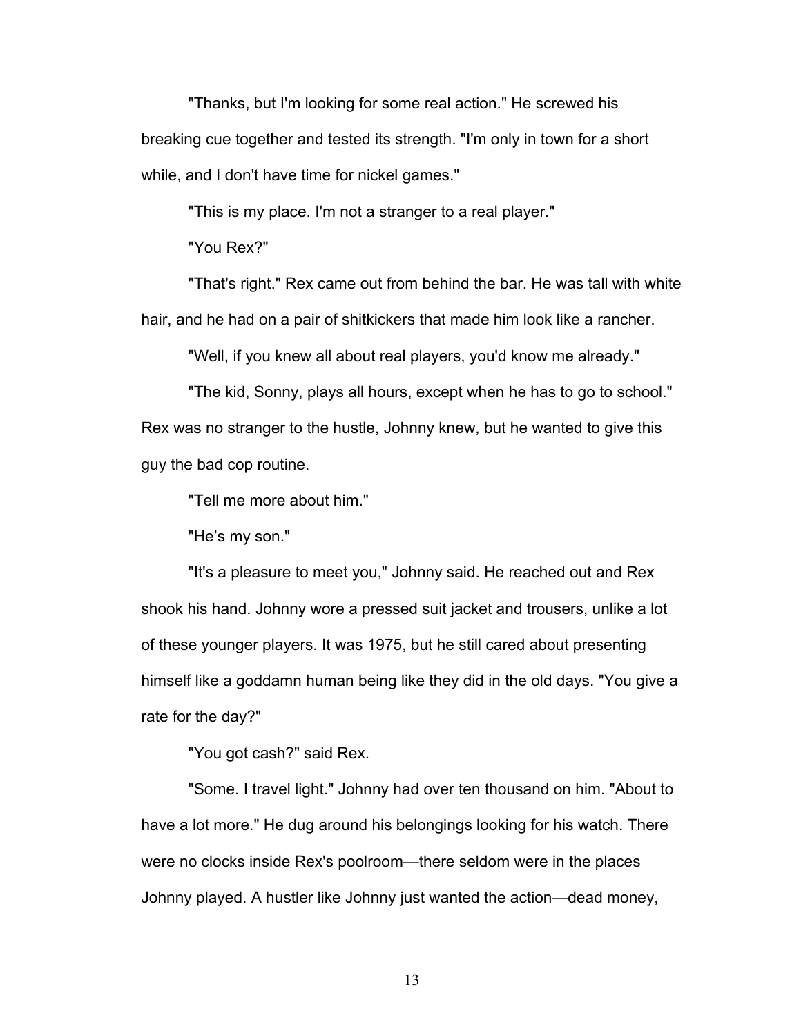"Thanks, but I'm looking for some real action." He screwed his breaking cue together and tested its strength. "I'm only in town for a short while, and I don't have time for nickel games."

"This is my place. I'm not a stranger to a real player."

"You Rex?"

"That's right." Rex came out from behind the bar. He was tall with white hair, and he had on a pair of shitkickers that made him look like a rancher.

"Well, if you knew all about real players, you'd know me already."

"The kid, Sonny, plays all hours, except when he has to go to school." Rex was no stranger to the hustle, Johnny knew, but he wanted to give this guy the bad cop routine.

"Tell me more about him."

"He's my son."

"It's a pleasure to meet you," Johnny said. He reached out and Rex shook his hand. Johnny wore a pressed suit jacket and trousers, unlike a lot of these younger players. It was 1975, but he still cared about presenting himself like a goddamn human being like they did in the old days. "You give a rate for the day?"

"You got cash?" said Rex.

"Some. I travel light." Johnny had over ten thousand on him. "About to have a lot more." He dug around his belongings looking for his watch. There were no clocks inside Rex's poolroom—there seldom were in the places Johnny played. A hustler like Johnny just wanted the action—dead money,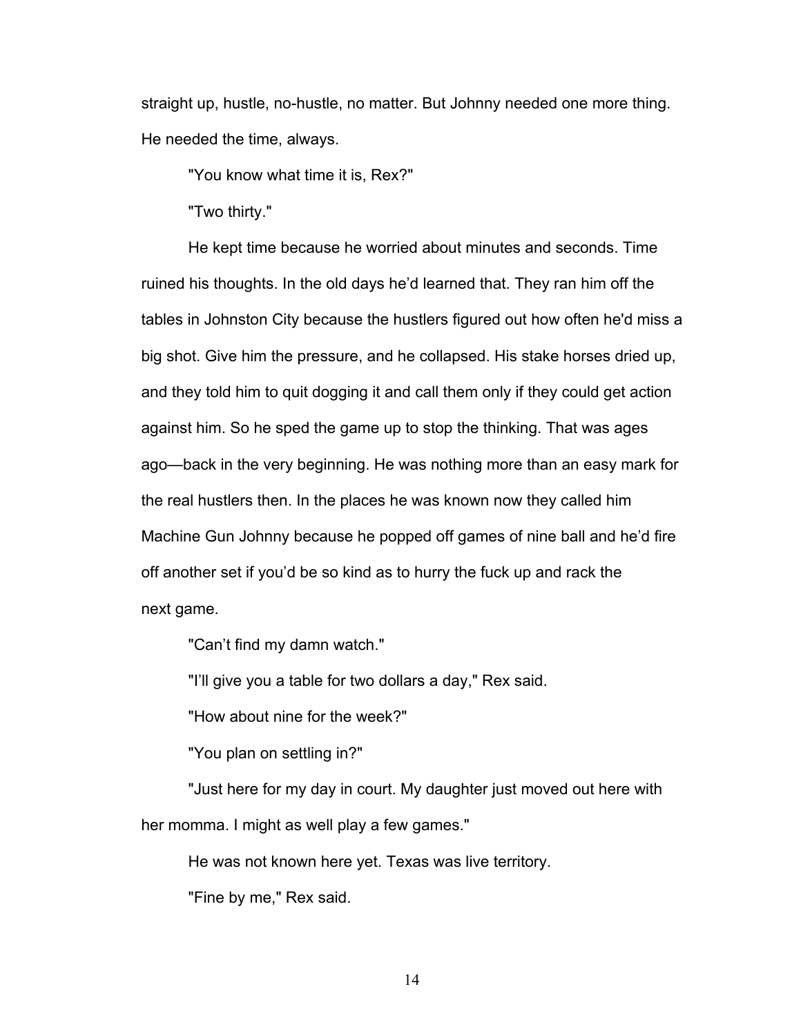straight up, hustle, no-hustle, no matter. But Johnny needed one more thing. He needed the time, always.

"You know what time it is, Rex?"

"Two thirty."

He kept time because he worried about minutes and seconds. Time ruined his thoughts. In the old days he'd learned that. They ran him off the tables in Johnston City because the hustlers figured out how often he'd miss a big shot. Give him the pressure, and he collapsed. His stake horses dried up, and they told him to quit dogging it and call them only if they could get action against him. So he sped the game up to stop the thinking. That was ages ago—back in the very beginning. He was nothing more than an easy mark for the real hustlers then. In the places he was known now they called him Machine Gun Johnny because he popped off games of nine ball and he'd fire off another set if you'd be so kind as to hurry the fuck up and rack the next game.

"Can't find my damn watch."

"I'll give you a table for two dollars a day," Rex said.

"How about nine for the week?"

"You plan on settling in?"

"Just here for my day in court. My daughter just moved out here with her momma. I might as well play a few games."

He was not known here yet. Texas was live territory.

"Fine by me," Rex said.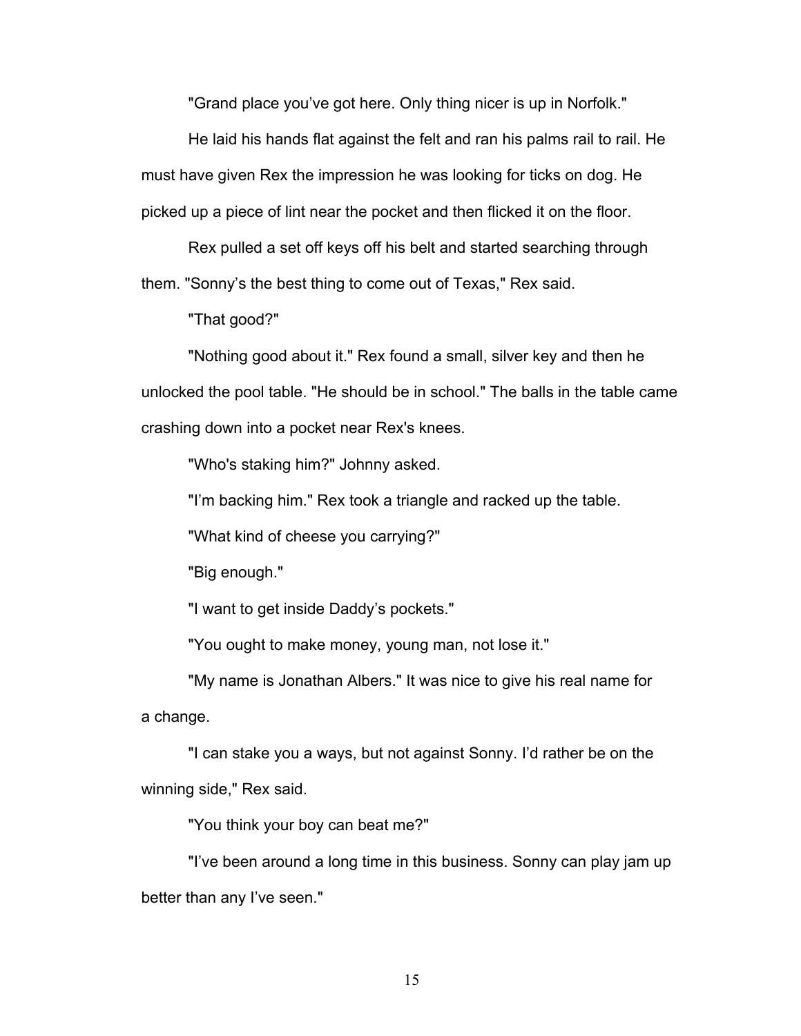"Grand place you've got here. Only thing nicer is up in Norfolk."

He laid his hands flat against the felt and ran his palms rail to rail. He must have given Rex the impression he was looking for ticks on dog. He picked up a piece of lint near the pocket and then flicked it on the floor.

Rex pulled a set off keys off his belt and started searching through them. "Sonny's the best thing to come out of Texas," Rex said.

"That good?"

"Nothing good about it." Rex found a small, silver key and then he unlocked the pool table. "He should be in school." The balls in the table came crashing down into a pocket near Rex's knees.

"Who's staking him?" Johnny asked.

"I'm backing him." Rex took a triangle and racked up the table.

"What kind of cheese you carrying?"

"Big enough."

"I want to get inside Daddy's pockets."

"You ought to make money, young man, not lose it."

"My name is Jonathan Albers." It was nice to give his real name for a change.

"I can stake you a ways, but not against Sonny. I'd rather be on the winning side," Rex said.

"You think your boy can beat me?"

"I've been around a long time in this business. Sonny can play jam up better than any I've seen."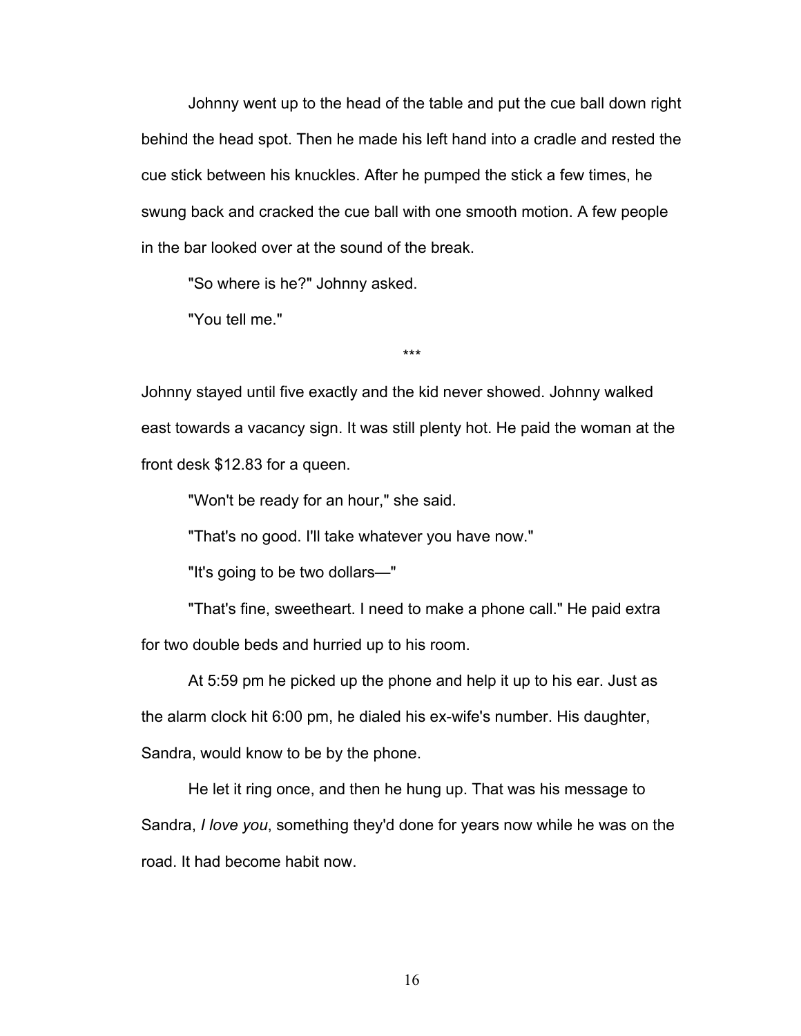Johnny went up to the head of the table and put the cue ball down right behind the head spot. Then he made his left hand into a cradle and rested the cue stick between his knuckles. After he pumped the stick a few times, he swung back and cracked the cue ball with one smooth motion. A few people in the bar looked over at the sound of the break.

"So where is he?" Johnny asked.

"You tell me."

\*\*\*

Johnny stayed until five exactly and the kid never showed. Johnny walked east towards a vacancy sign. It was still plenty hot. He paid the woman at the front desk \$12.83 for a queen.

"Won't be ready for an hour," she said.

"That's no good. I'll take whatever you have now."

"It's going to be two dollars—"

"That's fine, sweetheart. I need to make a phone call." He paid extra for two double beds and hurried up to his room.

At 5:59 pm he picked up the phone and help it up to his ear. Just as the alarm clock hit 6:00 pm, he dialed his ex-wife's number. His daughter, Sandra, would know to be by the phone.

He let it ring once, and then he hung up. That was his message to Sandra, *I love you*, something they'd done for years now while he was on the road. It had become habit now.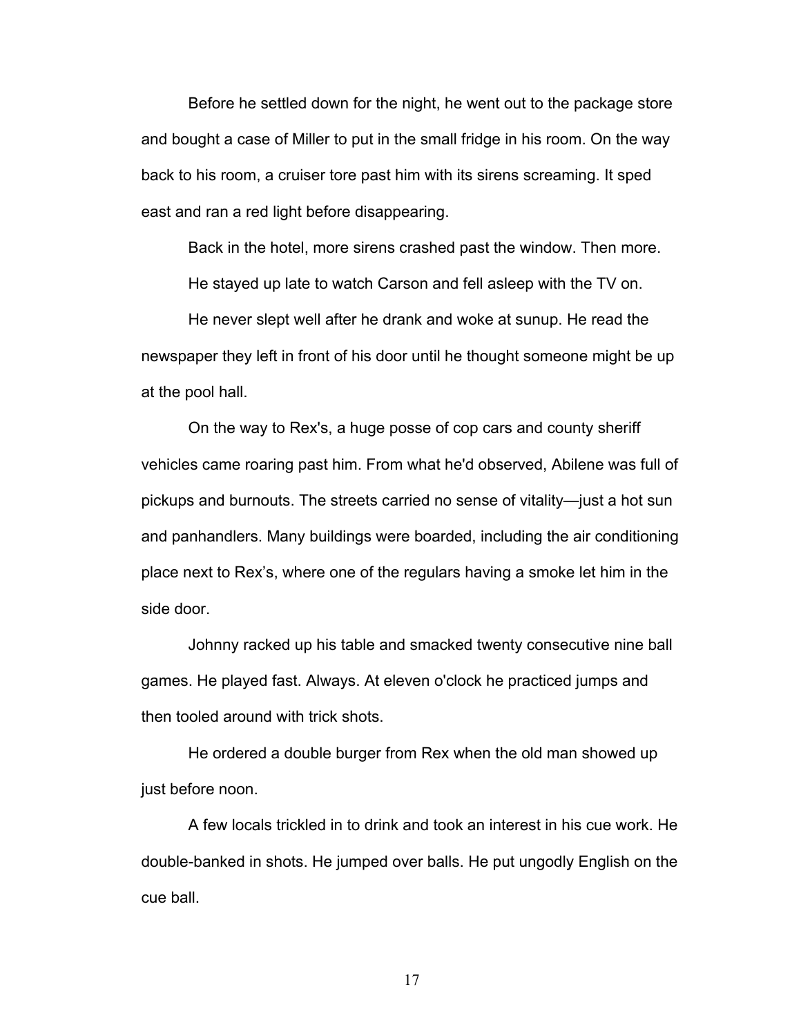Before he settled down for the night, he went out to the package store and bought a case of Miller to put in the small fridge in his room. On the way back to his room, a cruiser tore past him with its sirens screaming. It sped east and ran a red light before disappearing.

Back in the hotel, more sirens crashed past the window. Then more.

He stayed up late to watch Carson and fell asleep with the TV on.

He never slept well after he drank and woke at sunup. He read the newspaper they left in front of his door until he thought someone might be up at the pool hall.

On the way to Rex's, a huge posse of cop cars and county sheriff vehicles came roaring past him. From what he'd observed, Abilene was full of pickups and burnouts. The streets carried no sense of vitality—just a hot sun and panhandlers. Many buildings were boarded, including the air conditioning place next to Rex's, where one of the regulars having a smoke let him in the side door.

Johnny racked up his table and smacked twenty consecutive nine ball games. He played fast. Always. At eleven o'clock he practiced jumps and then tooled around with trick shots.

He ordered a double burger from Rex when the old man showed up just before noon.

A few locals trickled in to drink and took an interest in his cue work. He double-banked in shots. He jumped over balls. He put ungodly English on the cue ball.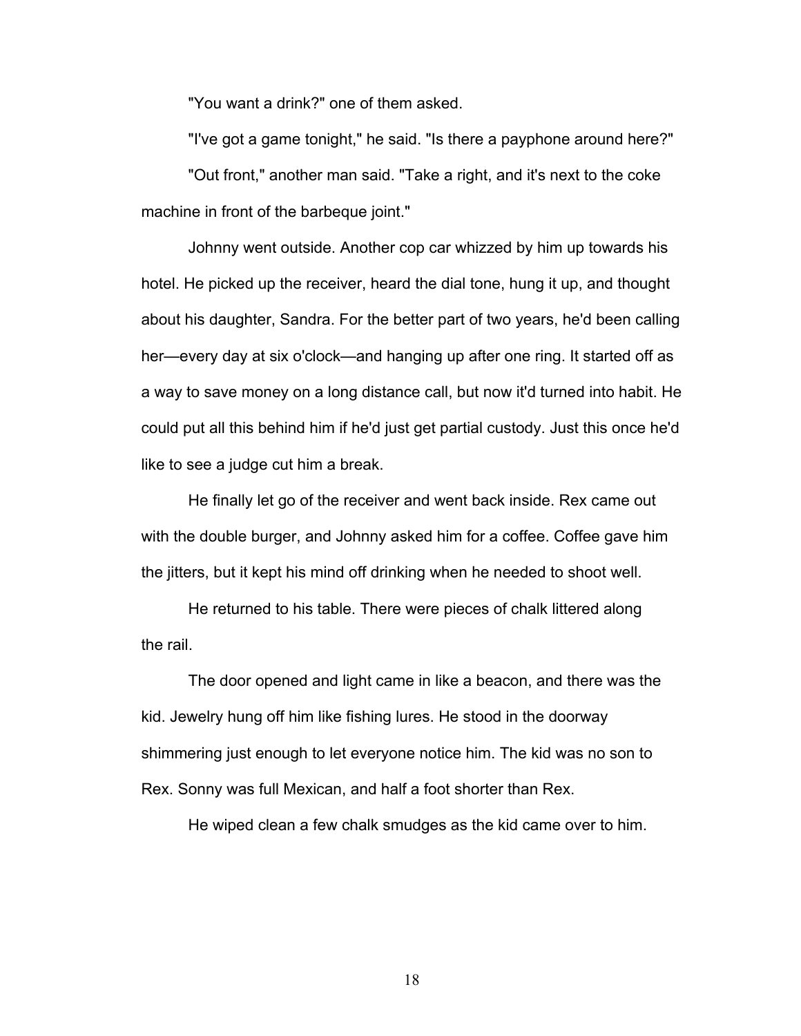"You want a drink?" one of them asked.

"I've got a game tonight," he said. "Is there a payphone around here?"

"Out front," another man said. "Take a right, and it's next to the coke machine in front of the barbeque joint."

Johnny went outside. Another cop car whizzed by him up towards his hotel. He picked up the receiver, heard the dial tone, hung it up, and thought about his daughter, Sandra. For the better part of two years, he'd been calling her—every day at six o'clock—and hanging up after one ring. It started off as a way to save money on a long distance call, but now it'd turned into habit. He could put all this behind him if he'd just get partial custody. Just this once he'd like to see a judge cut him a break.

He finally let go of the receiver and went back inside. Rex came out with the double burger, and Johnny asked him for a coffee. Coffee gave him the jitters, but it kept his mind off drinking when he needed to shoot well.

He returned to his table. There were pieces of chalk littered along the rail.

The door opened and light came in like a beacon, and there was the kid. Jewelry hung off him like fishing lures. He stood in the doorway shimmering just enough to let everyone notice him. The kid was no son to Rex. Sonny was full Mexican, and half a foot shorter than Rex.

He wiped clean a few chalk smudges as the kid came over to him.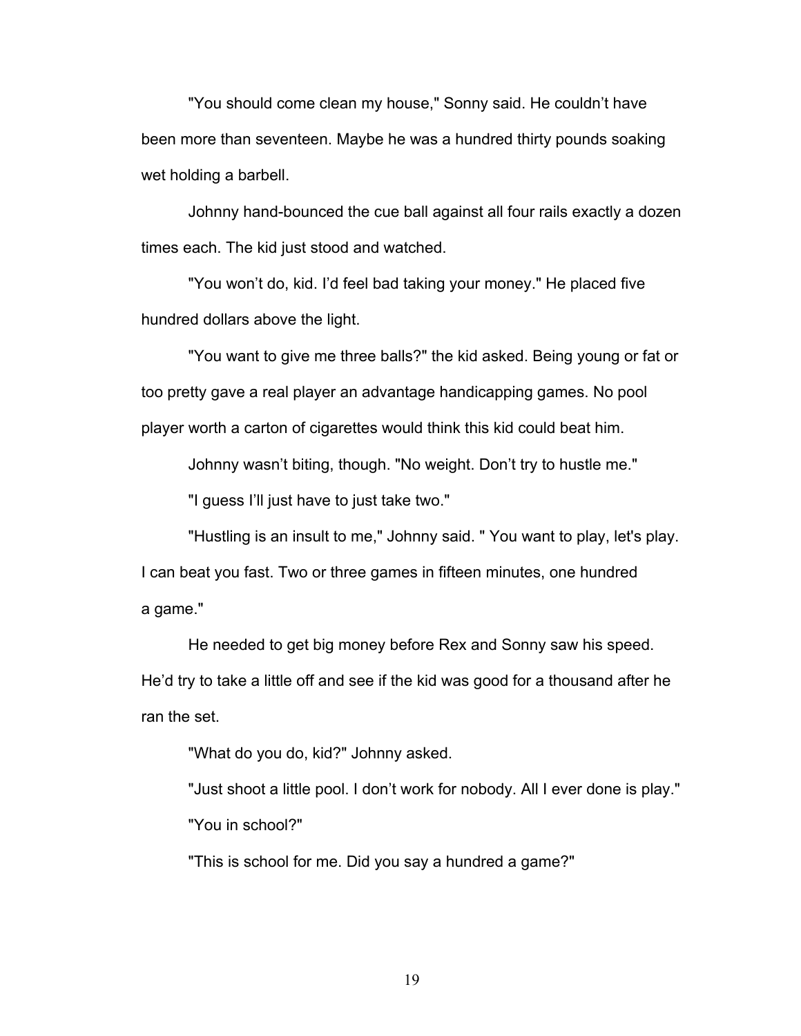"You should come clean my house," Sonny said. He couldn't have been more than seventeen. Maybe he was a hundred thirty pounds soaking wet holding a barbell.

Johnny hand-bounced the cue ball against all four rails exactly a dozen times each. The kid just stood and watched.

"You won't do, kid. I'd feel bad taking your money." He placed five hundred dollars above the light.

"You want to give me three balls?" the kid asked. Being young or fat or too pretty gave a real player an advantage handicapping games. No pool player worth a carton of cigarettes would think this kid could beat him.

Johnny wasn't biting, though. "No weight. Don't try to hustle me."

"I guess I'll just have to just take two."

"Hustling is an insult to me," Johnny said. " You want to play, let's play. I can beat you fast. Two or three games in fifteen minutes, one hundred a game."

He needed to get big money before Rex and Sonny saw his speed. He'd try to take a little off and see if the kid was good for a thousand after he ran the set.

"What do you do, kid?" Johnny asked.

"Just shoot a little pool. I don't work for nobody. All I ever done is play."

"You in school?"

"This is school for me. Did you say a hundred a game?"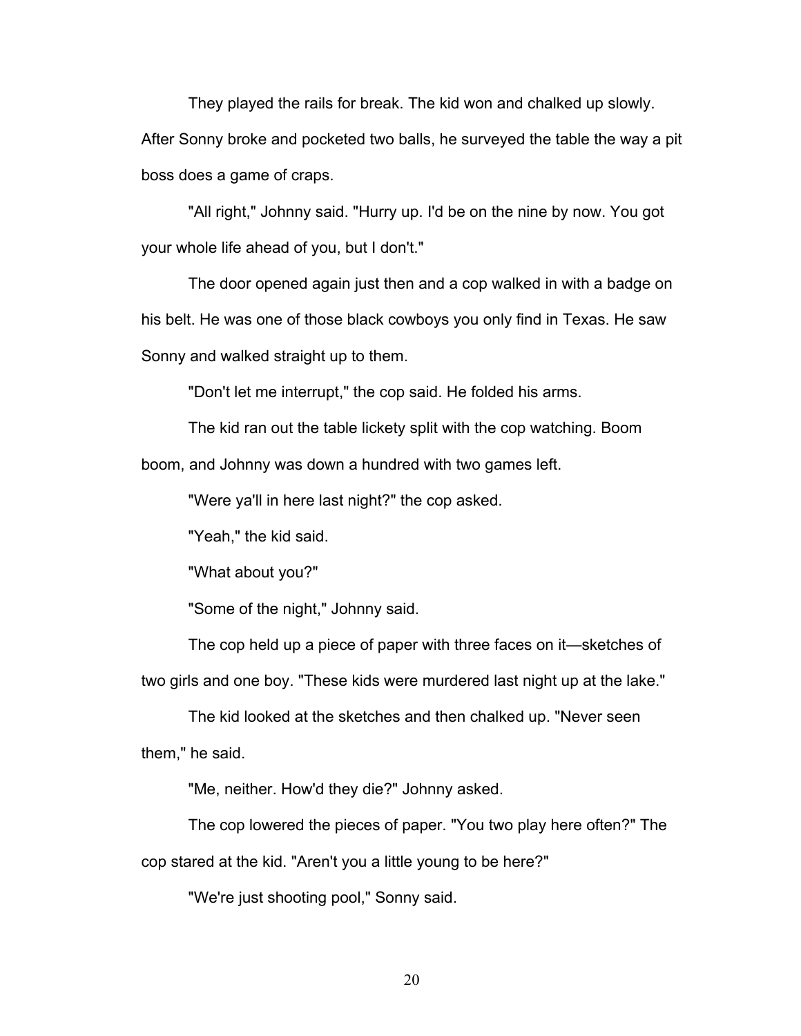They played the rails for break. The kid won and chalked up slowly. After Sonny broke and pocketed two balls, he surveyed the table the way a pit

boss does a game of craps.

"All right," Johnny said. "Hurry up. I'd be on the nine by now. You got your whole life ahead of you, but I don't."

The door opened again just then and a cop walked in with a badge on his belt. He was one of those black cowboys you only find in Texas. He saw Sonny and walked straight up to them.

"Don't let me interrupt," the cop said. He folded his arms.

The kid ran out the table lickety split with the cop watching. Boom boom, and Johnny was down a hundred with two games left.

"Were ya'll in here last night?" the cop asked.

"Yeah," the kid said.

"What about you?"

"Some of the night," Johnny said.

The cop held up a piece of paper with three faces on it—sketches of two girls and one boy. "These kids were murdered last night up at the lake."

The kid looked at the sketches and then chalked up. "Never seen them," he said.

"Me, neither. How'd they die?" Johnny asked.

The cop lowered the pieces of paper. "You two play here often?" The

cop stared at the kid. "Aren't you a little young to be here?"

"We're just shooting pool," Sonny said.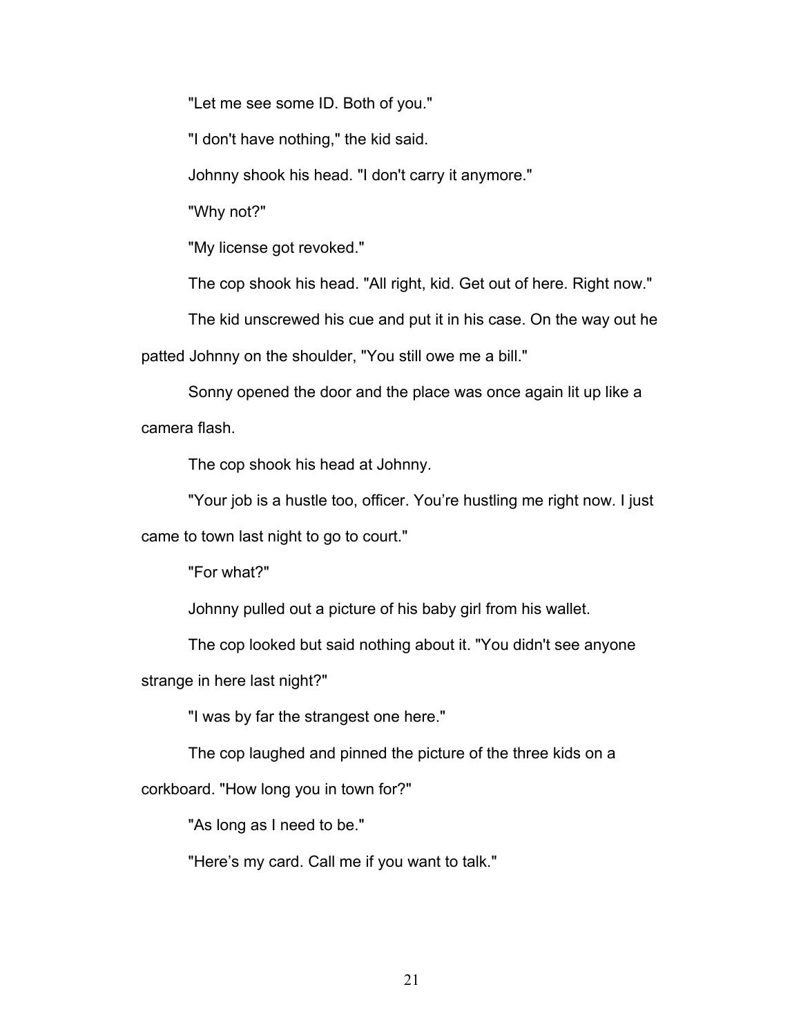"Let me see some ID. Both of you."

"I don't have nothing," the kid said.

Johnny shook his head. "I don't carry it anymore."

"Why not?"

"My license got revoked."

The cop shook his head. "All right, kid. Get out of here. Right now."

The kid unscrewed his cue and put it in his case. On the way out he patted Johnny on the shoulder, "You still owe me a bill."

Sonny opened the door and the place was once again lit up like a camera flash.

The cop shook his head at Johnny.

"Your job is a hustle too, officer. You're hustling me right now. I just came to town last night to go to court."

"For what?"

Johnny pulled out a picture of his baby girl from his wallet.

The cop looked but said nothing about it. "You didn't see anyone

strange in here last night?"

"I was by far the strangest one here."

The cop laughed and pinned the picture of the three kids on a

corkboard. "How long you in town for?"

"As long as I need to be."

"Here's my card. Call me if you want to talk."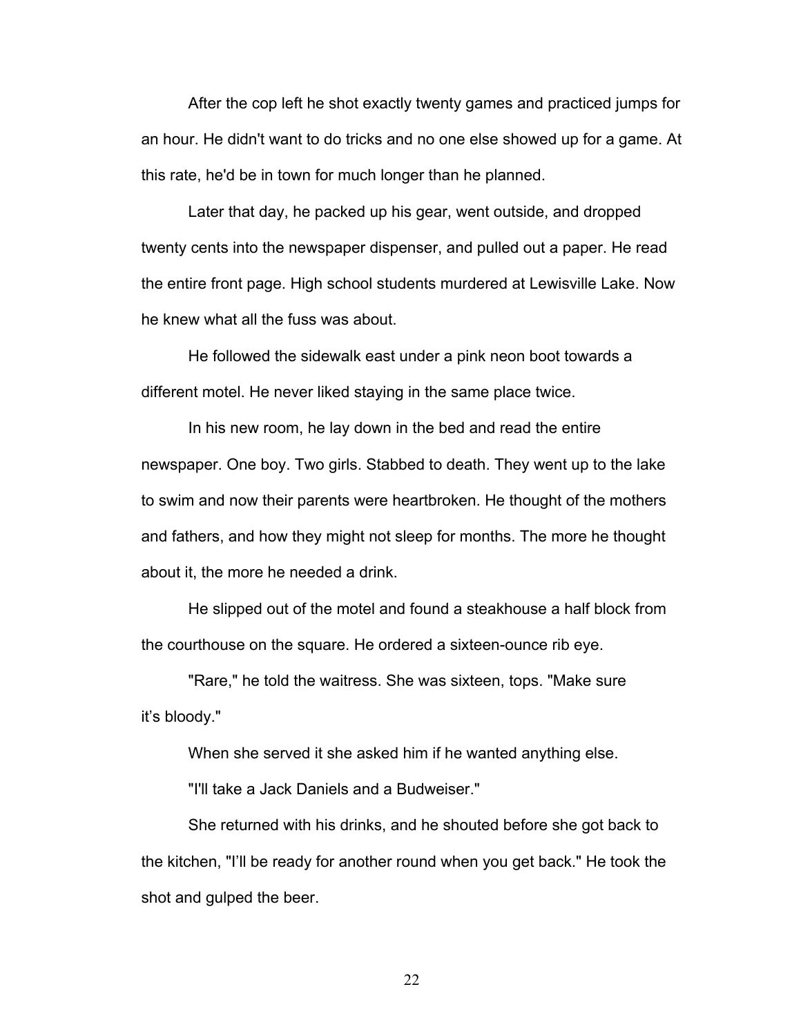After the cop left he shot exactly twenty games and practiced jumps for an hour. He didn't want to do tricks and no one else showed up for a game. At this rate, he'd be in town for much longer than he planned.

Later that day, he packed up his gear, went outside, and dropped twenty cents into the newspaper dispenser, and pulled out a paper. He read the entire front page. High school students murdered at Lewisville Lake. Now he knew what all the fuss was about.

He followed the sidewalk east under a pink neon boot towards a different motel. He never liked staying in the same place twice.

In his new room, he lay down in the bed and read the entire newspaper. One boy. Two girls. Stabbed to death. They went up to the lake to swim and now their parents were heartbroken. He thought of the mothers and fathers, and how they might not sleep for months. The more he thought about it, the more he needed a drink.

He slipped out of the motel and found a steakhouse a half block from the courthouse on the square. He ordered a sixteen-ounce rib eye.

"Rare," he told the waitress. She was sixteen, tops. "Make sure it's bloody."

When she served it she asked him if he wanted anything else.

"I'll take a Jack Daniels and a Budweiser."

She returned with his drinks, and he shouted before she got back to the kitchen, "I'll be ready for another round when you get back." He took the shot and gulped the beer.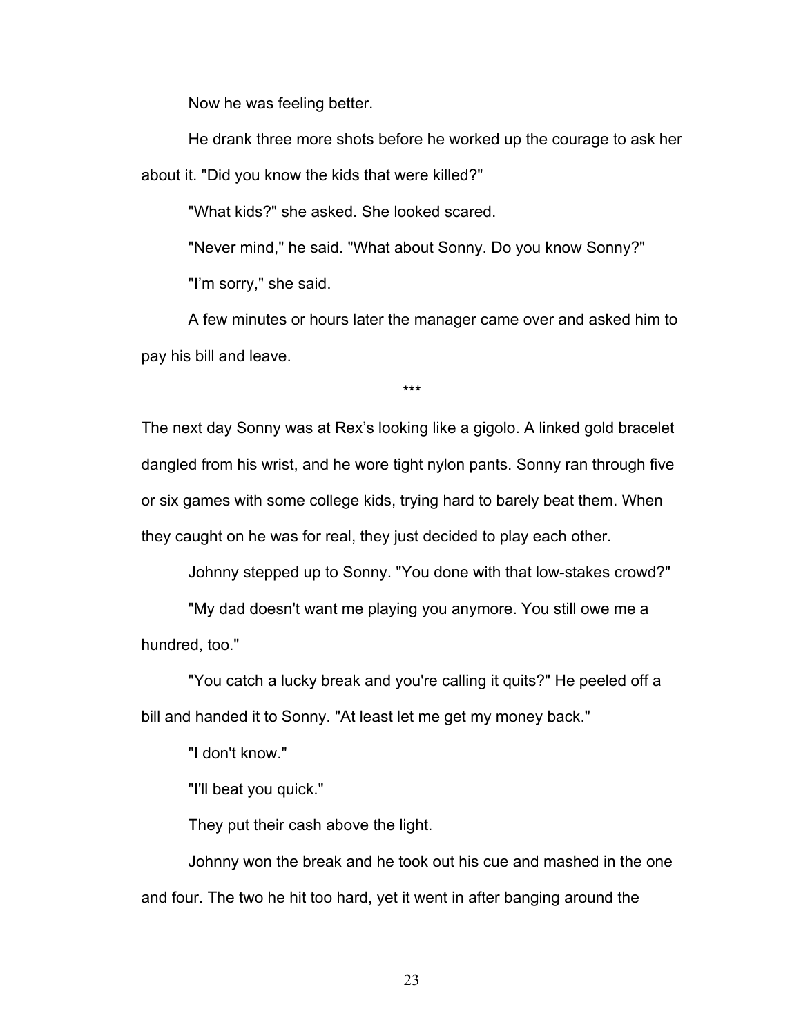Now he was feeling better.

He drank three more shots before he worked up the courage to ask her about it. "Did you know the kids that were killed?"

"What kids?" she asked. She looked scared.

"Never mind," he said. "What about Sonny. Do you know Sonny?" "I'm sorry," she said.

A few minutes or hours later the manager came over and asked him to pay his bill and leave.

\*\*\*

The next day Sonny was at Rex's looking like a gigolo. A linked gold bracelet dangled from his wrist, and he wore tight nylon pants. Sonny ran through five or six games with some college kids, trying hard to barely beat them. When they caught on he was for real, they just decided to play each other.

Johnny stepped up to Sonny. "You done with that low-stakes crowd?"

"My dad doesn't want me playing you anymore. You still owe me a hundred, too."

"You catch a lucky break and you're calling it quits?" He peeled off a bill and handed it to Sonny. "At least let me get my money back."

"I don't know."

"I'll beat you quick."

They put their cash above the light.

Johnny won the break and he took out his cue and mashed in the one and four. The two he hit too hard, yet it went in after banging around the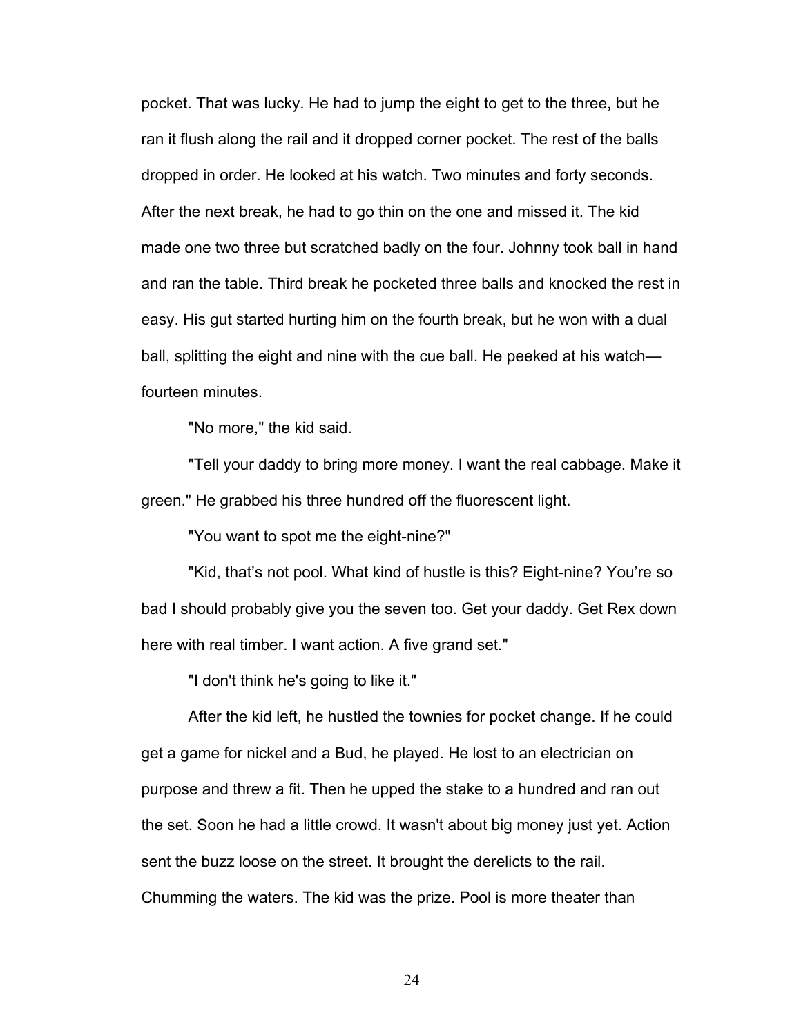pocket. That was lucky. He had to jump the eight to get to the three, but he ran it flush along the rail and it dropped corner pocket. The rest of the balls dropped in order. He looked at his watch. Two minutes and forty seconds. After the next break, he had to go thin on the one and missed it. The kid made one two three but scratched badly on the four. Johnny took ball in hand and ran the table. Third break he pocketed three balls and knocked the rest in easy. His gut started hurting him on the fourth break, but he won with a dual ball, splitting the eight and nine with the cue ball. He peeked at his watch fourteen minutes.

"No more," the kid said.

"Tell your daddy to bring more money. I want the real cabbage. Make it green." He grabbed his three hundred off the fluorescent light.

"You want to spot me the eight-nine?"

"Kid, that's not pool. What kind of hustle is this? Eight-nine? You're so bad I should probably give you the seven too. Get your daddy. Get Rex down here with real timber. I want action. A five grand set."

"I don't think he's going to like it."

After the kid left, he hustled the townies for pocket change. If he could get a game for nickel and a Bud, he played. He lost to an electrician on purpose and threw a fit. Then he upped the stake to a hundred and ran out the set. Soon he had a little crowd. It wasn't about big money just yet. Action sent the buzz loose on the street. It brought the derelicts to the rail. Chumming the waters. The kid was the prize. Pool is more theater than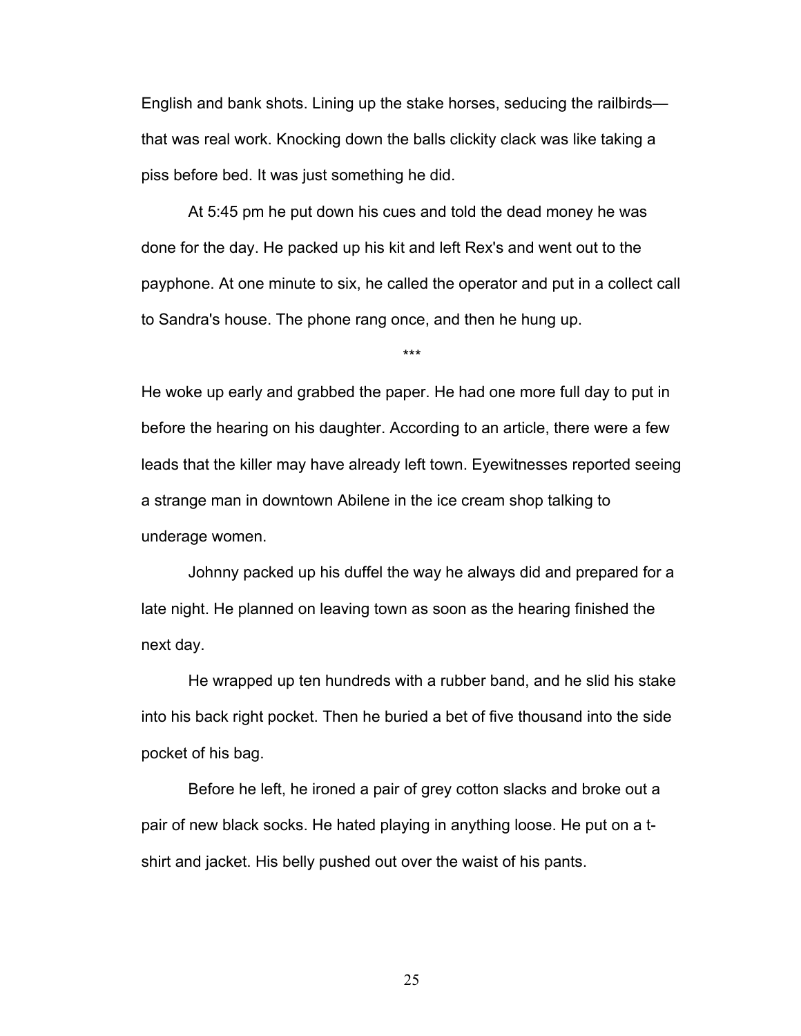English and bank shots. Lining up the stake horses, seducing the railbirds that was real work. Knocking down the balls clickity clack was like taking a piss before bed. It was just something he did.

At 5:45 pm he put down his cues and told the dead money he was done for the day. He packed up his kit and left Rex's and went out to the payphone. At one minute to six, he called the operator and put in a collect call to Sandra's house. The phone rang once, and then he hung up.

\*\*\*

He woke up early and grabbed the paper. He had one more full day to put in before the hearing on his daughter. According to an article, there were a few leads that the killer may have already left town. Eyewitnesses reported seeing a strange man in downtown Abilene in the ice cream shop talking to underage women.

Johnny packed up his duffel the way he always did and prepared for a late night. He planned on leaving town as soon as the hearing finished the next day.

He wrapped up ten hundreds with a rubber band, and he slid his stake into his back right pocket. Then he buried a bet of five thousand into the side pocket of his bag.

Before he left, he ironed a pair of grey cotton slacks and broke out a pair of new black socks. He hated playing in anything loose. He put on a tshirt and jacket. His belly pushed out over the waist of his pants.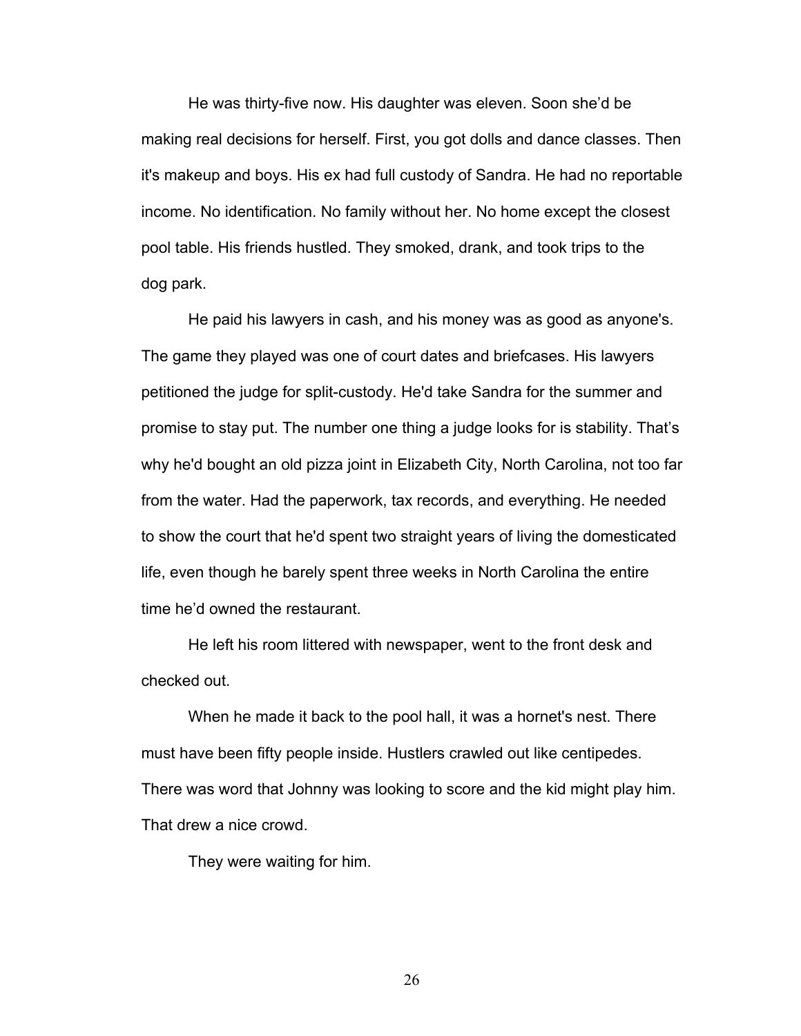He was thirty-five now. His daughter was eleven. Soon she'd be making real decisions for herself. First, you got dolls and dance classes. Then it's makeup and boys. His ex had full custody of Sandra. He had no reportable income. No identification. No family without her. No home except the closest pool table. His friends hustled. They smoked, drank, and took trips to the dog park.

He paid his lawyers in cash, and his money was as good as anyone's. The game they played was one of court dates and briefcases. His lawyers petitioned the judge for split-custody. He'd take Sandra for the summer and promise to stay put. The number one thing a judge looks for is stability. That's why he'd bought an old pizza joint in Elizabeth City, North Carolina, not too far from the water. Had the paperwork, tax records, and everything. He needed to show the court that he'd spent two straight years of living the domesticated life, even though he barely spent three weeks in North Carolina the entire time he'd owned the restaurant.

He left his room littered with newspaper, went to the front desk and checked out.

When he made it back to the pool hall, it was a hornet's nest. There must have been fifty people inside. Hustlers crawled out like centipedes. There was word that Johnny was looking to score and the kid might play him. That drew a nice crowd.

They were waiting for him.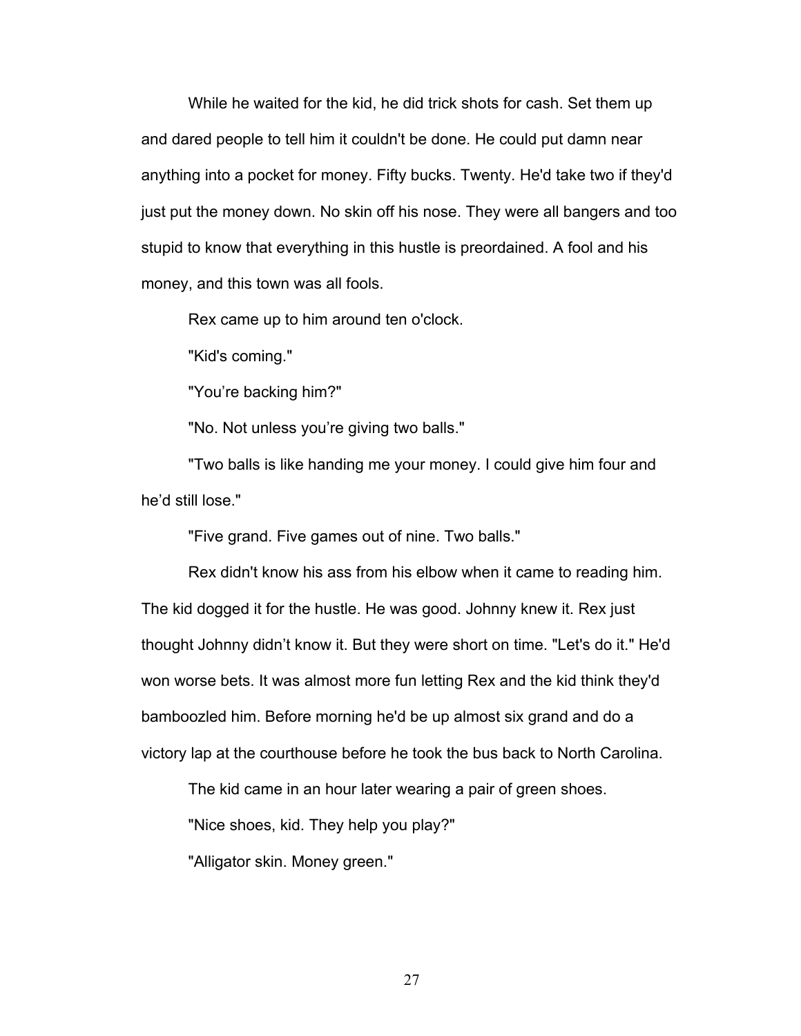While he waited for the kid, he did trick shots for cash. Set them up and dared people to tell him it couldn't be done. He could put damn near anything into a pocket for money. Fifty bucks. Twenty. He'd take two if they'd just put the money down. No skin off his nose. They were all bangers and too stupid to know that everything in this hustle is preordained. A fool and his money, and this town was all fools.

Rex came up to him around ten o'clock.

"Kid's coming."

"You're backing him?"

"No. Not unless you're giving two balls."

"Two balls is like handing me your money. I could give him four and he'd still lose."

"Five grand. Five games out of nine. Two balls."

Rex didn't know his ass from his elbow when it came to reading him. The kid dogged it for the hustle. He was good. Johnny knew it. Rex just thought Johnny didn't know it. But they were short on time. "Let's do it." He'd won worse bets. It was almost more fun letting Rex and the kid think they'd bamboozled him. Before morning he'd be up almost six grand and do a victory lap at the courthouse before he took the bus back to North Carolina.

The kid came in an hour later wearing a pair of green shoes.

"Nice shoes, kid. They help you play?"

"Alligator skin. Money green."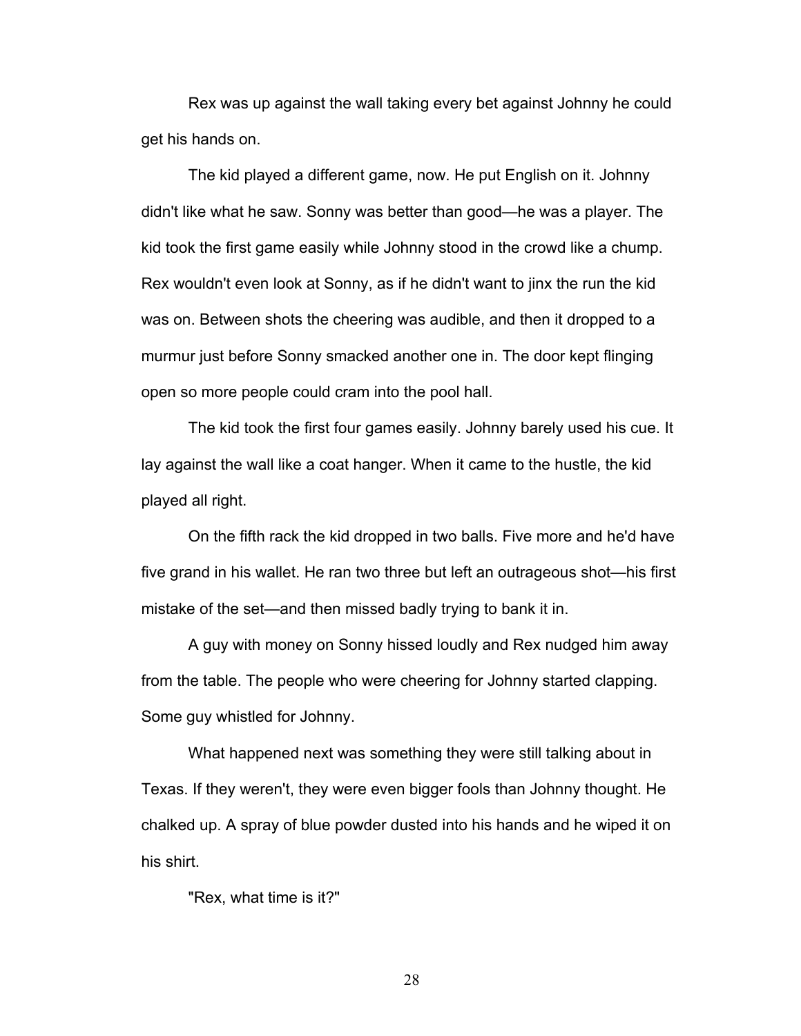Rex was up against the wall taking every bet against Johnny he could get his hands on.

The kid played a different game, now. He put English on it. Johnny didn't like what he saw. Sonny was better than good—he was a player. The kid took the first game easily while Johnny stood in the crowd like a chump. Rex wouldn't even look at Sonny, as if he didn't want to jinx the run the kid was on. Between shots the cheering was audible, and then it dropped to a murmur just before Sonny smacked another one in. The door kept flinging open so more people could cram into the pool hall.

The kid took the first four games easily. Johnny barely used his cue. It lay against the wall like a coat hanger. When it came to the hustle, the kid played all right.

On the fifth rack the kid dropped in two balls. Five more and he'd have five grand in his wallet. He ran two three but left an outrageous shot—his first mistake of the set—and then missed badly trying to bank it in.

A guy with money on Sonny hissed loudly and Rex nudged him away from the table. The people who were cheering for Johnny started clapping. Some guy whistled for Johnny.

What happened next was something they were still talking about in Texas. If they weren't, they were even bigger fools than Johnny thought. He chalked up. A spray of blue powder dusted into his hands and he wiped it on his shirt.

"Rex, what time is it?"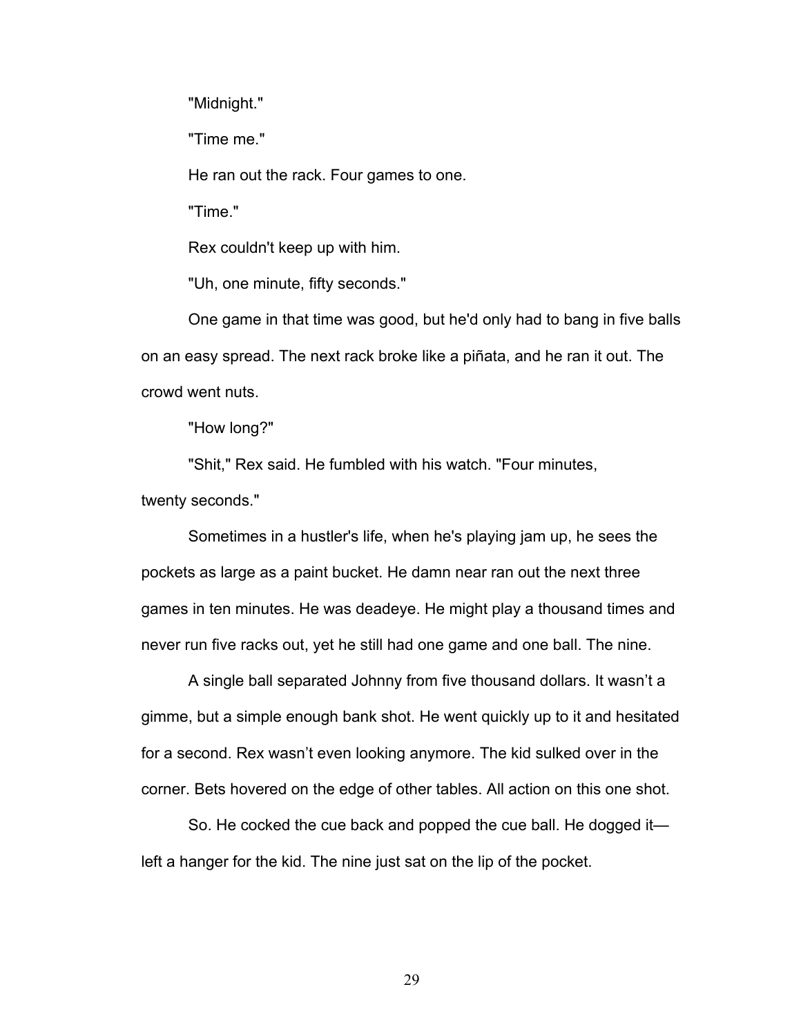"Midnight."

"Time me."

He ran out the rack. Four games to one.

"Time."

Rex couldn't keep up with him.

"Uh, one minute, fifty seconds."

One game in that time was good, but he'd only had to bang in five balls on an easy spread. The next rack broke like a piñata, and he ran it out. The crowd went nuts.

"How long?"

"Shit," Rex said. He fumbled with his watch. "Four minutes, twenty seconds."

Sometimes in a hustler's life, when he's playing jam up, he sees the pockets as large as a paint bucket. He damn near ran out the next three games in ten minutes. He was deadeye. He might play a thousand times and never run five racks out, yet he still had one game and one ball. The nine.

A single ball separated Johnny from five thousand dollars. It wasn't a gimme, but a simple enough bank shot. He went quickly up to it and hesitated for a second. Rex wasn't even looking anymore. The kid sulked over in the corner. Bets hovered on the edge of other tables. All action on this one shot.

So. He cocked the cue back and popped the cue ball. He dogged it left a hanger for the kid. The nine just sat on the lip of the pocket.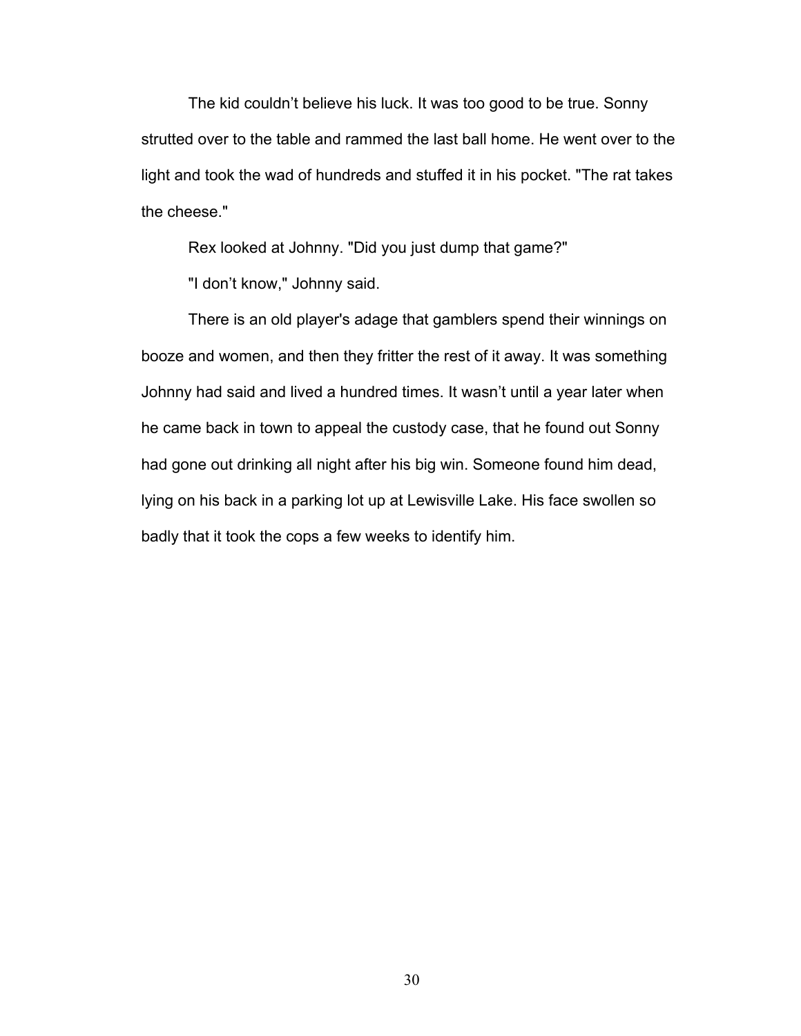The kid couldn't believe his luck. It was too good to be true. Sonny strutted over to the table and rammed the last ball home. He went over to the light and took the wad of hundreds and stuffed it in his pocket. "The rat takes the cheese."

Rex looked at Johnny. "Did you just dump that game?"

"I don't know," Johnny said.

There is an old player's adage that gamblers spend their winnings on booze and women, and then they fritter the rest of it away. It was something Johnny had said and lived a hundred times. It wasn't until a year later when he came back in town to appeal the custody case, that he found out Sonny had gone out drinking all night after his big win. Someone found him dead, lying on his back in a parking lot up at Lewisville Lake. His face swollen so badly that it took the cops a few weeks to identify him.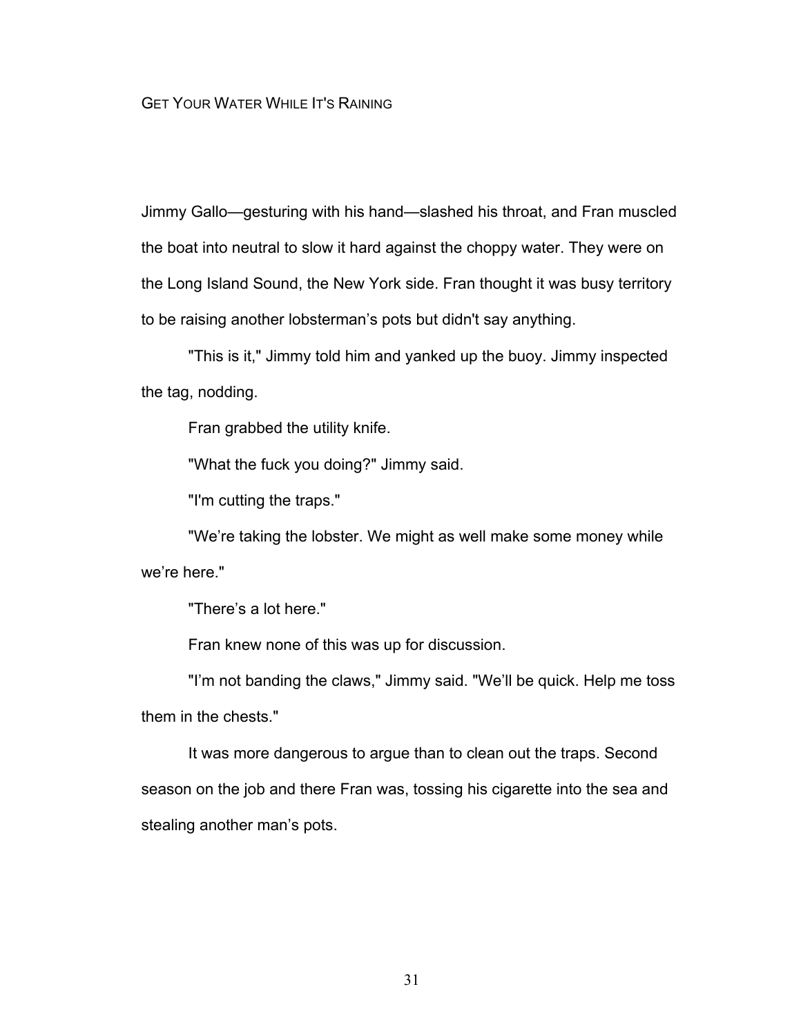Jimmy Gallo—gesturing with his hand—slashed his throat, and Fran muscled the boat into neutral to slow it hard against the choppy water. They were on the Long Island Sound, the New York side. Fran thought it was busy territory to be raising another lobsterman's pots but didn't say anything.

"This is it," Jimmy told him and yanked up the buoy. Jimmy inspected the tag, nodding.

Fran grabbed the utility knife.

"What the fuck you doing?" Jimmy said.

"I'm cutting the traps."

"We're taking the lobster. We might as well make some money while we're here."

"There's a lot here."

Fran knew none of this was up for discussion.

"I'm not banding the claws," Jimmy said. "We'll be quick. Help me toss them in the chests."

It was more dangerous to argue than to clean out the traps. Second season on the job and there Fran was, tossing his cigarette into the sea and stealing another man's pots.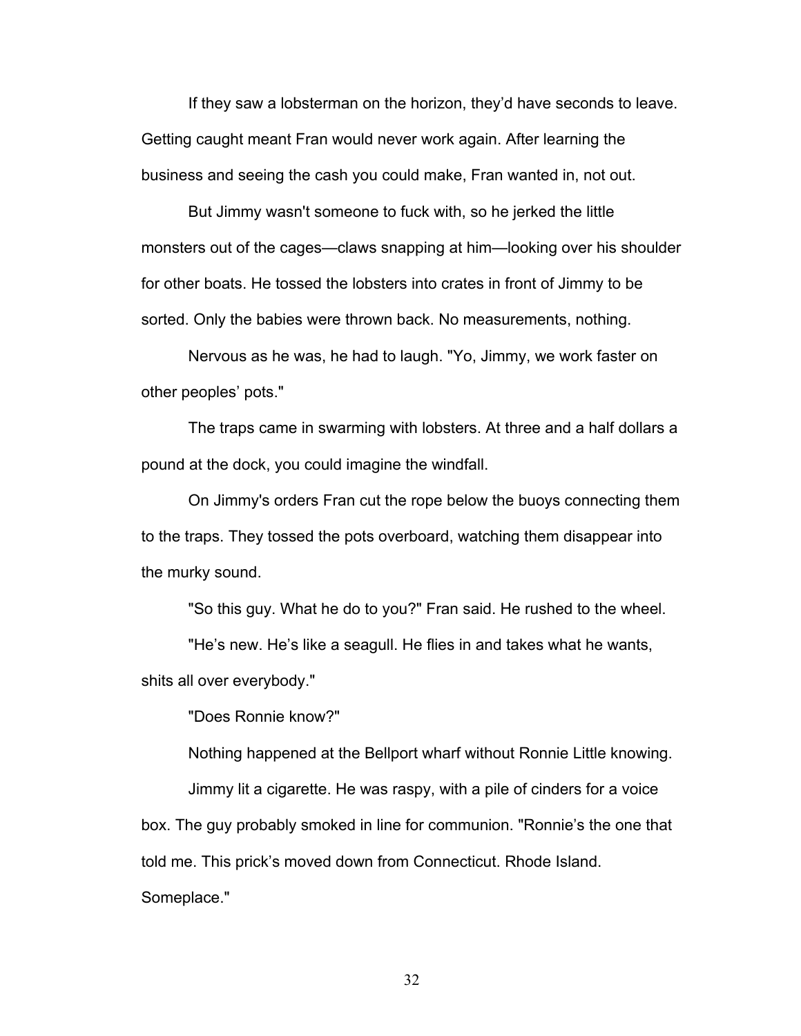If they saw a lobsterman on the horizon, they'd have seconds to leave. Getting caught meant Fran would never work again. After learning the business and seeing the cash you could make, Fran wanted in, not out.

But Jimmy wasn't someone to fuck with, so he jerked the little monsters out of the cages—claws snapping at him—looking over his shoulder for other boats. He tossed the lobsters into crates in front of Jimmy to be sorted. Only the babies were thrown back. No measurements, nothing.

Nervous as he was, he had to laugh. "Yo, Jimmy, we work faster on other peoples' pots."

The traps came in swarming with lobsters. At three and a half dollars a pound at the dock, you could imagine the windfall.

On Jimmy's orders Fran cut the rope below the buoys connecting them to the traps. They tossed the pots overboard, watching them disappear into the murky sound.

"So this guy. What he do to you?" Fran said. He rushed to the wheel.

"He's new. He's like a seagull. He flies in and takes what he wants, shits all over everybody."

"Does Ronnie know?"

Nothing happened at the Bellport wharf without Ronnie Little knowing.

Jimmy lit a cigarette. He was raspy, with a pile of cinders for a voice box. The guy probably smoked in line for communion. "Ronnie's the one that told me. This prick's moved down from Connecticut. Rhode Island. Someplace."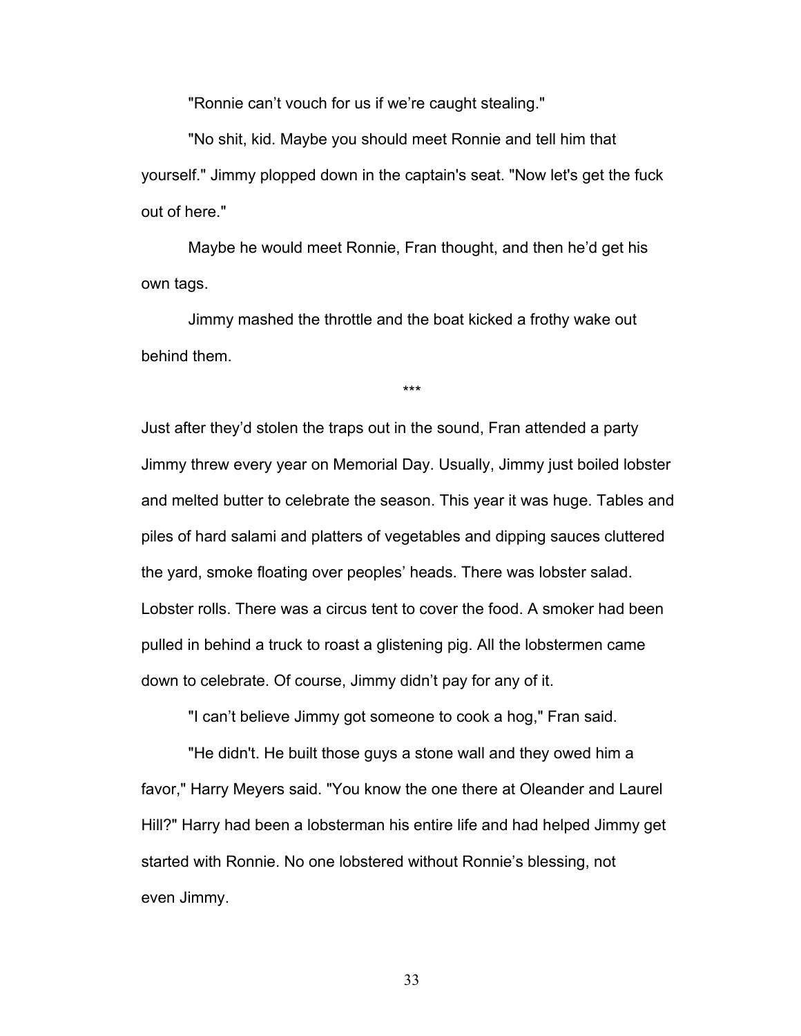"Ronnie can't vouch for us if we're caught stealing."

"No shit, kid. Maybe you should meet Ronnie and tell him that yourself." Jimmy plopped down in the captain's seat. "Now let's get the fuck out of here."

Maybe he would meet Ronnie, Fran thought, and then he'd get his own tags.

Jimmy mashed the throttle and the boat kicked a frothy wake out behind them.

\*\*\*

Just after they'd stolen the traps out in the sound, Fran attended a party Jimmy threw every year on Memorial Day. Usually, Jimmy just boiled lobster and melted butter to celebrate the season. This year it was huge. Tables and piles of hard salami and platters of vegetables and dipping sauces cluttered the yard, smoke floating over peoples' heads. There was lobster salad. Lobster rolls. There was a circus tent to cover the food. A smoker had been pulled in behind a truck to roast a glistening pig. All the lobstermen came down to celebrate. Of course, Jimmy didn't pay for any of it.

"I can't believe Jimmy got someone to cook a hog," Fran said.

"He didn't. He built those guys a stone wall and they owed him a favor," Harry Meyers said. "You know the one there at Oleander and Laurel Hill?" Harry had been a lobsterman his entire life and had helped Jimmy get started with Ronnie. No one lobstered without Ronnie's blessing, not even Jimmy.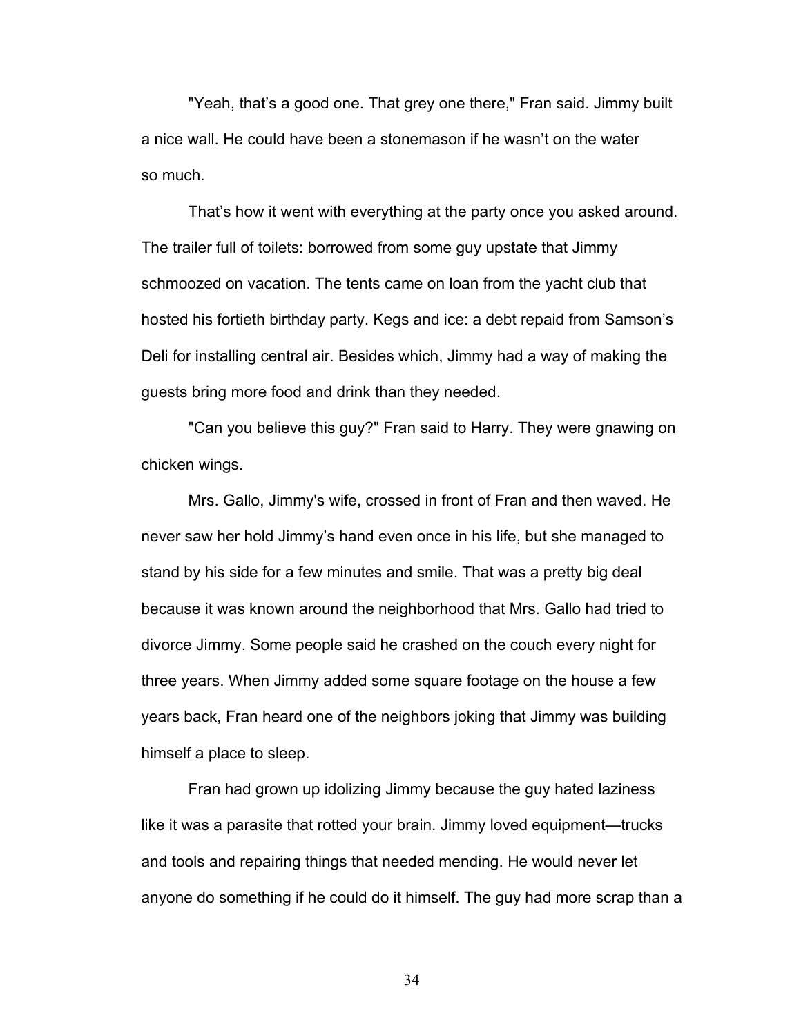"Yeah, that's a good one. That grey one there," Fran said. Jimmy built a nice wall. He could have been a stonemason if he wasn't on the water so much.

That's how it went with everything at the party once you asked around. The trailer full of toilets: borrowed from some guy upstate that Jimmy schmoozed on vacation. The tents came on loan from the yacht club that hosted his fortieth birthday party. Kegs and ice: a debt repaid from Samson's Deli for installing central air. Besides which, Jimmy had a way of making the guests bring more food and drink than they needed.

"Can you believe this guy?" Fran said to Harry. They were gnawing on chicken wings.

Mrs. Gallo, Jimmy's wife, crossed in front of Fran and then waved. He never saw her hold Jimmy's hand even once in his life, but she managed to stand by his side for a few minutes and smile. That was a pretty big deal because it was known around the neighborhood that Mrs. Gallo had tried to divorce Jimmy. Some people said he crashed on the couch every night for three years. When Jimmy added some square footage on the house a few years back, Fran heard one of the neighbors joking that Jimmy was building himself a place to sleep.

Fran had grown up idolizing Jimmy because the guy hated laziness like it was a parasite that rotted your brain. Jimmy loved equipment—trucks and tools and repairing things that needed mending. He would never let anyone do something if he could do it himself. The guy had more scrap than a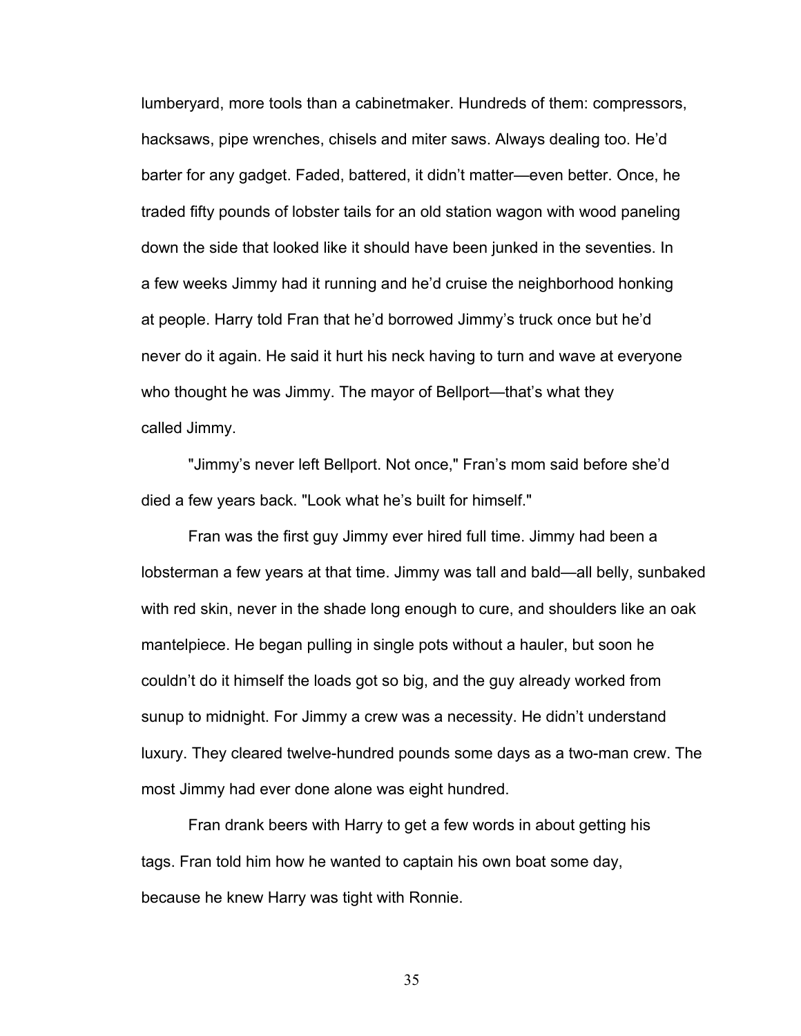lumberyard, more tools than a cabinetmaker. Hundreds of them: compressors, hacksaws, pipe wrenches, chisels and miter saws. Always dealing too. He'd barter for any gadget. Faded, battered, it didn't matter—even better. Once, he traded fifty pounds of lobster tails for an old station wagon with wood paneling down the side that looked like it should have been junked in the seventies. In a few weeks Jimmy had it running and he'd cruise the neighborhood honking at people. Harry told Fran that he'd borrowed Jimmy's truck once but he'd never do it again. He said it hurt his neck having to turn and wave at everyone who thought he was Jimmy. The mayor of Bellport—that's what they called Jimmy.

"Jimmy's never left Bellport. Not once," Fran's mom said before she'd died a few years back. "Look what he's built for himself."

Fran was the first guy Jimmy ever hired full time. Jimmy had been a lobsterman a few years at that time. Jimmy was tall and bald—all belly, sunbaked with red skin, never in the shade long enough to cure, and shoulders like an oak mantelpiece. He began pulling in single pots without a hauler, but soon he couldn't do it himself the loads got so big, and the guy already worked from sunup to midnight. For Jimmy a crew was a necessity. He didn't understand luxury. They cleared twelve-hundred pounds some days as a two-man crew. The most Jimmy had ever done alone was eight hundred.

Fran drank beers with Harry to get a few words in about getting his tags. Fran told him how he wanted to captain his own boat some day, because he knew Harry was tight with Ronnie.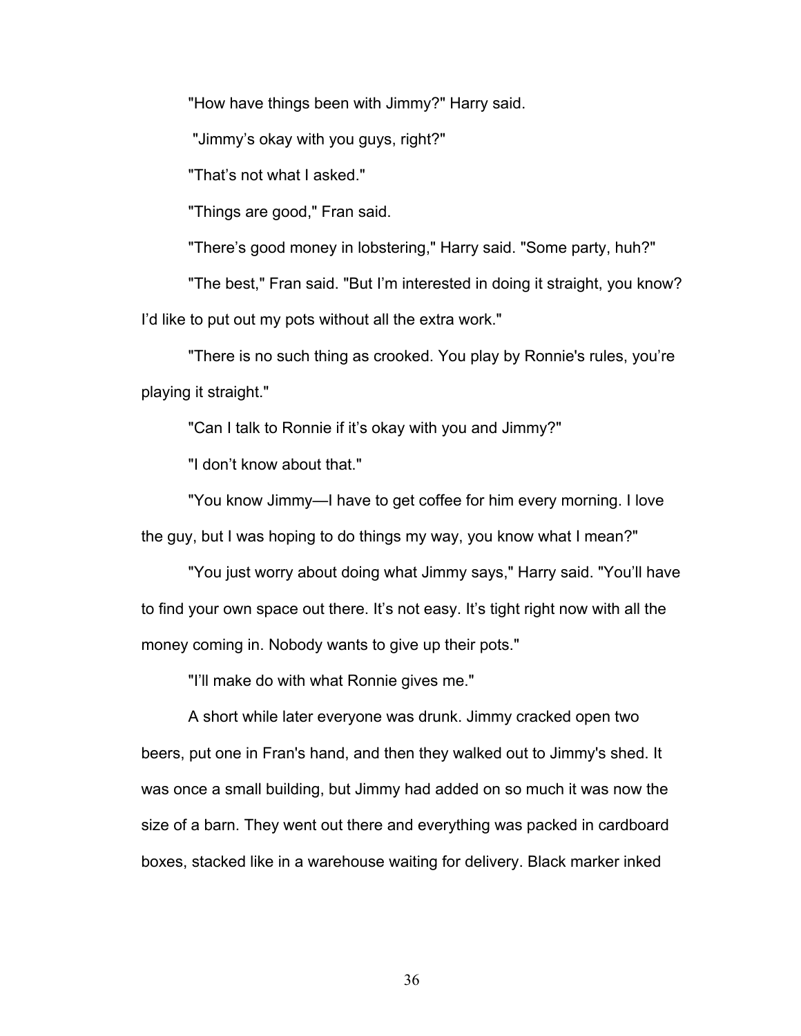"How have things been with Jimmy?" Harry said.

"Jimmy's okay with you guys, right?"

"That's not what I asked."

"Things are good," Fran said.

"There's good money in lobstering," Harry said. "Some party, huh?"

"The best," Fran said. "But I'm interested in doing it straight, you know? I'd like to put out my pots without all the extra work."

"There is no such thing as crooked. You play by Ronnie's rules, you're playing it straight."

"Can I talk to Ronnie if it's okay with you and Jimmy?"

"I don't know about that."

"You know Jimmy—I have to get coffee for him every morning. I love the guy, but I was hoping to do things my way, you know what I mean?"

"You just worry about doing what Jimmy says," Harry said. "You'll have to find your own space out there. It's not easy. It's tight right now with all the money coming in. Nobody wants to give up their pots."

"I'll make do with what Ronnie gives me."

A short while later everyone was drunk. Jimmy cracked open two beers, put one in Fran's hand, and then they walked out to Jimmy's shed. It was once a small building, but Jimmy had added on so much it was now the size of a barn. They went out there and everything was packed in cardboard boxes, stacked like in a warehouse waiting for delivery. Black marker inked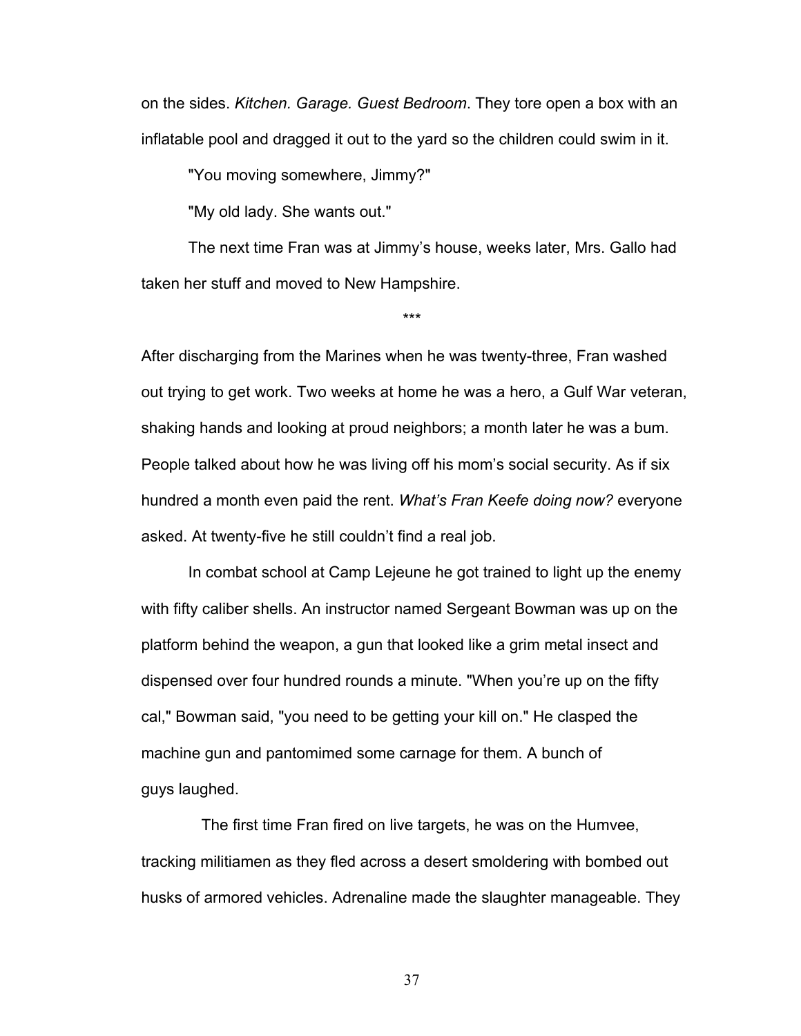on the sides. *Kitchen. Garage. Guest Bedroom*. They tore open a box with an inflatable pool and dragged it out to the yard so the children could swim in it.

"You moving somewhere, Jimmy?"

"My old lady. She wants out."

The next time Fran was at Jimmy's house, weeks later, Mrs. Gallo had taken her stuff and moved to New Hampshire.

\*\*\*

After discharging from the Marines when he was twenty-three, Fran washed out trying to get work. Two weeks at home he was a hero, a Gulf War veteran, shaking hands and looking at proud neighbors; a month later he was a bum. People talked about how he was living off his mom's social security. As if six hundred a month even paid the rent. *What's Fran Keefe doing now?* everyone asked. At twenty-five he still couldn't find a real job.

In combat school at Camp Lejeune he got trained to light up the enemy with fifty caliber shells. An instructor named Sergeant Bowman was up on the platform behind the weapon, a gun that looked like a grim metal insect and dispensed over four hundred rounds a minute. "When you're up on the fifty cal," Bowman said, "you need to be getting your kill on." He clasped the machine gun and pantomimed some carnage for them. A bunch of guys laughed.

 The first time Fran fired on live targets, he was on the Humvee, tracking militiamen as they fled across a desert smoldering with bombed out husks of armored vehicles. Adrenaline made the slaughter manageable. They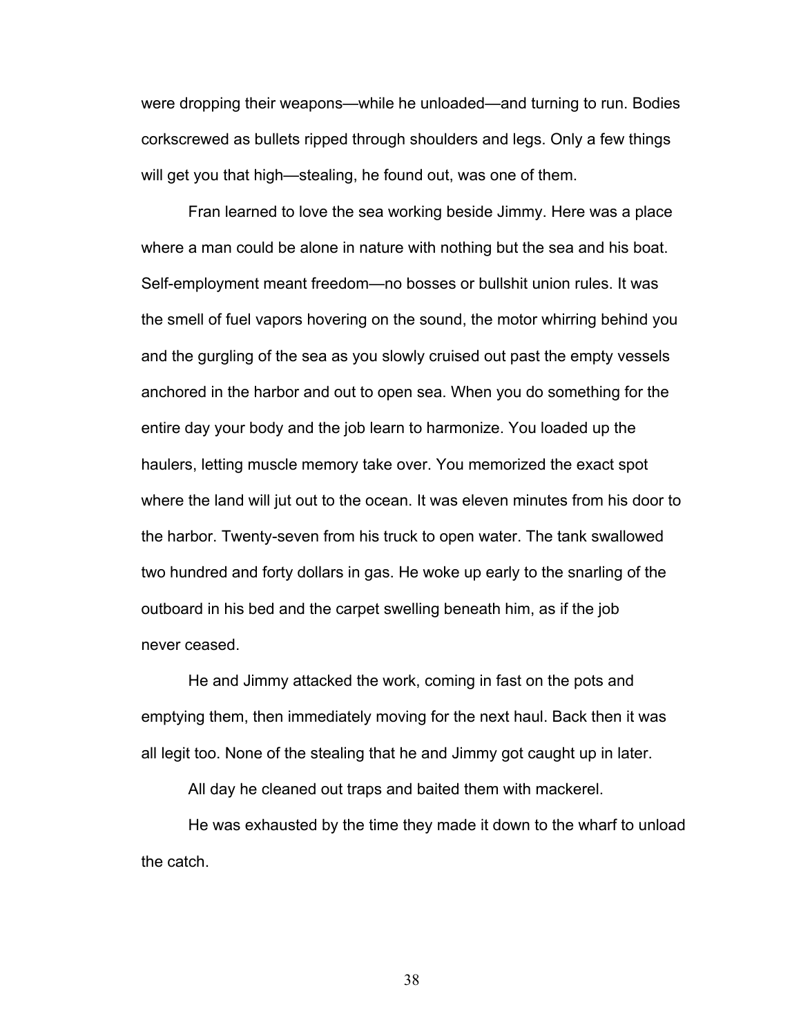were dropping their weapons—while he unloaded—and turning to run. Bodies corkscrewed as bullets ripped through shoulders and legs. Only a few things will get you that high—stealing, he found out, was one of them.

Fran learned to love the sea working beside Jimmy. Here was a place where a man could be alone in nature with nothing but the sea and his boat. Self-employment meant freedom—no bosses or bullshit union rules. It was the smell of fuel vapors hovering on the sound, the motor whirring behind you and the gurgling of the sea as you slowly cruised out past the empty vessels anchored in the harbor and out to open sea. When you do something for the entire day your body and the job learn to harmonize. You loaded up the haulers, letting muscle memory take over. You memorized the exact spot where the land will jut out to the ocean. It was eleven minutes from his door to the harbor. Twenty-seven from his truck to open water. The tank swallowed two hundred and forty dollars in gas. He woke up early to the snarling of the outboard in his bed and the carpet swelling beneath him, as if the job never ceased.

He and Jimmy attacked the work, coming in fast on the pots and emptying them, then immediately moving for the next haul. Back then it was all legit too. None of the stealing that he and Jimmy got caught up in later.

All day he cleaned out traps and baited them with mackerel.

He was exhausted by the time they made it down to the wharf to unload the catch.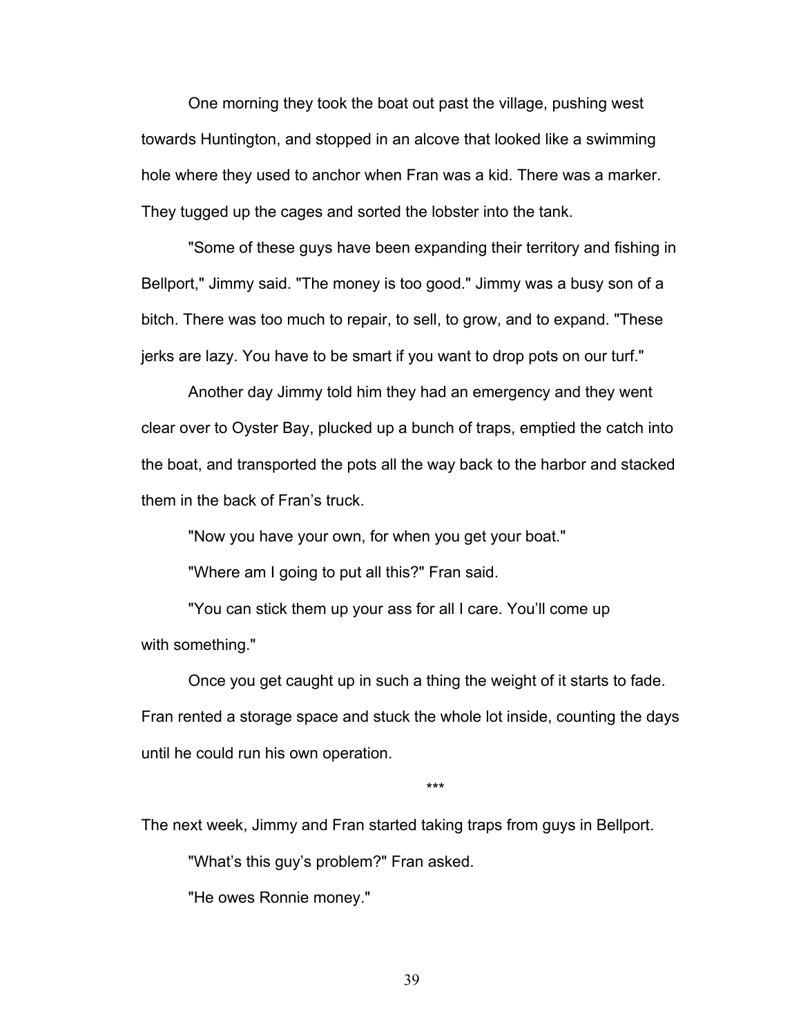One morning they took the boat out past the village, pushing west towards Huntington, and stopped in an alcove that looked like a swimming hole where they used to anchor when Fran was a kid. There was a marker. They tugged up the cages and sorted the lobster into the tank.

"Some of these guys have been expanding their territory and fishing in Bellport," Jimmy said. "The money is too good." Jimmy was a busy son of a bitch. There was too much to repair, to sell, to grow, and to expand. "These jerks are lazy. You have to be smart if you want to drop pots on our turf."

Another day Jimmy told him they had an emergency and they went clear over to Oyster Bay, plucked up a bunch of traps, emptied the catch into the boat, and transported the pots all the way back to the harbor and stacked them in the back of Fran's truck.

"Now you have your own, for when you get your boat."

"Where am I going to put all this?" Fran said.

"You can stick them up your ass for all I care. You'll come up with something."

Once you get caught up in such a thing the weight of it starts to fade. Fran rented a storage space and stuck the whole lot inside, counting the days until he could run his own operation.

\*\*\*

The next week, Jimmy and Fran started taking traps from guys in Bellport.

"What's this guy's problem?" Fran asked.

"He owes Ronnie money."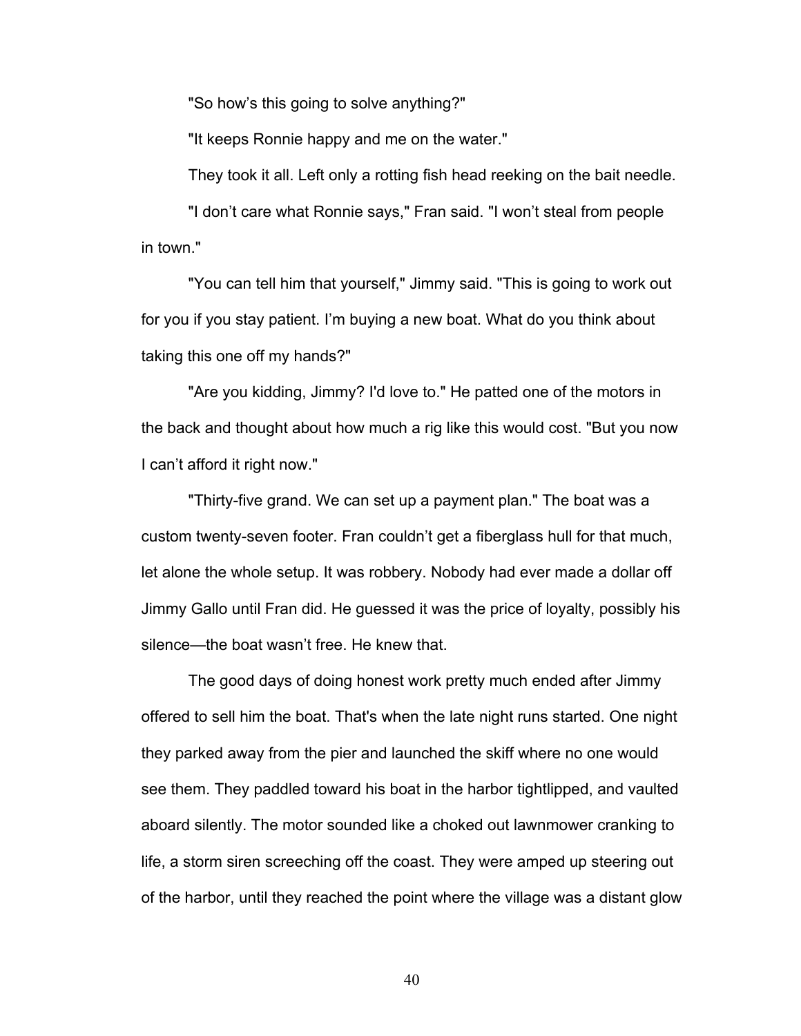"So how's this going to solve anything?"

"It keeps Ronnie happy and me on the water."

They took it all. Left only a rotting fish head reeking on the bait needle.

"I don't care what Ronnie says," Fran said. "I won't steal from people in town."

"You can tell him that yourself," Jimmy said. "This is going to work out for you if you stay patient. I'm buying a new boat. What do you think about taking this one off my hands?"

"Are you kidding, Jimmy? I'd love to." He patted one of the motors in the back and thought about how much a rig like this would cost. "But you now I can't afford it right now."

"Thirty-five grand. We can set up a payment plan." The boat was a custom twenty-seven footer. Fran couldn't get a fiberglass hull for that much, let alone the whole setup. It was robbery. Nobody had ever made a dollar off Jimmy Gallo until Fran did. He guessed it was the price of loyalty, possibly his silence—the boat wasn't free. He knew that.

The good days of doing honest work pretty much ended after Jimmy offered to sell him the boat. That's when the late night runs started. One night they parked away from the pier and launched the skiff where no one would see them. They paddled toward his boat in the harbor tightlipped, and vaulted aboard silently. The motor sounded like a choked out lawnmower cranking to life, a storm siren screeching off the coast. They were amped up steering out of the harbor, until they reached the point where the village was a distant glow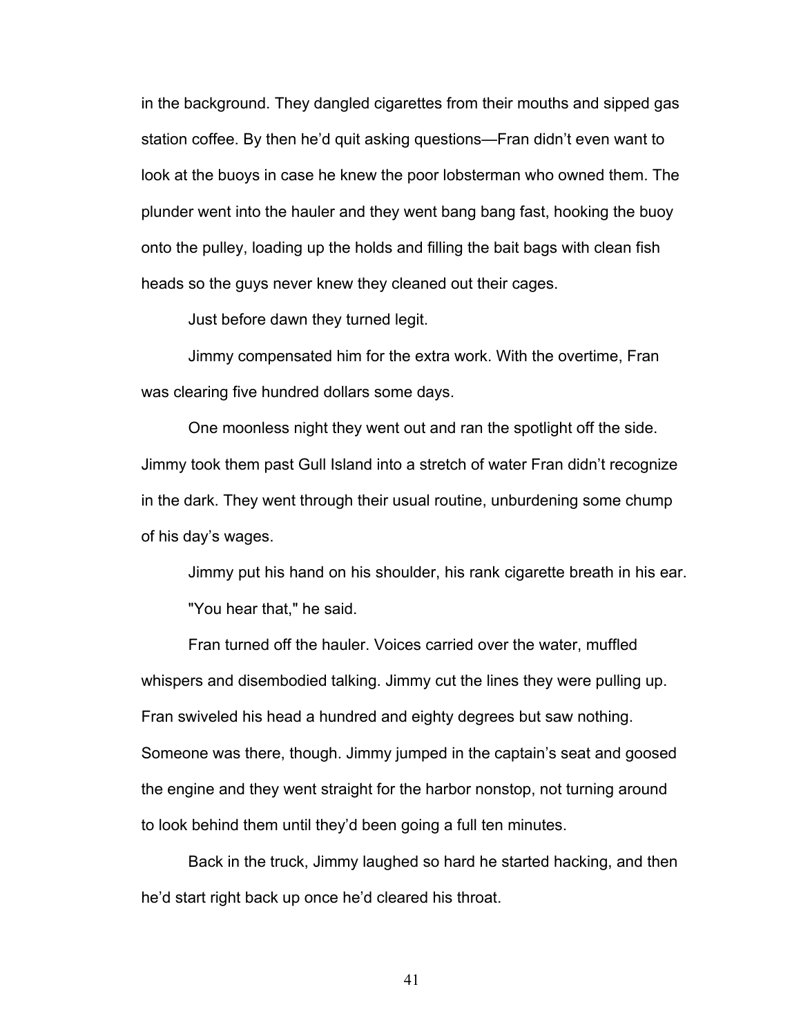in the background. They dangled cigarettes from their mouths and sipped gas station coffee. By then he'd quit asking questions—Fran didn't even want to look at the buoys in case he knew the poor lobsterman who owned them. The plunder went into the hauler and they went bang bang fast, hooking the buoy onto the pulley, loading up the holds and filling the bait bags with clean fish heads so the guys never knew they cleaned out their cages.

Just before dawn they turned legit.

Jimmy compensated him for the extra work. With the overtime, Fran was clearing five hundred dollars some days.

One moonless night they went out and ran the spotlight off the side. Jimmy took them past Gull Island into a stretch of water Fran didn't recognize in the dark. They went through their usual routine, unburdening some chump of his day's wages.

Jimmy put his hand on his shoulder, his rank cigarette breath in his ear. "You hear that," he said.

Fran turned off the hauler. Voices carried over the water, muffled whispers and disembodied talking. Jimmy cut the lines they were pulling up. Fran swiveled his head a hundred and eighty degrees but saw nothing. Someone was there, though. Jimmy jumped in the captain's seat and goosed the engine and they went straight for the harbor nonstop, not turning around to look behind them until they'd been going a full ten minutes.

Back in the truck, Jimmy laughed so hard he started hacking, and then he'd start right back up once he'd cleared his throat.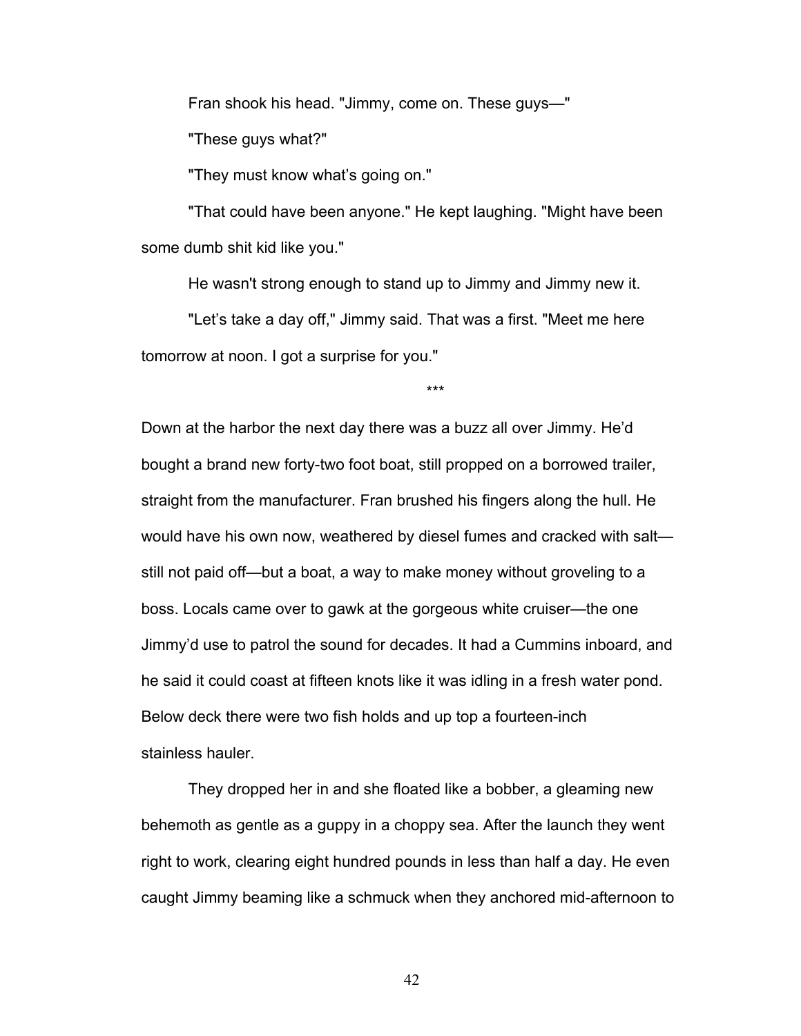Fran shook his head. "Jimmy, come on. These guys—"

"These guys what?"

"They must know what's going on."

"That could have been anyone." He kept laughing. "Might have been some dumb shit kid like you."

He wasn't strong enough to stand up to Jimmy and Jimmy new it.

\*\*\*

"Let's take a day off," Jimmy said. That was a first. "Meet me here tomorrow at noon. I got a surprise for you."

Down at the harbor the next day there was a buzz all over Jimmy. He'd bought a brand new forty-two foot boat, still propped on a borrowed trailer, straight from the manufacturer. Fran brushed his fingers along the hull. He would have his own now, weathered by diesel fumes and cracked with salt still not paid off—but a boat, a way to make money without groveling to a boss. Locals came over to gawk at the gorgeous white cruiser—the one Jimmy'd use to patrol the sound for decades. It had a Cummins inboard, and he said it could coast at fifteen knots like it was idling in a fresh water pond. Below deck there were two fish holds and up top a fourteen-inch stainless hauler.

They dropped her in and she floated like a bobber, a gleaming new behemoth as gentle as a guppy in a choppy sea. After the launch they went right to work, clearing eight hundred pounds in less than half a day. He even caught Jimmy beaming like a schmuck when they anchored mid-afternoon to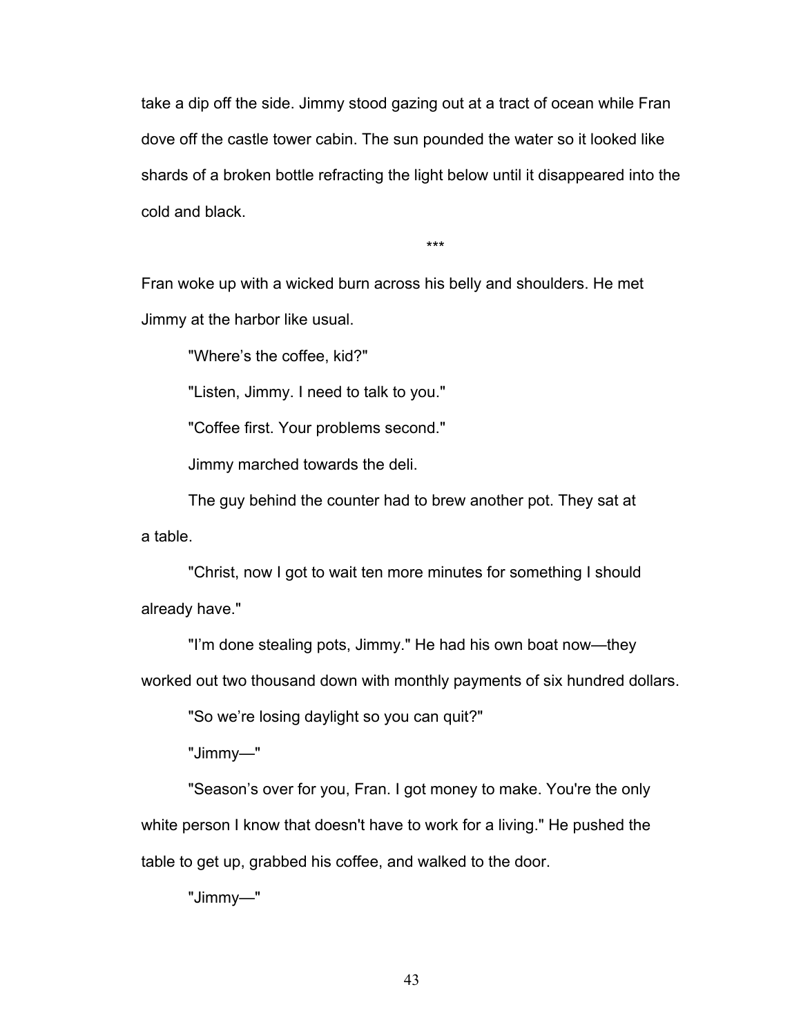take a dip off the side. Jimmy stood gazing out at a tract of ocean while Fran dove off the castle tower cabin. The sun pounded the water so it looked like shards of a broken bottle refracting the light below until it disappeared into the cold and black.

\*\*\*

Fran woke up with a wicked burn across his belly and shoulders. He met Jimmy at the harbor like usual.

"Where's the coffee, kid?"

"Listen, Jimmy. I need to talk to you."

"Coffee first. Your problems second."

Jimmy marched towards the deli.

The guy behind the counter had to brew another pot. They sat at a table.

"Christ, now I got to wait ten more minutes for something I should already have."

"I'm done stealing pots, Jimmy." He had his own boat now—they

worked out two thousand down with monthly payments of six hundred dollars.

"So we're losing daylight so you can quit?"

"Jimmy—"

"Season's over for you, Fran. I got money to make. You're the only white person I know that doesn't have to work for a living." He pushed the table to get up, grabbed his coffee, and walked to the door.

"Jimmy—"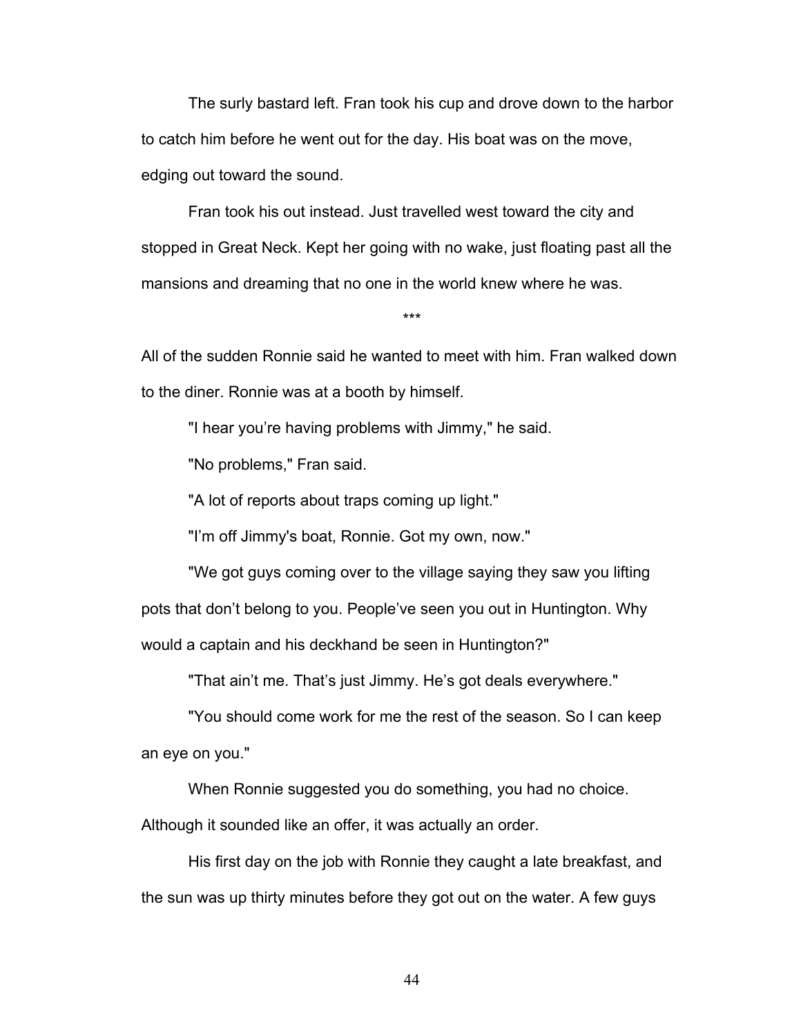The surly bastard left. Fran took his cup and drove down to the harbor to catch him before he went out for the day. His boat was on the move, edging out toward the sound.

Fran took his out instead. Just travelled west toward the city and stopped in Great Neck. Kept her going with no wake, just floating past all the mansions and dreaming that no one in the world knew where he was.

\*\*\*

All of the sudden Ronnie said he wanted to meet with him. Fran walked down to the diner. Ronnie was at a booth by himself.

"I hear you're having problems with Jimmy," he said.

"No problems," Fran said.

"A lot of reports about traps coming up light."

"I'm off Jimmy's boat, Ronnie. Got my own, now."

"We got guys coming over to the village saying they saw you lifting pots that don't belong to you. People've seen you out in Huntington. Why would a captain and his deckhand be seen in Huntington?"

"That ain't me. That's just Jimmy. He's got deals everywhere."

"You should come work for me the rest of the season. So I can keep an eye on you."

When Ronnie suggested you do something, you had no choice.

Although it sounded like an offer, it was actually an order.

His first day on the job with Ronnie they caught a late breakfast, and the sun was up thirty minutes before they got out on the water. A few guys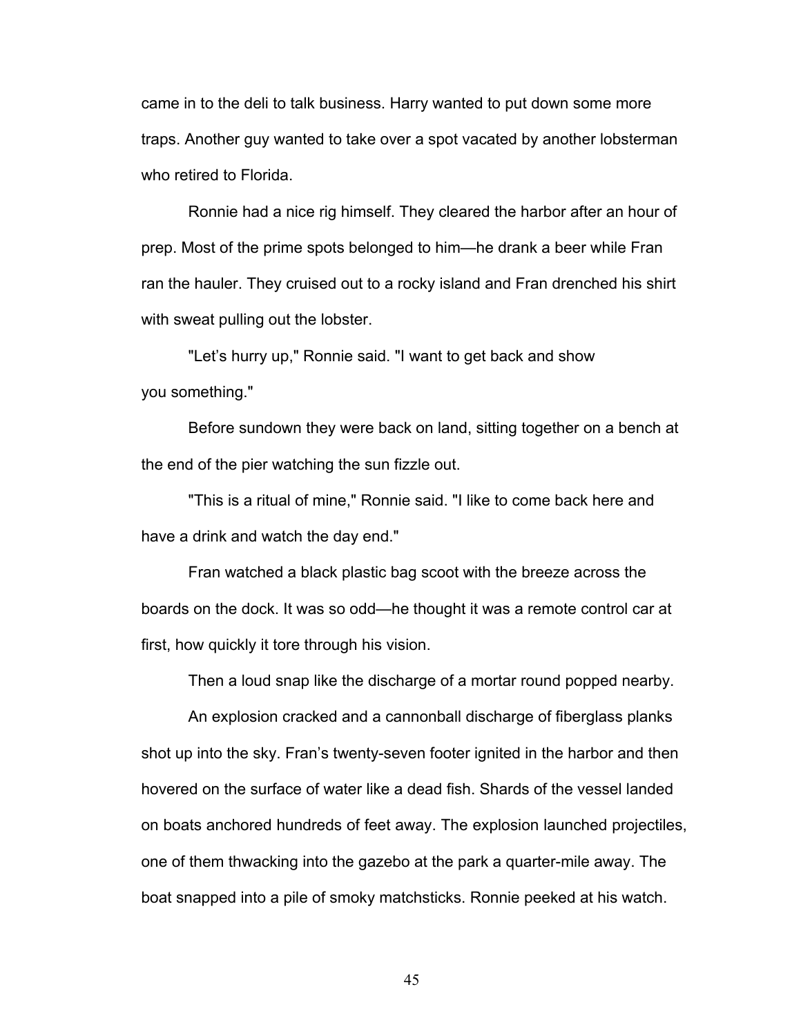came in to the deli to talk business. Harry wanted to put down some more traps. Another guy wanted to take over a spot vacated by another lobsterman who retired to Florida

Ronnie had a nice rig himself. They cleared the harbor after an hour of prep. Most of the prime spots belonged to him—he drank a beer while Fran ran the hauler. They cruised out to a rocky island and Fran drenched his shirt with sweat pulling out the lobster.

"Let's hurry up," Ronnie said. "I want to get back and show you something."

Before sundown they were back on land, sitting together on a bench at the end of the pier watching the sun fizzle out.

"This is a ritual of mine," Ronnie said. "I like to come back here and have a drink and watch the day end."

Fran watched a black plastic bag scoot with the breeze across the boards on the dock. It was so odd—he thought it was a remote control car at first, how quickly it tore through his vision.

Then a loud snap like the discharge of a mortar round popped nearby.

An explosion cracked and a cannonball discharge of fiberglass planks shot up into the sky. Fran's twenty-seven footer ignited in the harbor and then hovered on the surface of water like a dead fish. Shards of the vessel landed on boats anchored hundreds of feet away. The explosion launched projectiles, one of them thwacking into the gazebo at the park a quarter-mile away. The boat snapped into a pile of smoky matchsticks. Ronnie peeked at his watch.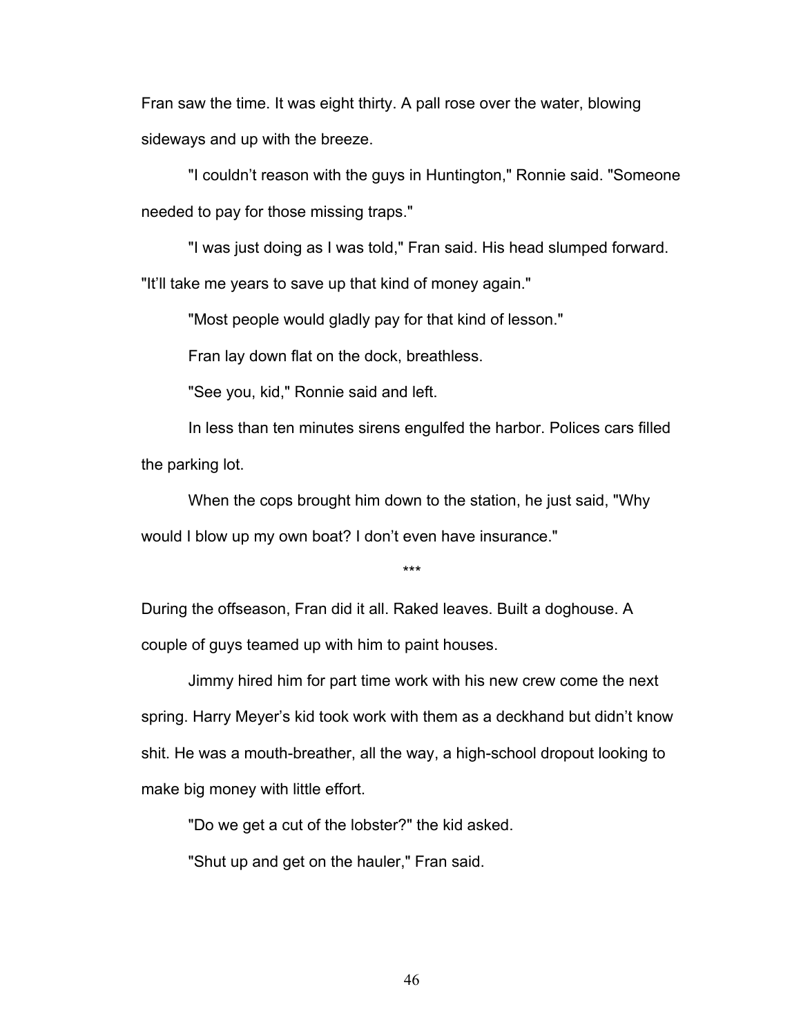Fran saw the time. It was eight thirty. A pall rose over the water, blowing sideways and up with the breeze.

"I couldn't reason with the guys in Huntington," Ronnie said. "Someone needed to pay for those missing traps."

"I was just doing as I was told," Fran said. His head slumped forward. "It'll take me years to save up that kind of money again."

"Most people would gladly pay for that kind of lesson."

Fran lay down flat on the dock, breathless.

"See you, kid," Ronnie said and left.

In less than ten minutes sirens engulfed the harbor. Polices cars filled the parking lot.

When the cops brought him down to the station, he just said, "Why would I blow up my own boat? I don't even have insurance."

\*\*\*

During the offseason, Fran did it all. Raked leaves. Built a doghouse. A couple of guys teamed up with him to paint houses.

Jimmy hired him for part time work with his new crew come the next spring. Harry Meyer's kid took work with them as a deckhand but didn't know shit. He was a mouth-breather, all the way, a high-school dropout looking to make big money with little effort.

"Do we get a cut of the lobster?" the kid asked.

"Shut up and get on the hauler," Fran said.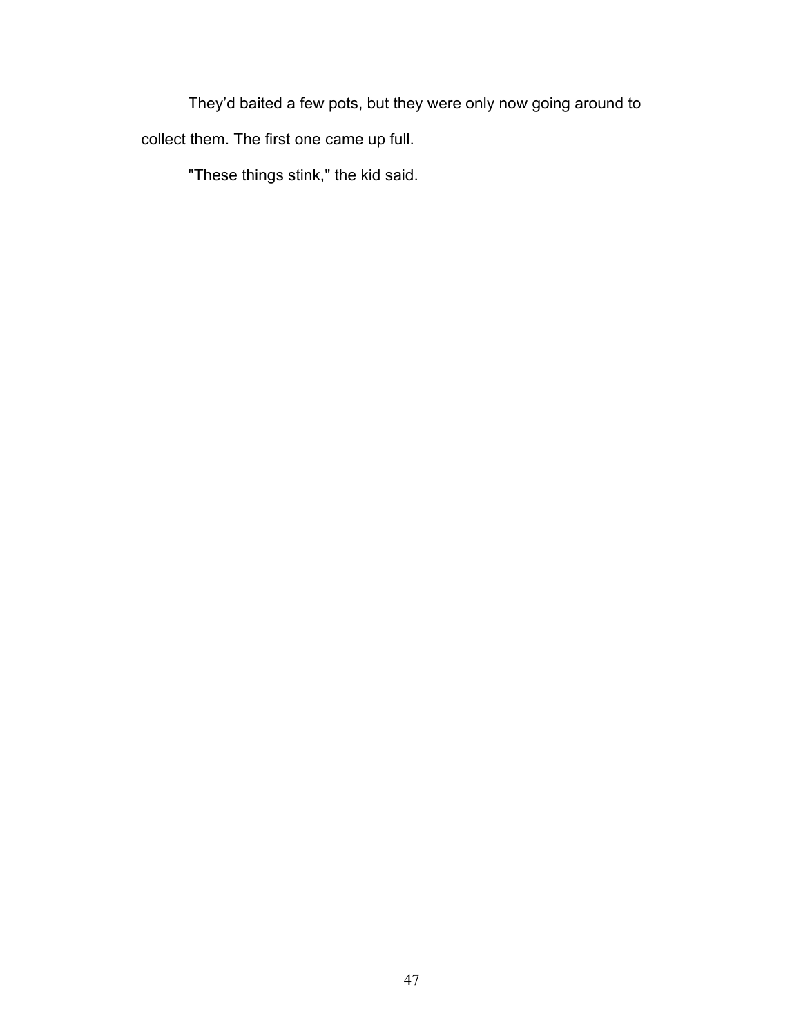They'd baited a few pots, but they were only now going around to collect them. The first one came up full.

"These things stink," the kid said.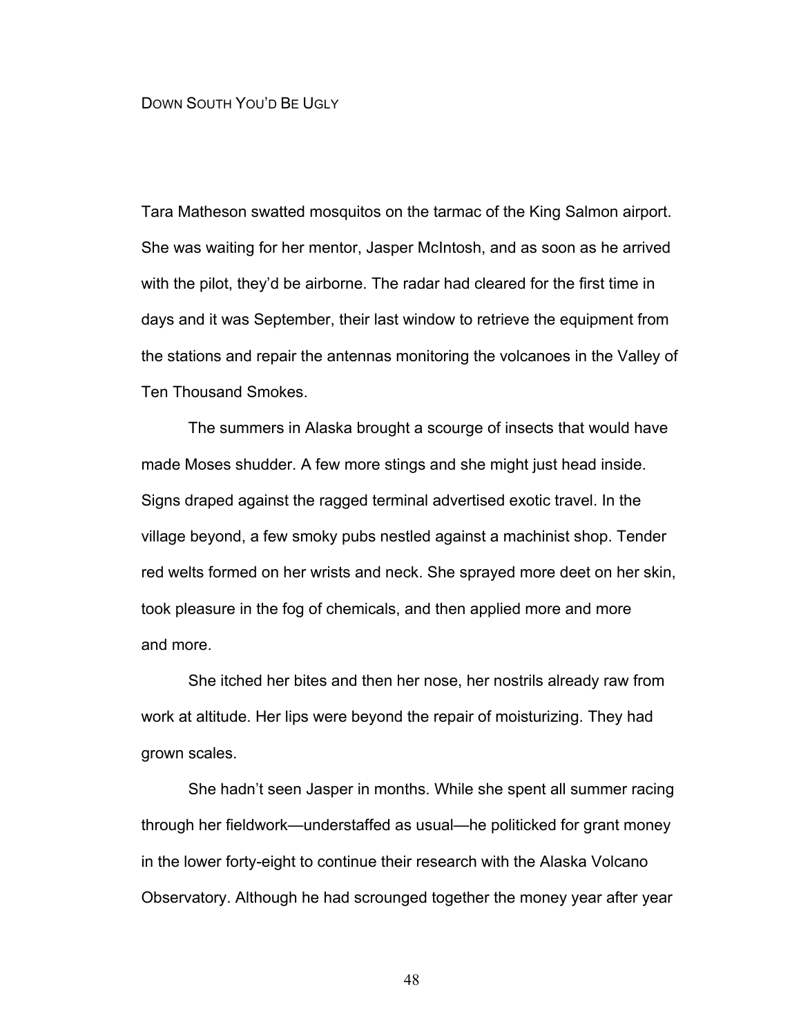## DOWN SOUTH YOU'D BE UGLY

Tara Matheson swatted mosquitos on the tarmac of the King Salmon airport. She was waiting for her mentor, Jasper McIntosh, and as soon as he arrived with the pilot, they'd be airborne. The radar had cleared for the first time in days and it was September, their last window to retrieve the equipment from the stations and repair the antennas monitoring the volcanoes in the Valley of Ten Thousand Smokes.

The summers in Alaska brought a scourge of insects that would have made Moses shudder. A few more stings and she might just head inside. Signs draped against the ragged terminal advertised exotic travel. In the village beyond, a few smoky pubs nestled against a machinist shop. Tender red welts formed on her wrists and neck. She sprayed more deet on her skin, took pleasure in the fog of chemicals, and then applied more and more and more.

She itched her bites and then her nose, her nostrils already raw from work at altitude. Her lips were beyond the repair of moisturizing. They had grown scales.

She hadn't seen Jasper in months. While she spent all summer racing through her fieldwork—understaffed as usual—he politicked for grant money in the lower forty-eight to continue their research with the Alaska Volcano Observatory. Although he had scrounged together the money year after year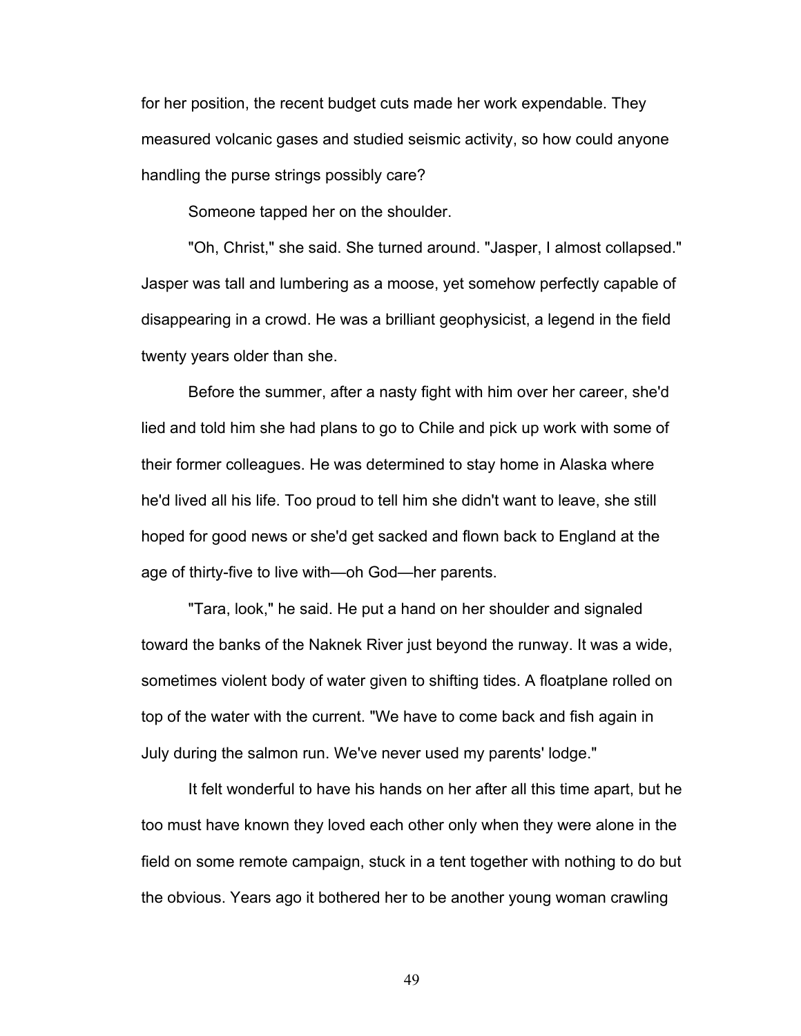for her position, the recent budget cuts made her work expendable. They measured volcanic gases and studied seismic activity, so how could anyone handling the purse strings possibly care?

Someone tapped her on the shoulder.

"Oh, Christ," she said. She turned around. "Jasper, I almost collapsed." Jasper was tall and lumbering as a moose, yet somehow perfectly capable of disappearing in a crowd. He was a brilliant geophysicist, a legend in the field twenty years older than she.

Before the summer, after a nasty fight with him over her career, she'd lied and told him she had plans to go to Chile and pick up work with some of their former colleagues. He was determined to stay home in Alaska where he'd lived all his life. Too proud to tell him she didn't want to leave, she still hoped for good news or she'd get sacked and flown back to England at the age of thirty-five to live with—oh God—her parents.

"Tara, look," he said. He put a hand on her shoulder and signaled toward the banks of the Naknek River just beyond the runway. It was a wide, sometimes violent body of water given to shifting tides. A floatplane rolled on top of the water with the current. "We have to come back and fish again in July during the salmon run. We've never used my parents' lodge."

It felt wonderful to have his hands on her after all this time apart, but he too must have known they loved each other only when they were alone in the field on some remote campaign, stuck in a tent together with nothing to do but the obvious. Years ago it bothered her to be another young woman crawling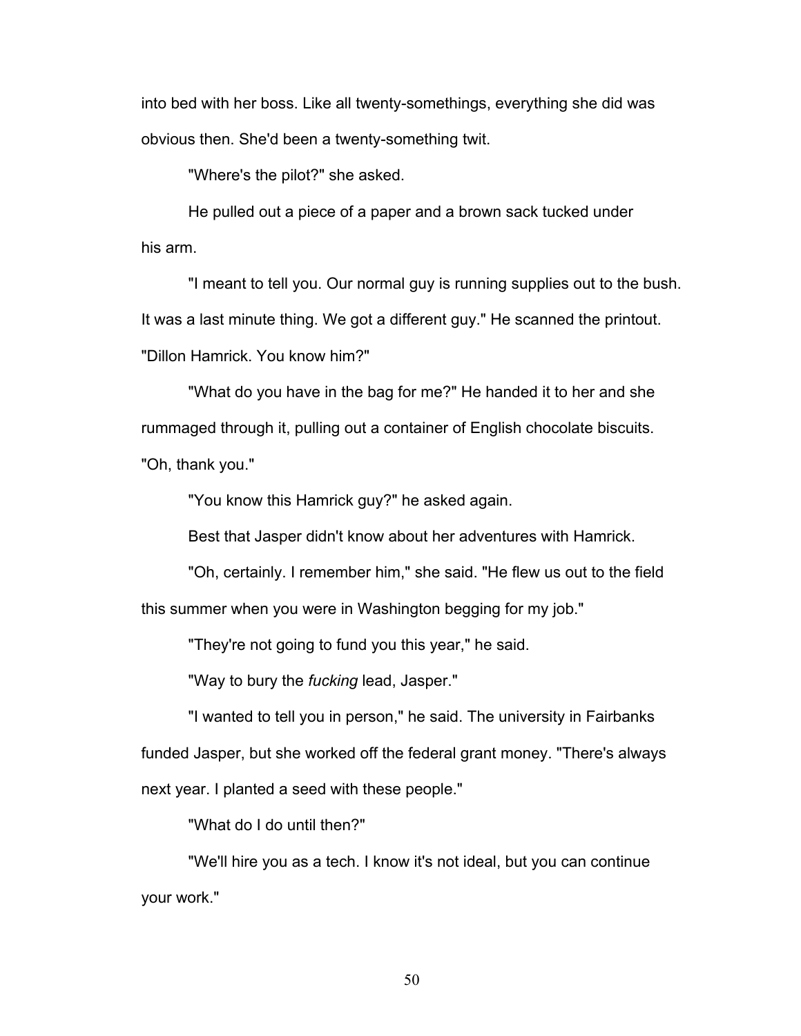into bed with her boss. Like all twenty-somethings, everything she did was obvious then. She'd been a twenty-something twit.

"Where's the pilot?" she asked.

He pulled out a piece of a paper and a brown sack tucked under his arm.

"I meant to tell you. Our normal guy is running supplies out to the bush. It was a last minute thing. We got a different guy." He scanned the printout. "Dillon Hamrick. You know him?"

"What do you have in the bag for me?" He handed it to her and she rummaged through it, pulling out a container of English chocolate biscuits. "Oh, thank you."

"You know this Hamrick guy?" he asked again.

Best that Jasper didn't know about her adventures with Hamrick.

"Oh, certainly. I remember him," she said. "He flew us out to the field this summer when you were in Washington begging for my job."

"They're not going to fund you this year," he said.

"Way to bury the *fucking* lead, Jasper."

"I wanted to tell you in person," he said. The university in Fairbanks funded Jasper, but she worked off the federal grant money. "There's always next year. I planted a seed with these people."

"What do I do until then?"

"We'll hire you as a tech. I know it's not ideal, but you can continue your work."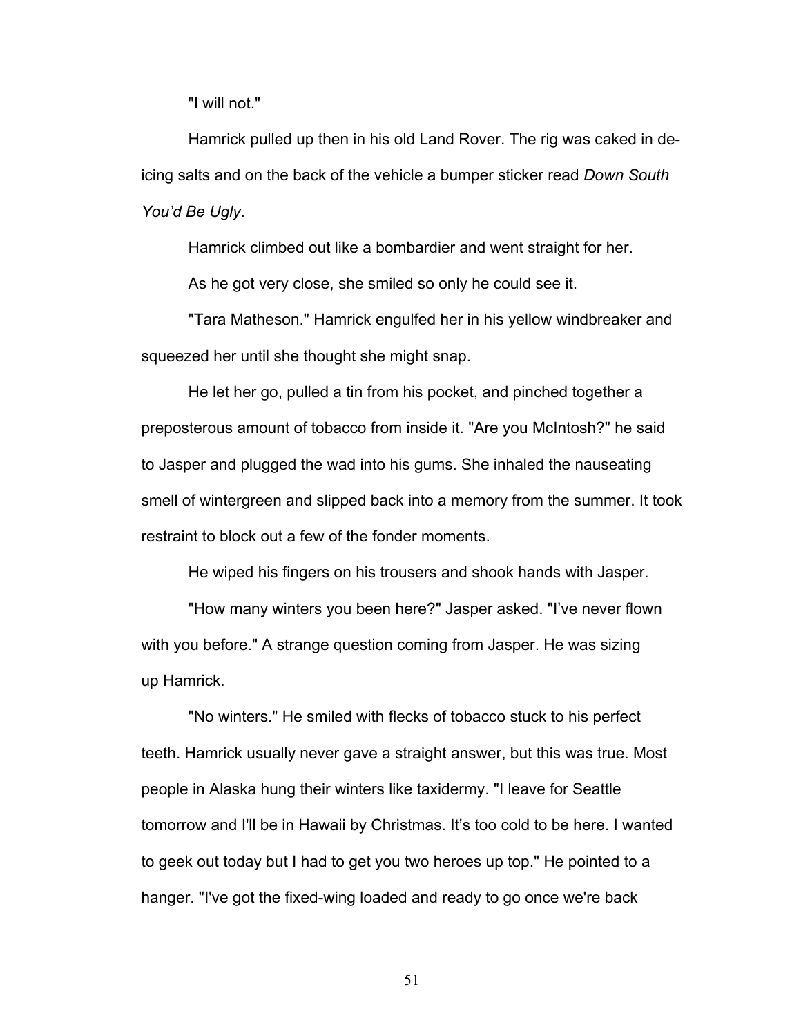"I will not."

Hamrick pulled up then in his old Land Rover. The rig was caked in deicing salts and on the back of the vehicle a bumper sticker read *Down South You'd Be Ugly*.

Hamrick climbed out like a bombardier and went straight for her.

As he got very close, she smiled so only he could see it.

"Tara Matheson." Hamrick engulfed her in his yellow windbreaker and squeezed her until she thought she might snap.

He let her go, pulled a tin from his pocket, and pinched together a preposterous amount of tobacco from inside it. "Are you McIntosh?" he said to Jasper and plugged the wad into his gums. She inhaled the nauseating smell of wintergreen and slipped back into a memory from the summer. It took restraint to block out a few of the fonder moments.

He wiped his fingers on his trousers and shook hands with Jasper.

"How many winters you been here?" Jasper asked. "I've never flown with you before." A strange question coming from Jasper. He was sizing up Hamrick.

"No winters." He smiled with flecks of tobacco stuck to his perfect teeth. Hamrick usually never gave a straight answer, but this was true. Most people in Alaska hung their winters like taxidermy. "I leave for Seattle tomorrow and I'll be in Hawaii by Christmas. It's too cold to be here. I wanted to geek out today but I had to get you two heroes up top." He pointed to a hanger. "I've got the fixed-wing loaded and ready to go once we're back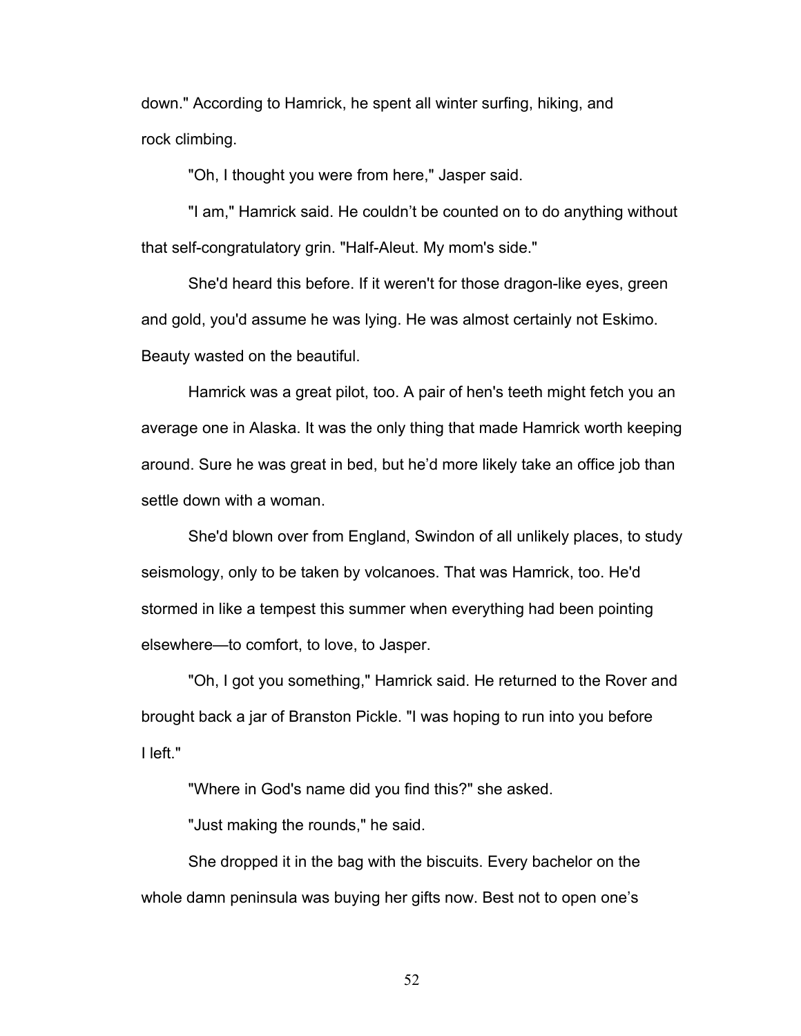down." According to Hamrick, he spent all winter surfing, hiking, and rock climbing.

"Oh, I thought you were from here," Jasper said.

"I am," Hamrick said. He couldn't be counted on to do anything without that self-congratulatory grin. "Half-Aleut. My mom's side."

She'd heard this before. If it weren't for those dragon-like eyes, green and gold, you'd assume he was lying. He was almost certainly not Eskimo. Beauty wasted on the beautiful.

Hamrick was a great pilot, too. A pair of hen's teeth might fetch you an average one in Alaska. It was the only thing that made Hamrick worth keeping around. Sure he was great in bed, but he'd more likely take an office job than settle down with a woman.

She'd blown over from England, Swindon of all unlikely places, to study seismology, only to be taken by volcanoes. That was Hamrick, too. He'd stormed in like a tempest this summer when everything had been pointing elsewhere—to comfort, to love, to Jasper.

"Oh, I got you something," Hamrick said. He returned to the Rover and brought back a jar of Branston Pickle. "I was hoping to run into you before I left."

"Where in God's name did you find this?" she asked.

"Just making the rounds," he said.

She dropped it in the bag with the biscuits. Every bachelor on the whole damn peninsula was buying her gifts now. Best not to open one's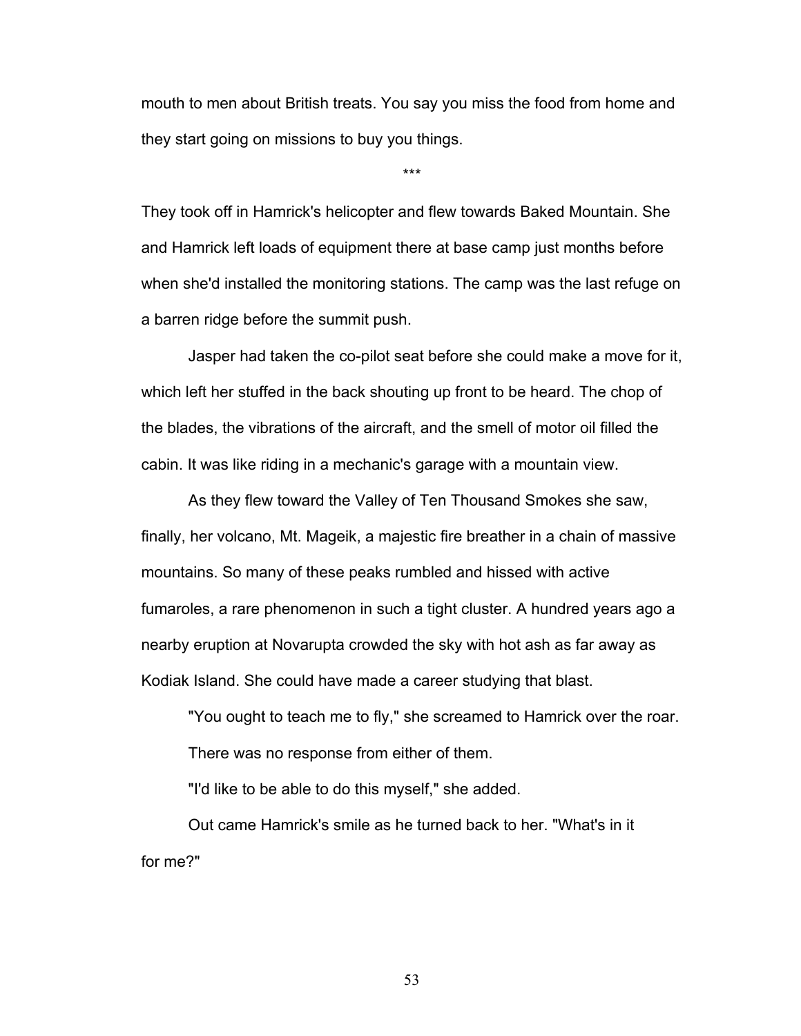mouth to men about British treats. You say you miss the food from home and they start going on missions to buy you things.

\*\*\*

They took off in Hamrick's helicopter and flew towards Baked Mountain. She and Hamrick left loads of equipment there at base camp just months before when she'd installed the monitoring stations. The camp was the last refuge on a barren ridge before the summit push.

Jasper had taken the co-pilot seat before she could make a move for it, which left her stuffed in the back shouting up front to be heard. The chop of the blades, the vibrations of the aircraft, and the smell of motor oil filled the cabin. It was like riding in a mechanic's garage with a mountain view.

As they flew toward the Valley of Ten Thousand Smokes she saw, finally, her volcano, Mt. Mageik, a majestic fire breather in a chain of massive mountains. So many of these peaks rumbled and hissed with active fumaroles, a rare phenomenon in such a tight cluster. A hundred years ago a nearby eruption at Novarupta crowded the sky with hot ash as far away as Kodiak Island. She could have made a career studying that blast.

"You ought to teach me to fly," she screamed to Hamrick over the roar. There was no response from either of them.

"I'd like to be able to do this myself," she added.

Out came Hamrick's smile as he turned back to her. "What's in it for me?"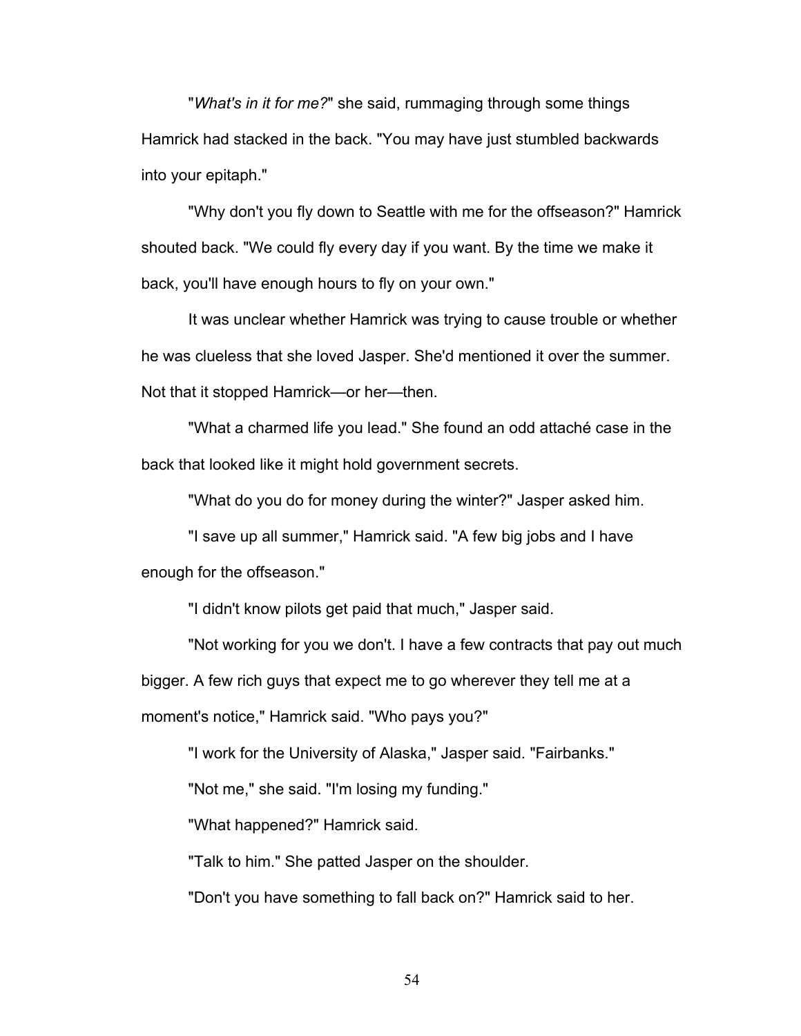"*What's in it for me?*" she said, rummaging through some things Hamrick had stacked in the back. "You may have just stumbled backwards into your epitaph."

"Why don't you fly down to Seattle with me for the offseason?" Hamrick shouted back. "We could fly every day if you want. By the time we make it back, you'll have enough hours to fly on your own."

It was unclear whether Hamrick was trying to cause trouble or whether he was clueless that she loved Jasper. She'd mentioned it over the summer. Not that it stopped Hamrick—or her—then.

"What a charmed life you lead." She found an odd attaché case in the back that looked like it might hold government secrets.

"What do you do for money during the winter?" Jasper asked him.

"I save up all summer," Hamrick said. "A few big jobs and I have enough for the offseason."

"I didn't know pilots get paid that much," Jasper said.

"Not working for you we don't. I have a few contracts that pay out much bigger. A few rich guys that expect me to go wherever they tell me at a moment's notice," Hamrick said. "Who pays you?"

"I work for the University of Alaska," Jasper said. "Fairbanks."

"Not me," she said. "I'm losing my funding."

"What happened?" Hamrick said.

"Talk to him." She patted Jasper on the shoulder.

"Don't you have something to fall back on?" Hamrick said to her.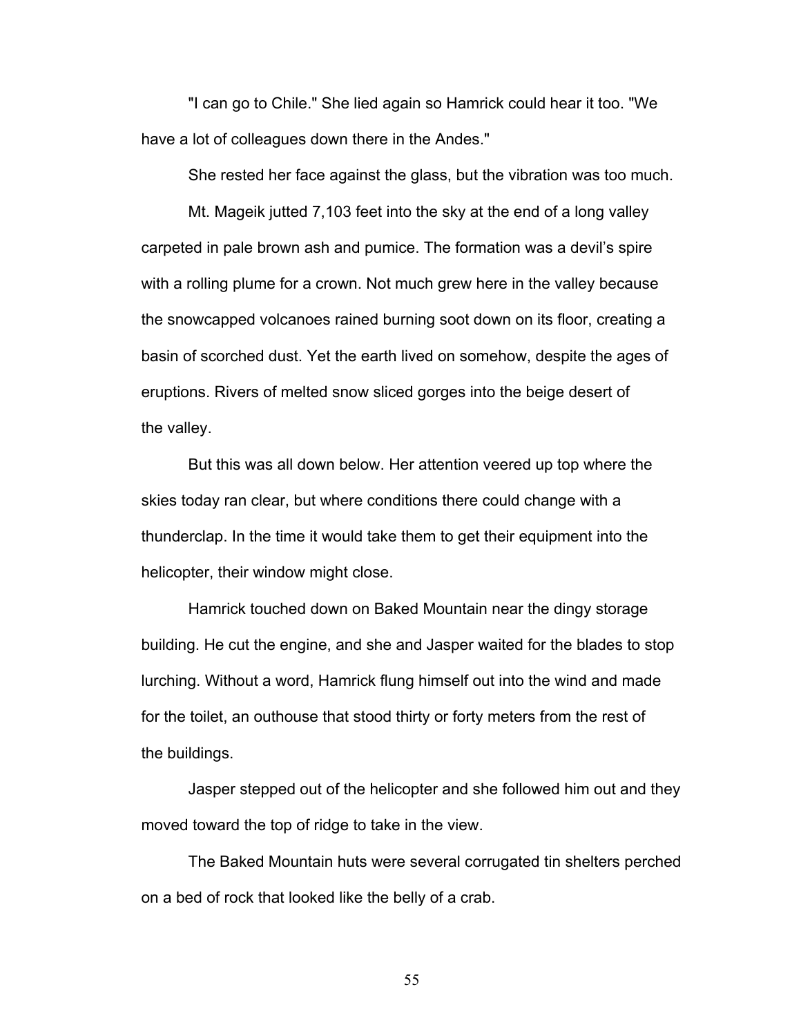"I can go to Chile." She lied again so Hamrick could hear it too. "We have a lot of colleagues down there in the Andes."

She rested her face against the glass, but the vibration was too much.

Mt. Mageik jutted 7,103 feet into the sky at the end of a long valley carpeted in pale brown ash and pumice. The formation was a devil's spire with a rolling plume for a crown. Not much grew here in the valley because the snowcapped volcanoes rained burning soot down on its floor, creating a basin of scorched dust. Yet the earth lived on somehow, despite the ages of eruptions. Rivers of melted snow sliced gorges into the beige desert of the valley.

But this was all down below. Her attention veered up top where the skies today ran clear, but where conditions there could change with a thunderclap. In the time it would take them to get their equipment into the helicopter, their window might close.

Hamrick touched down on Baked Mountain near the dingy storage building. He cut the engine, and she and Jasper waited for the blades to stop lurching. Without a word, Hamrick flung himself out into the wind and made for the toilet, an outhouse that stood thirty or forty meters from the rest of the buildings.

Jasper stepped out of the helicopter and she followed him out and they moved toward the top of ridge to take in the view.

The Baked Mountain huts were several corrugated tin shelters perched on a bed of rock that looked like the belly of a crab.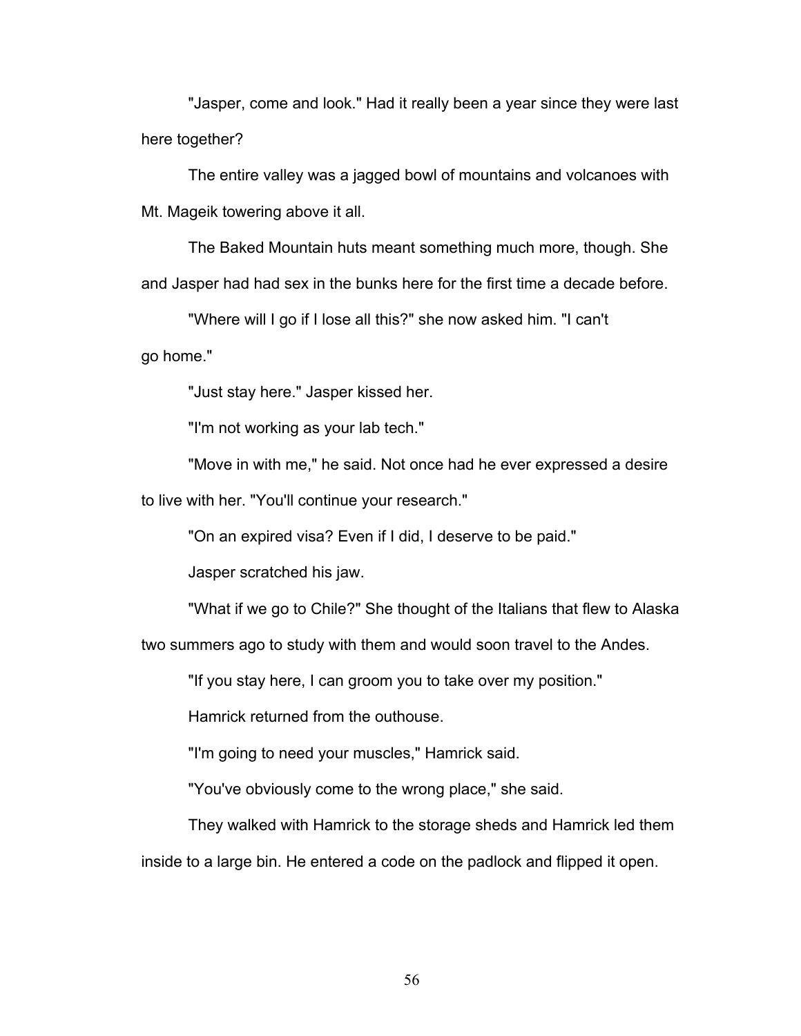"Jasper, come and look." Had it really been a year since they were last here together?

The entire valley was a jagged bowl of mountains and volcanoes with Mt. Mageik towering above it all.

The Baked Mountain huts meant something much more, though. She and Jasper had had sex in the bunks here for the first time a decade before.

"Where will I go if I lose all this?" she now asked him. "I can't

go home."

"Just stay here." Jasper kissed her.

"I'm not working as your lab tech."

"Move in with me," he said. Not once had he ever expressed a desire to live with her. "You'll continue your research."

"On an expired visa? Even if I did, I deserve to be paid."

Jasper scratched his jaw.

"What if we go to Chile?" She thought of the Italians that flew to Alaska

two summers ago to study with them and would soon travel to the Andes.

"If you stay here, I can groom you to take over my position."

Hamrick returned from the outhouse.

"I'm going to need your muscles," Hamrick said.

"You've obviously come to the wrong place," she said.

They walked with Hamrick to the storage sheds and Hamrick led them inside to a large bin. He entered a code on the padlock and flipped it open.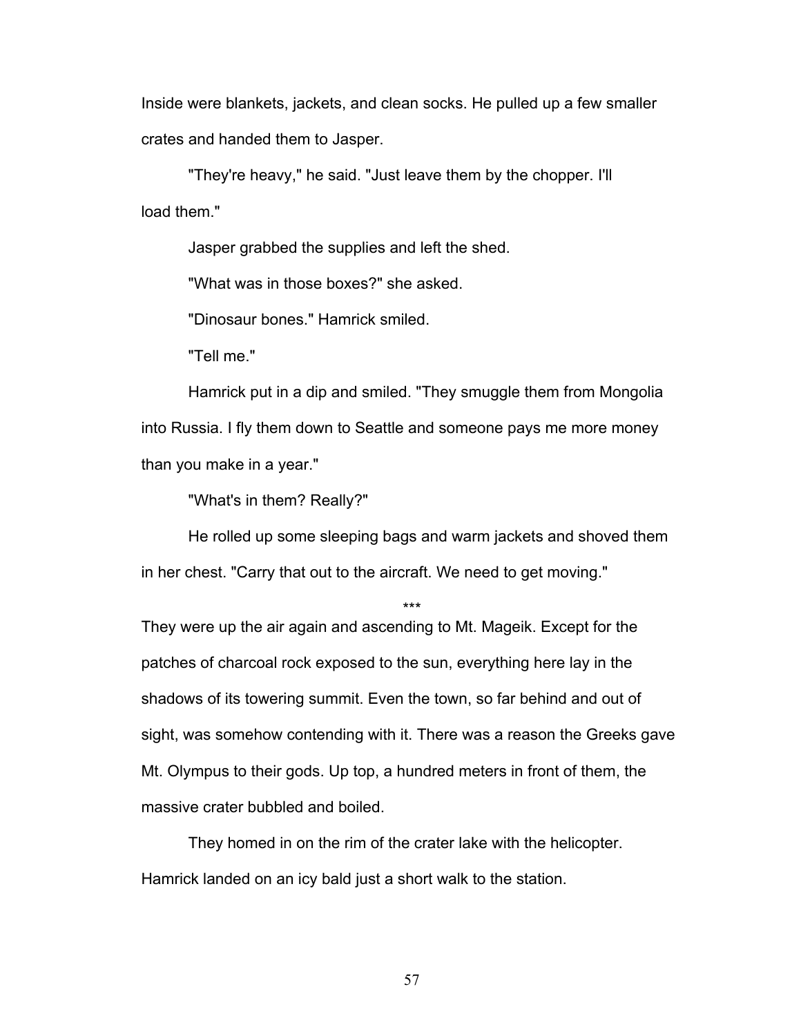Inside were blankets, jackets, and clean socks. He pulled up a few smaller crates and handed them to Jasper.

"They're heavy," he said. "Just leave them by the chopper. I'll load them."

Jasper grabbed the supplies and left the shed.

"What was in those boxes?" she asked.

"Dinosaur bones." Hamrick smiled.

"Tell me."

Hamrick put in a dip and smiled. "They smuggle them from Mongolia into Russia. I fly them down to Seattle and someone pays me more money than you make in a year."

"What's in them? Really?"

He rolled up some sleeping bags and warm jackets and shoved them in her chest. "Carry that out to the aircraft. We need to get moving."

\*\*\*

They were up the air again and ascending to Mt. Mageik. Except for the patches of charcoal rock exposed to the sun, everything here lay in the shadows of its towering summit. Even the town, so far behind and out of sight, was somehow contending with it. There was a reason the Greeks gave Mt. Olympus to their gods. Up top, a hundred meters in front of them, the massive crater bubbled and boiled.

They homed in on the rim of the crater lake with the helicopter. Hamrick landed on an icy bald just a short walk to the station.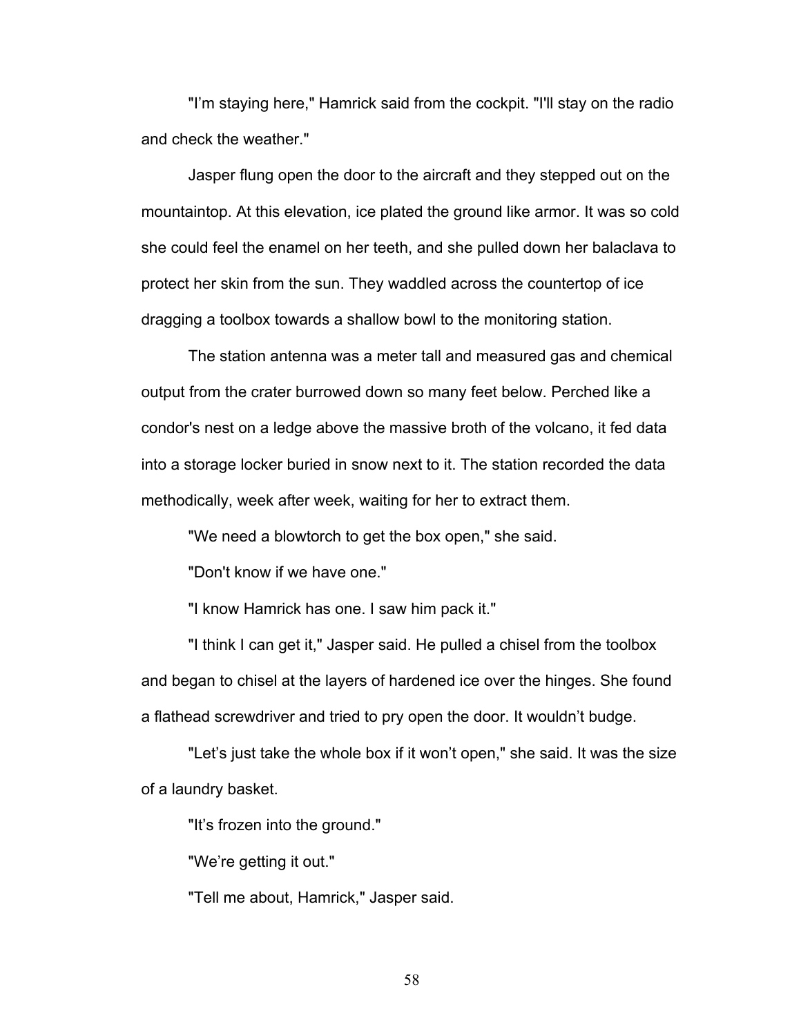"I'm staying here," Hamrick said from the cockpit. "I'll stay on the radio and check the weather."

Jasper flung open the door to the aircraft and they stepped out on the mountaintop. At this elevation, ice plated the ground like armor. It was so cold she could feel the enamel on her teeth, and she pulled down her balaclava to protect her skin from the sun. They waddled across the countertop of ice dragging a toolbox towards a shallow bowl to the monitoring station.

The station antenna was a meter tall and measured gas and chemical output from the crater burrowed down so many feet below. Perched like a condor's nest on a ledge above the massive broth of the volcano, it fed data into a storage locker buried in snow next to it. The station recorded the data methodically, week after week, waiting for her to extract them.

"We need a blowtorch to get the box open," she said.

"Don't know if we have one."

"I know Hamrick has one. I saw him pack it."

"I think I can get it," Jasper said. He pulled a chisel from the toolbox and began to chisel at the layers of hardened ice over the hinges. She found a flathead screwdriver and tried to pry open the door. It wouldn't budge.

"Let's just take the whole box if it won't open," she said. It was the size of a laundry basket.

"It's frozen into the ground."

"We're getting it out."

"Tell me about, Hamrick," Jasper said.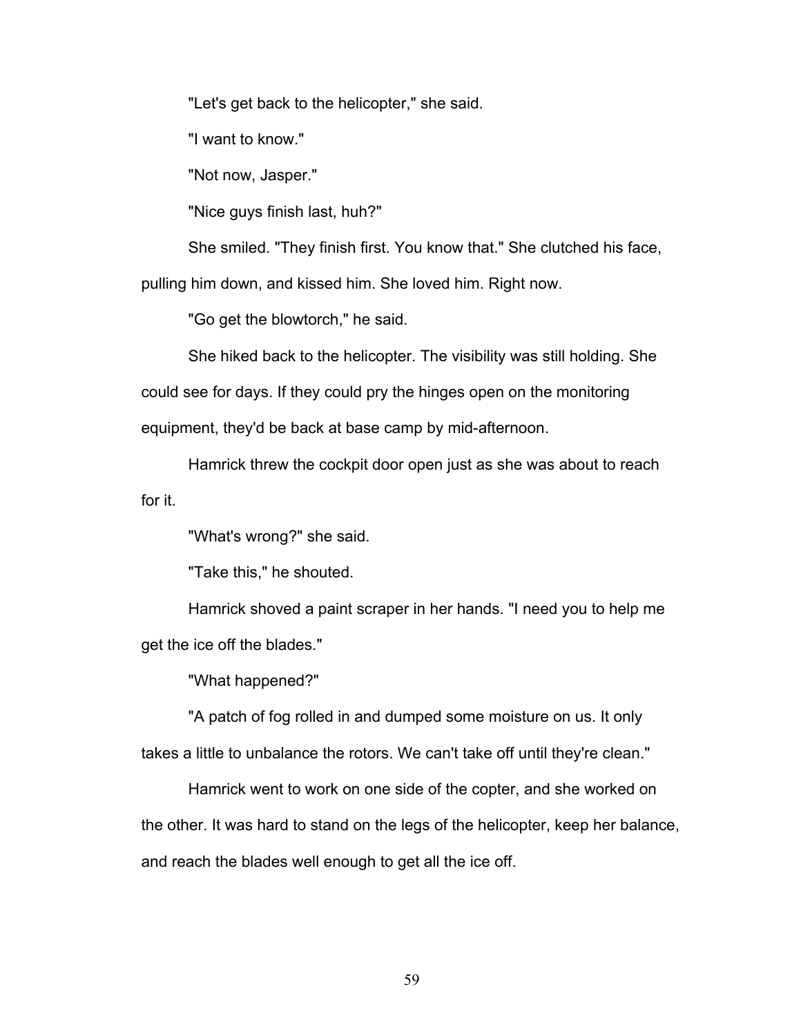"Let's get back to the helicopter," she said.

"I want to know."

"Not now, Jasper."

"Nice guys finish last, huh?"

She smiled. "They finish first. You know that." She clutched his face,

pulling him down, and kissed him. She loved him. Right now.

"Go get the blowtorch," he said.

She hiked back to the helicopter. The visibility was still holding. She could see for days. If they could pry the hinges open on the monitoring equipment, they'd be back at base camp by mid-afternoon.

Hamrick threw the cockpit door open just as she was about to reach for it.

"What's wrong?" she said.

"Take this," he shouted.

Hamrick shoved a paint scraper in her hands. "I need you to help me get the ice off the blades."

"What happened?"

"A patch of fog rolled in and dumped some moisture on us. It only takes a little to unbalance the rotors. We can't take off until they're clean."

Hamrick went to work on one side of the copter, and she worked on the other. It was hard to stand on the legs of the helicopter, keep her balance, and reach the blades well enough to get all the ice off.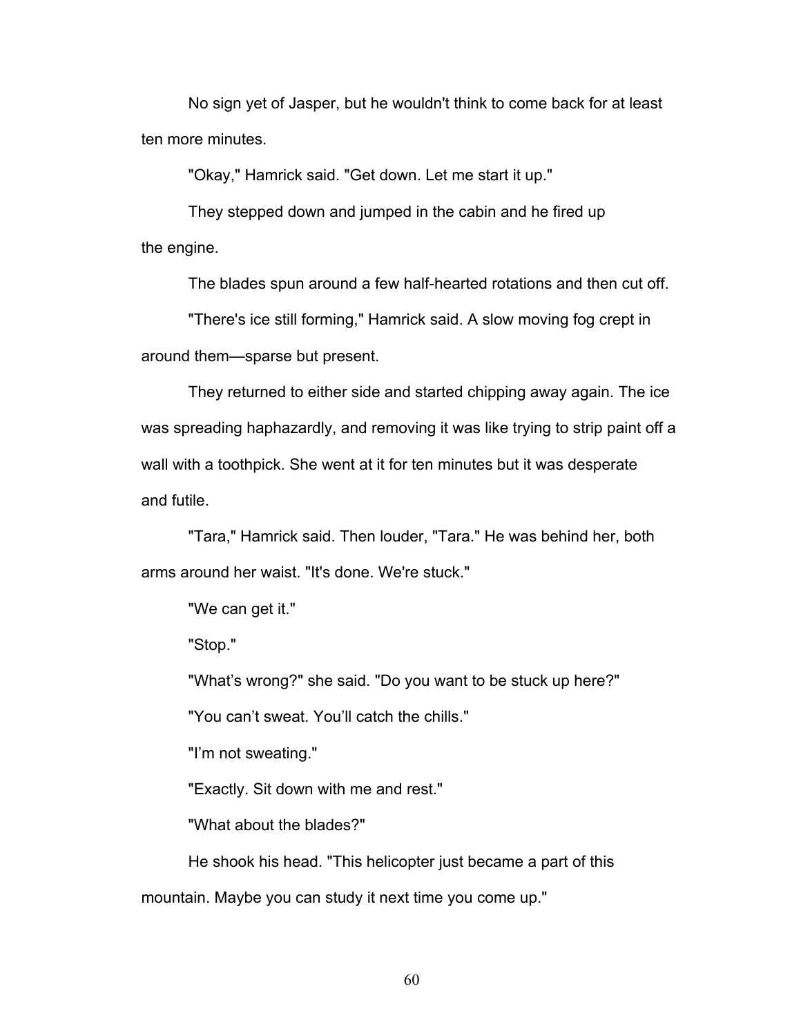No sign yet of Jasper, but he wouldn't think to come back for at least ten more minutes.

"Okay," Hamrick said. "Get down. Let me start it up."

They stepped down and jumped in the cabin and he fired up the engine.

The blades spun around a few half-hearted rotations and then cut off.

"There's ice still forming," Hamrick said. A slow moving fog crept in around them—sparse but present.

They returned to either side and started chipping away again. The ice was spreading haphazardly, and removing it was like trying to strip paint off a wall with a toothpick. She went at it for ten minutes but it was desperate and futile.

"Tara," Hamrick said. Then louder, "Tara." He was behind her, both arms around her waist. "It's done. We're stuck."

"We can get it."

"Stop."

"What's wrong?" she said. "Do you want to be stuck up here?"

"You can't sweat. You'll catch the chills."

"I'm not sweating."

"Exactly. Sit down with me and rest."

"What about the blades?"

He shook his head. "This helicopter just became a part of this mountain. Maybe you can study it next time you come up."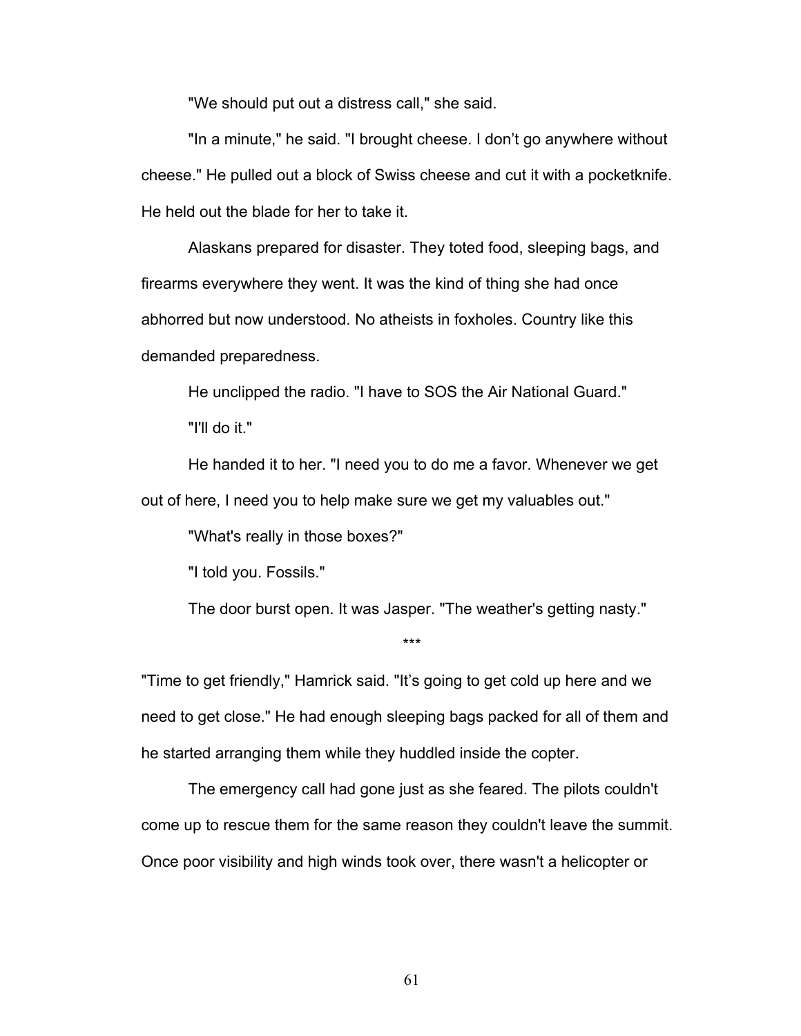"We should put out a distress call," she said.

"In a minute," he said. "I brought cheese. I don't go anywhere without cheese." He pulled out a block of Swiss cheese and cut it with a pocketknife. He held out the blade for her to take it.

Alaskans prepared for disaster. They toted food, sleeping bags, and firearms everywhere they went. It was the kind of thing she had once abhorred but now understood. No atheists in foxholes. Country like this demanded preparedness.

He unclipped the radio. "I have to SOS the Air National Guard."

"I'll do it."

He handed it to her. "I need you to do me a favor. Whenever we get out of here, I need you to help make sure we get my valuables out."

"What's really in those boxes?"

"I told you. Fossils."

The door burst open. It was Jasper. "The weather's getting nasty."

\*\*\*

"Time to get friendly," Hamrick said. "It's going to get cold up here and we need to get close." He had enough sleeping bags packed for all of them and he started arranging them while they huddled inside the copter.

The emergency call had gone just as she feared. The pilots couldn't come up to rescue them for the same reason they couldn't leave the summit. Once poor visibility and high winds took over, there wasn't a helicopter or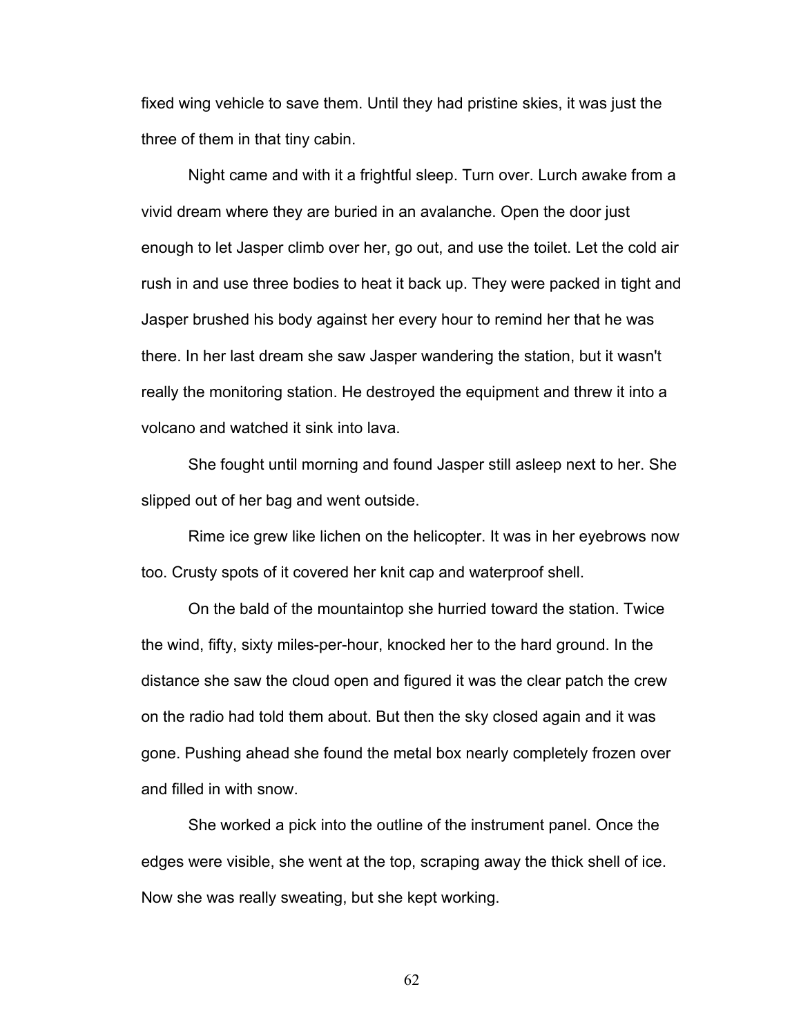fixed wing vehicle to save them. Until they had pristine skies, it was just the three of them in that tiny cabin.

Night came and with it a frightful sleep. Turn over. Lurch awake from a vivid dream where they are buried in an avalanche. Open the door just enough to let Jasper climb over her, go out, and use the toilet. Let the cold air rush in and use three bodies to heat it back up. They were packed in tight and Jasper brushed his body against her every hour to remind her that he was there. In her last dream she saw Jasper wandering the station, but it wasn't really the monitoring station. He destroyed the equipment and threw it into a volcano and watched it sink into lava.

She fought until morning and found Jasper still asleep next to her. She slipped out of her bag and went outside.

Rime ice grew like lichen on the helicopter. It was in her eyebrows now too. Crusty spots of it covered her knit cap and waterproof shell.

On the bald of the mountaintop she hurried toward the station. Twice the wind, fifty, sixty miles-per-hour, knocked her to the hard ground. In the distance she saw the cloud open and figured it was the clear patch the crew on the radio had told them about. But then the sky closed again and it was gone. Pushing ahead she found the metal box nearly completely frozen over and filled in with snow.

She worked a pick into the outline of the instrument panel. Once the edges were visible, she went at the top, scraping away the thick shell of ice. Now she was really sweating, but she kept working.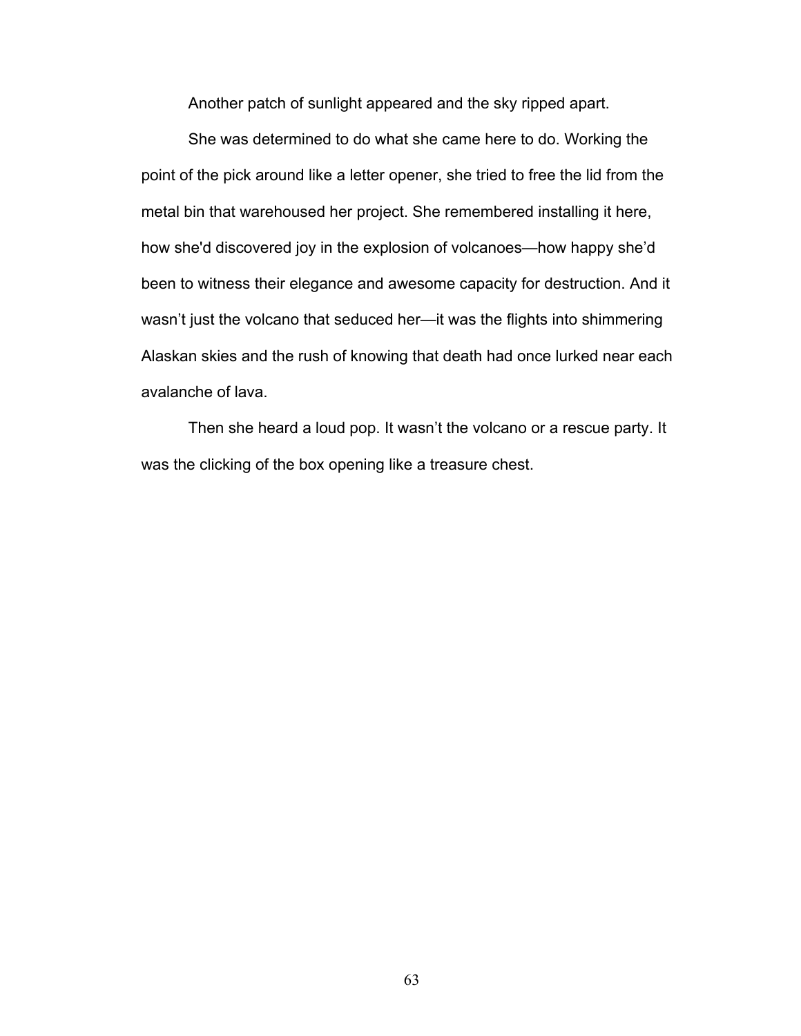Another patch of sunlight appeared and the sky ripped apart.

She was determined to do what she came here to do. Working the point of the pick around like a letter opener, she tried to free the lid from the metal bin that warehoused her project. She remembered installing it here, how she'd discovered joy in the explosion of volcanoes—how happy she'd been to witness their elegance and awesome capacity for destruction. And it wasn't just the volcano that seduced her—it was the flights into shimmering Alaskan skies and the rush of knowing that death had once lurked near each avalanche of lava.

Then she heard a loud pop. It wasn't the volcano or a rescue party. It was the clicking of the box opening like a treasure chest.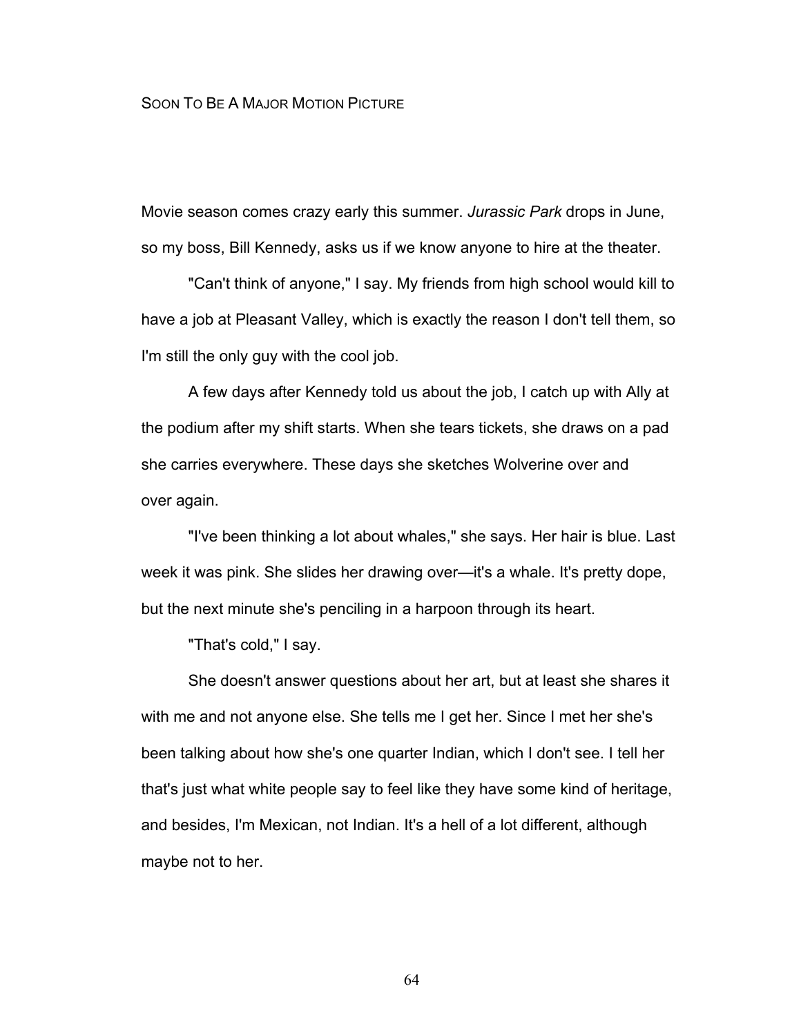## SOON TO BE A MAJOR MOTION PICTURE

Movie season comes crazy early this summer. *Jurassic Park* drops in June, so my boss, Bill Kennedy, asks us if we know anyone to hire at the theater.

"Can't think of anyone," I say. My friends from high school would kill to have a job at Pleasant Valley, which is exactly the reason I don't tell them, so I'm still the only guy with the cool job.

A few days after Kennedy told us about the job, I catch up with Ally at the podium after my shift starts. When she tears tickets, she draws on a pad she carries everywhere. These days she sketches Wolverine over and over again.

"I've been thinking a lot about whales," she says. Her hair is blue. Last week it was pink. She slides her drawing over—it's a whale. It's pretty dope, but the next minute she's penciling in a harpoon through its heart.

"That's cold," I say.

She doesn't answer questions about her art, but at least she shares it with me and not anyone else. She tells me I get her. Since I met her she's been talking about how she's one quarter Indian, which I don't see. I tell her that's just what white people say to feel like they have some kind of heritage, and besides, I'm Mexican, not Indian. It's a hell of a lot different, although maybe not to her.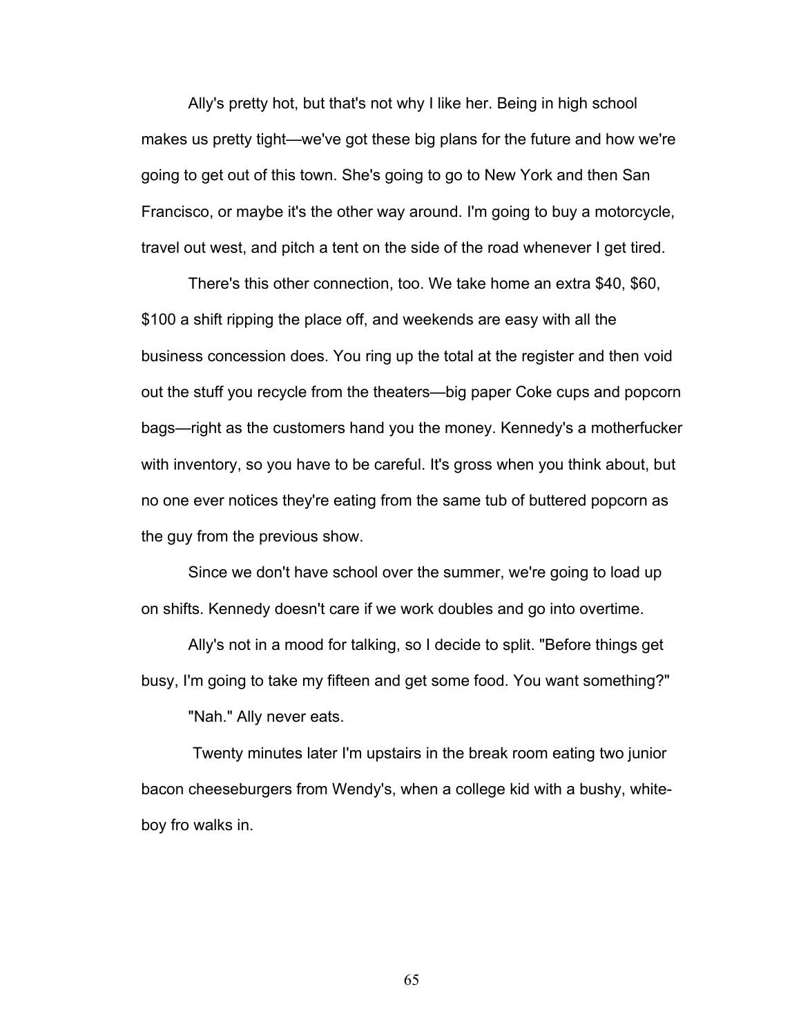Ally's pretty hot, but that's not why I like her. Being in high school makes us pretty tight—we've got these big plans for the future and how we're going to get out of this town. She's going to go to New York and then San Francisco, or maybe it's the other way around. I'm going to buy a motorcycle, travel out west, and pitch a tent on the side of the road whenever I get tired.

There's this other connection, too. We take home an extra \$40, \$60, \$100 a shift ripping the place off, and weekends are easy with all the business concession does. You ring up the total at the register and then void out the stuff you recycle from the theaters—big paper Coke cups and popcorn bags—right as the customers hand you the money. Kennedy's a motherfucker with inventory, so you have to be careful. It's gross when you think about, but no one ever notices they're eating from the same tub of buttered popcorn as the guy from the previous show.

Since we don't have school over the summer, we're going to load up on shifts. Kennedy doesn't care if we work doubles and go into overtime.

Ally's not in a mood for talking, so I decide to split. "Before things get busy, I'm going to take my fifteen and get some food. You want something?"

"Nah." Ally never eats.

Twenty minutes later I'm upstairs in the break room eating two junior bacon cheeseburgers from Wendy's, when a college kid with a bushy, whiteboy fro walks in.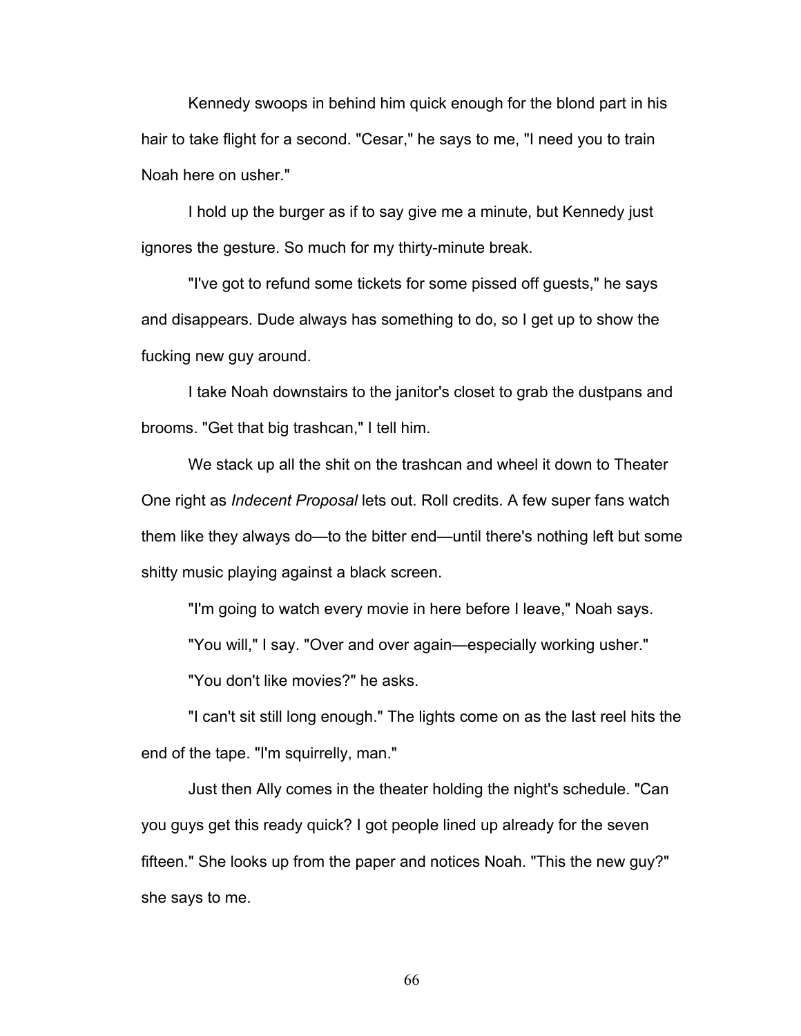Kennedy swoops in behind him quick enough for the blond part in his hair to take flight for a second. "Cesar," he says to me, "I need you to train Noah here on usher."

I hold up the burger as if to say give me a minute, but Kennedy just ignores the gesture. So much for my thirty-minute break.

"I've got to refund some tickets for some pissed off guests," he says and disappears. Dude always has something to do, so I get up to show the fucking new guy around.

I take Noah downstairs to the janitor's closet to grab the dustpans and brooms. "Get that big trashcan," I tell him.

We stack up all the shit on the trashcan and wheel it down to Theater One right as *Indecent Proposal* lets out. Roll credits. A few super fans watch them like they always do—to the bitter end—until there's nothing left but some shitty music playing against a black screen.

"I'm going to watch every movie in here before I leave," Noah says.

"You will," I say. "Over and over again—especially working usher."

"You don't like movies?" he asks.

"I can't sit still long enough." The lights come on as the last reel hits the end of the tape. "I'm squirrelly, man."

Just then Ally comes in the theater holding the night's schedule. "Can you guys get this ready quick? I got people lined up already for the seven fifteen." She looks up from the paper and notices Noah. "This the new guy?" she says to me.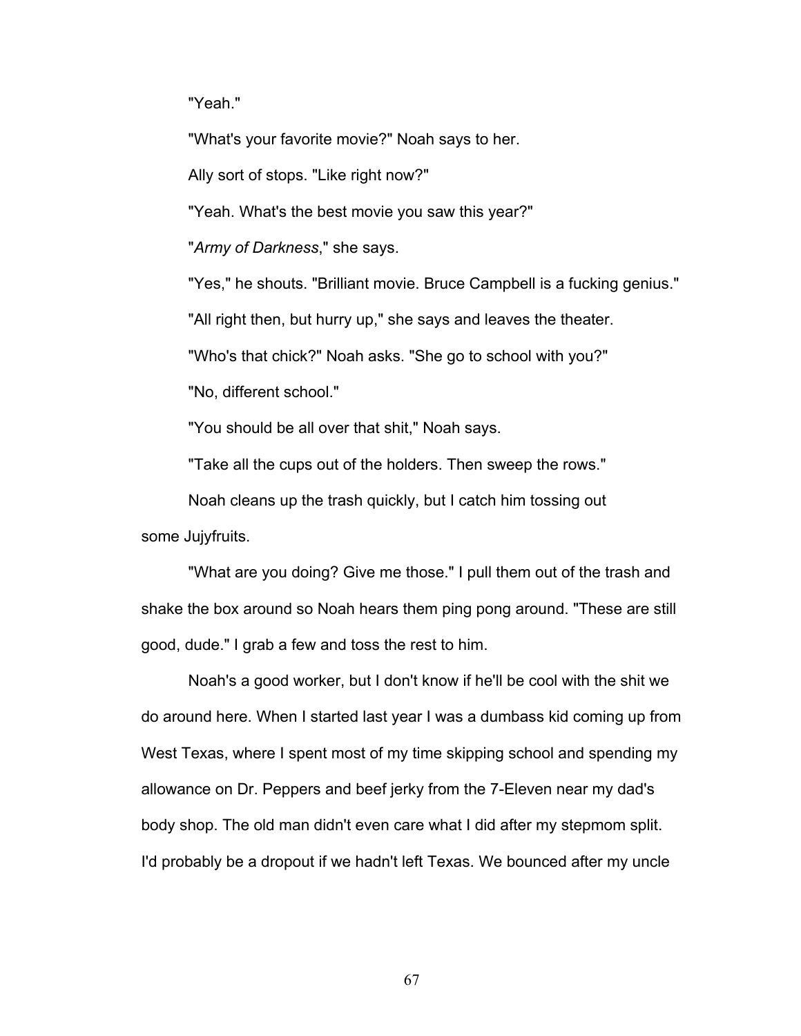"Yeah."

"What's your favorite movie?" Noah says to her.

Ally sort of stops. "Like right now?"

"Yeah. What's the best movie you saw this year?"

"*Army of Darkness*," she says.

"Yes," he shouts. "Brilliant movie. Bruce Campbell is a fucking genius."

"All right then, but hurry up," she says and leaves the theater.

"Who's that chick?" Noah asks. "She go to school with you?"

"No, different school."

"You should be all over that shit," Noah says.

"Take all the cups out of the holders. Then sweep the rows."

Noah cleans up the trash quickly, but I catch him tossing out

some Jujyfruits.

"What are you doing? Give me those." I pull them out of the trash and shake the box around so Noah hears them ping pong around. "These are still good, dude." I grab a few and toss the rest to him.

Noah's a good worker, but I don't know if he'll be cool with the shit we do around here. When I started last year I was a dumbass kid coming up from West Texas, where I spent most of my time skipping school and spending my allowance on Dr. Peppers and beef jerky from the 7-Eleven near my dad's body shop. The old man didn't even care what I did after my stepmom split. I'd probably be a dropout if we hadn't left Texas. We bounced after my uncle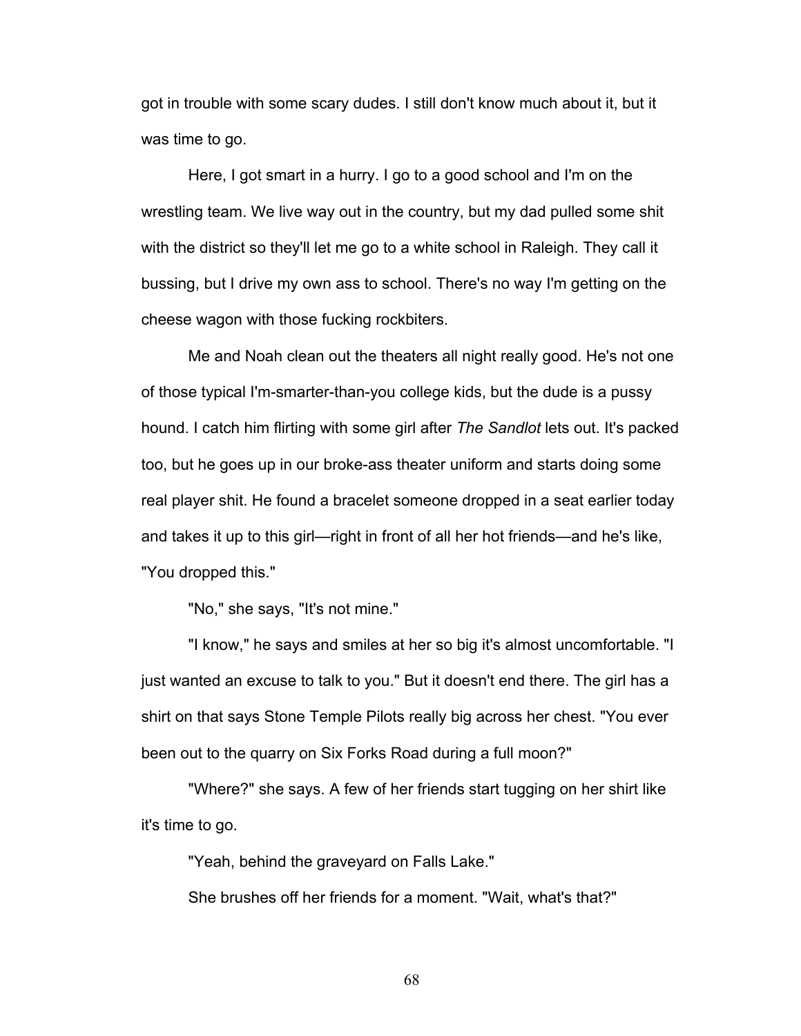got in trouble with some scary dudes. I still don't know much about it, but it was time to go.

Here, I got smart in a hurry. I go to a good school and I'm on the wrestling team. We live way out in the country, but my dad pulled some shit with the district so they'll let me go to a white school in Raleigh. They call it bussing, but I drive my own ass to school. There's no way I'm getting on the cheese wagon with those fucking rockbiters.

Me and Noah clean out the theaters all night really good. He's not one of those typical I'm-smarter-than-you college kids, but the dude is a pussy hound. I catch him flirting with some girl after *The Sandlot* lets out. It's packed too, but he goes up in our broke-ass theater uniform and starts doing some real player shit. He found a bracelet someone dropped in a seat earlier today and takes it up to this girl—right in front of all her hot friends—and he's like, "You dropped this."

"No," she says, "It's not mine."

"I know," he says and smiles at her so big it's almost uncomfortable. "I just wanted an excuse to talk to you." But it doesn't end there. The girl has a shirt on that says Stone Temple Pilots really big across her chest. "You ever been out to the quarry on Six Forks Road during a full moon?"

"Where?" she says. A few of her friends start tugging on her shirt like it's time to go.

"Yeah, behind the graveyard on Falls Lake."

She brushes off her friends for a moment. "Wait, what's that?"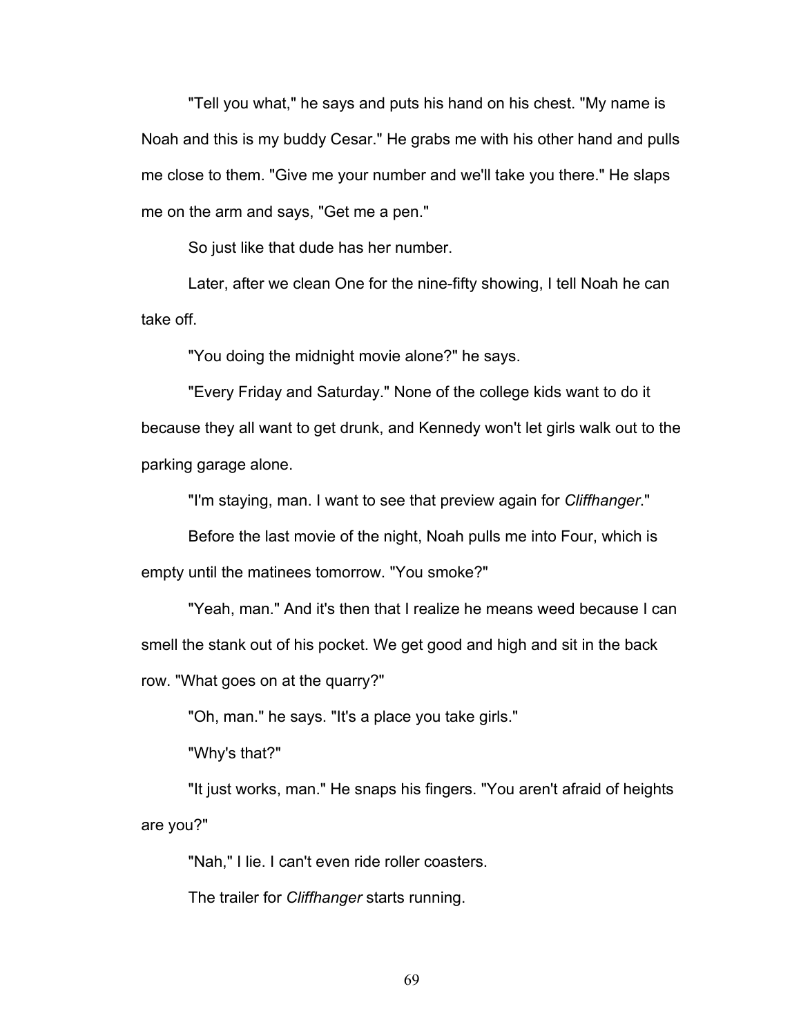"Tell you what," he says and puts his hand on his chest. "My name is Noah and this is my buddy Cesar." He grabs me with his other hand and pulls me close to them. "Give me your number and we'll take you there." He slaps me on the arm and says, "Get me a pen."

So just like that dude has her number.

Later, after we clean One for the nine-fifty showing, I tell Noah he can take off.

"You doing the midnight movie alone?" he says.

"Every Friday and Saturday." None of the college kids want to do it because they all want to get drunk, and Kennedy won't let girls walk out to the parking garage alone.

"I'm staying, man. I want to see that preview again for *Cliffhanger*."

Before the last movie of the night, Noah pulls me into Four, which is empty until the matinees tomorrow. "You smoke?"

"Yeah, man." And it's then that I realize he means weed because I can smell the stank out of his pocket. We get good and high and sit in the back row. "What goes on at the quarry?"

"Oh, man." he says. "It's a place you take girls."

"Why's that?"

"It just works, man." He snaps his fingers. "You aren't afraid of heights are you?"

"Nah," I lie. I can't even ride roller coasters.

The trailer for *Cliffhanger* starts running.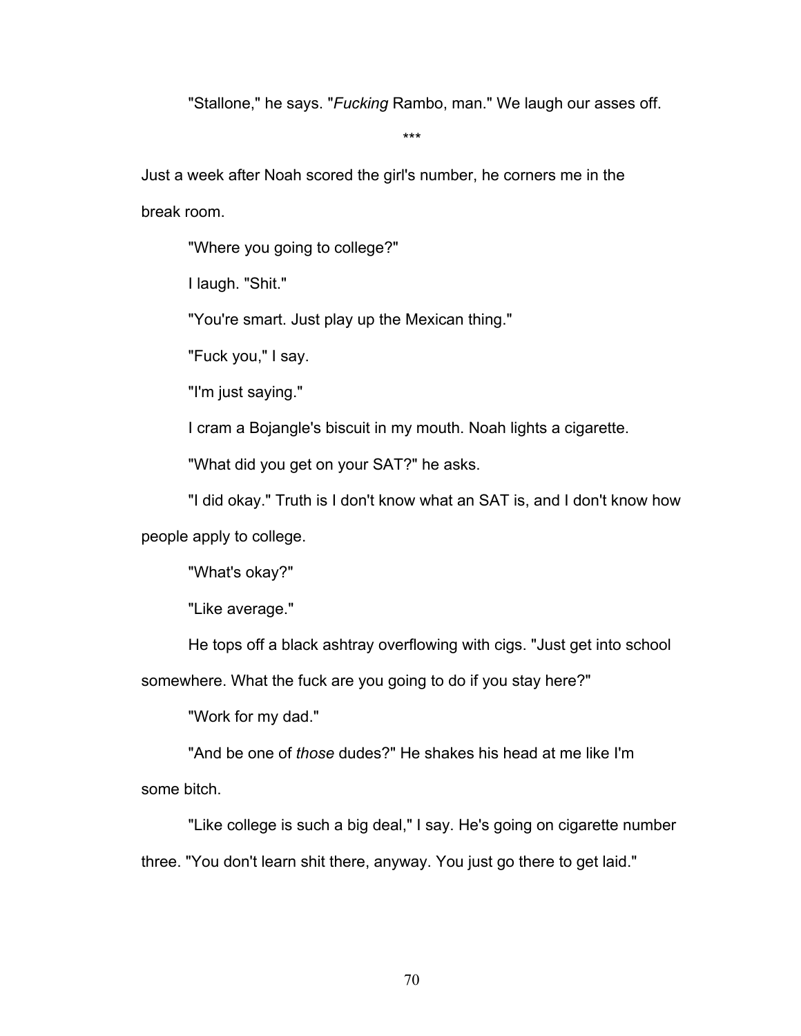"Stallone," he says. "*Fucking* Rambo, man." We laugh our asses off.

\*\*\*

Just a week after Noah scored the girl's number, he corners me in the break room.

"Where you going to college?"

I laugh. "Shit."

"You're smart. Just play up the Mexican thing."

"Fuck you," I say.

"I'm just saying."

I cram a Bojangle's biscuit in my mouth. Noah lights a cigarette.

"What did you get on your SAT?" he asks.

"I did okay." Truth is I don't know what an SAT is, and I don't know how people apply to college.

"What's okay?"

"Like average."

He tops off a black ashtray overflowing with cigs. "Just get into school

somewhere. What the fuck are you going to do if you stay here?"

"Work for my dad."

"And be one of *those* dudes?" He shakes his head at me like I'm some bitch.

"Like college is such a big deal," I say. He's going on cigarette number three. "You don't learn shit there, anyway. You just go there to get laid."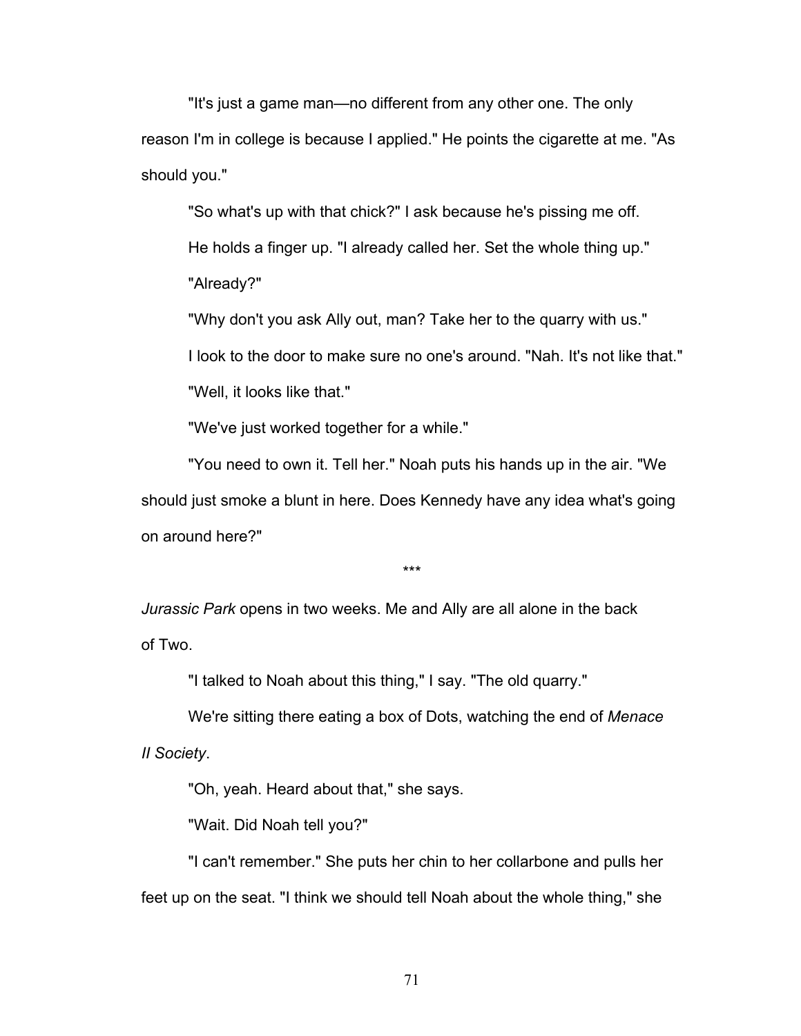"It's just a game man—no different from any other one. The only reason I'm in college is because I applied." He points the cigarette at me. "As should you."

"So what's up with that chick?" I ask because he's pissing me off. He holds a finger up. "I already called her. Set the whole thing up." "Already?"

"Why don't you ask Ally out, man? Take her to the quarry with us."

I look to the door to make sure no one's around. "Nah. It's not like that."

"Well, it looks like that."

"We've just worked together for a while."

"You need to own it. Tell her." Noah puts his hands up in the air. "We should just smoke a blunt in here. Does Kennedy have any idea what's going on around here?"

\*\*\*

*Jurassic Park* opens in two weeks. Me and Ally are all alone in the back of Two.

"I talked to Noah about this thing," I say. "The old quarry."

We're sitting there eating a box of Dots, watching the end of *Menace II Society*.

"Oh, yeah. Heard about that," she says.

"Wait. Did Noah tell you?"

"I can't remember." She puts her chin to her collarbone and pulls her feet up on the seat. "I think we should tell Noah about the whole thing," she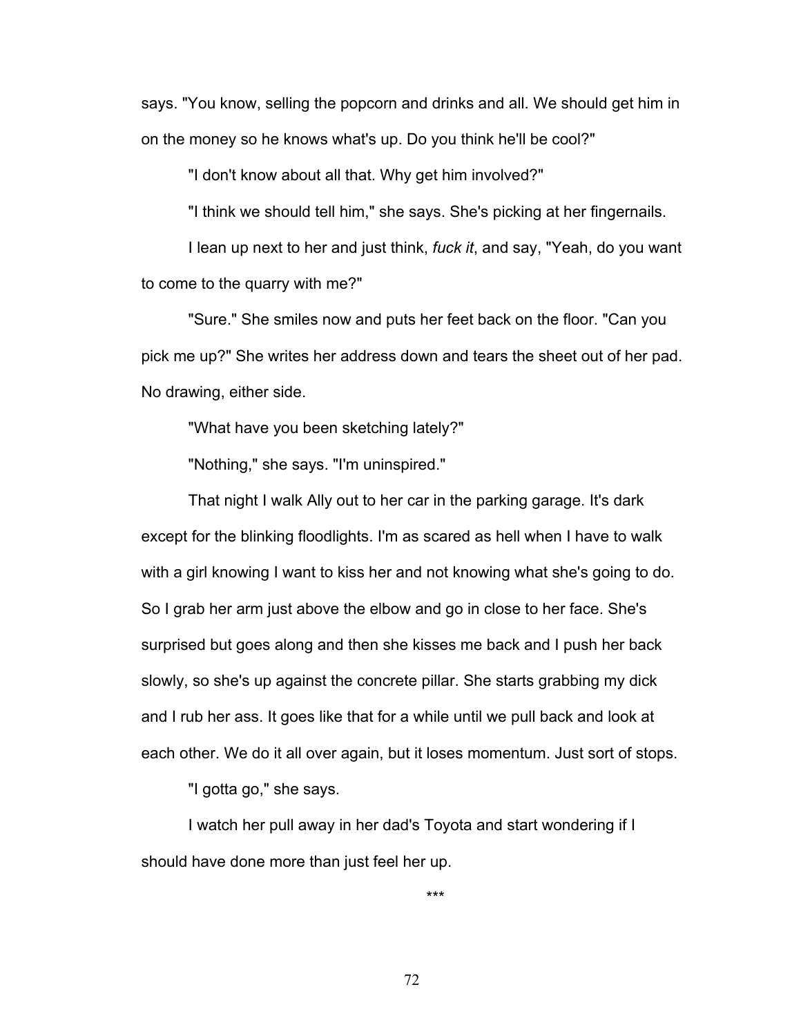says. "You know, selling the popcorn and drinks and all. We should get him in on the money so he knows what's up. Do you think he'll be cool?"

"I don't know about all that. Why get him involved?"

"I think we should tell him," she says. She's picking at her fingernails.

I lean up next to her and just think, *fuck it*, and say, "Yeah, do you want to come to the quarry with me?"

"Sure." She smiles now and puts her feet back on the floor. "Can you pick me up?" She writes her address down and tears the sheet out of her pad. No drawing, either side.

"What have you been sketching lately?"

"Nothing," she says. "I'm uninspired."

That night I walk Ally out to her car in the parking garage. It's dark except for the blinking floodlights. I'm as scared as hell when I have to walk with a girl knowing I want to kiss her and not knowing what she's going to do. So I grab her arm just above the elbow and go in close to her face. She's surprised but goes along and then she kisses me back and I push her back slowly, so she's up against the concrete pillar. She starts grabbing my dick and I rub her ass. It goes like that for a while until we pull back and look at each other. We do it all over again, but it loses momentum. Just sort of stops.

"I gotta go," she says.

I watch her pull away in her dad's Toyota and start wondering if I should have done more than just feel her up.

\*\*\*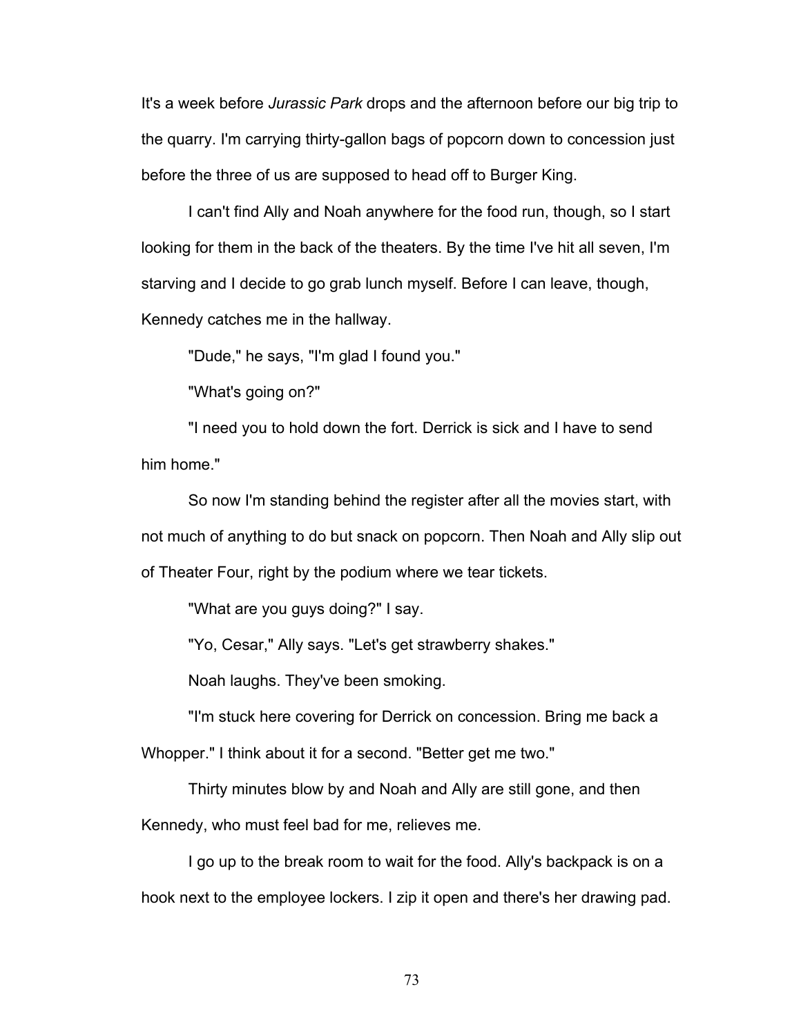It's a week before *Jurassic Park* drops and the afternoon before our big trip to the quarry. I'm carrying thirty-gallon bags of popcorn down to concession just before the three of us are supposed to head off to Burger King.

I can't find Ally and Noah anywhere for the food run, though, so I start looking for them in the back of the theaters. By the time I've hit all seven, I'm starving and I decide to go grab lunch myself. Before I can leave, though, Kennedy catches me in the hallway.

"Dude," he says, "I'm glad I found you."

"What's going on?"

"I need you to hold down the fort. Derrick is sick and I have to send him home."

So now I'm standing behind the register after all the movies start, with not much of anything to do but snack on popcorn. Then Noah and Ally slip out of Theater Four, right by the podium where we tear tickets.

"What are you guys doing?" I say.

"Yo, Cesar," Ally says. "Let's get strawberry shakes."

Noah laughs. They've been smoking.

"I'm stuck here covering for Derrick on concession. Bring me back a

Whopper." I think about it for a second. "Better get me two."

Thirty minutes blow by and Noah and Ally are still gone, and then

Kennedy, who must feel bad for me, relieves me.

I go up to the break room to wait for the food. Ally's backpack is on a hook next to the employee lockers. I zip it open and there's her drawing pad.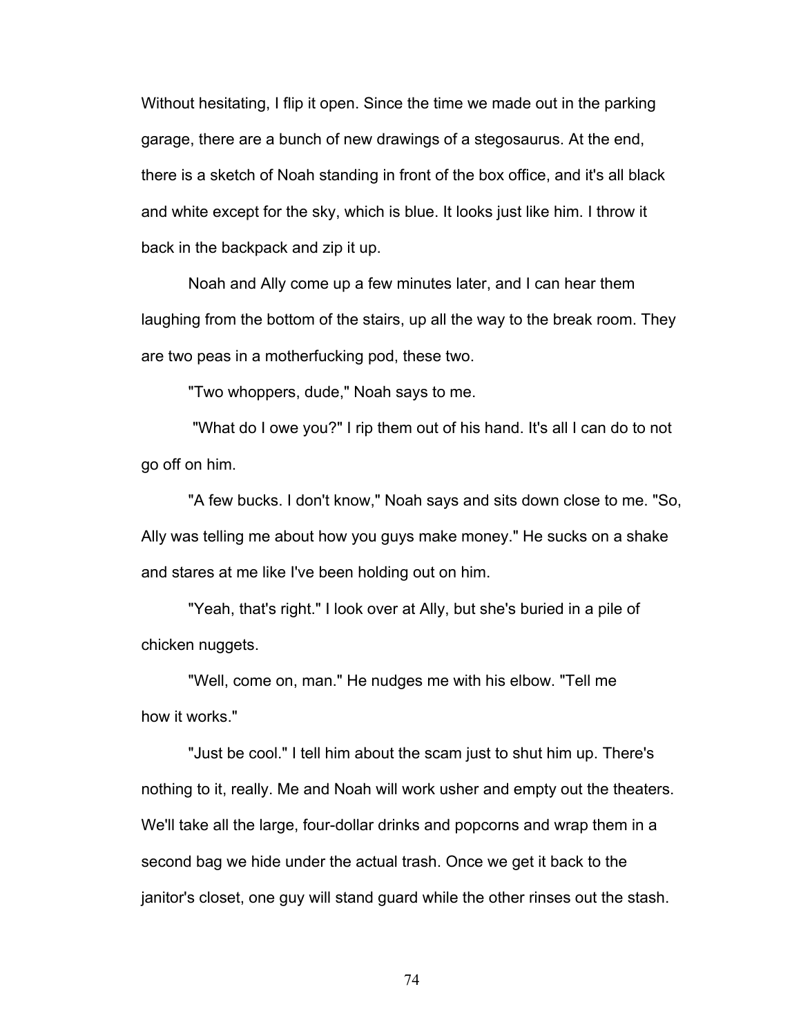Without hesitating, I flip it open. Since the time we made out in the parking garage, there are a bunch of new drawings of a stegosaurus. At the end, there is a sketch of Noah standing in front of the box office, and it's all black and white except for the sky, which is blue. It looks just like him. I throw it back in the backpack and zip it up.

Noah and Ally come up a few minutes later, and I can hear them laughing from the bottom of the stairs, up all the way to the break room. They are two peas in a motherfucking pod, these two.

"Two whoppers, dude," Noah says to me.

"What do I owe you?" I rip them out of his hand. It's all I can do to not go off on him.

"A few bucks. I don't know," Noah says and sits down close to me. "So, Ally was telling me about how you guys make money." He sucks on a shake and stares at me like I've been holding out on him.

"Yeah, that's right." I look over at Ally, but she's buried in a pile of chicken nuggets.

"Well, come on, man." He nudges me with his elbow. "Tell me how it works."

"Just be cool." I tell him about the scam just to shut him up. There's nothing to it, really. Me and Noah will work usher and empty out the theaters. We'll take all the large, four-dollar drinks and popcorns and wrap them in a second bag we hide under the actual trash. Once we get it back to the janitor's closet, one guy will stand guard while the other rinses out the stash.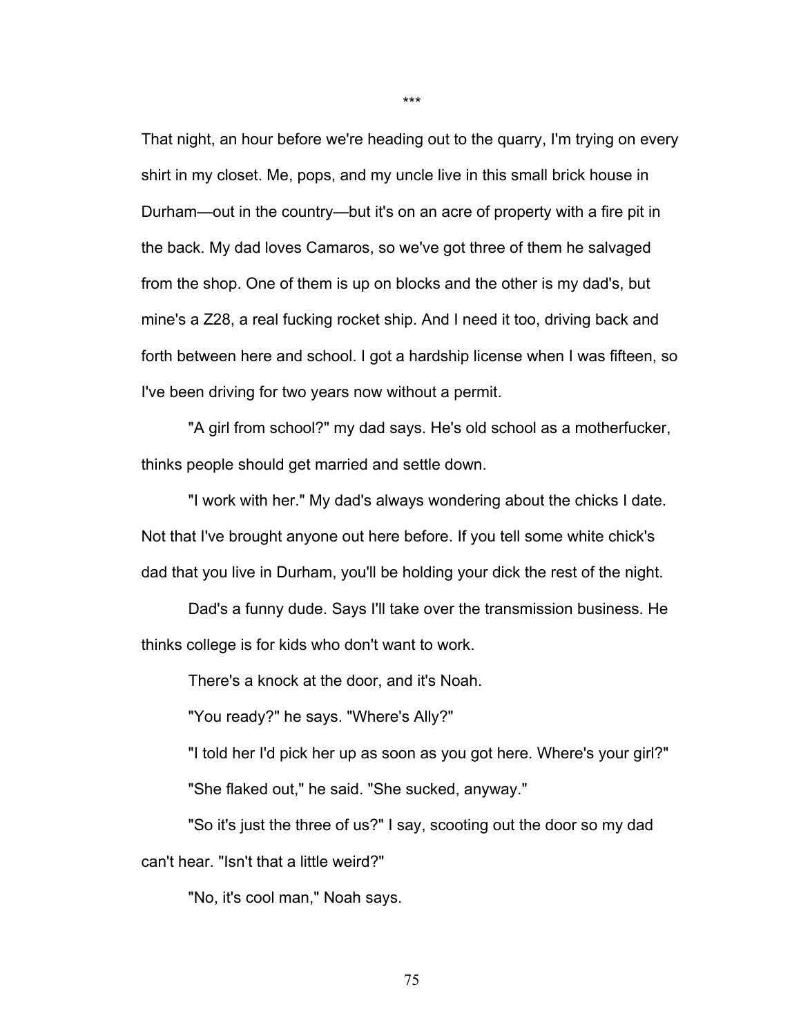That night, an hour before we're heading out to the quarry, I'm trying on every shirt in my closet. Me, pops, and my uncle live in this small brick house in Durham—out in the country—but it's on an acre of property with a fire pit in the back. My dad loves Camaros, so we've got three of them he salvaged from the shop. One of them is up on blocks and the other is my dad's, but mine's a Z28, a real fucking rocket ship. And I need it too, driving back and forth between here and school. I got a hardship license when I was fifteen, so I've been driving for two years now without a permit.

"A girl from school?" my dad says. He's old school as a motherfucker, thinks people should get married and settle down.

"I work with her." My dad's always wondering about the chicks I date. Not that I've brought anyone out here before. If you tell some white chick's dad that you live in Durham, you'll be holding your dick the rest of the night.

Dad's a funny dude. Says I'll take over the transmission business. He thinks college is for kids who don't want to work.

There's a knock at the door, and it's Noah.

"You ready?" he says. "Where's Ally?"

"I told her I'd pick her up as soon as you got here. Where's your girl?" "She flaked out," he said. "She sucked, anyway."

"So it's just the three of us?" I say, scooting out the door so my dad can't hear. "Isn't that a little weird?"

"No, it's cool man," Noah says.

\*\*\*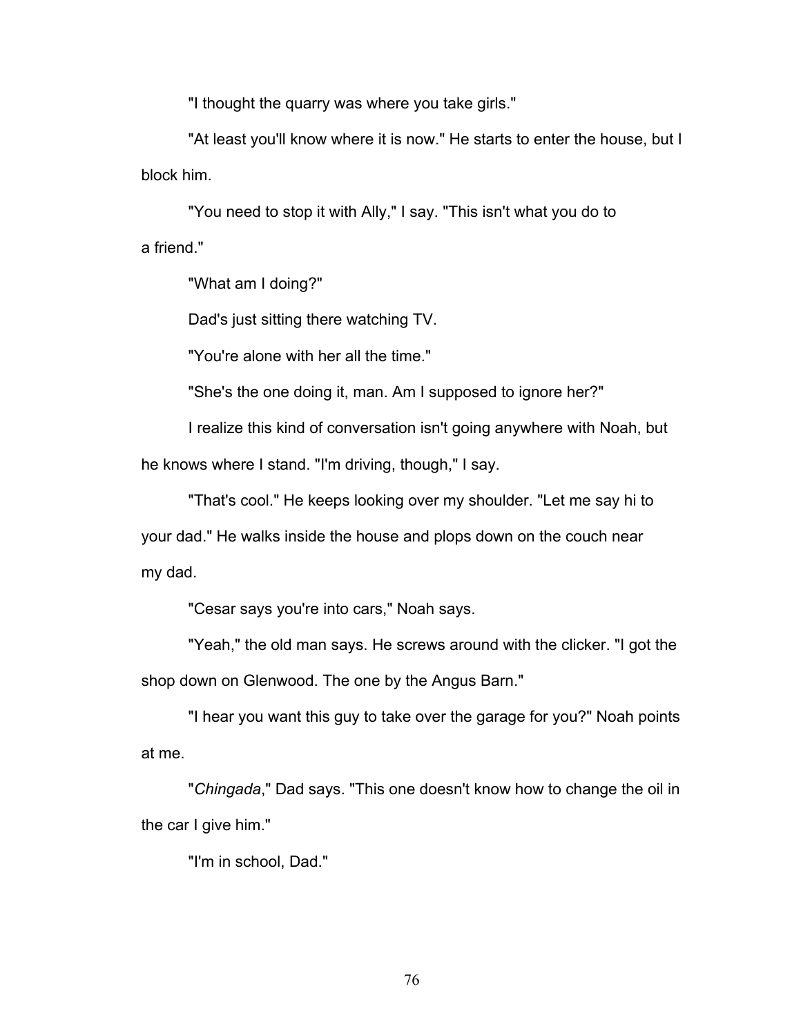"I thought the quarry was where you take girls."

"At least you'll know where it is now." He starts to enter the house, but I block him.

"You need to stop it with Ally," I say. "This isn't what you do to a friend."

"What am I doing?"

Dad's just sitting there watching TV.

"You're alone with her all the time."

"She's the one doing it, man. Am I supposed to ignore her?"

I realize this kind of conversation isn't going anywhere with Noah, but

he knows where I stand. "I'm driving, though," I say.

"That's cool." He keeps looking over my shoulder. "Let me say hi to your dad." He walks inside the house and plops down on the couch near my dad.

"Cesar says you're into cars," Noah says.

"Yeah," the old man says. He screws around with the clicker. "I got the shop down on Glenwood. The one by the Angus Barn."

"I hear you want this guy to take over the garage for you?" Noah points at me.

"*Chingada*," Dad says. "This one doesn't know how to change the oil in the car I give him."

"I'm in school, Dad."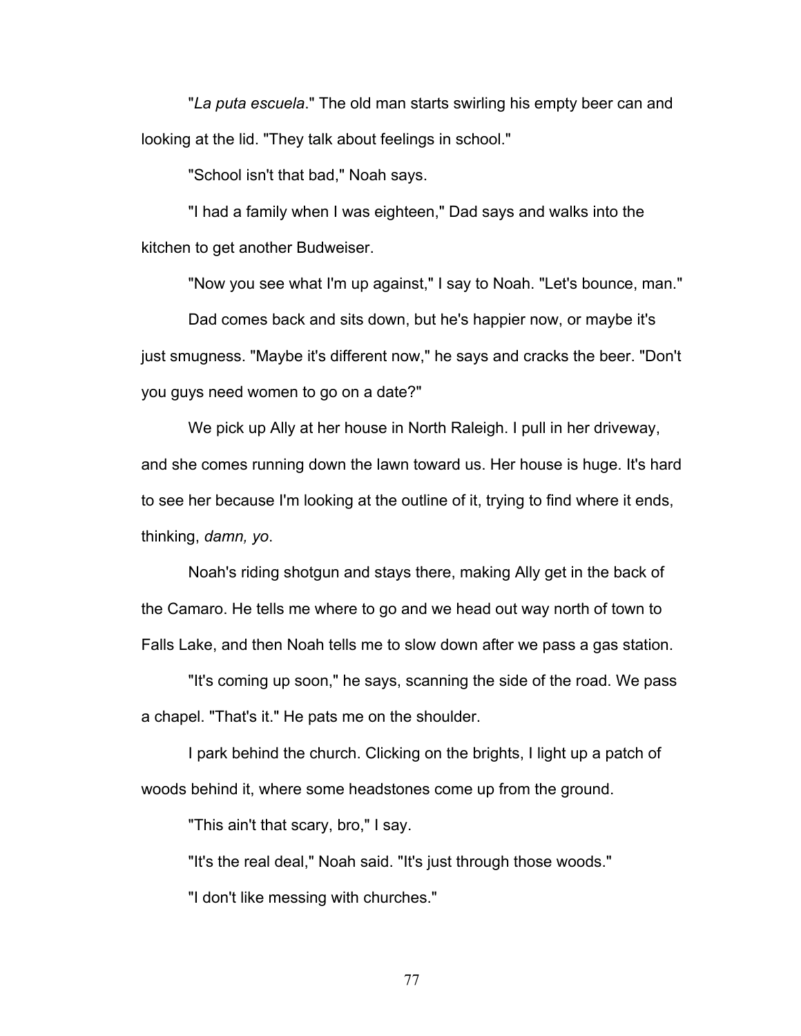"*La puta escuela*." The old man starts swirling his empty beer can and looking at the lid. "They talk about feelings in school."

"School isn't that bad," Noah says.

"I had a family when I was eighteen," Dad says and walks into the kitchen to get another Budweiser.

"Now you see what I'm up against," I say to Noah. "Let's bounce, man." Dad comes back and sits down, but he's happier now, or maybe it's just smugness. "Maybe it's different now," he says and cracks the beer. "Don't you guys need women to go on a date?"

We pick up Ally at her house in North Raleigh. I pull in her driveway, and she comes running down the lawn toward us. Her house is huge. It's hard to see her because I'm looking at the outline of it, trying to find where it ends, thinking, *damn, yo*.

Noah's riding shotgun and stays there, making Ally get in the back of the Camaro. He tells me where to go and we head out way north of town to Falls Lake, and then Noah tells me to slow down after we pass a gas station.

"It's coming up soon," he says, scanning the side of the road. We pass a chapel. "That's it." He pats me on the shoulder.

I park behind the church. Clicking on the brights, I light up a patch of woods behind it, where some headstones come up from the ground.

"This ain't that scary, bro," I say.

"It's the real deal," Noah said. "It's just through those woods." "I don't like messing with churches."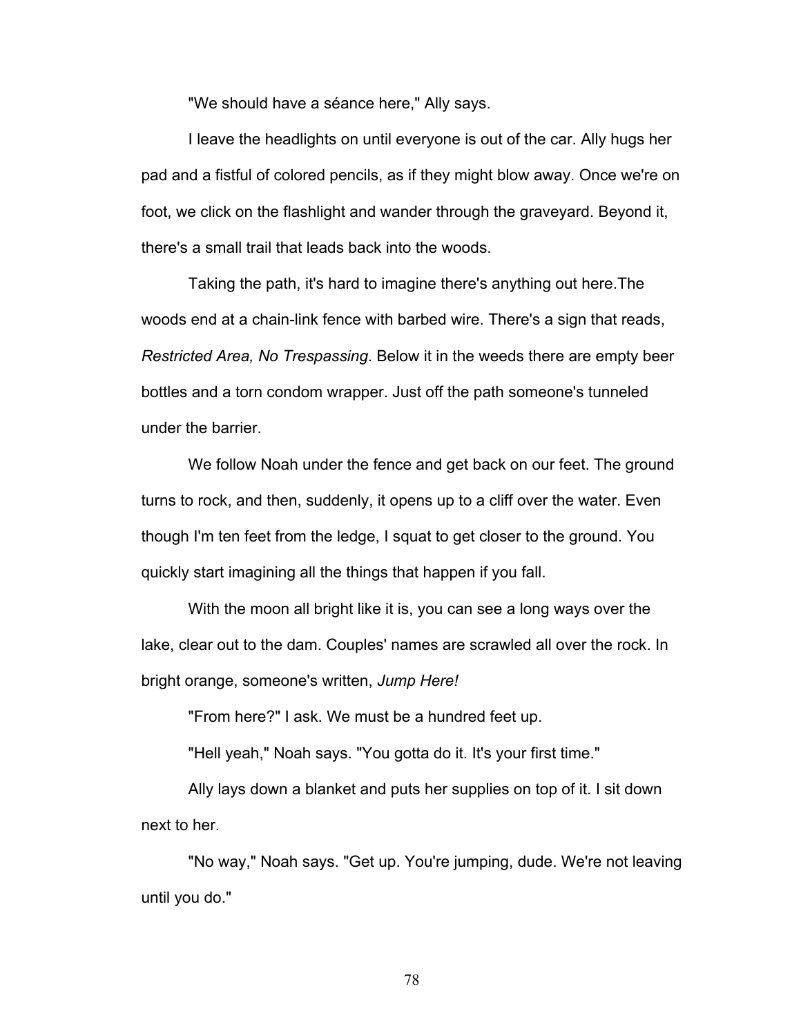"We should have a séance here," Ally says.

I leave the headlights on until everyone is out of the car. Ally hugs her pad and a fistful of colored pencils, as if they might blow away. Once we're on foot, we click on the flashlight and wander through the graveyard. Beyond it, there's a small trail that leads back into the woods.

Taking the path, it's hard to imagine there's anything out here.The woods end at a chain-link fence with barbed wire. There's a sign that reads, *Restricted Area, No Trespassing*. Below it in the weeds there are empty beer bottles and a torn condom wrapper. Just off the path someone's tunneled under the barrier.

We follow Noah under the fence and get back on our feet. The ground turns to rock, and then, suddenly, it opens up to a cliff over the water. Even though I'm ten feet from the ledge, I squat to get closer to the ground. You quickly start imagining all the things that happen if you fall.

With the moon all bright like it is, you can see a long ways over the lake, clear out to the dam. Couples' names are scrawled all over the rock. In bright orange, someone's written, *Jump Here!* 

"From here?" I ask. We must be a hundred feet up.

"Hell yeah," Noah says. "You gotta do it. It's your first time."

Ally lays down a blanket and puts her supplies on top of it. I sit down next to her.

"No way," Noah says. "Get up. You're jumping, dude. We're not leaving until you do."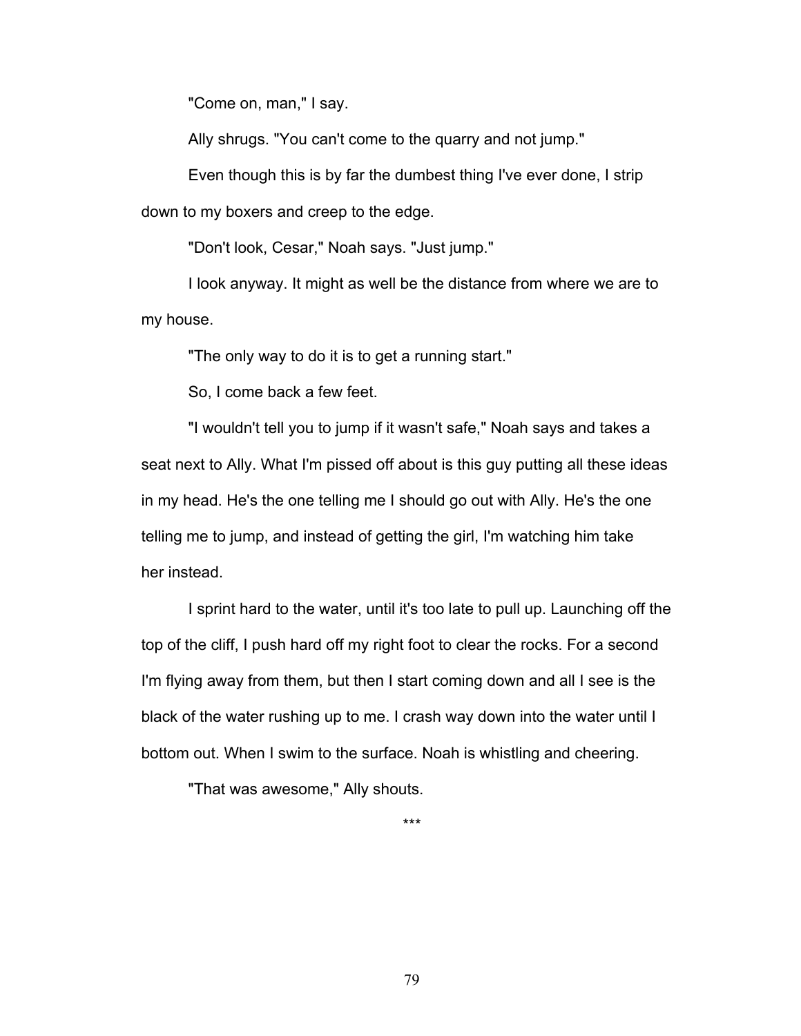"Come on, man," I say.

Ally shrugs. "You can't come to the quarry and not jump."

Even though this is by far the dumbest thing I've ever done, I strip down to my boxers and creep to the edge.

"Don't look, Cesar," Noah says. "Just jump."

I look anyway. It might as well be the distance from where we are to my house.

"The only way to do it is to get a running start."

So, I come back a few feet.

"I wouldn't tell you to jump if it wasn't safe," Noah says and takes a seat next to Ally. What I'm pissed off about is this guy putting all these ideas in my head. He's the one telling me I should go out with Ally. He's the one telling me to jump, and instead of getting the girl, I'm watching him take her instead.

I sprint hard to the water, until it's too late to pull up. Launching off the top of the cliff, I push hard off my right foot to clear the rocks. For a second I'm flying away from them, but then I start coming down and all I see is the black of the water rushing up to me. I crash way down into the water until I bottom out. When I swim to the surface. Noah is whistling and cheering.

"That was awesome," Ally shouts.

\*\*\*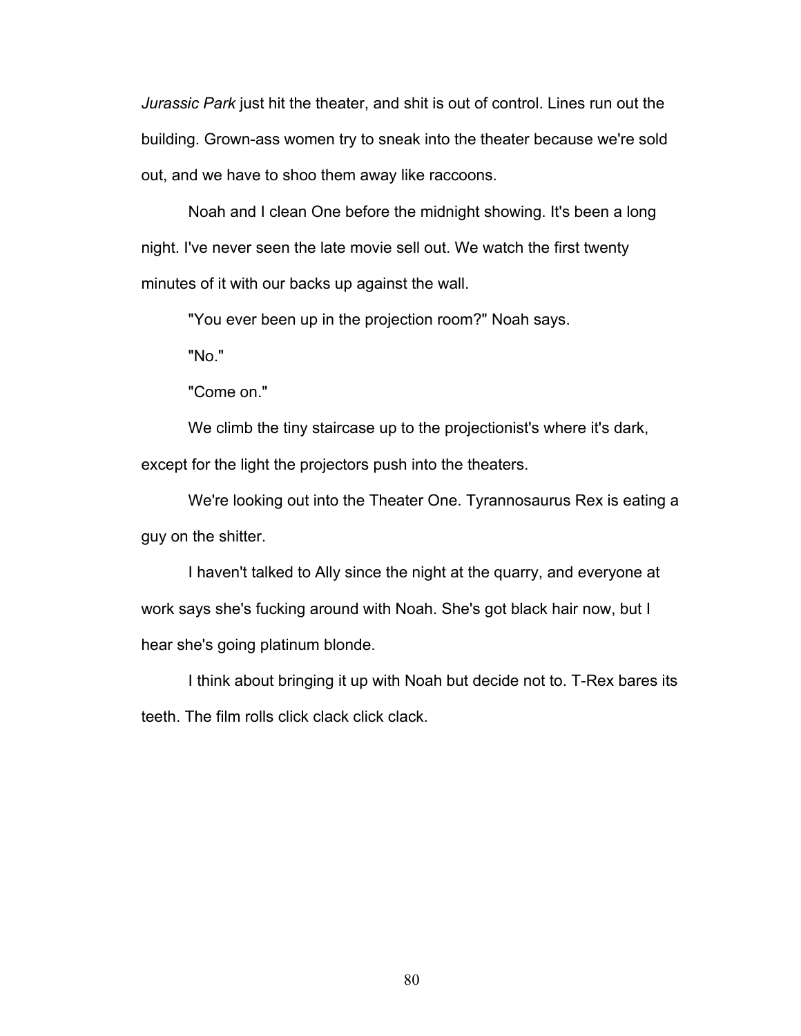*Jurassic Park* just hit the theater, and shit is out of control. Lines run out the building. Grown-ass women try to sneak into the theater because we're sold out, and we have to shoo them away like raccoons.

Noah and I clean One before the midnight showing. It's been a long night. I've never seen the late movie sell out. We watch the first twenty minutes of it with our backs up against the wall.

"You ever been up in the projection room?" Noah says.

"No."

"Come on."

We climb the tiny staircase up to the projectionist's where it's dark, except for the light the projectors push into the theaters.

We're looking out into the Theater One. Tyrannosaurus Rex is eating a guy on the shitter.

I haven't talked to Ally since the night at the quarry, and everyone at work says she's fucking around with Noah. She's got black hair now, but I hear she's going platinum blonde.

I think about bringing it up with Noah but decide not to. T-Rex bares its teeth. The film rolls click clack click clack.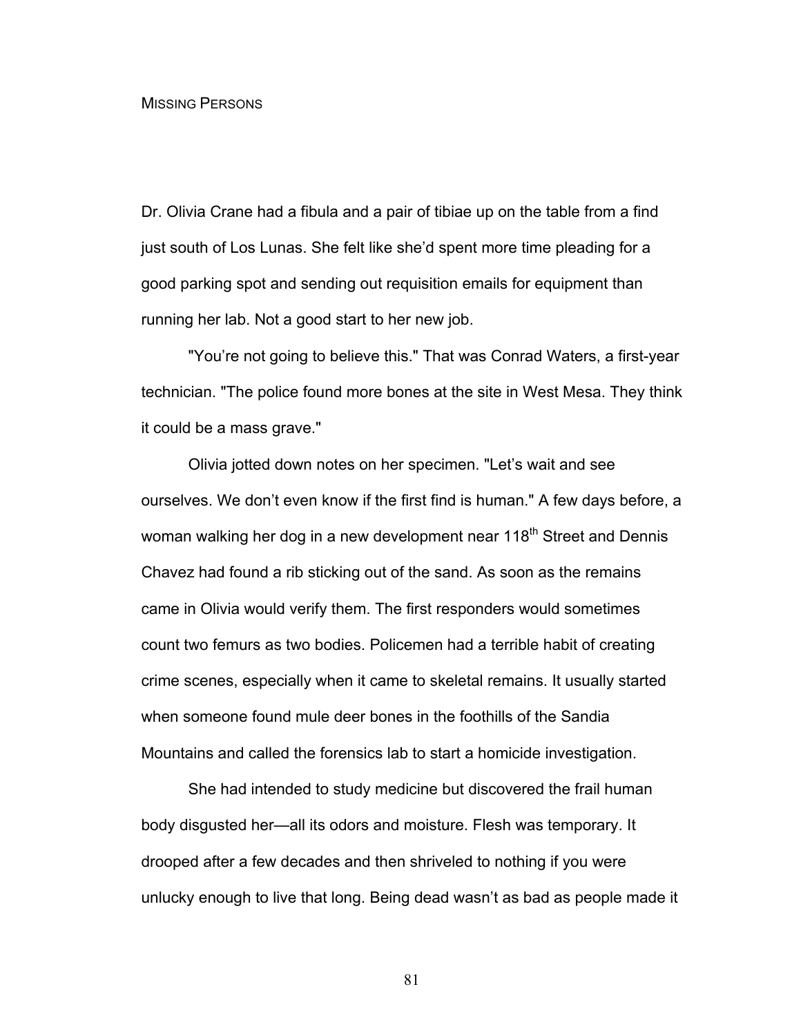## MISSING PERSONS

Dr. Olivia Crane had a fibula and a pair of tibiae up on the table from a find just south of Los Lunas. She felt like she'd spent more time pleading for a good parking spot and sending out requisition emails for equipment than running her lab. Not a good start to her new job.

"You're not going to believe this." That was Conrad Waters, a first-year technician. "The police found more bones at the site in West Mesa. They think it could be a mass grave."

Olivia jotted down notes on her specimen. "Let's wait and see ourselves. We don't even know if the first find is human." A few days before, a woman walking her dog in a new development near 118<sup>th</sup> Street and Dennis Chavez had found a rib sticking out of the sand. As soon as the remains came in Olivia would verify them. The first responders would sometimes count two femurs as two bodies. Policemen had a terrible habit of creating crime scenes, especially when it came to skeletal remains. It usually started when someone found mule deer bones in the foothills of the Sandia Mountains and called the forensics lab to start a homicide investigation.

She had intended to study medicine but discovered the frail human body disgusted her—all its odors and moisture. Flesh was temporary. It drooped after a few decades and then shriveled to nothing if you were unlucky enough to live that long. Being dead wasn't as bad as people made it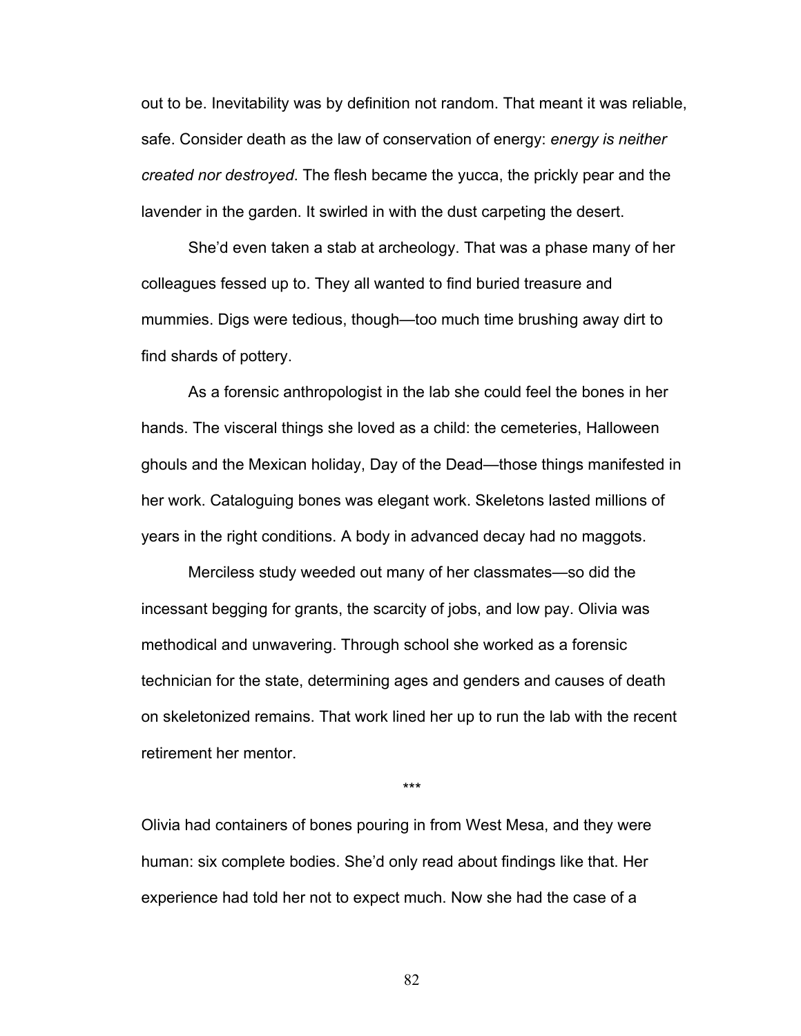out to be. Inevitability was by definition not random. That meant it was reliable, safe. Consider death as the law of conservation of energy: *energy is neither created nor destroyed*. The flesh became the yucca, the prickly pear and the lavender in the garden. It swirled in with the dust carpeting the desert.

She'd even taken a stab at archeology. That was a phase many of her colleagues fessed up to. They all wanted to find buried treasure and mummies. Digs were tedious, though—too much time brushing away dirt to find shards of pottery.

As a forensic anthropologist in the lab she could feel the bones in her hands. The visceral things she loved as a child: the cemeteries, Halloween ghouls and the Mexican holiday, Day of the Dead—those things manifested in her work. Cataloguing bones was elegant work. Skeletons lasted millions of years in the right conditions. A body in advanced decay had no maggots.

Merciless study weeded out many of her classmates—so did the incessant begging for grants, the scarcity of jobs, and low pay. Olivia was methodical and unwavering. Through school she worked as a forensic technician for the state, determining ages and genders and causes of death on skeletonized remains. That work lined her up to run the lab with the recent retirement her mentor.

\*\*\*

Olivia had containers of bones pouring in from West Mesa, and they were human: six complete bodies. She'd only read about findings like that. Her experience had told her not to expect much. Now she had the case of a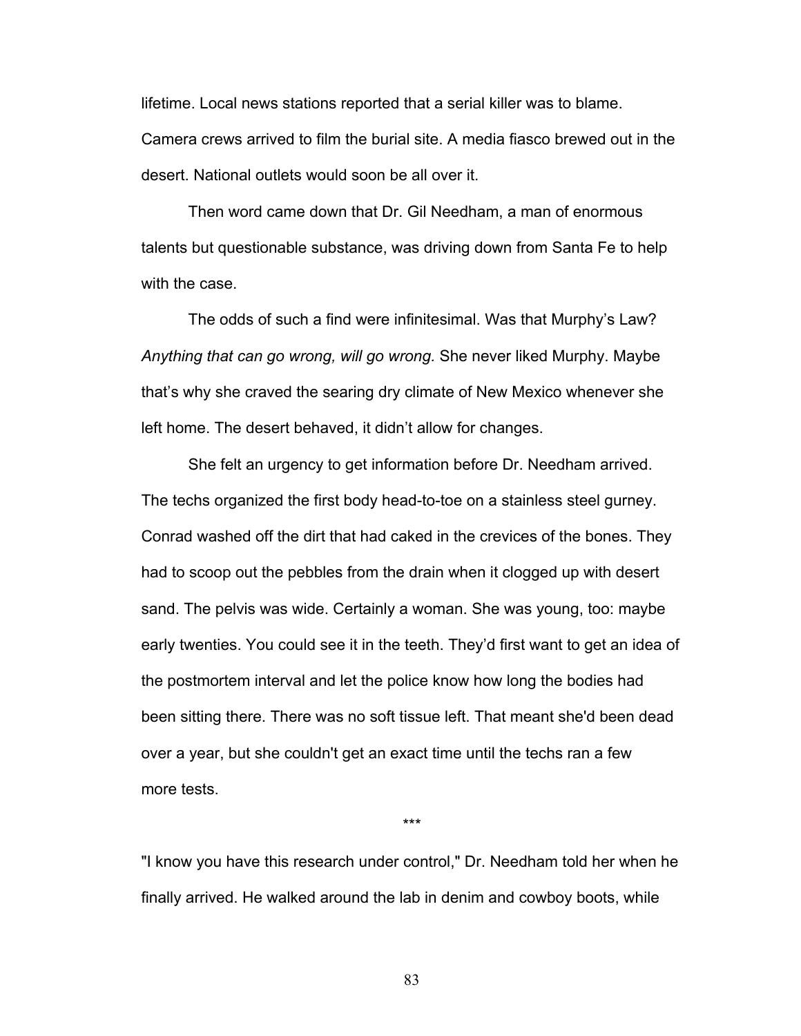lifetime. Local news stations reported that a serial killer was to blame. Camera crews arrived to film the burial site. A media fiasco brewed out in the desert. National outlets would soon be all over it.

Then word came down that Dr. Gil Needham, a man of enormous talents but questionable substance, was driving down from Santa Fe to help with the case.

The odds of such a find were infinitesimal. Was that Murphy's Law? *Anything that can go wrong, will go wrong.* She never liked Murphy. Maybe that's why she craved the searing dry climate of New Mexico whenever she left home. The desert behaved, it didn't allow for changes.

She felt an urgency to get information before Dr. Needham arrived. The techs organized the first body head-to-toe on a stainless steel gurney. Conrad washed off the dirt that had caked in the crevices of the bones. They had to scoop out the pebbles from the drain when it clogged up with desert sand. The pelvis was wide. Certainly a woman. She was young, too: maybe early twenties. You could see it in the teeth. They'd first want to get an idea of the postmortem interval and let the police know how long the bodies had been sitting there. There was no soft tissue left. That meant she'd been dead over a year, but she couldn't get an exact time until the techs ran a few more tests.

\*\*\*

"I know you have this research under control," Dr. Needham told her when he finally arrived. He walked around the lab in denim and cowboy boots, while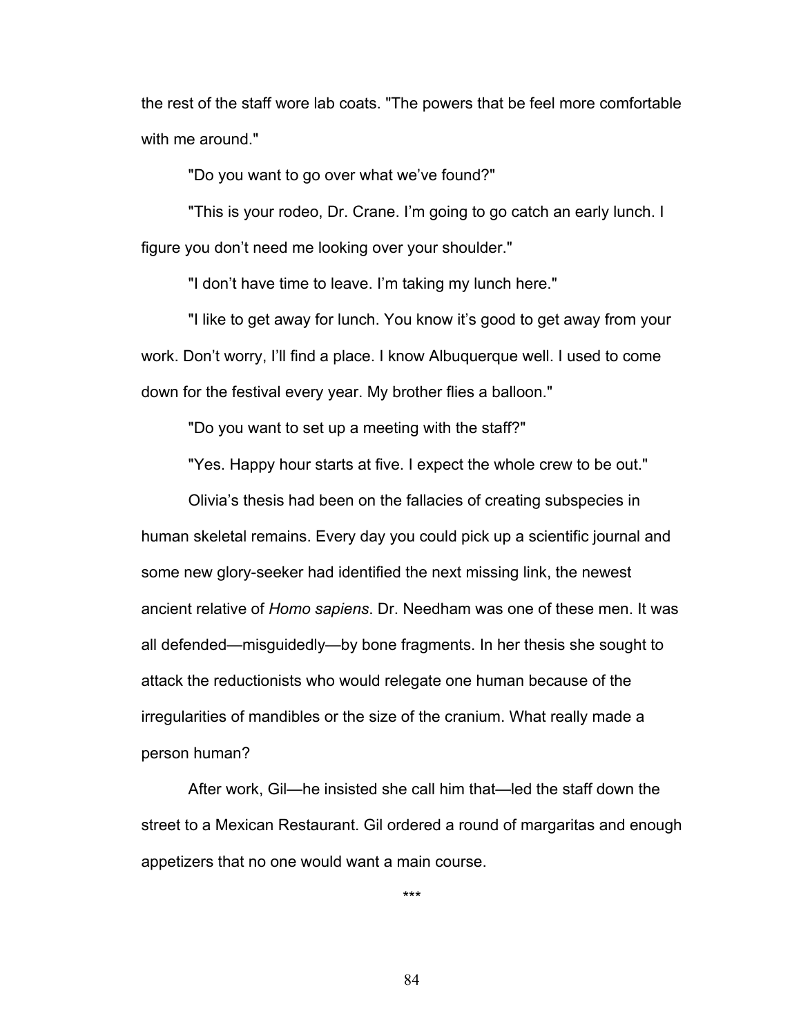the rest of the staff wore lab coats. "The powers that be feel more comfortable with me around."

"Do you want to go over what we've found?"

"This is your rodeo, Dr. Crane. I'm going to go catch an early lunch. I figure you don't need me looking over your shoulder."

"I don't have time to leave. I'm taking my lunch here."

"I like to get away for lunch. You know it's good to get away from your work. Don't worry, I'll find a place. I know Albuquerque well. I used to come down for the festival every year. My brother flies a balloon."

"Do you want to set up a meeting with the staff?"

"Yes. Happy hour starts at five. I expect the whole crew to be out."

Olivia's thesis had been on the fallacies of creating subspecies in human skeletal remains. Every day you could pick up a scientific journal and some new glory-seeker had identified the next missing link, the newest ancient relative of *Homo sapiens*. Dr. Needham was one of these men. It was all defended—misguidedly—by bone fragments. In her thesis she sought to attack the reductionists who would relegate one human because of the irregularities of mandibles or the size of the cranium. What really made a person human?

After work, Gil—he insisted she call him that—led the staff down the street to a Mexican Restaurant. Gil ordered a round of margaritas and enough appetizers that no one would want a main course.

\*\*\*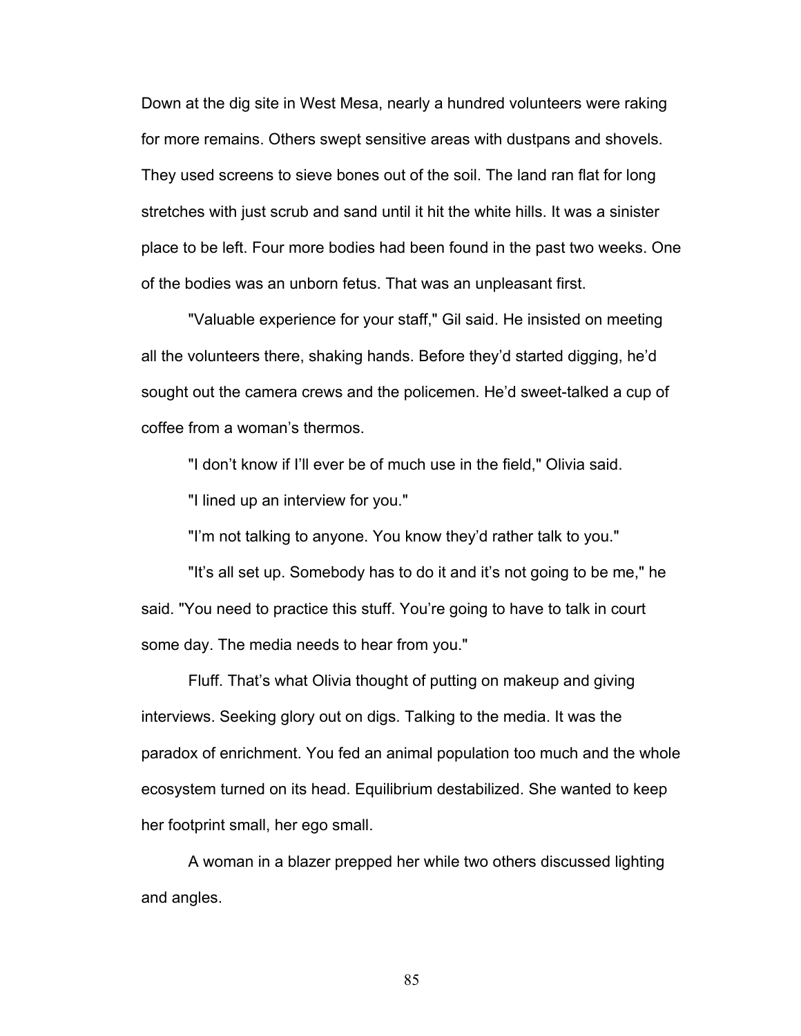Down at the dig site in West Mesa, nearly a hundred volunteers were raking for more remains. Others swept sensitive areas with dustpans and shovels. They used screens to sieve bones out of the soil. The land ran flat for long stretches with just scrub and sand until it hit the white hills. It was a sinister place to be left. Four more bodies had been found in the past two weeks. One of the bodies was an unborn fetus. That was an unpleasant first.

"Valuable experience for your staff," Gil said. He insisted on meeting all the volunteers there, shaking hands. Before they'd started digging, he'd sought out the camera crews and the policemen. He'd sweet-talked a cup of coffee from a woman's thermos.

"I don't know if I'll ever be of much use in the field," Olivia said.

"I lined up an interview for you."

"I'm not talking to anyone. You know they'd rather talk to you."

"It's all set up. Somebody has to do it and it's not going to be me," he said. "You need to practice this stuff. You're going to have to talk in court some day. The media needs to hear from you."

Fluff. That's what Olivia thought of putting on makeup and giving interviews. Seeking glory out on digs. Talking to the media. It was the paradox of enrichment. You fed an animal population too much and the whole ecosystem turned on its head. Equilibrium destabilized. She wanted to keep her footprint small, her ego small.

A woman in a blazer prepped her while two others discussed lighting and angles.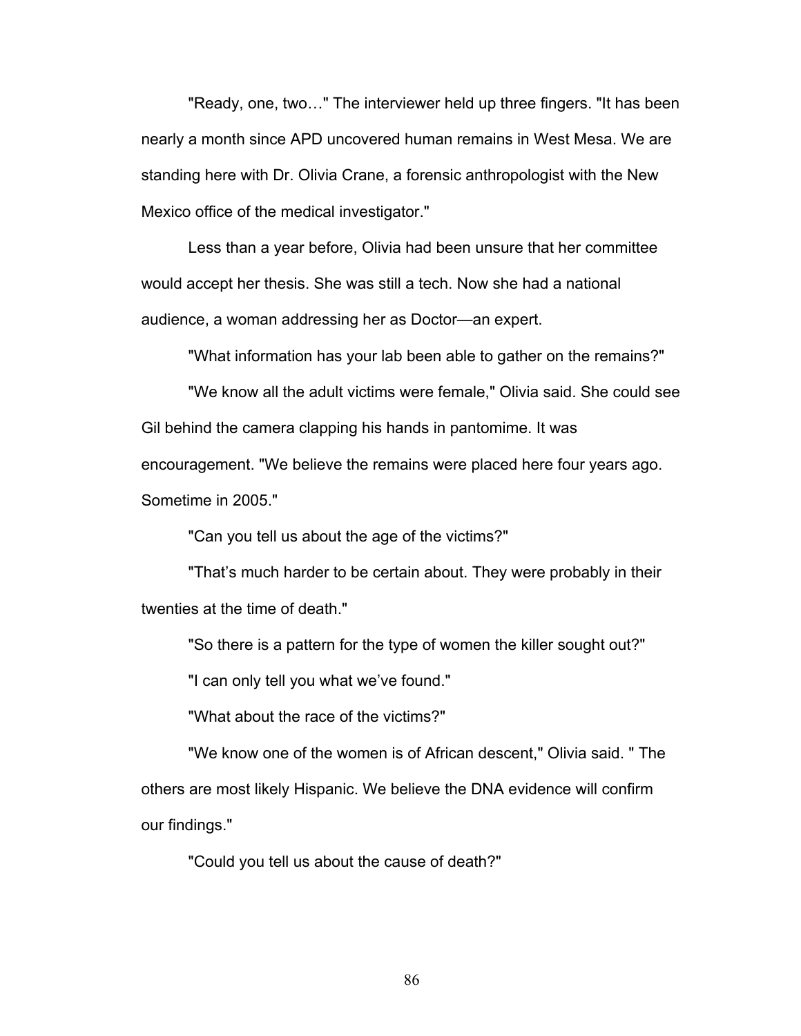"Ready, one, two…" The interviewer held up three fingers. "It has been nearly a month since APD uncovered human remains in West Mesa. We are standing here with Dr. Olivia Crane, a forensic anthropologist with the New Mexico office of the medical investigator."

Less than a year before, Olivia had been unsure that her committee would accept her thesis. She was still a tech. Now she had a national audience, a woman addressing her as Doctor—an expert.

"What information has your lab been able to gather on the remains?"

"We know all the adult victims were female," Olivia said. She could see Gil behind the camera clapping his hands in pantomime. It was encouragement. "We believe the remains were placed here four years ago. Sometime in 2005."

"Can you tell us about the age of the victims?"

"That's much harder to be certain about. They were probably in their twenties at the time of death."

"So there is a pattern for the type of women the killer sought out?"

"I can only tell you what we've found."

"What about the race of the victims?"

"We know one of the women is of African descent," Olivia said. " The others are most likely Hispanic. We believe the DNA evidence will confirm our findings."

"Could you tell us about the cause of death?"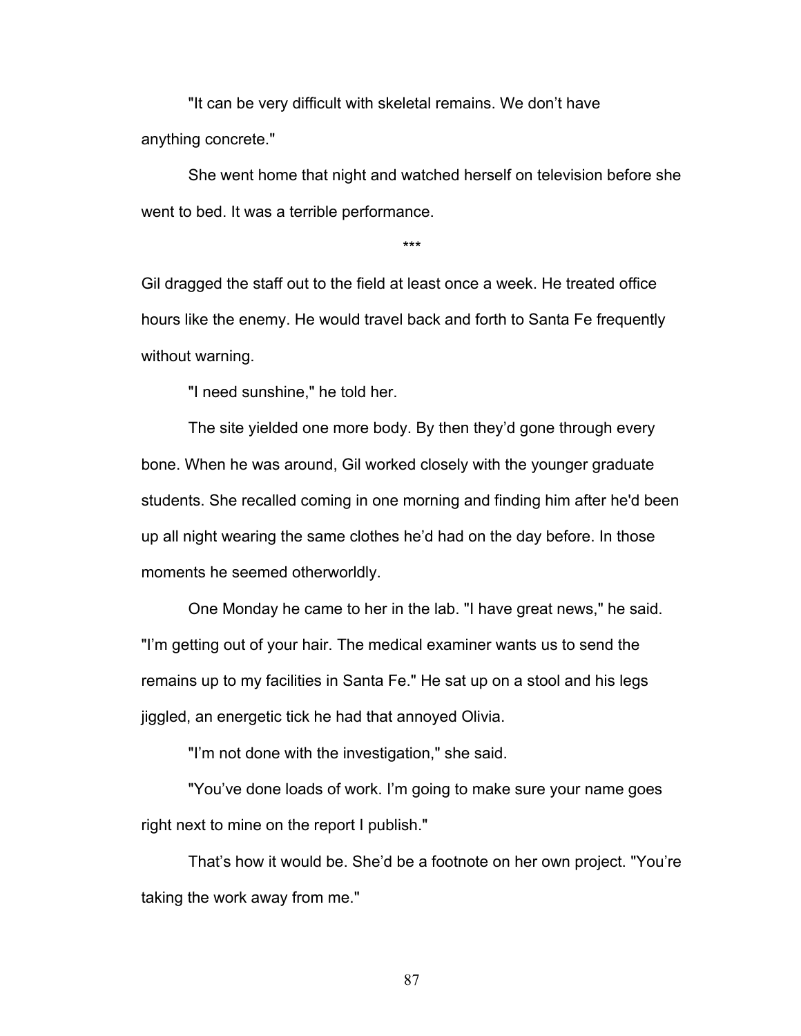"It can be very difficult with skeletal remains. We don't have anything concrete."

She went home that night and watched herself on television before she went to bed. It was a terrible performance.

\*\*\*

Gil dragged the staff out to the field at least once a week. He treated office hours like the enemy. He would travel back and forth to Santa Fe frequently without warning.

"I need sunshine," he told her.

The site yielded one more body. By then they'd gone through every bone. When he was around, Gil worked closely with the younger graduate students. She recalled coming in one morning and finding him after he'd been up all night wearing the same clothes he'd had on the day before. In those moments he seemed otherworldly.

One Monday he came to her in the lab. "I have great news," he said. "I'm getting out of your hair. The medical examiner wants us to send the remains up to my facilities in Santa Fe." He sat up on a stool and his legs jiggled, an energetic tick he had that annoyed Olivia.

"I'm not done with the investigation," she said.

"You've done loads of work. I'm going to make sure your name goes right next to mine on the report I publish."

That's how it would be. She'd be a footnote on her own project. "You're taking the work away from me."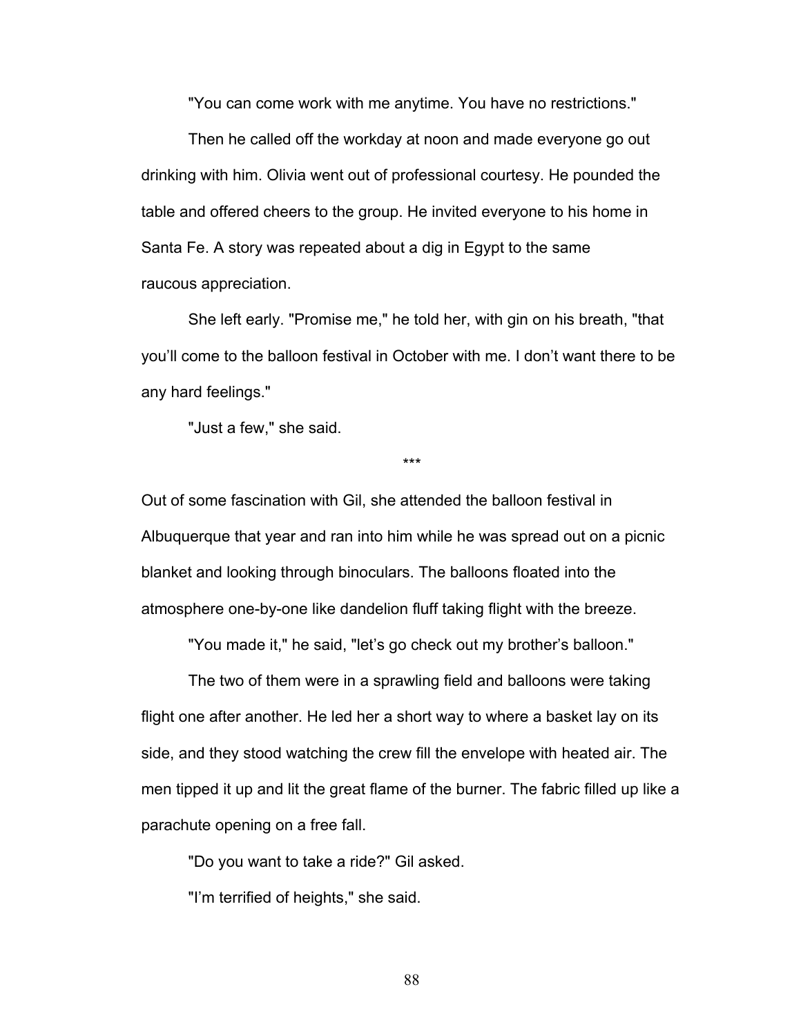"You can come work with me anytime. You have no restrictions."

Then he called off the workday at noon and made everyone go out drinking with him. Olivia went out of professional courtesy. He pounded the table and offered cheers to the group. He invited everyone to his home in Santa Fe. A story was repeated about a dig in Egypt to the same raucous appreciation.

She left early. "Promise me," he told her, with gin on his breath, "that you'll come to the balloon festival in October with me. I don't want there to be any hard feelings."

"Just a few," she said.

\*\*\*

Out of some fascination with Gil, she attended the balloon festival in Albuquerque that year and ran into him while he was spread out on a picnic blanket and looking through binoculars. The balloons floated into the atmosphere one-by-one like dandelion fluff taking flight with the breeze.

"You made it," he said, "let's go check out my brother's balloon."

The two of them were in a sprawling field and balloons were taking flight one after another. He led her a short way to where a basket lay on its side, and they stood watching the crew fill the envelope with heated air. The men tipped it up and lit the great flame of the burner. The fabric filled up like a parachute opening on a free fall.

"Do you want to take a ride?" Gil asked.

"I'm terrified of heights," she said.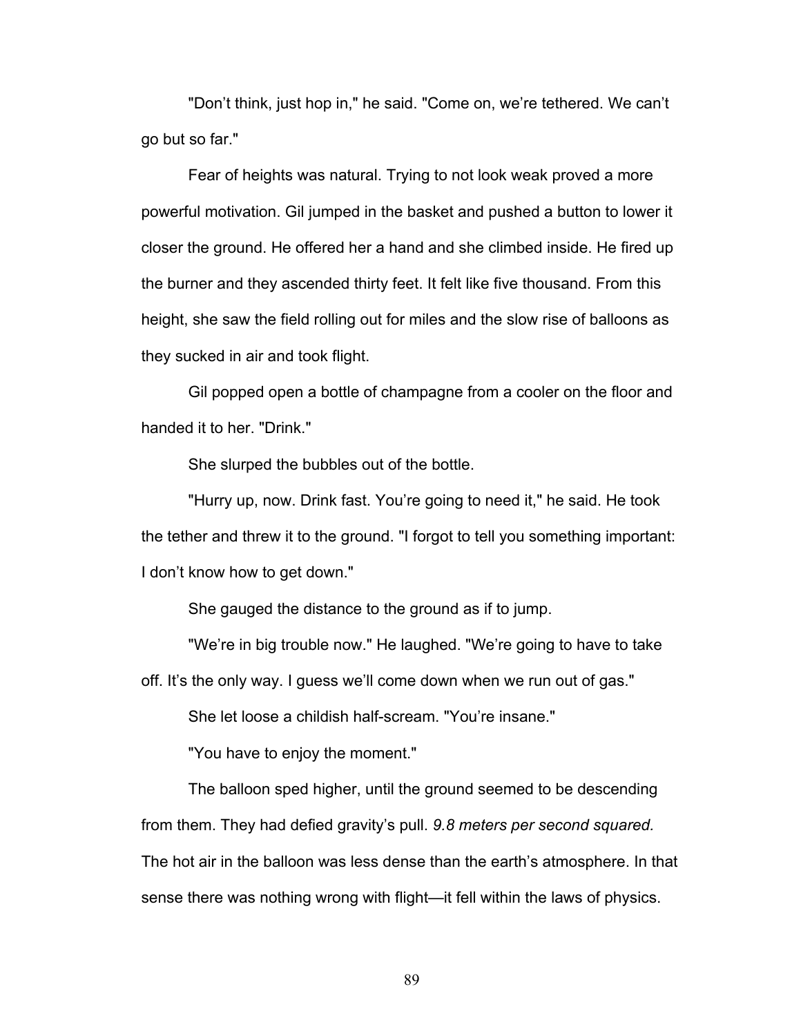"Don't think, just hop in," he said. "Come on, we're tethered. We can't go but so far."

Fear of heights was natural. Trying to not look weak proved a more powerful motivation. Gil jumped in the basket and pushed a button to lower it closer the ground. He offered her a hand and she climbed inside. He fired up the burner and they ascended thirty feet. It felt like five thousand. From this height, she saw the field rolling out for miles and the slow rise of balloons as they sucked in air and took flight.

Gil popped open a bottle of champagne from a cooler on the floor and handed it to her. "Drink."

She slurped the bubbles out of the bottle.

"Hurry up, now. Drink fast. You're going to need it," he said. He took the tether and threw it to the ground. "I forgot to tell you something important: I don't know how to get down."

She gauged the distance to the ground as if to jump.

"We're in big trouble now." He laughed. "We're going to have to take

off. It's the only way. I guess we'll come down when we run out of gas."

She let loose a childish half-scream. "You're insane."

"You have to enjoy the moment."

The balloon sped higher, until the ground seemed to be descending from them. They had defied gravity's pull. *9.8 meters per second squared.*  The hot air in the balloon was less dense than the earth's atmosphere. In that sense there was nothing wrong with flight—it fell within the laws of physics.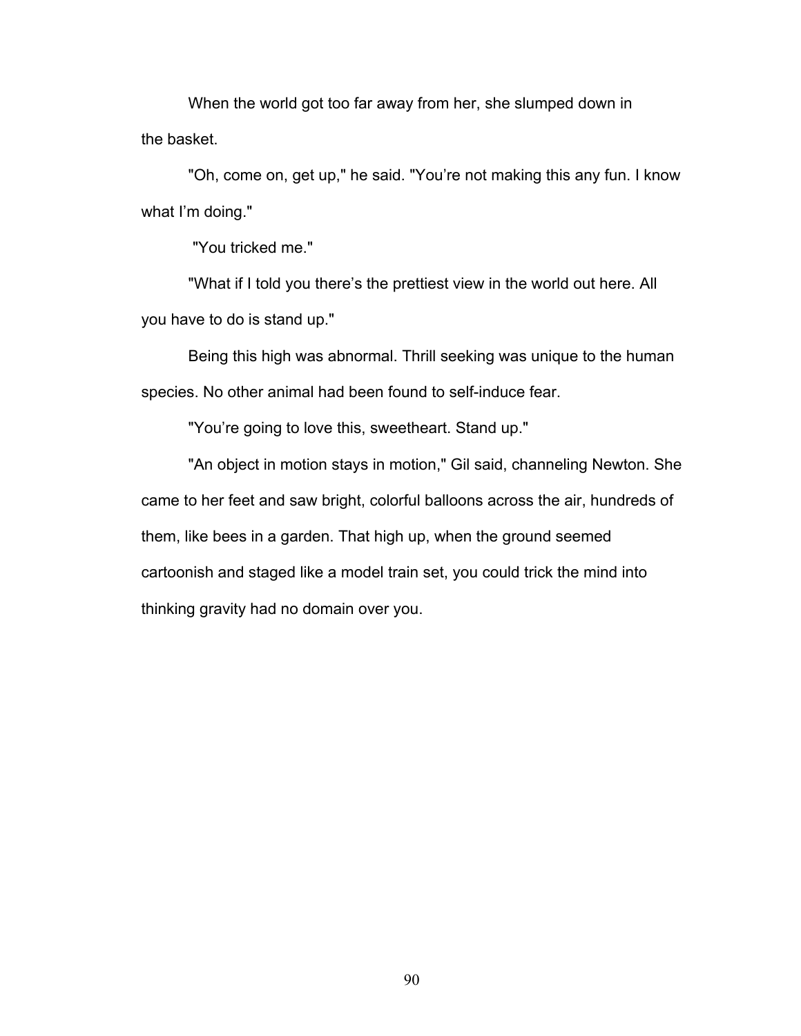When the world got too far away from her, she slumped down in the basket.

"Oh, come on, get up," he said. "You're not making this any fun. I know what I'm doing."

"You tricked me."

"What if I told you there's the prettiest view in the world out here. All you have to do is stand up."

Being this high was abnormal. Thrill seeking was unique to the human species. No other animal had been found to self-induce fear.

"You're going to love this, sweetheart. Stand up."

"An object in motion stays in motion," Gil said, channeling Newton. She came to her feet and saw bright, colorful balloons across the air, hundreds of them, like bees in a garden. That high up, when the ground seemed cartoonish and staged like a model train set, you could trick the mind into thinking gravity had no domain over you.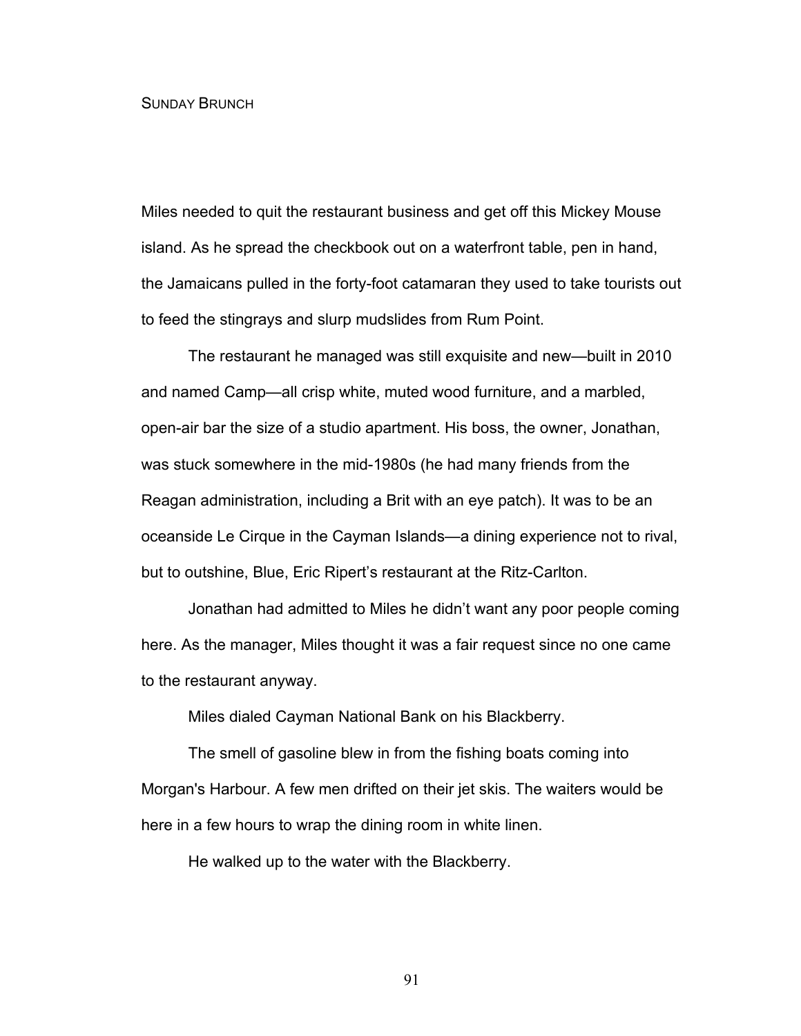## SUNDAY BRUNCH

Miles needed to quit the restaurant business and get off this Mickey Mouse island. As he spread the checkbook out on a waterfront table, pen in hand, the Jamaicans pulled in the forty-foot catamaran they used to take tourists out to feed the stingrays and slurp mudslides from Rum Point.

The restaurant he managed was still exquisite and new—built in 2010 and named Camp—all crisp white, muted wood furniture, and a marbled, open-air bar the size of a studio apartment. His boss, the owner, Jonathan, was stuck somewhere in the mid-1980s (he had many friends from the Reagan administration, including a Brit with an eye patch). It was to be an oceanside Le Cirque in the Cayman Islands—a dining experience not to rival, but to outshine, Blue, Eric Ripert's restaurant at the Ritz-Carlton.

Jonathan had admitted to Miles he didn't want any poor people coming here. As the manager, Miles thought it was a fair request since no one came to the restaurant anyway.

Miles dialed Cayman National Bank on his Blackberry.

The smell of gasoline blew in from the fishing boats coming into Morgan's Harbour. A few men drifted on their jet skis. The waiters would be here in a few hours to wrap the dining room in white linen.

He walked up to the water with the Blackberry.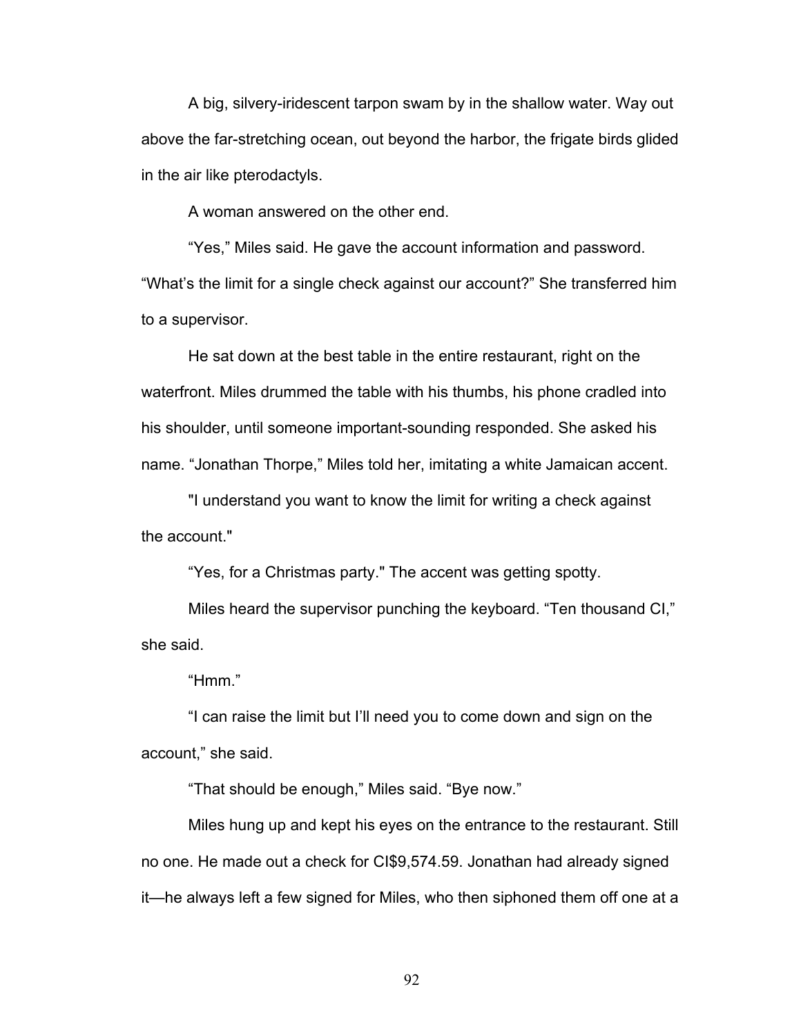A big, silvery-iridescent tarpon swam by in the shallow water. Way out above the far-stretching ocean, out beyond the harbor, the frigate birds glided in the air like pterodactyls.

A woman answered on the other end.

"Yes," Miles said. He gave the account information and password. "What's the limit for a single check against our account?" She transferred him to a supervisor.

He sat down at the best table in the entire restaurant, right on the waterfront. Miles drummed the table with his thumbs, his phone cradled into his shoulder, until someone important-sounding responded. She asked his name. "Jonathan Thorpe," Miles told her, imitating a white Jamaican accent.

"I understand you want to know the limit for writing a check against the account."

"Yes, for a Christmas party." The accent was getting spotty.

Miles heard the supervisor punching the keyboard. "Ten thousand CI," she said.

"Hmm."

"I can raise the limit but I'll need you to come down and sign on the account," she said.

"That should be enough," Miles said. "Bye now."

Miles hung up and kept his eyes on the entrance to the restaurant. Still no one. He made out a check for CI\$9,574.59. Jonathan had already signed it—he always left a few signed for Miles, who then siphoned them off one at a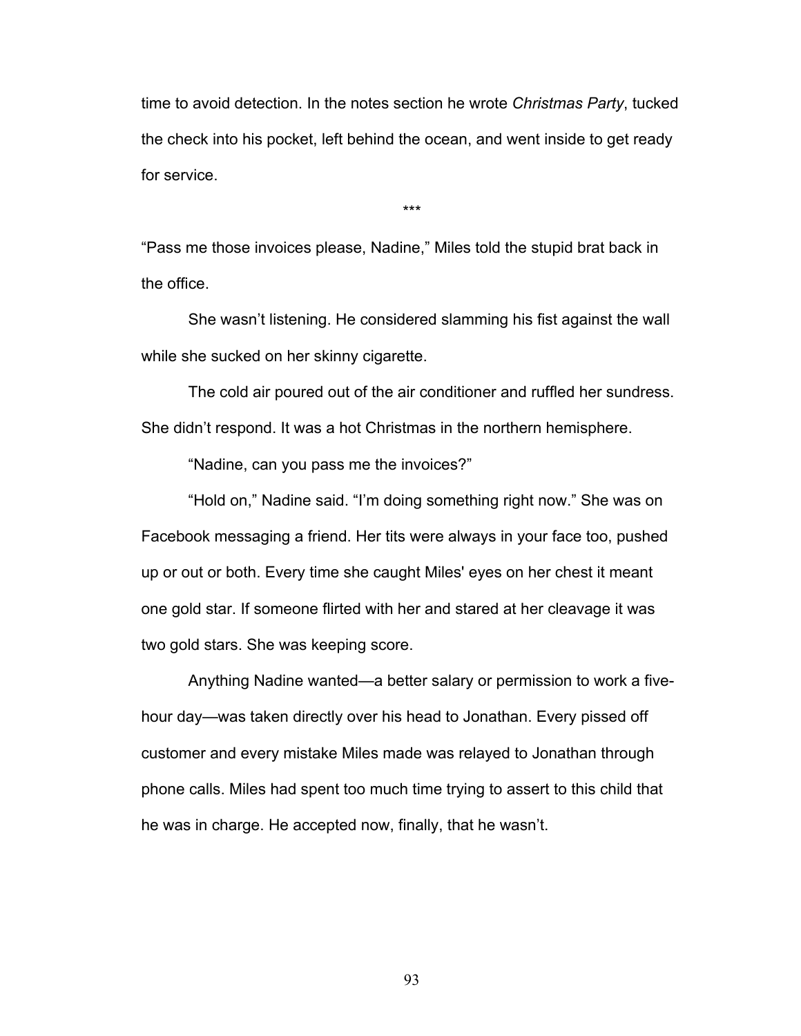time to avoid detection. In the notes section he wrote *Christmas Party*, tucked the check into his pocket, left behind the ocean, and went inside to get ready for service.

\*\*\*

"Pass me those invoices please, Nadine," Miles told the stupid brat back in the office.

She wasn't listening. He considered slamming his fist against the wall while she sucked on her skinny cigarette.

The cold air poured out of the air conditioner and ruffled her sundress. She didn't respond. It was a hot Christmas in the northern hemisphere.

"Nadine, can you pass me the invoices?"

"Hold on," Nadine said. "I'm doing something right now." She was on Facebook messaging a friend. Her tits were always in your face too, pushed up or out or both. Every time she caught Miles' eyes on her chest it meant one gold star. If someone flirted with her and stared at her cleavage it was two gold stars. She was keeping score.

Anything Nadine wanted—a better salary or permission to work a fivehour day—was taken directly over his head to Jonathan. Every pissed off customer and every mistake Miles made was relayed to Jonathan through phone calls. Miles had spent too much time trying to assert to this child that he was in charge. He accepted now, finally, that he wasn't.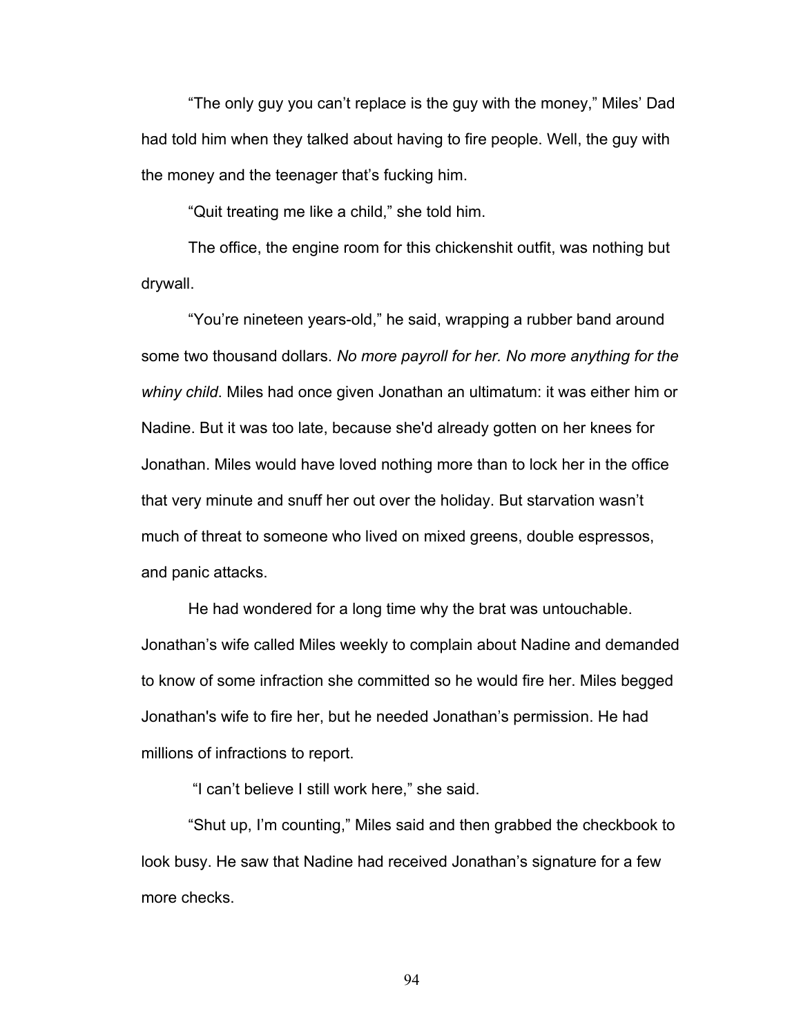"The only guy you can't replace is the guy with the money," Miles' Dad had told him when they talked about having to fire people. Well, the guy with the money and the teenager that's fucking him.

"Quit treating me like a child," she told him.

The office, the engine room for this chickenshit outfit, was nothing but drywall.

"You're nineteen years-old," he said, wrapping a rubber band around some two thousand dollars. *No more payroll for her. No more anything for the whiny child*. Miles had once given Jonathan an ultimatum: it was either him or Nadine. But it was too late, because she'd already gotten on her knees for Jonathan. Miles would have loved nothing more than to lock her in the office that very minute and snuff her out over the holiday. But starvation wasn't much of threat to someone who lived on mixed greens, double espressos, and panic attacks.

He had wondered for a long time why the brat was untouchable. Jonathan's wife called Miles weekly to complain about Nadine and demanded to know of some infraction she committed so he would fire her. Miles begged Jonathan's wife to fire her, but he needed Jonathan's permission. He had millions of infractions to report.

"I can't believe I still work here," she said.

"Shut up, I'm counting," Miles said and then grabbed the checkbook to look busy. He saw that Nadine had received Jonathan's signature for a few more checks.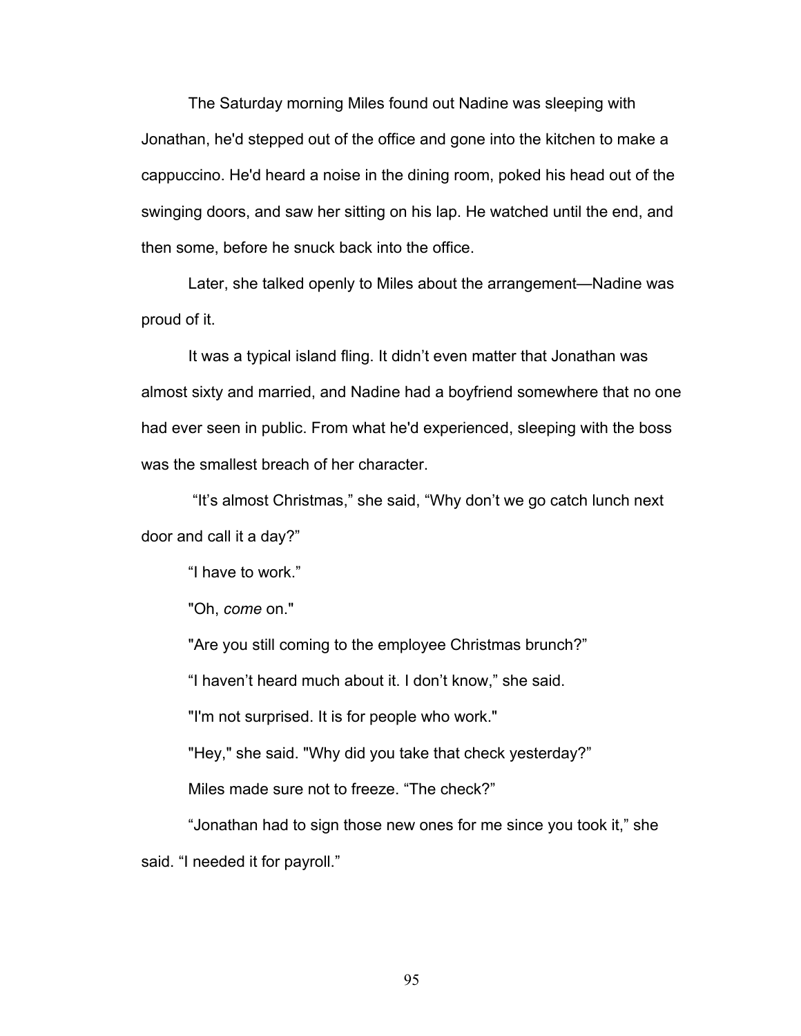The Saturday morning Miles found out Nadine was sleeping with Jonathan, he'd stepped out of the office and gone into the kitchen to make a cappuccino. He'd heard a noise in the dining room, poked his head out of the swinging doors, and saw her sitting on his lap. He watched until the end, and then some, before he snuck back into the office.

Later, she talked openly to Miles about the arrangement—Nadine was proud of it.

It was a typical island fling. It didn't even matter that Jonathan was almost sixty and married, and Nadine had a boyfriend somewhere that no one had ever seen in public. From what he'd experienced, sleeping with the boss was the smallest breach of her character.

"It's almost Christmas," she said, "Why don't we go catch lunch next door and call it a day?"

"I have to work."

"Oh, *come* on."

"Are you still coming to the employee Christmas brunch?"

"I haven't heard much about it. I don't know," she said.

"I'm not surprised. It is for people who work."

"Hey," she said. "Why did you take that check yesterday?"

Miles made sure not to freeze. "The check?"

"Jonathan had to sign those new ones for me since you took it," she said. "I needed it for payroll."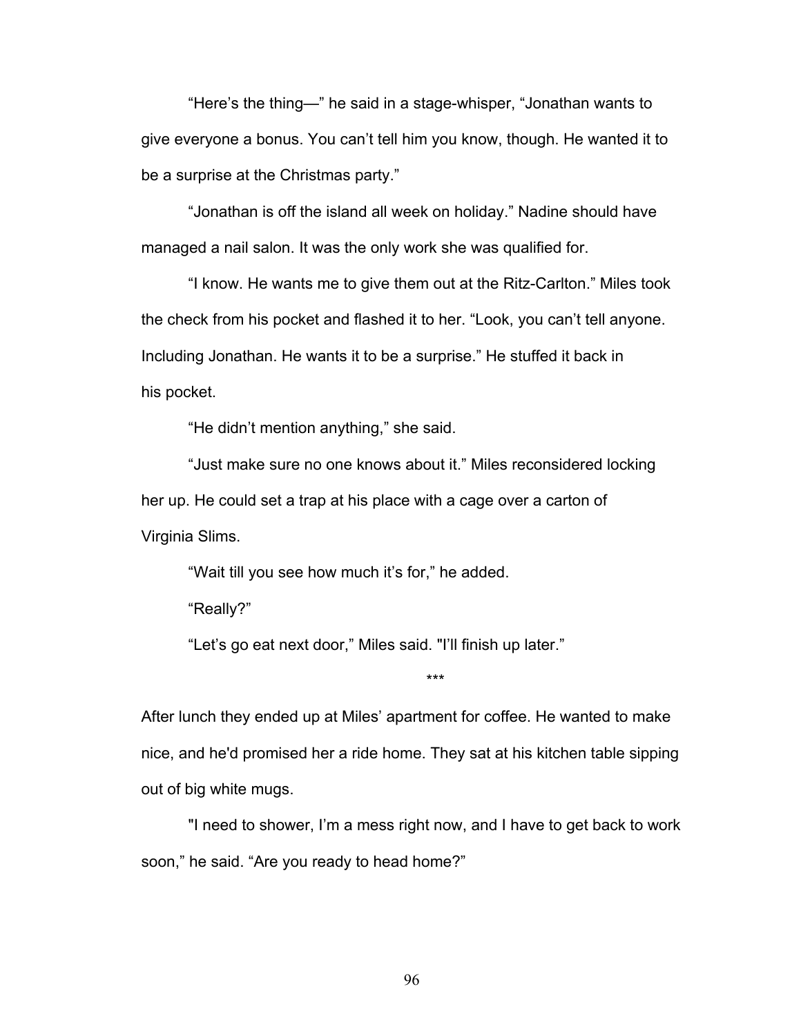"Here's the thing—" he said in a stage-whisper, "Jonathan wants to give everyone a bonus. You can't tell him you know, though. He wanted it to be a surprise at the Christmas party."

"Jonathan is off the island all week on holiday." Nadine should have managed a nail salon. It was the only work she was qualified for.

"I know. He wants me to give them out at the Ritz-Carlton." Miles took the check from his pocket and flashed it to her. "Look, you can't tell anyone. Including Jonathan. He wants it to be a surprise." He stuffed it back in his pocket.

"He didn't mention anything," she said.

"Just make sure no one knows about it." Miles reconsidered locking her up. He could set a trap at his place with a cage over a carton of Virginia Slims.

"Wait till you see how much it's for," he added.

"Really?"

"Let's go eat next door," Miles said. "I'll finish up later."

After lunch they ended up at Miles' apartment for coffee. He wanted to make nice, and he'd promised her a ride home. They sat at his kitchen table sipping out of big white mugs.

\*\*\*

"I need to shower, I'm a mess right now, and I have to get back to work soon," he said. "Are you ready to head home?"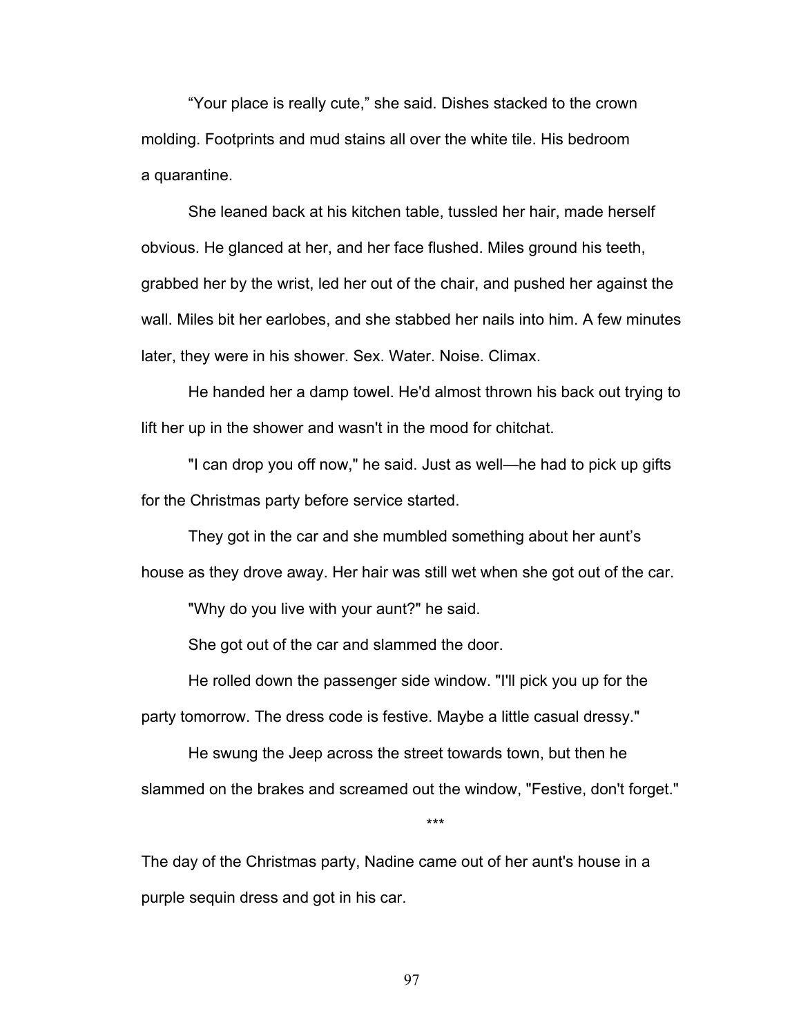"Your place is really cute," she said. Dishes stacked to the crown molding. Footprints and mud stains all over the white tile. His bedroom a quarantine.

She leaned back at his kitchen table, tussled her hair, made herself obvious. He glanced at her, and her face flushed. Miles ground his teeth, grabbed her by the wrist, led her out of the chair, and pushed her against the wall. Miles bit her earlobes, and she stabbed her nails into him. A few minutes later, they were in his shower. Sex. Water. Noise. Climax.

He handed her a damp towel. He'd almost thrown his back out trying to lift her up in the shower and wasn't in the mood for chitchat.

"I can drop you off now," he said. Just as well—he had to pick up gifts for the Christmas party before service started.

They got in the car and she mumbled something about her aunt's house as they drove away. Her hair was still wet when she got out of the car.

"Why do you live with your aunt?" he said.

She got out of the car and slammed the door.

He rolled down the passenger side window. "I'll pick you up for the party tomorrow. The dress code is festive. Maybe a little casual dressy."

He swung the Jeep across the street towards town, but then he slammed on the brakes and screamed out the window, "Festive, don't forget."

\*\*\*

The day of the Christmas party, Nadine came out of her aunt's house in a purple sequin dress and got in his car.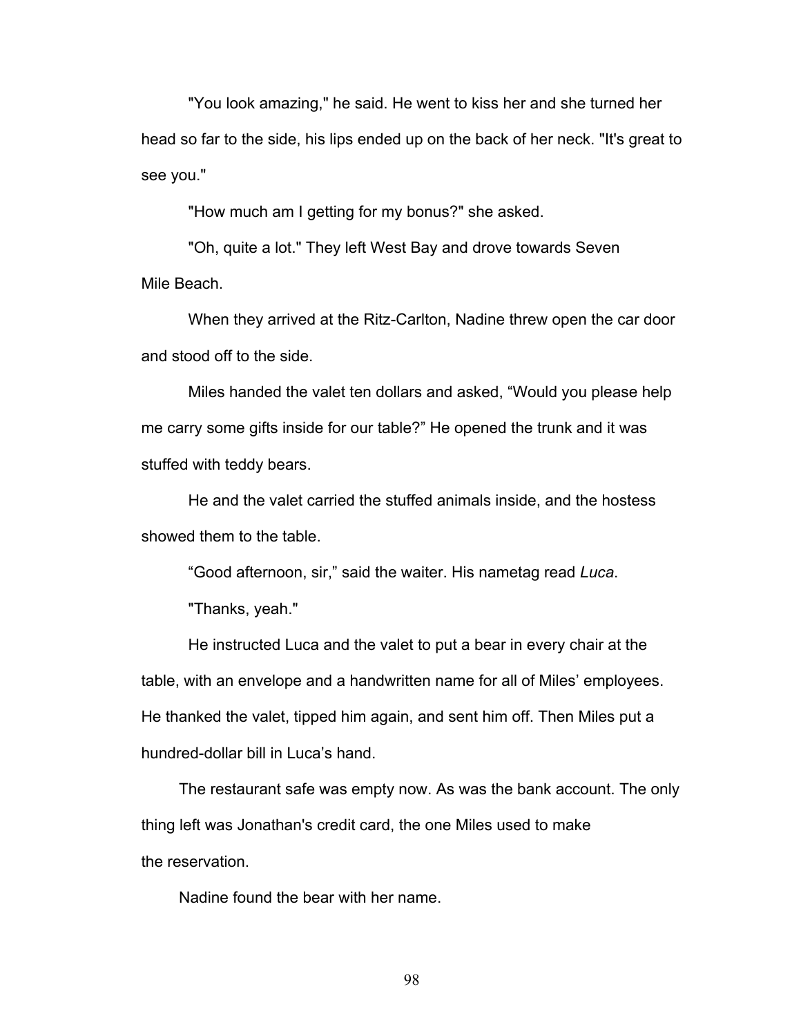"You look amazing," he said. He went to kiss her and she turned her head so far to the side, his lips ended up on the back of her neck. "It's great to see you."

"How much am I getting for my bonus?" she asked.

"Oh, quite a lot." They left West Bay and drove towards Seven Mile Beach.

When they arrived at the Ritz-Carlton, Nadine threw open the car door and stood off to the side.

Miles handed the valet ten dollars and asked, "Would you please help me carry some gifts inside for our table?" He opened the trunk and it was stuffed with teddy bears.

He and the valet carried the stuffed animals inside, and the hostess showed them to the table.

"Good afternoon, sir," said the waiter. His nametag read *Luca*.

"Thanks, yeah."

He instructed Luca and the valet to put a bear in every chair at the table, with an envelope and a handwritten name for all of Miles' employees. He thanked the valet, tipped him again, and sent him off. Then Miles put a hundred-dollar bill in Luca's hand.

The restaurant safe was empty now. As was the bank account. The only thing left was Jonathan's credit card, the one Miles used to make the reservation.

Nadine found the bear with her name.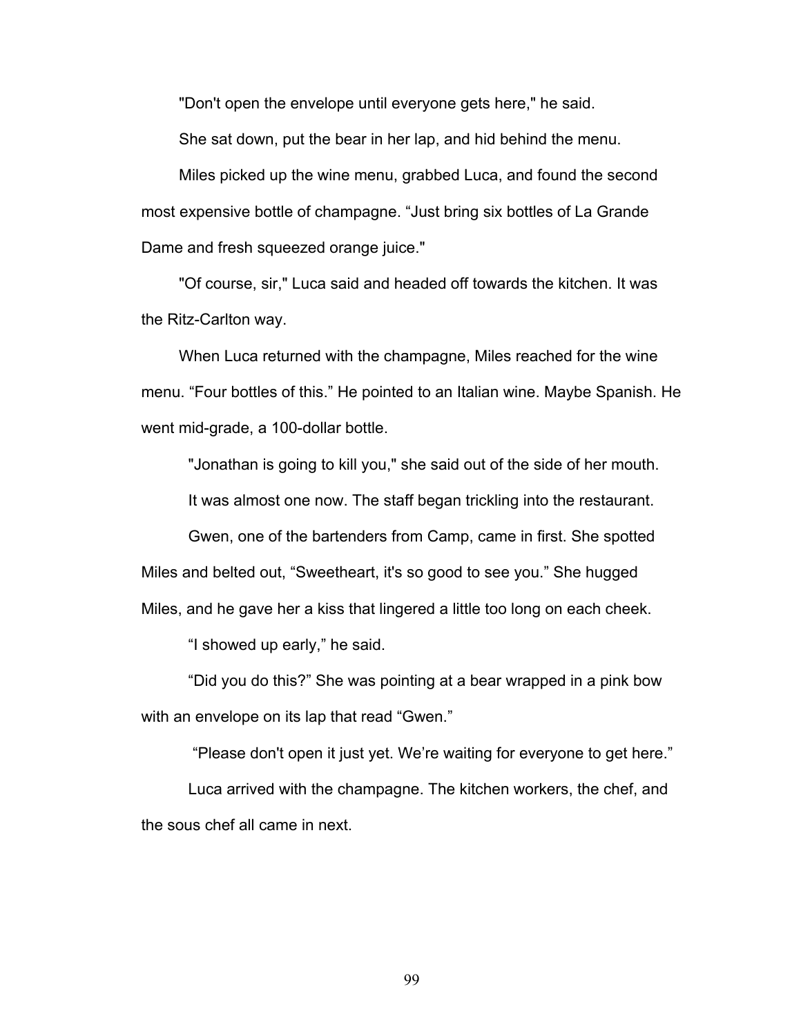"Don't open the envelope until everyone gets here," he said.

She sat down, put the bear in her lap, and hid behind the menu.

Miles picked up the wine menu, grabbed Luca, and found the second most expensive bottle of champagne. "Just bring six bottles of La Grande Dame and fresh squeezed orange juice."

"Of course, sir," Luca said and headed off towards the kitchen. It was the Ritz-Carlton way.

When Luca returned with the champagne, Miles reached for the wine menu. "Four bottles of this." He pointed to an Italian wine. Maybe Spanish. He went mid-grade, a 100-dollar bottle.

"Jonathan is going to kill you," she said out of the side of her mouth.

It was almost one now. The staff began trickling into the restaurant.

Gwen, one of the bartenders from Camp, came in first. She spotted Miles and belted out, "Sweetheart, it's so good to see you." She hugged Miles, and he gave her a kiss that lingered a little too long on each cheek.

"I showed up early," he said.

"Did you do this?" She was pointing at a bear wrapped in a pink bow with an envelope on its lap that read "Gwen."

"Please don't open it just yet. We're waiting for everyone to get here."

Luca arrived with the champagne. The kitchen workers, the chef, and the sous chef all came in next.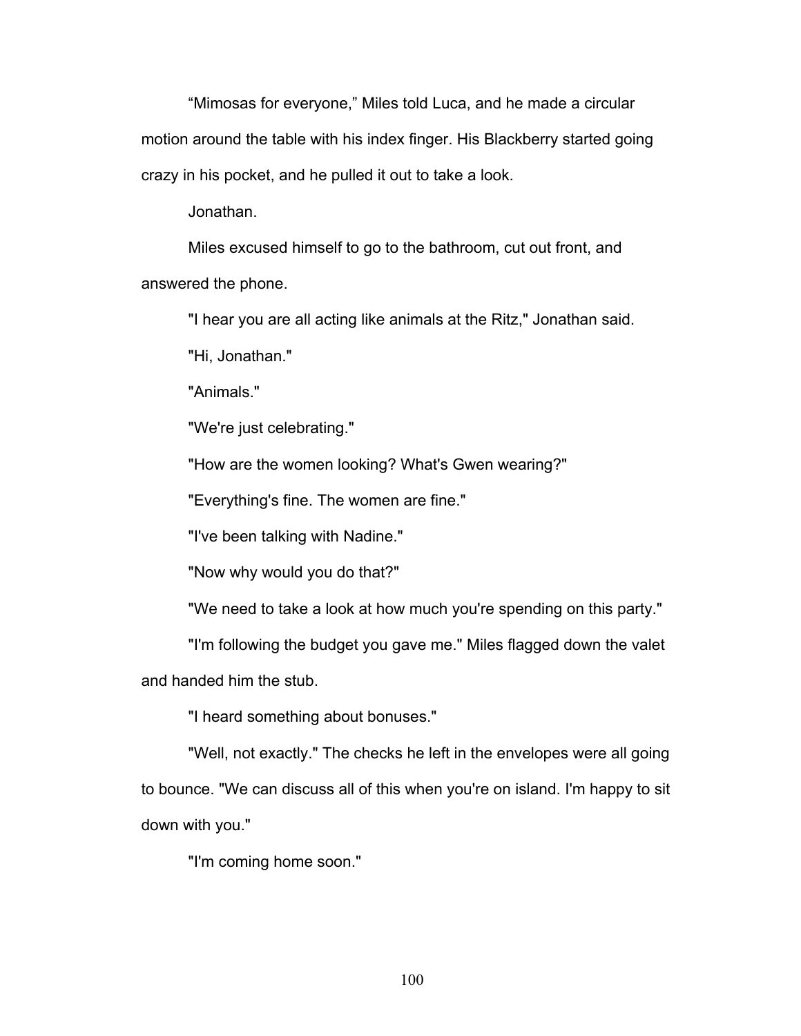"Mimosas for everyone," Miles told Luca, and he made a circular motion around the table with his index finger. His Blackberry started going crazy in his pocket, and he pulled it out to take a look.

Jonathan.

Miles excused himself to go to the bathroom, cut out front, and answered the phone.

"I hear you are all acting like animals at the Ritz," Jonathan said.

"Hi, Jonathan."

"Animals."

"We're just celebrating."

"How are the women looking? What's Gwen wearing?"

"Everything's fine. The women are fine."

"I've been talking with Nadine."

"Now why would you do that?"

"We need to take a look at how much you're spending on this party."

"I'm following the budget you gave me." Miles flagged down the valet

and handed him the stub.

"I heard something about bonuses."

"Well, not exactly." The checks he left in the envelopes were all going to bounce. "We can discuss all of this when you're on island. I'm happy to sit down with you."

"I'm coming home soon."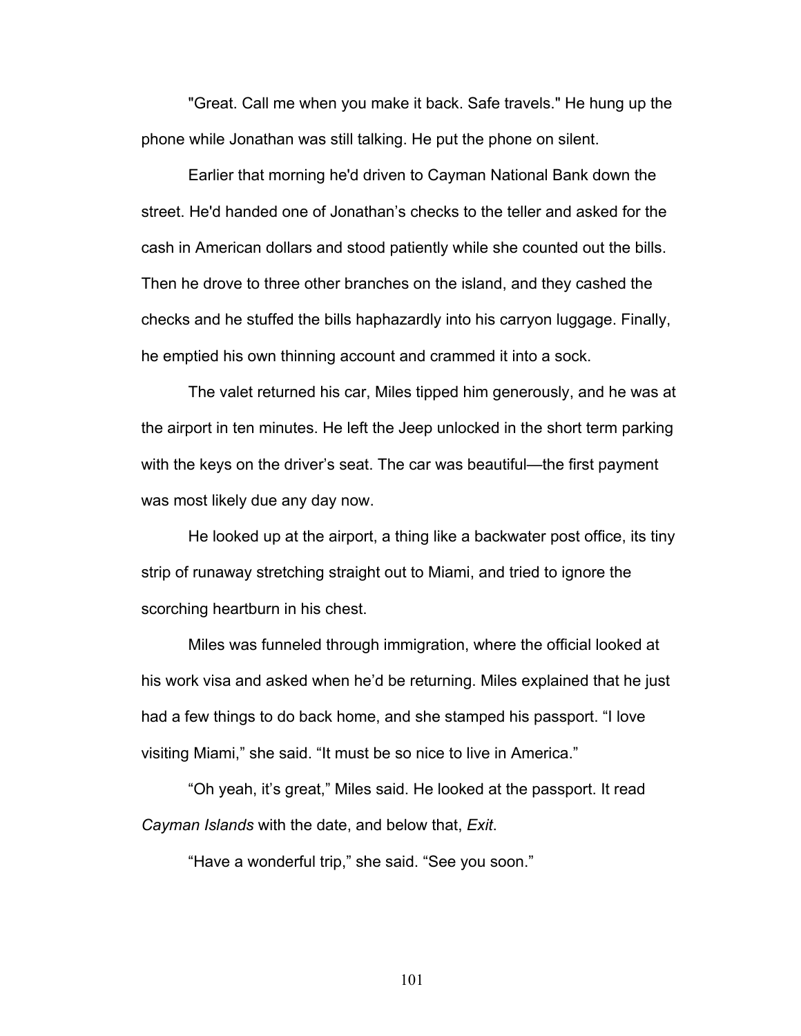"Great. Call me when you make it back. Safe travels." He hung up the phone while Jonathan was still talking. He put the phone on silent.

Earlier that morning he'd driven to Cayman National Bank down the street. He'd handed one of Jonathan's checks to the teller and asked for the cash in American dollars and stood patiently while she counted out the bills. Then he drove to three other branches on the island, and they cashed the checks and he stuffed the bills haphazardly into his carryon luggage. Finally, he emptied his own thinning account and crammed it into a sock.

The valet returned his car, Miles tipped him generously, and he was at the airport in ten minutes. He left the Jeep unlocked in the short term parking with the keys on the driver's seat. The car was beautiful—the first payment was most likely due any day now.

He looked up at the airport, a thing like a backwater post office, its tiny strip of runaway stretching straight out to Miami, and tried to ignore the scorching heartburn in his chest.

Miles was funneled through immigration, where the official looked at his work visa and asked when he'd be returning. Miles explained that he just had a few things to do back home, and she stamped his passport. "I love visiting Miami," she said. "It must be so nice to live in America."

"Oh yeah, it's great," Miles said. He looked at the passport. It read *Cayman Islands* with the date, and below that, *Exit*.

"Have a wonderful trip," she said. "See you soon."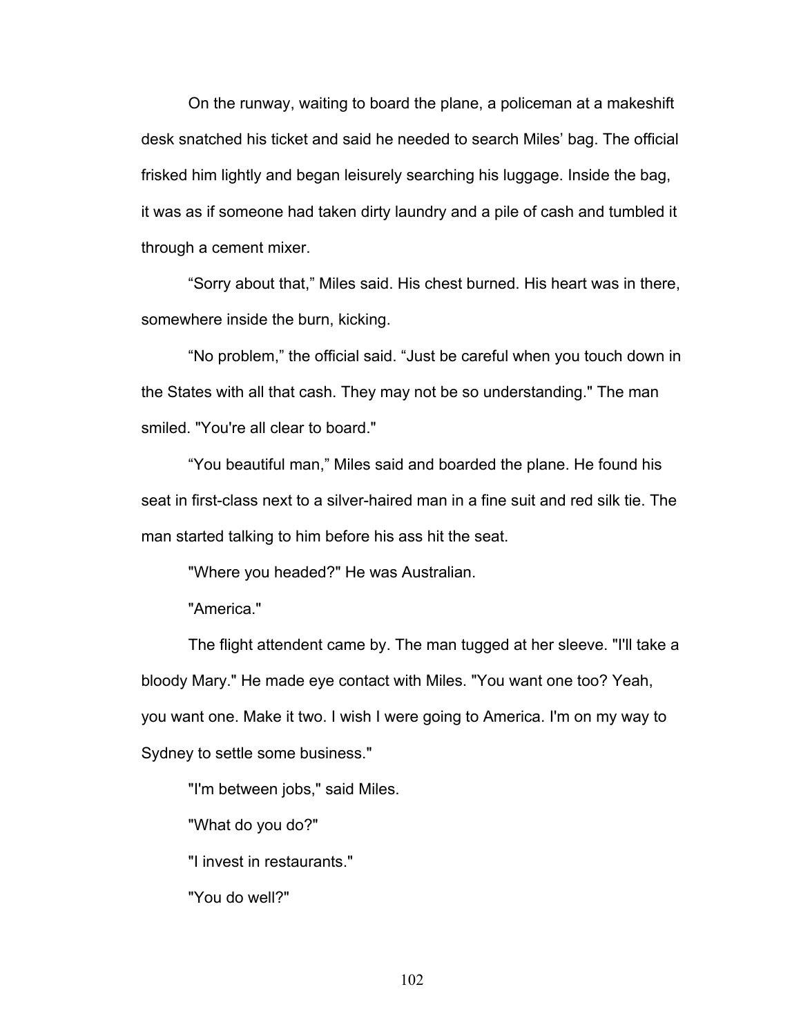On the runway, waiting to board the plane, a policeman at a makeshift desk snatched his ticket and said he needed to search Miles' bag. The official frisked him lightly and began leisurely searching his luggage. Inside the bag, it was as if someone had taken dirty laundry and a pile of cash and tumbled it through a cement mixer.

"Sorry about that," Miles said. His chest burned. His heart was in there, somewhere inside the burn, kicking.

"No problem," the official said. "Just be careful when you touch down in the States with all that cash. They may not be so understanding." The man smiled. "You're all clear to board."

"You beautiful man," Miles said and boarded the plane. He found his seat in first-class next to a silver-haired man in a fine suit and red silk tie. The man started talking to him before his ass hit the seat.

"Where you headed?" He was Australian.

"America."

The flight attendent came by. The man tugged at her sleeve. "I'll take a bloody Mary." He made eye contact with Miles. "You want one too? Yeah, you want one. Make it two. I wish I were going to America. I'm on my way to Sydney to settle some business."

"I'm between jobs," said Miles.

"What do you do?"

"I invest in restaurants."

"You do well?"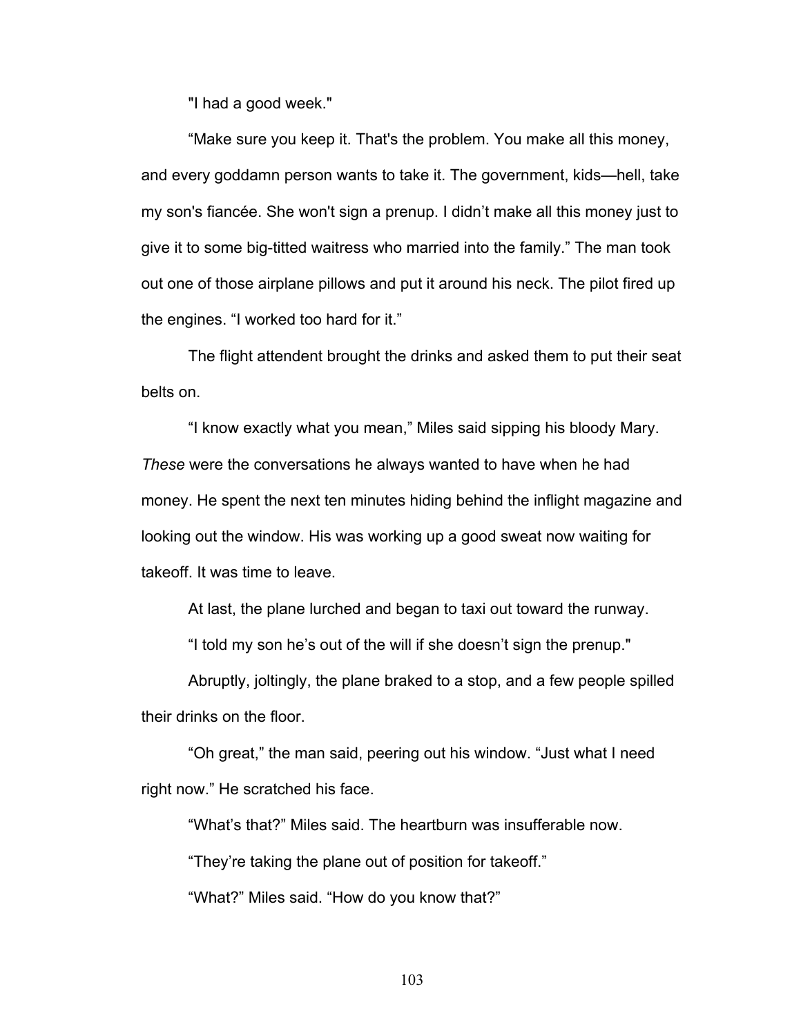"I had a good week."

"Make sure you keep it. That's the problem. You make all this money, and every goddamn person wants to take it. The government, kids—hell, take my son's fiancée. She won't sign a prenup. I didn't make all this money just to give it to some big-titted waitress who married into the family." The man took out one of those airplane pillows and put it around his neck. The pilot fired up the engines. "I worked too hard for it."

The flight attendent brought the drinks and asked them to put their seat belts on.

"I know exactly what you mean," Miles said sipping his bloody Mary. *These* were the conversations he always wanted to have when he had money. He spent the next ten minutes hiding behind the inflight magazine and looking out the window. His was working up a good sweat now waiting for takeoff. It was time to leave.

At last, the plane lurched and began to taxi out toward the runway.

"I told my son he's out of the will if she doesn't sign the prenup."

Abruptly, joltingly, the plane braked to a stop, and a few people spilled their drinks on the floor.

"Oh great," the man said, peering out his window. "Just what I need right now." He scratched his face.

"What's that?" Miles said. The heartburn was insufferable now.

"They're taking the plane out of position for takeoff."

"What?" Miles said. "How do you know that?"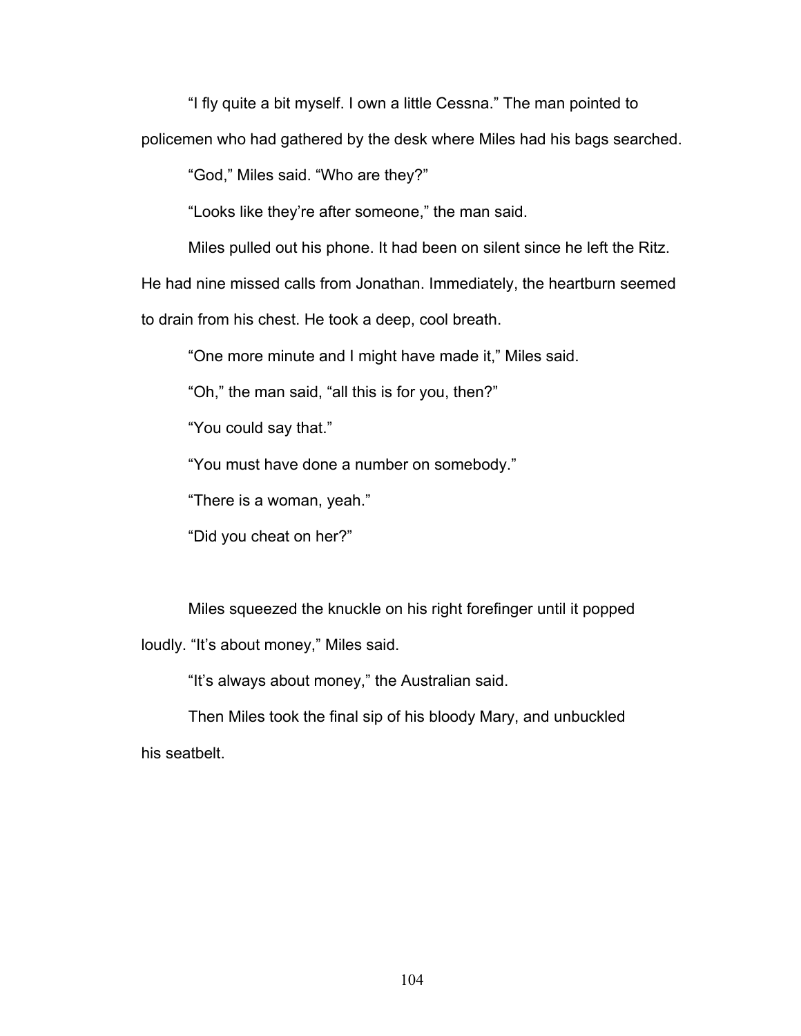"I fly quite a bit myself. I own a little Cessna." The man pointed to

policemen who had gathered by the desk where Miles had his bags searched.

"God," Miles said. "Who are they?"

"Looks like they're after someone," the man said.

Miles pulled out his phone. It had been on silent since he left the Ritz.

He had nine missed calls from Jonathan. Immediately, the heartburn seemed

to drain from his chest. He took a deep, cool breath.

"One more minute and I might have made it," Miles said.

"Oh," the man said, "all this is for you, then?"

"You could say that."

"You must have done a number on somebody."

"There is a woman, yeah."

"Did you cheat on her?"

Miles squeezed the knuckle on his right forefinger until it popped loudly. "It's about money," Miles said.

"It's always about money," the Australian said.

Then Miles took the final sip of his bloody Mary, and unbuckled his seatbelt.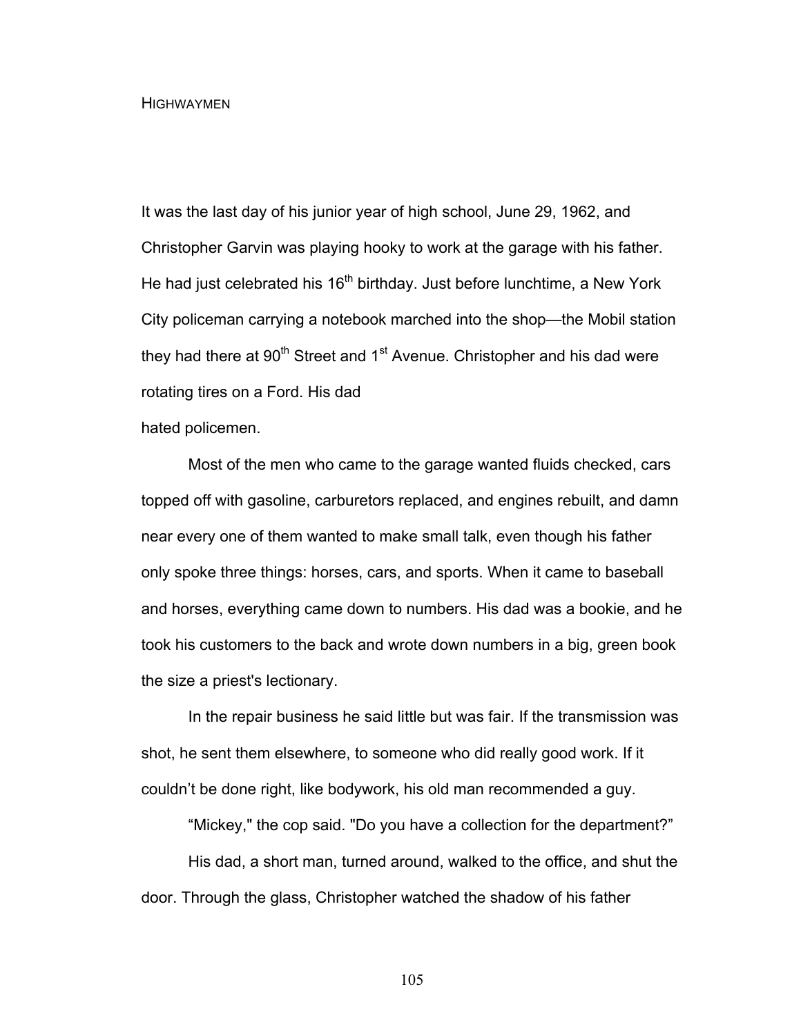**HIGHWAYMEN** 

It was the last day of his junior year of high school, June 29, 1962, and Christopher Garvin was playing hooky to work at the garage with his father. He had just celebrated his 16<sup>th</sup> birthday. Just before lunchtime, a New York City policeman carrying a notebook marched into the shop—the Mobil station they had there at  $90<sup>th</sup>$  Street and 1<sup>st</sup> Avenue. Christopher and his dad were rotating tires on a Ford. His dad

hated policemen.

Most of the men who came to the garage wanted fluids checked, cars topped off with gasoline, carburetors replaced, and engines rebuilt, and damn near every one of them wanted to make small talk, even though his father only spoke three things: horses, cars, and sports. When it came to baseball and horses, everything came down to numbers. His dad was a bookie, and he took his customers to the back and wrote down numbers in a big, green book the size a priest's lectionary.

In the repair business he said little but was fair. If the transmission was shot, he sent them elsewhere, to someone who did really good work. If it couldn't be done right, like bodywork, his old man recommended a guy.

"Mickey," the cop said. "Do you have a collection for the department?"

His dad, a short man, turned around, walked to the office, and shut the door. Through the glass, Christopher watched the shadow of his father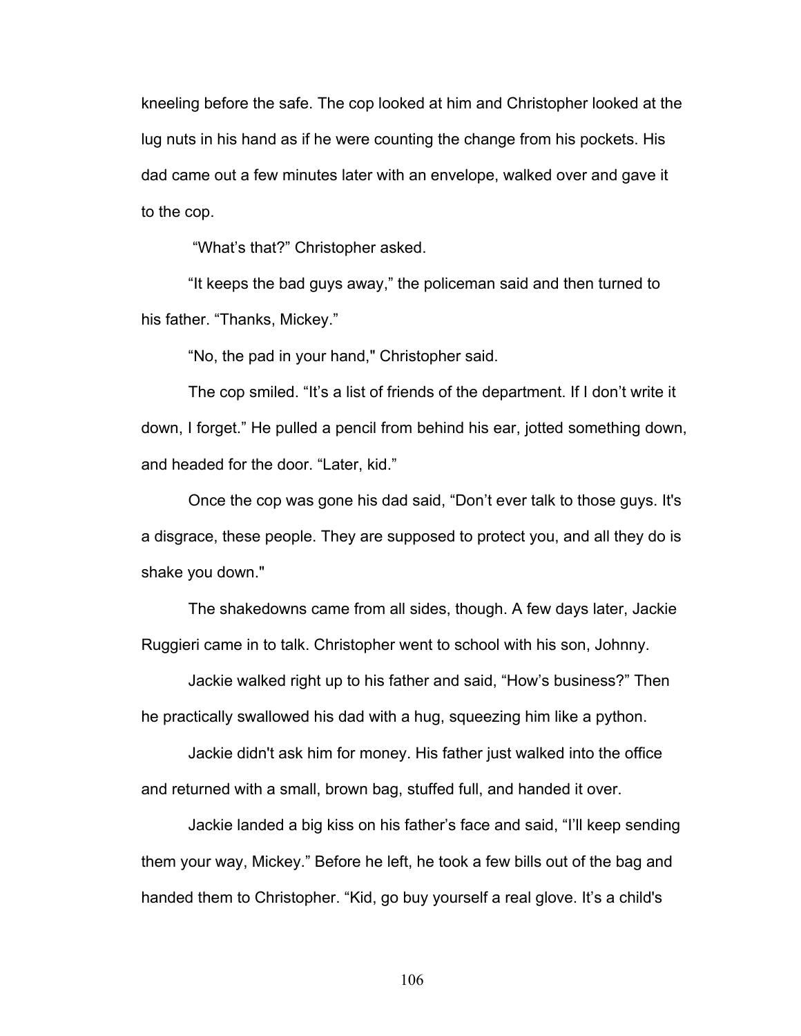kneeling before the safe. The cop looked at him and Christopher looked at the lug nuts in his hand as if he were counting the change from his pockets. His dad came out a few minutes later with an envelope, walked over and gave it to the cop.

"What's that?" Christopher asked.

"It keeps the bad guys away," the policeman said and then turned to his father. "Thanks, Mickey."

"No, the pad in your hand," Christopher said.

The cop smiled. "It's a list of friends of the department. If I don't write it down, I forget." He pulled a pencil from behind his ear, jotted something down, and headed for the door. "Later, kid."

Once the cop was gone his dad said, "Don't ever talk to those guys. It's a disgrace, these people. They are supposed to protect you, and all they do is shake you down."

The shakedowns came from all sides, though. A few days later, Jackie Ruggieri came in to talk. Christopher went to school with his son, Johnny.

Jackie walked right up to his father and said, "How's business?" Then he practically swallowed his dad with a hug, squeezing him like a python.

Jackie didn't ask him for money. His father just walked into the office and returned with a small, brown bag, stuffed full, and handed it over.

Jackie landed a big kiss on his father's face and said, "I'll keep sending them your way, Mickey." Before he left, he took a few bills out of the bag and handed them to Christopher. "Kid, go buy yourself a real glove. It's a child's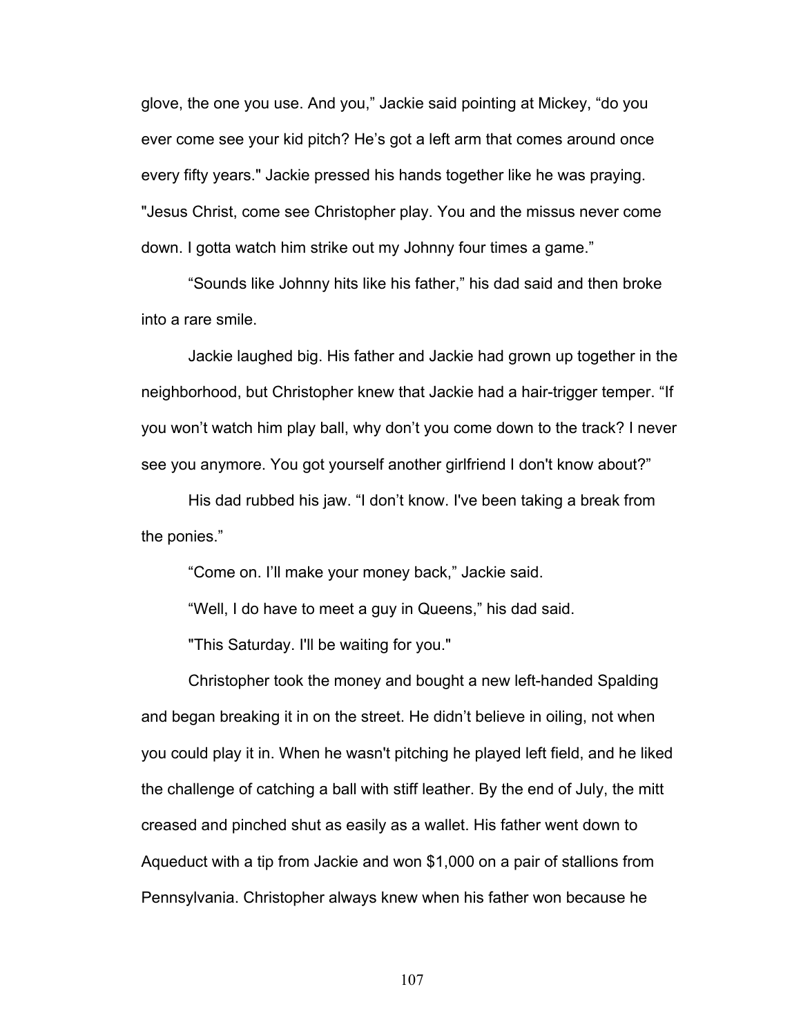glove, the one you use. And you," Jackie said pointing at Mickey, "do you ever come see your kid pitch? He's got a left arm that comes around once every fifty years." Jackie pressed his hands together like he was praying. "Jesus Christ, come see Christopher play. You and the missus never come down. I gotta watch him strike out my Johnny four times a game."

"Sounds like Johnny hits like his father," his dad said and then broke into a rare smile.

Jackie laughed big. His father and Jackie had grown up together in the neighborhood, but Christopher knew that Jackie had a hair-trigger temper. "If you won't watch him play ball, why don't you come down to the track? I never see you anymore. You got yourself another girlfriend I don't know about?"

His dad rubbed his jaw. "I don't know. I've been taking a break from the ponies."

"Come on. I'll make your money back," Jackie said.

"Well, I do have to meet a guy in Queens," his dad said.

"This Saturday. I'll be waiting for you."

Christopher took the money and bought a new left-handed Spalding and began breaking it in on the street. He didn't believe in oiling, not when you could play it in. When he wasn't pitching he played left field, and he liked the challenge of catching a ball with stiff leather. By the end of July, the mitt creased and pinched shut as easily as a wallet. His father went down to Aqueduct with a tip from Jackie and won \$1,000 on a pair of stallions from Pennsylvania. Christopher always knew when his father won because he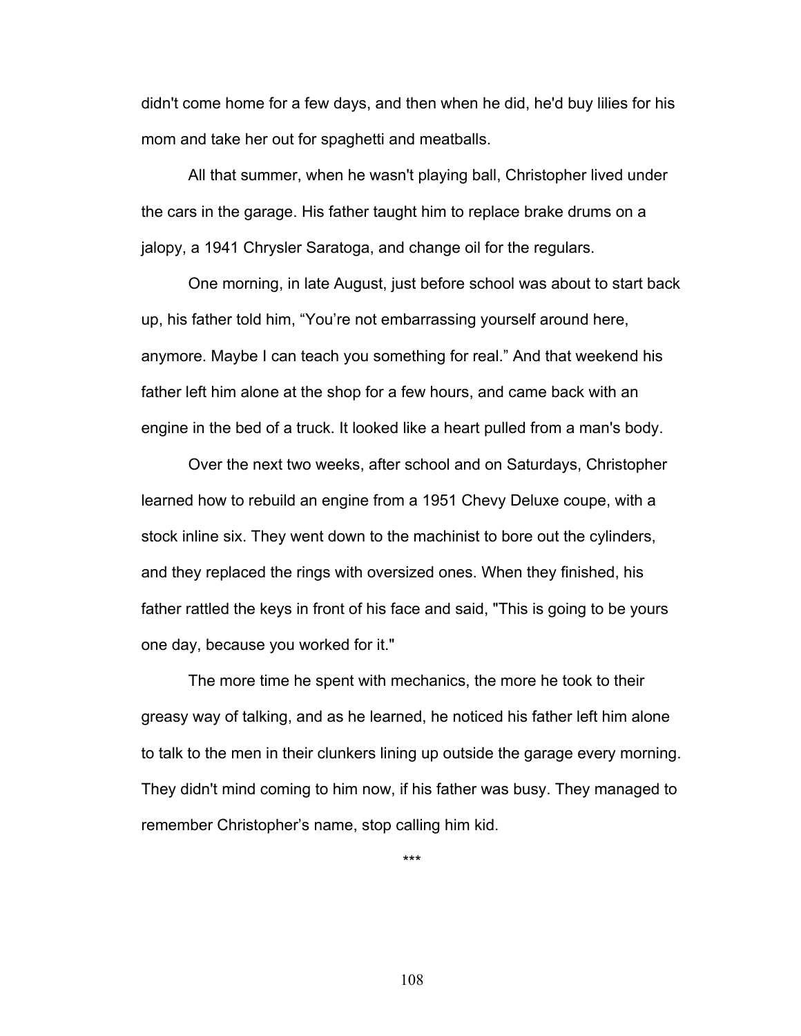didn't come home for a few days, and then when he did, he'd buy lilies for his mom and take her out for spaghetti and meatballs.

All that summer, when he wasn't playing ball, Christopher lived under the cars in the garage. His father taught him to replace brake drums on a jalopy, a 1941 Chrysler Saratoga, and change oil for the regulars.

One morning, in late August, just before school was about to start back up, his father told him, "You're not embarrassing yourself around here, anymore. Maybe I can teach you something for real." And that weekend his father left him alone at the shop for a few hours, and came back with an engine in the bed of a truck. It looked like a heart pulled from a man's body.

Over the next two weeks, after school and on Saturdays, Christopher learned how to rebuild an engine from a 1951 Chevy Deluxe coupe, with a stock inline six. They went down to the machinist to bore out the cylinders, and they replaced the rings with oversized ones. When they finished, his father rattled the keys in front of his face and said, "This is going to be yours one day, because you worked for it."

The more time he spent with mechanics, the more he took to their greasy way of talking, and as he learned, he noticed his father left him alone to talk to the men in their clunkers lining up outside the garage every morning. They didn't mind coming to him now, if his father was busy. They managed to remember Christopher's name, stop calling him kid.

\*\*\*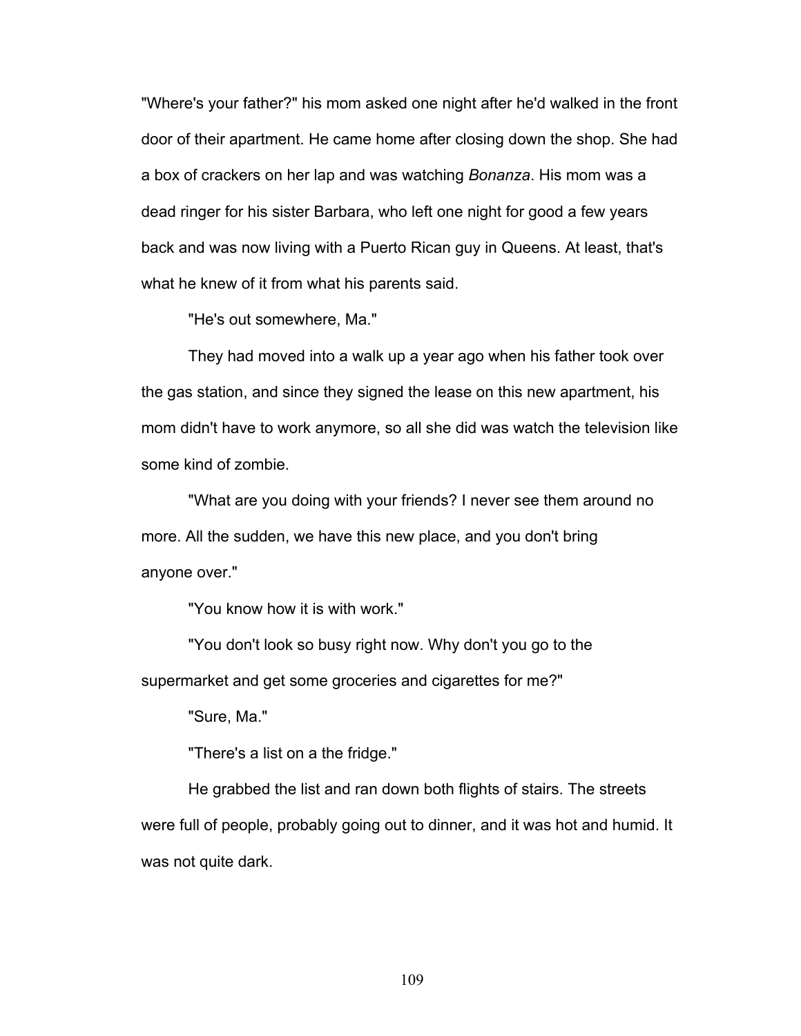"Where's your father?" his mom asked one night after he'd walked in the front door of their apartment. He came home after closing down the shop. She had a box of crackers on her lap and was watching *Bonanza*. His mom was a dead ringer for his sister Barbara, who left one night for good a few years back and was now living with a Puerto Rican guy in Queens. At least, that's what he knew of it from what his parents said.

"He's out somewhere, Ma."

They had moved into a walk up a year ago when his father took over the gas station, and since they signed the lease on this new apartment, his mom didn't have to work anymore, so all she did was watch the television like some kind of zombie.

"What are you doing with your friends? I never see them around no more. All the sudden, we have this new place, and you don't bring anyone over."

"You know how it is with work."

"You don't look so busy right now. Why don't you go to the supermarket and get some groceries and cigarettes for me?"

"Sure, Ma."

"There's a list on a the fridge."

He grabbed the list and ran down both flights of stairs. The streets were full of people, probably going out to dinner, and it was hot and humid. It was not quite dark.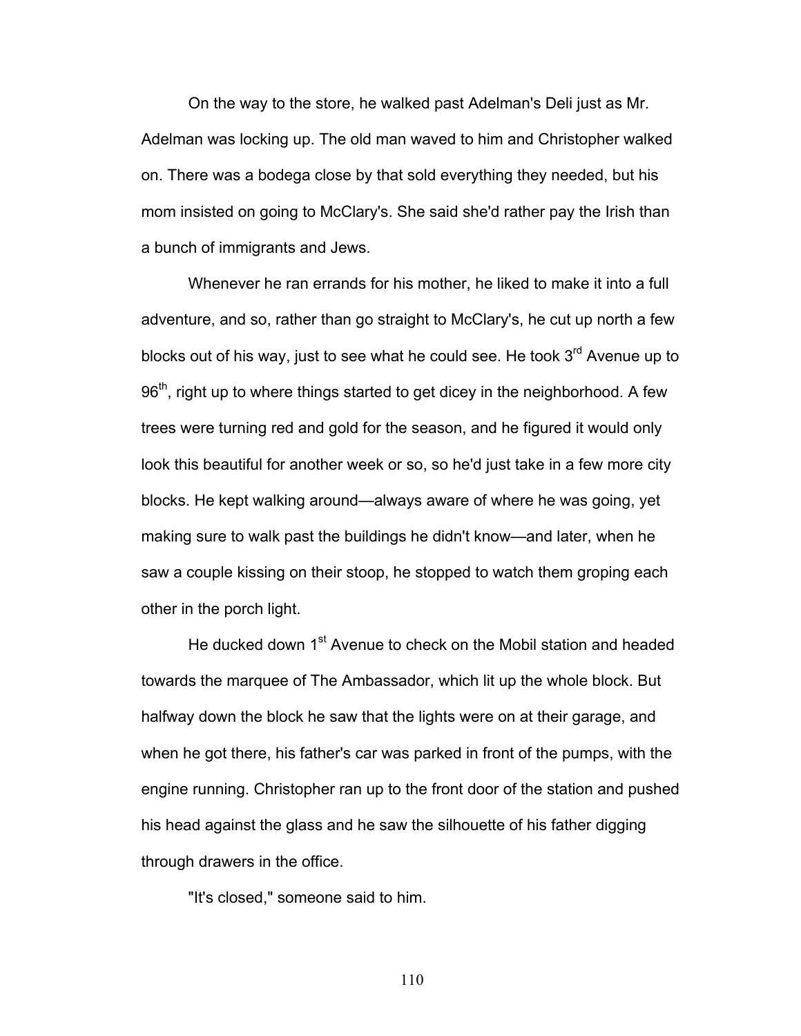On the way to the store, he walked past Adelman's Deli just as Mr. Adelman was locking up. The old man waved to him and Christopher walked on. There was a bodega close by that sold everything they needed, but his mom insisted on going to McClary's. She said she'd rather pay the Irish than a bunch of immigrants and Jews.

Whenever he ran errands for his mother, he liked to make it into a full adventure, and so, rather than go straight to McClary's, he cut up north a few blocks out of his way, just to see what he could see. He took  $3<sup>rd</sup>$  Avenue up to 96<sup>th</sup>, right up to where things started to get dicey in the neighborhood. A few trees were turning red and gold for the season, and he figured it would only look this beautiful for another week or so, so he'd just take in a few more city blocks. He kept walking around—always aware of where he was going, yet making sure to walk past the buildings he didn't know—and later, when he saw a couple kissing on their stoop, he stopped to watch them groping each other in the porch light.

He ducked down 1<sup>st</sup> Avenue to check on the Mobil station and headed towards the marquee of The Ambassador, which lit up the whole block. But halfway down the block he saw that the lights were on at their garage, and when he got there, his father's car was parked in front of the pumps, with the engine running. Christopher ran up to the front door of the station and pushed his head against the glass and he saw the silhouette of his father digging through drawers in the office.

"It's closed," someone said to him.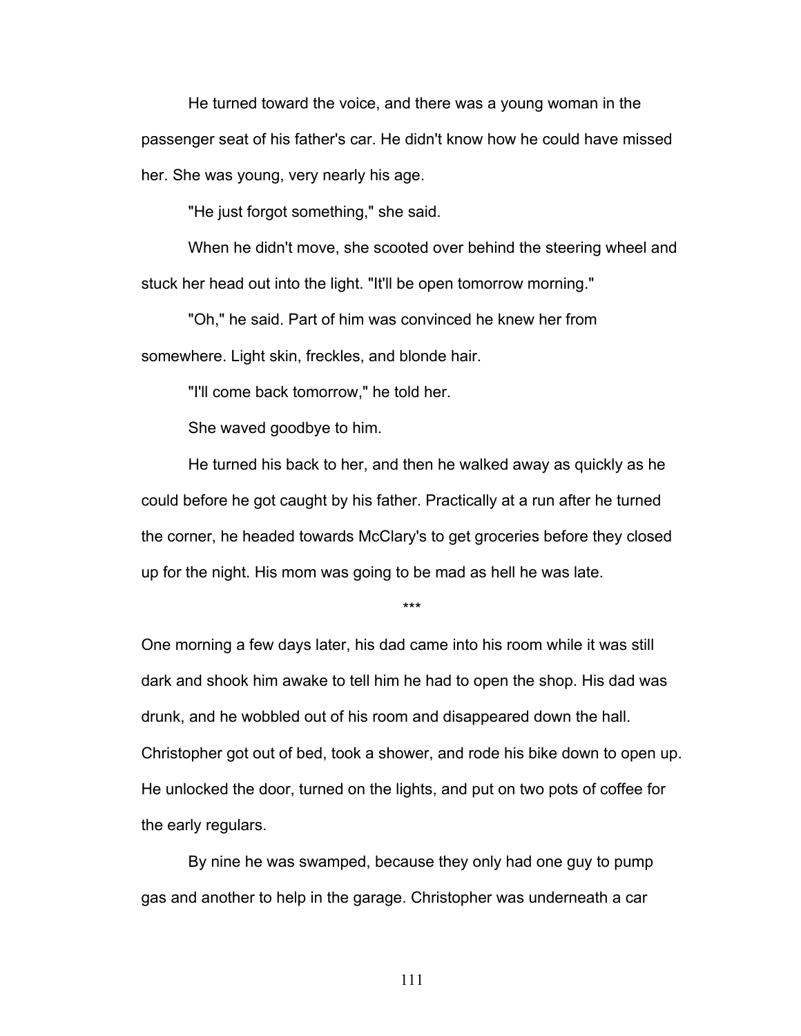He turned toward the voice, and there was a young woman in the passenger seat of his father's car. He didn't know how he could have missed her. She was young, very nearly his age.

"He just forgot something," she said.

When he didn't move, she scooted over behind the steering wheel and stuck her head out into the light. "It'll be open tomorrow morning."

"Oh," he said. Part of him was convinced he knew her from somewhere. Light skin, freckles, and blonde hair.

"I'll come back tomorrow," he told her.

She waved goodbye to him.

He turned his back to her, and then he walked away as quickly as he could before he got caught by his father. Practically at a run after he turned the corner, he headed towards McClary's to get groceries before they closed up for the night. His mom was going to be mad as hell he was late.

\*\*\*

One morning a few days later, his dad came into his room while it was still dark and shook him awake to tell him he had to open the shop. His dad was drunk, and he wobbled out of his room and disappeared down the hall. Christopher got out of bed, took a shower, and rode his bike down to open up. He unlocked the door, turned on the lights, and put on two pots of coffee for the early regulars.

By nine he was swamped, because they only had one guy to pump gas and another to help in the garage. Christopher was underneath a car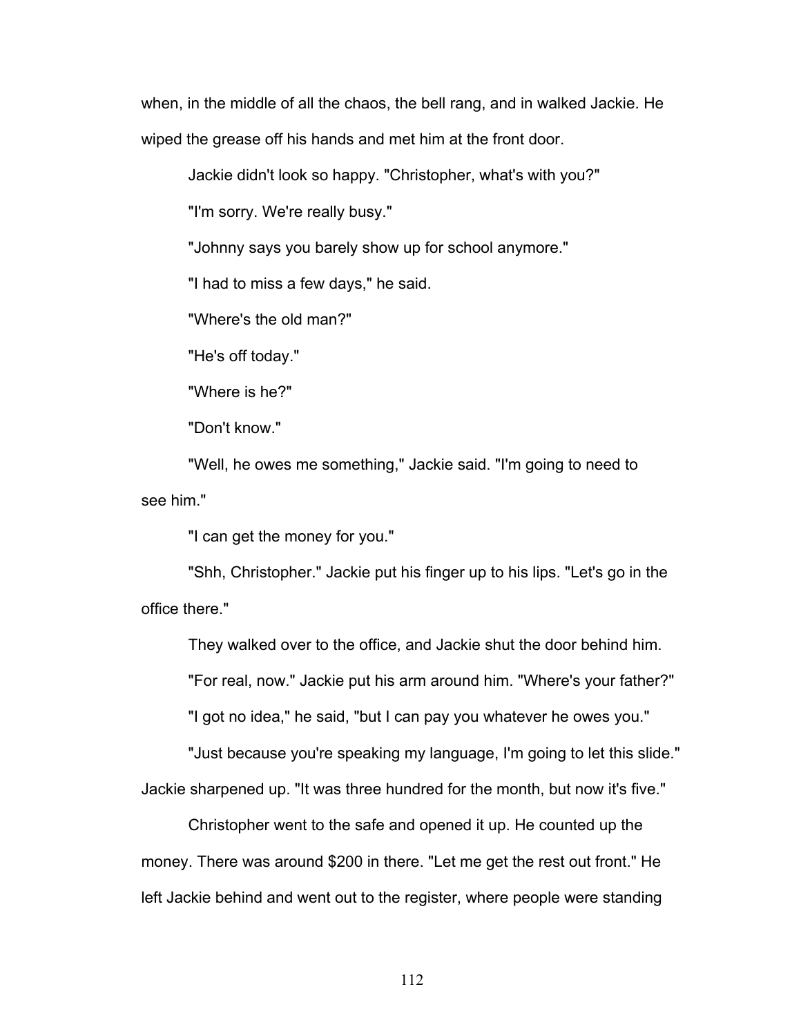when, in the middle of all the chaos, the bell rang, and in walked Jackie. He wiped the grease off his hands and met him at the front door.

Jackie didn't look so happy. "Christopher, what's with you?"

"I'm sorry. We're really busy."

"Johnny says you barely show up for school anymore."

"I had to miss a few days," he said.

"Where's the old man?"

"He's off today."

"Where is he?"

"Don't know."

"Well, he owes me something," Jackie said. "I'm going to need to see him."

"I can get the money for you."

"Shh, Christopher." Jackie put his finger up to his lips. "Let's go in the office there."

They walked over to the office, and Jackie shut the door behind him.

"For real, now." Jackie put his arm around him. "Where's your father?"

"I got no idea," he said, "but I can pay you whatever he owes you."

"Just because you're speaking my language, I'm going to let this slide."

Jackie sharpened up. "It was three hundred for the month, but now it's five."

Christopher went to the safe and opened it up. He counted up the money. There was around \$200 in there. "Let me get the rest out front." He left Jackie behind and went out to the register, where people were standing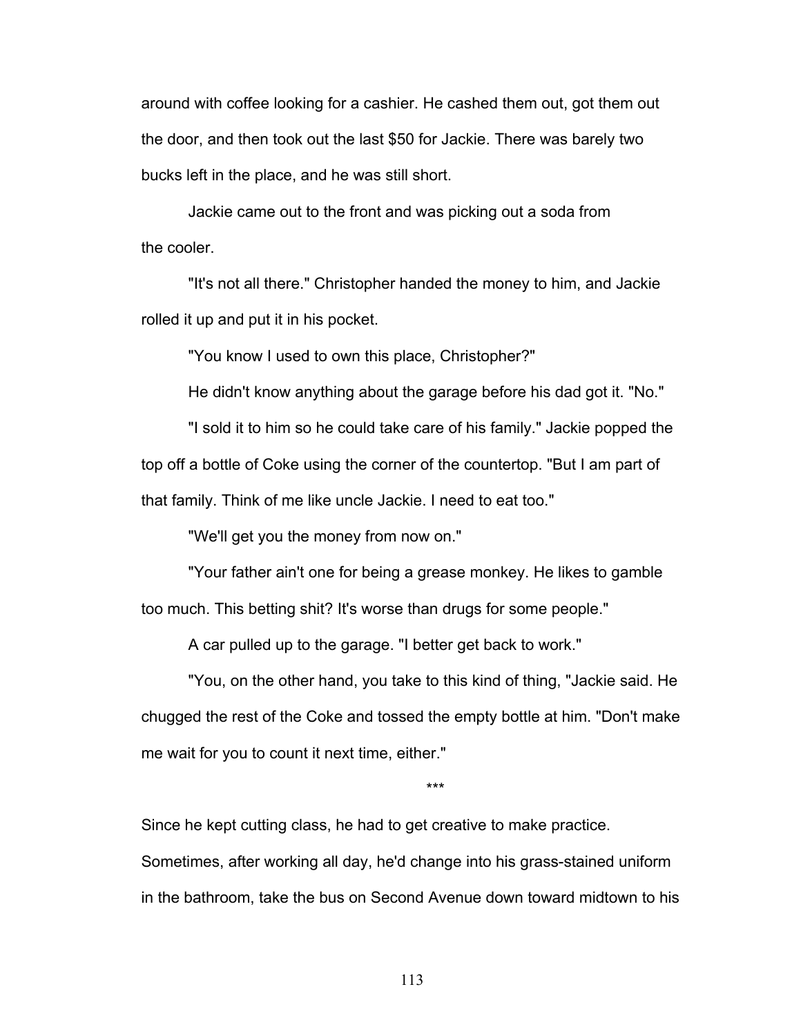around with coffee looking for a cashier. He cashed them out, got them out the door, and then took out the last \$50 for Jackie. There was barely two bucks left in the place, and he was still short.

Jackie came out to the front and was picking out a soda from the cooler.

"It's not all there." Christopher handed the money to him, and Jackie rolled it up and put it in his pocket.

"You know I used to own this place, Christopher?"

He didn't know anything about the garage before his dad got it. "No."

"I sold it to him so he could take care of his family." Jackie popped the top off a bottle of Coke using the corner of the countertop. "But I am part of that family. Think of me like uncle Jackie. I need to eat too."

"We'll get you the money from now on."

"Your father ain't one for being a grease monkey. He likes to gamble too much. This betting shit? It's worse than drugs for some people."

A car pulled up to the garage. "I better get back to work."

"You, on the other hand, you take to this kind of thing, "Jackie said. He chugged the rest of the Coke and tossed the empty bottle at him. "Don't make me wait for you to count it next time, either."

\*\*\*

Since he kept cutting class, he had to get creative to make practice.

Sometimes, after working all day, he'd change into his grass-stained uniform in the bathroom, take the bus on Second Avenue down toward midtown to his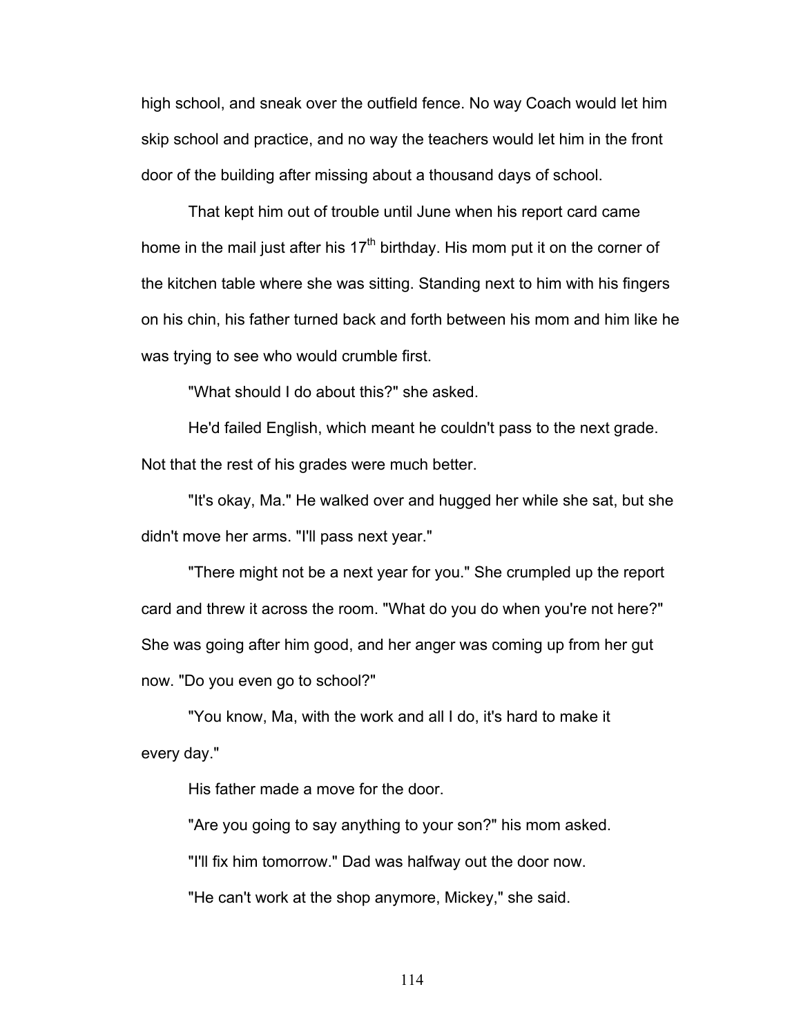high school, and sneak over the outfield fence. No way Coach would let him skip school and practice, and no way the teachers would let him in the front door of the building after missing about a thousand days of school.

That kept him out of trouble until June when his report card came home in the mail just after his  $17<sup>th</sup>$  birthday. His mom put it on the corner of the kitchen table where she was sitting. Standing next to him with his fingers on his chin, his father turned back and forth between his mom and him like he was trying to see who would crumble first.

"What should I do about this?" she asked.

He'd failed English, which meant he couldn't pass to the next grade. Not that the rest of his grades were much better.

"It's okay, Ma." He walked over and hugged her while she sat, but she didn't move her arms. "I'll pass next year."

"There might not be a next year for you." She crumpled up the report card and threw it across the room. "What do you do when you're not here?" She was going after him good, and her anger was coming up from her gut now. "Do you even go to school?"

"You know, Ma, with the work and all I do, it's hard to make it every day."

His father made a move for the door.

"Are you going to say anything to your son?" his mom asked.

"I'll fix him tomorrow." Dad was halfway out the door now.

"He can't work at the shop anymore, Mickey," she said.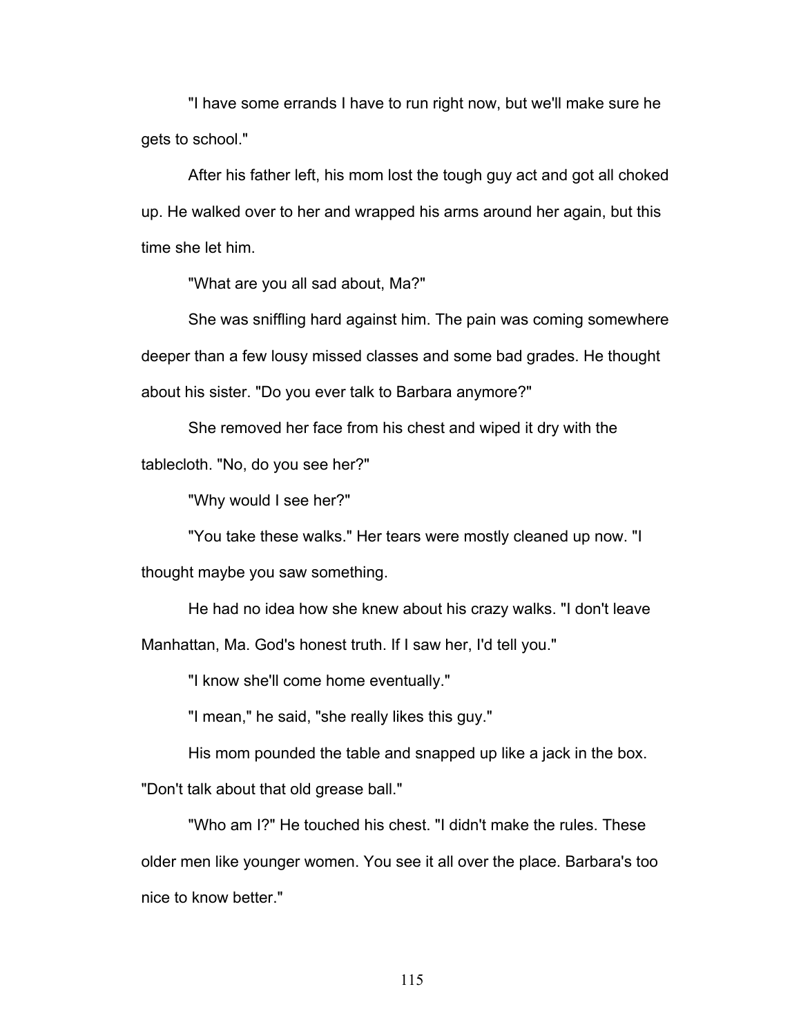"I have some errands I have to run right now, but we'll make sure he gets to school."

After his father left, his mom lost the tough guy act and got all choked up. He walked over to her and wrapped his arms around her again, but this time she let him.

"What are you all sad about, Ma?"

She was sniffling hard against him. The pain was coming somewhere deeper than a few lousy missed classes and some bad grades. He thought about his sister. "Do you ever talk to Barbara anymore?"

She removed her face from his chest and wiped it dry with the tablecloth. "No, do you see her?"

"Why would I see her?"

"You take these walks." Her tears were mostly cleaned up now. "I

thought maybe you saw something.

He had no idea how she knew about his crazy walks. "I don't leave

Manhattan, Ma. God's honest truth. If I saw her, I'd tell you."

"I know she'll come home eventually."

"I mean," he said, "she really likes this guy."

His mom pounded the table and snapped up like a jack in the box.

"Don't talk about that old grease ball."

"Who am I?" He touched his chest. "I didn't make the rules. These older men like younger women. You see it all over the place. Barbara's too nice to know better."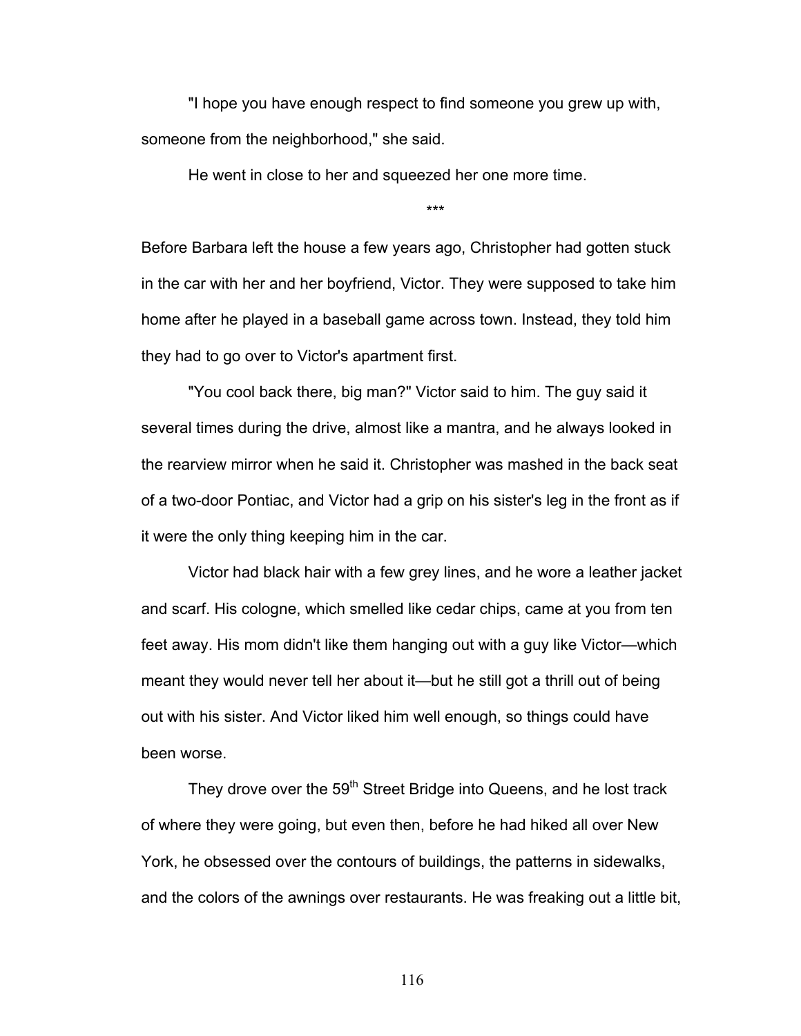"I hope you have enough respect to find someone you grew up with, someone from the neighborhood," she said.

He went in close to her and squeezed her one more time.

\*\*\*

Before Barbara left the house a few years ago, Christopher had gotten stuck in the car with her and her boyfriend, Victor. They were supposed to take him home after he played in a baseball game across town. Instead, they told him they had to go over to Victor's apartment first.

"You cool back there, big man?" Victor said to him. The guy said it several times during the drive, almost like a mantra, and he always looked in the rearview mirror when he said it. Christopher was mashed in the back seat of a two-door Pontiac, and Victor had a grip on his sister's leg in the front as if it were the only thing keeping him in the car.

Victor had black hair with a few grey lines, and he wore a leather jacket and scarf. His cologne, which smelled like cedar chips, came at you from ten feet away. His mom didn't like them hanging out with a guy like Victor—which meant they would never tell her about it—but he still got a thrill out of being out with his sister. And Victor liked him well enough, so things could have been worse.

They drove over the 59<sup>th</sup> Street Bridge into Queens, and he lost track of where they were going, but even then, before he had hiked all over New York, he obsessed over the contours of buildings, the patterns in sidewalks, and the colors of the awnings over restaurants. He was freaking out a little bit,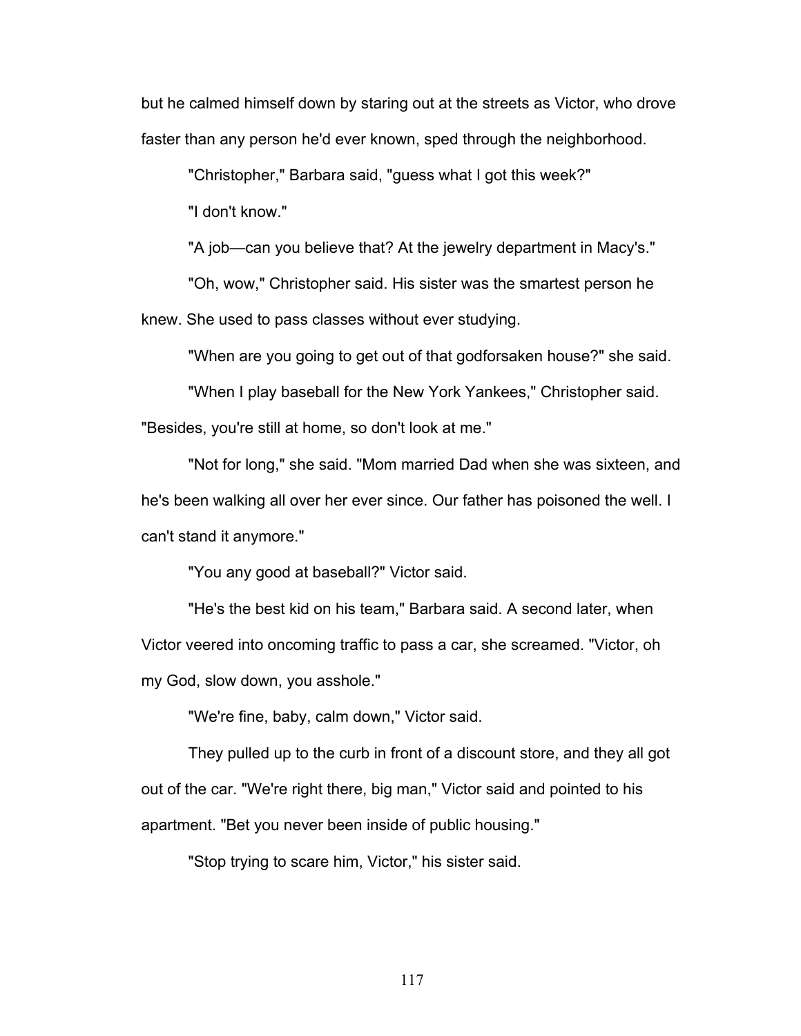but he calmed himself down by staring out at the streets as Victor, who drove faster than any person he'd ever known, sped through the neighborhood.

"Christopher," Barbara said, "guess what I got this week?"

"I don't know."

"A job—can you believe that? At the jewelry department in Macy's."

"Oh, wow," Christopher said. His sister was the smartest person he knew. She used to pass classes without ever studying.

"When are you going to get out of that godforsaken house?" she said.

"When I play baseball for the New York Yankees," Christopher said.

"Besides, you're still at home, so don't look at me."

"Not for long," she said. "Mom married Dad when she was sixteen, and he's been walking all over her ever since. Our father has poisoned the well. I can't stand it anymore."

"You any good at baseball?" Victor said.

"He's the best kid on his team," Barbara said. A second later, when Victor veered into oncoming traffic to pass a car, she screamed. "Victor, oh my God, slow down, you asshole."

"We're fine, baby, calm down," Victor said.

They pulled up to the curb in front of a discount store, and they all got out of the car. "We're right there, big man," Victor said and pointed to his apartment. "Bet you never been inside of public housing."

"Stop trying to scare him, Victor," his sister said.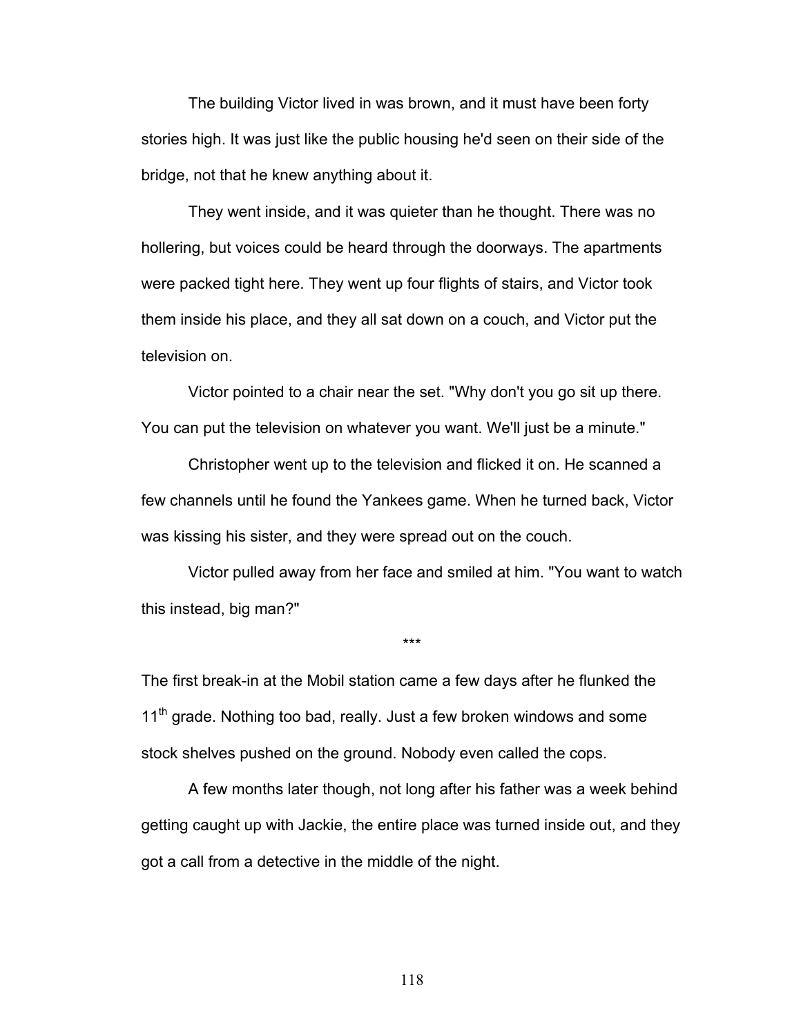The building Victor lived in was brown, and it must have been forty stories high. It was just like the public housing he'd seen on their side of the bridge, not that he knew anything about it.

They went inside, and it was quieter than he thought. There was no hollering, but voices could be heard through the doorways. The apartments were packed tight here. They went up four flights of stairs, and Victor took them inside his place, and they all sat down on a couch, and Victor put the television on.

Victor pointed to a chair near the set. "Why don't you go sit up there. You can put the television on whatever you want. We'll just be a minute."

Christopher went up to the television and flicked it on. He scanned a few channels until he found the Yankees game. When he turned back, Victor was kissing his sister, and they were spread out on the couch.

Victor pulled away from her face and smiled at him. "You want to watch this instead, big man?"

\*\*\*

The first break-in at the Mobil station came a few days after he flunked the  $11<sup>th</sup>$  grade. Nothing too bad, really. Just a few broken windows and some stock shelves pushed on the ground. Nobody even called the cops.

A few months later though, not long after his father was a week behind getting caught up with Jackie, the entire place was turned inside out, and they got a call from a detective in the middle of the night.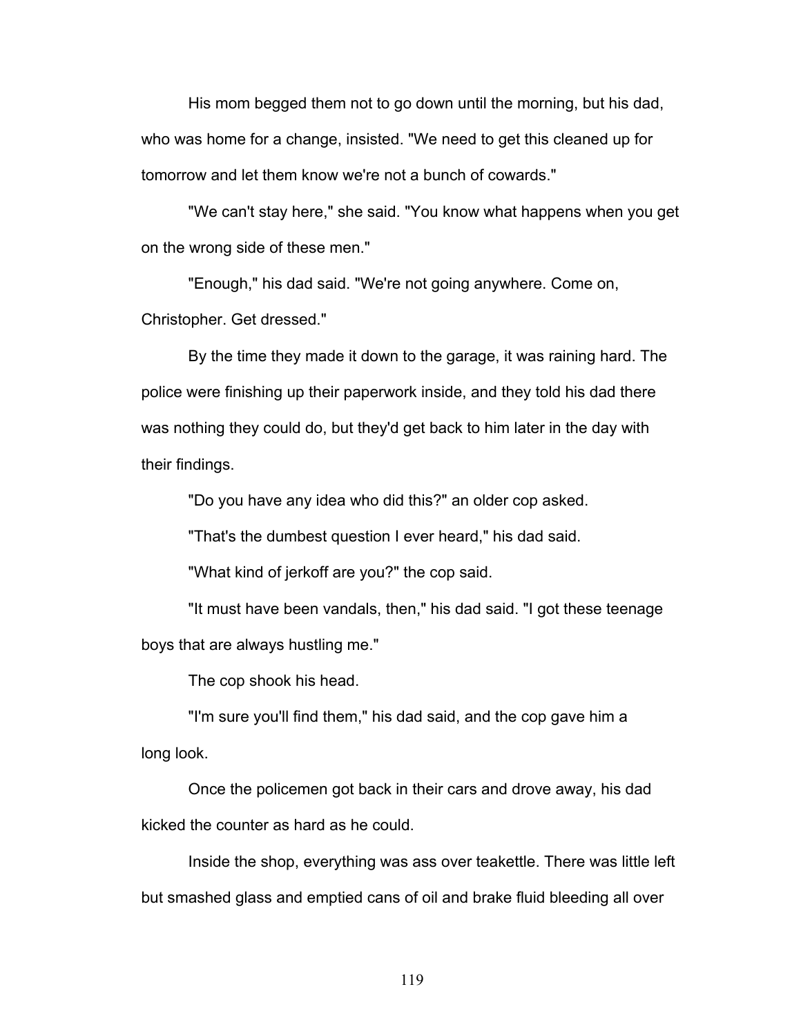His mom begged them not to go down until the morning, but his dad, who was home for a change, insisted. "We need to get this cleaned up for tomorrow and let them know we're not a bunch of cowards."

"We can't stay here," she said. "You know what happens when you get on the wrong side of these men."

"Enough," his dad said. "We're not going anywhere. Come on, Christopher. Get dressed."

By the time they made it down to the garage, it was raining hard. The police were finishing up their paperwork inside, and they told his dad there was nothing they could do, but they'd get back to him later in the day with their findings.

"Do you have any idea who did this?" an older cop asked.

"That's the dumbest question I ever heard," his dad said.

"What kind of jerkoff are you?" the cop said.

"It must have been vandals, then," his dad said. "I got these teenage boys that are always hustling me."

The cop shook his head.

"I'm sure you'll find them," his dad said, and the cop gave him a long look.

Once the policemen got back in their cars and drove away, his dad kicked the counter as hard as he could.

Inside the shop, everything was ass over teakettle. There was little left but smashed glass and emptied cans of oil and brake fluid bleeding all over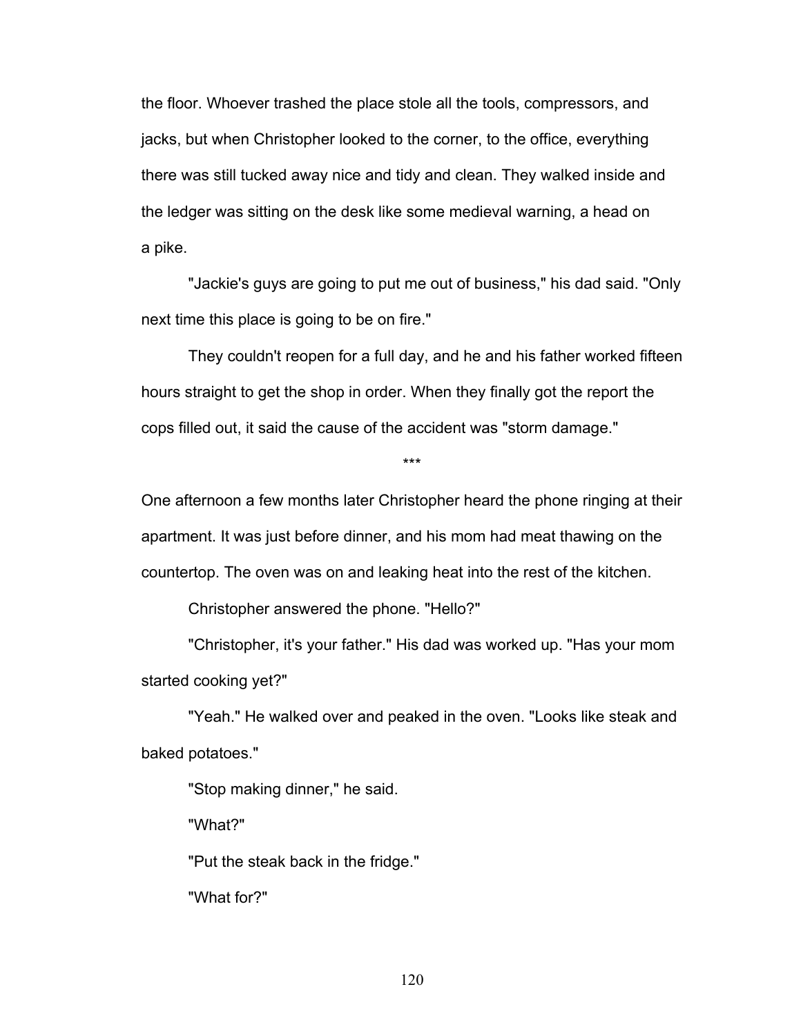the floor. Whoever trashed the place stole all the tools, compressors, and jacks, but when Christopher looked to the corner, to the office, everything there was still tucked away nice and tidy and clean. They walked inside and the ledger was sitting on the desk like some medieval warning, a head on a pike.

"Jackie's guys are going to put me out of business," his dad said. "Only next time this place is going to be on fire."

They couldn't reopen for a full day, and he and his father worked fifteen hours straight to get the shop in order. When they finally got the report the cops filled out, it said the cause of the accident was "storm damage."

\*\*\*

One afternoon a few months later Christopher heard the phone ringing at their apartment. It was just before dinner, and his mom had meat thawing on the countertop. The oven was on and leaking heat into the rest of the kitchen.

Christopher answered the phone. "Hello?"

"Christopher, it's your father." His dad was worked up. "Has your mom started cooking yet?"

"Yeah." He walked over and peaked in the oven. "Looks like steak and baked potatoes."

"Stop making dinner," he said.

"What?"

"Put the steak back in the fridge."

"What for?"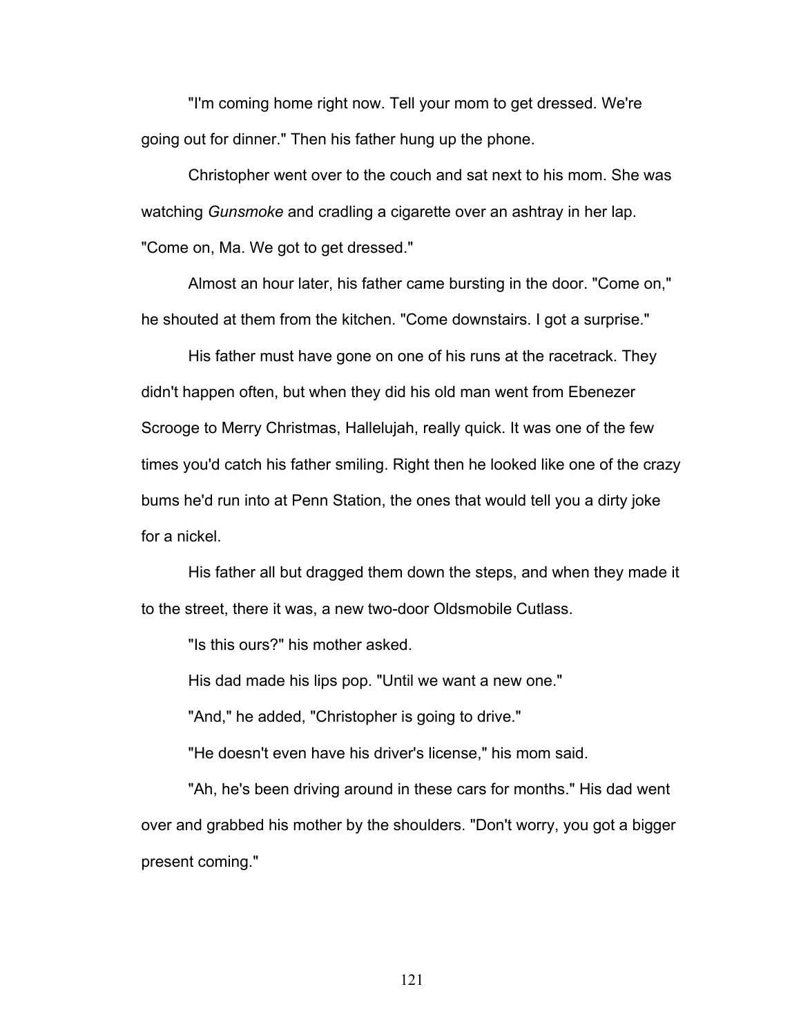"I'm coming home right now. Tell your mom to get dressed. We're going out for dinner." Then his father hung up the phone.

Christopher went over to the couch and sat next to his mom. She was watching *Gunsmoke* and cradling a cigarette over an ashtray in her lap. "Come on, Ma. We got to get dressed."

Almost an hour later, his father came bursting in the door. "Come on," he shouted at them from the kitchen. "Come downstairs. I got a surprise."

His father must have gone on one of his runs at the racetrack. They didn't happen often, but when they did his old man went from Ebenezer Scrooge to Merry Christmas, Hallelujah, really quick. It was one of the few times you'd catch his father smiling. Right then he looked like one of the crazy bums he'd run into at Penn Station, the ones that would tell you a dirty joke for a nickel.

His father all but dragged them down the steps, and when they made it to the street, there it was, a new two-door Oldsmobile Cutlass.

"Is this ours?" his mother asked.

His dad made his lips pop. "Until we want a new one."

"And," he added, "Christopher is going to drive."

"He doesn't even have his driver's license," his mom said.

"Ah, he's been driving around in these cars for months." His dad went over and grabbed his mother by the shoulders. "Don't worry, you got a bigger present coming."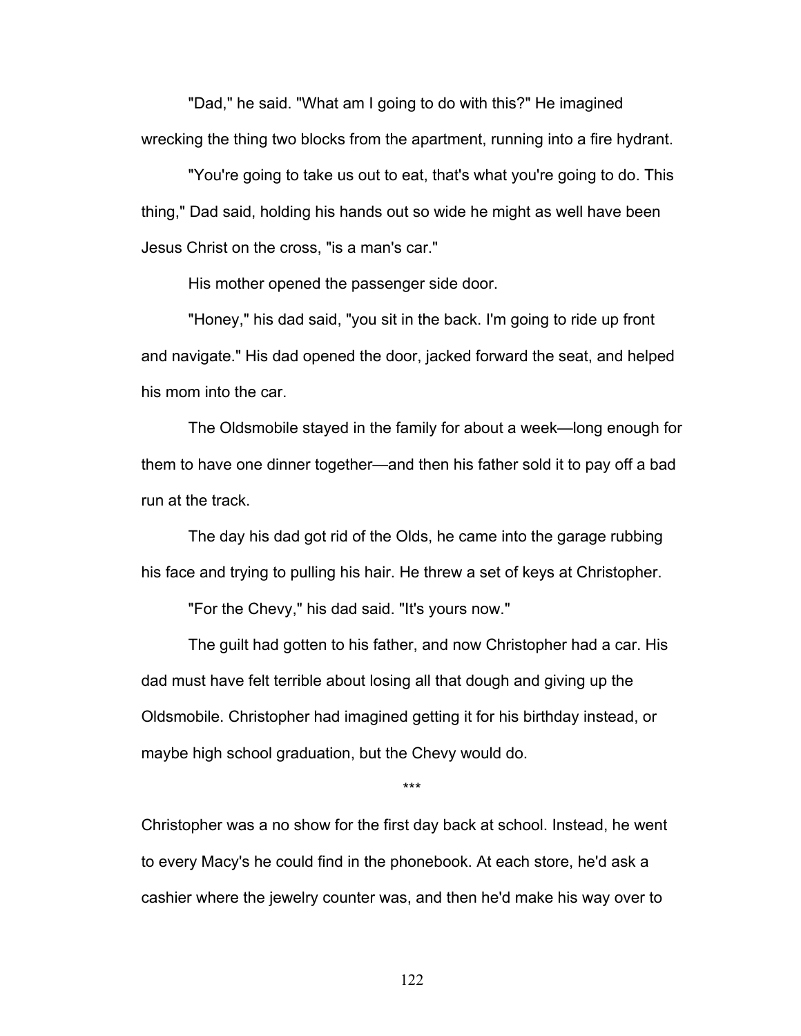"Dad," he said. "What am I going to do with this?" He imagined wrecking the thing two blocks from the apartment, running into a fire hydrant.

"You're going to take us out to eat, that's what you're going to do. This thing," Dad said, holding his hands out so wide he might as well have been Jesus Christ on the cross, "is a man's car."

His mother opened the passenger side door.

"Honey," his dad said, "you sit in the back. I'm going to ride up front and navigate." His dad opened the door, jacked forward the seat, and helped his mom into the car.

The Oldsmobile stayed in the family for about a week—long enough for them to have one dinner together—and then his father sold it to pay off a bad run at the track.

The day his dad got rid of the Olds, he came into the garage rubbing his face and trying to pulling his hair. He threw a set of keys at Christopher.

"For the Chevy," his dad said. "It's yours now."

The guilt had gotten to his father, and now Christopher had a car. His dad must have felt terrible about losing all that dough and giving up the Oldsmobile. Christopher had imagined getting it for his birthday instead, or maybe high school graduation, but the Chevy would do.

\*\*\*

Christopher was a no show for the first day back at school. Instead, he went to every Macy's he could find in the phonebook. At each store, he'd ask a cashier where the jewelry counter was, and then he'd make his way over to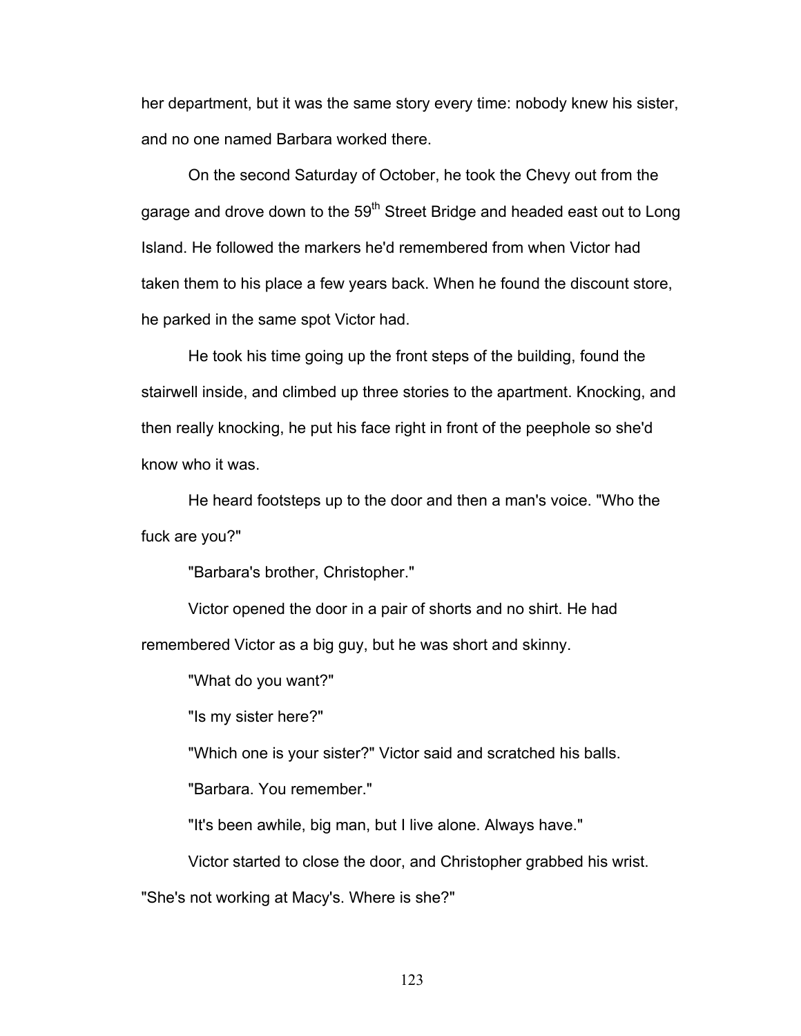her department, but it was the same story every time: nobody knew his sister, and no one named Barbara worked there.

On the second Saturday of October, he took the Chevy out from the garage and drove down to the 59<sup>th</sup> Street Bridge and headed east out to Long Island. He followed the markers he'd remembered from when Victor had taken them to his place a few years back. When he found the discount store, he parked in the same spot Victor had.

He took his time going up the front steps of the building, found the stairwell inside, and climbed up three stories to the apartment. Knocking, and then really knocking, he put his face right in front of the peephole so she'd know who it was.

He heard footsteps up to the door and then a man's voice. "Who the fuck are you?"

"Barbara's brother, Christopher."

Victor opened the door in a pair of shorts and no shirt. He had remembered Victor as a big guy, but he was short and skinny.

"What do you want?"

"Is my sister here?"

"Which one is your sister?" Victor said and scratched his balls.

"Barbara. You remember."

"It's been awhile, big man, but I live alone. Always have."

Victor started to close the door, and Christopher grabbed his wrist.

"She's not working at Macy's. Where is she?"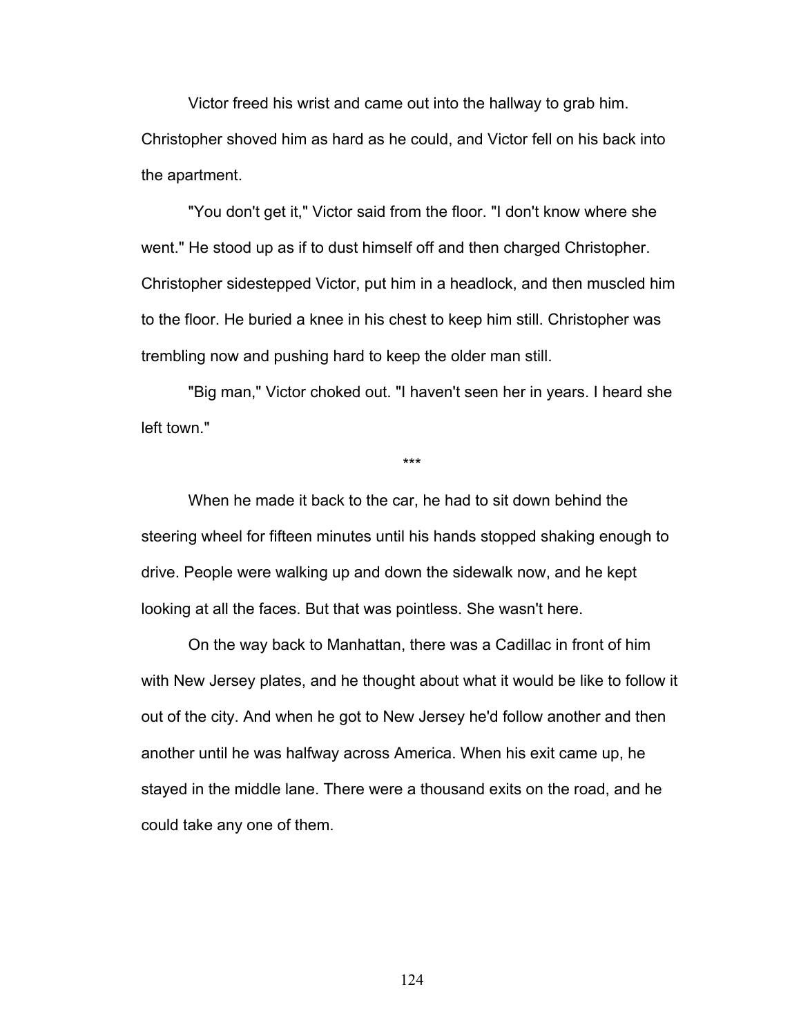Victor freed his wrist and came out into the hallway to grab him. Christopher shoved him as hard as he could, and Victor fell on his back into the apartment.

"You don't get it," Victor said from the floor. "I don't know where she went." He stood up as if to dust himself off and then charged Christopher. Christopher sidestepped Victor, put him in a headlock, and then muscled him to the floor. He buried a knee in his chest to keep him still. Christopher was trembling now and pushing hard to keep the older man still.

"Big man," Victor choked out. "I haven't seen her in years. I heard she left town."

\*\*\*

When he made it back to the car, he had to sit down behind the steering wheel for fifteen minutes until his hands stopped shaking enough to drive. People were walking up and down the sidewalk now, and he kept looking at all the faces. But that was pointless. She wasn't here.

On the way back to Manhattan, there was a Cadillac in front of him with New Jersey plates, and he thought about what it would be like to follow it out of the city. And when he got to New Jersey he'd follow another and then another until he was halfway across America. When his exit came up, he stayed in the middle lane. There were a thousand exits on the road, and he could take any one of them.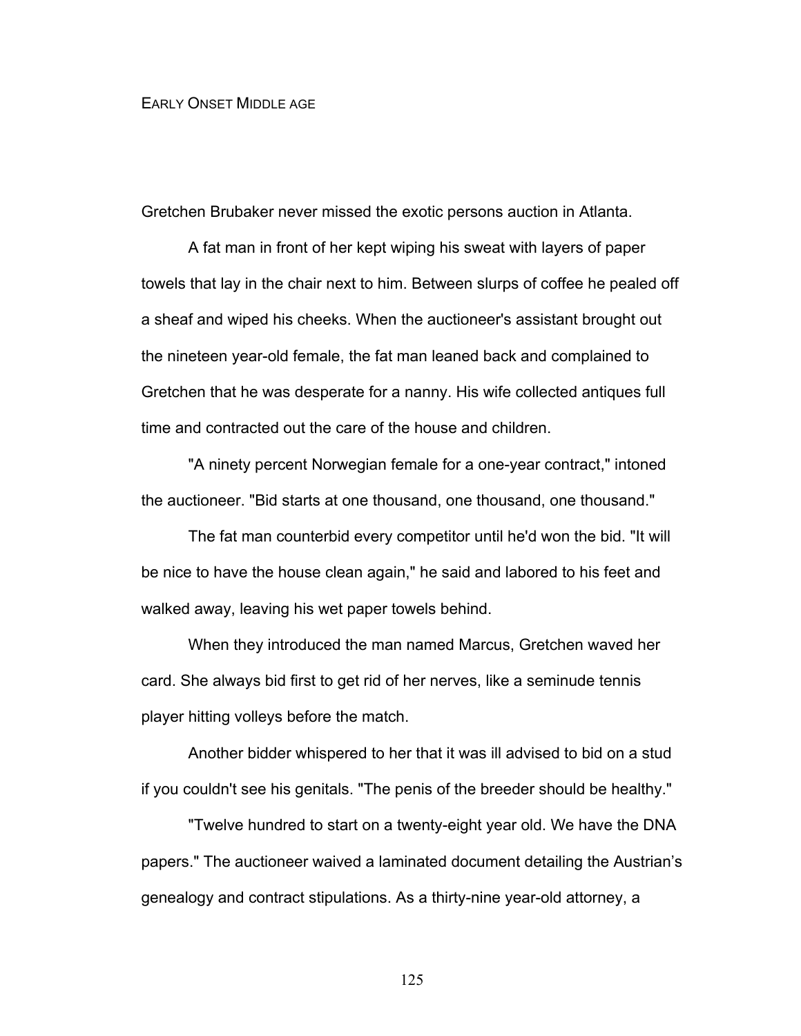## EARLY ONSET MIDDLE AGE

Gretchen Brubaker never missed the exotic persons auction in Atlanta.

A fat man in front of her kept wiping his sweat with layers of paper towels that lay in the chair next to him. Between slurps of coffee he pealed off a sheaf and wiped his cheeks. When the auctioneer's assistant brought out the nineteen year-old female, the fat man leaned back and complained to Gretchen that he was desperate for a nanny. His wife collected antiques full time and contracted out the care of the house and children.

"A ninety percent Norwegian female for a one-year contract," intoned the auctioneer. "Bid starts at one thousand, one thousand, one thousand."

The fat man counterbid every competitor until he'd won the bid. "It will be nice to have the house clean again," he said and labored to his feet and walked away, leaving his wet paper towels behind.

When they introduced the man named Marcus, Gretchen waved her card. She always bid first to get rid of her nerves, like a seminude tennis player hitting volleys before the match.

Another bidder whispered to her that it was ill advised to bid on a stud if you couldn't see his genitals. "The penis of the breeder should be healthy."

"Twelve hundred to start on a twenty-eight year old. We have the DNA papers." The auctioneer waived a laminated document detailing the Austrian's genealogy and contract stipulations. As a thirty-nine year-old attorney, a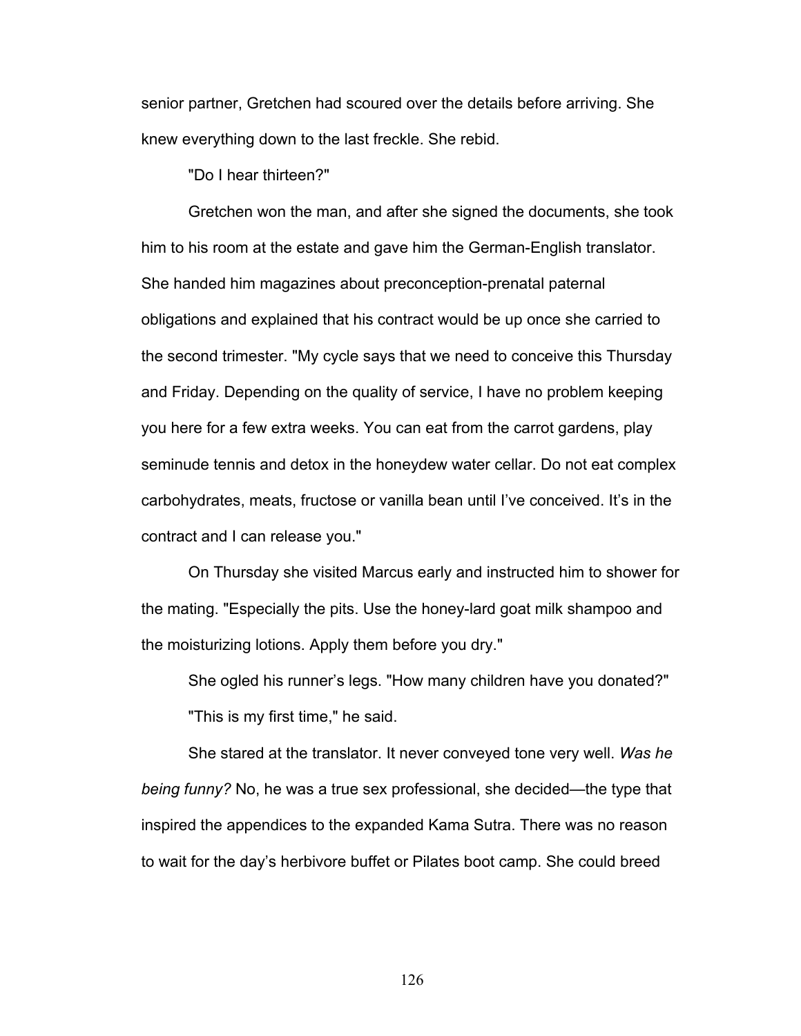senior partner, Gretchen had scoured over the details before arriving. She knew everything down to the last freckle. She rebid.

"Do I hear thirteen?"

Gretchen won the man, and after she signed the documents, she took him to his room at the estate and gave him the German-English translator. She handed him magazines about preconception-prenatal paternal obligations and explained that his contract would be up once she carried to the second trimester. "My cycle says that we need to conceive this Thursday and Friday. Depending on the quality of service, I have no problem keeping you here for a few extra weeks. You can eat from the carrot gardens, play seminude tennis and detox in the honeydew water cellar. Do not eat complex carbohydrates, meats, fructose or vanilla bean until I've conceived. It's in the contract and I can release you."

On Thursday she visited Marcus early and instructed him to shower for the mating. "Especially the pits. Use the honey-lard goat milk shampoo and the moisturizing lotions. Apply them before you dry."

She ogled his runner's legs. "How many children have you donated?" "This is my first time," he said.

She stared at the translator. It never conveyed tone very well. *Was he being funny?* No, he was a true sex professional, she decided—the type that inspired the appendices to the expanded Kama Sutra. There was no reason to wait for the day's herbivore buffet or Pilates boot camp. She could breed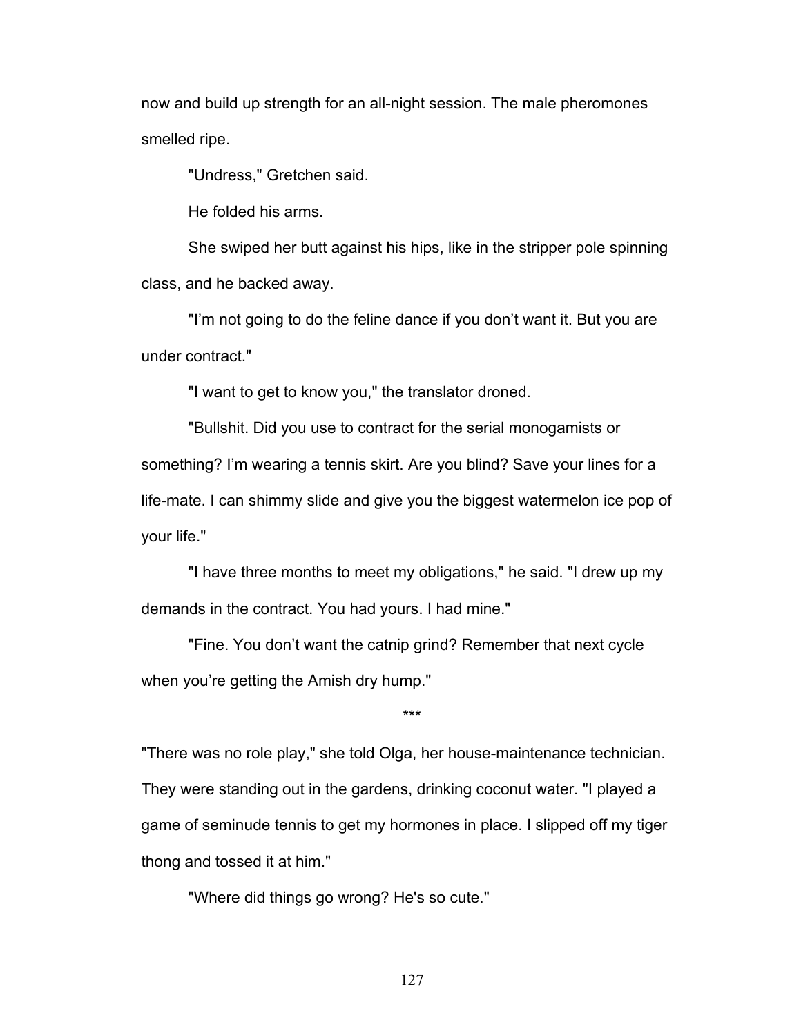now and build up strength for an all-night session. The male pheromones smelled ripe.

"Undress," Gretchen said.

He folded his arms.

She swiped her butt against his hips, like in the stripper pole spinning class, and he backed away.

"I'm not going to do the feline dance if you don't want it. But you are under contract."

"I want to get to know you," the translator droned.

"Bullshit. Did you use to contract for the serial monogamists or something? I'm wearing a tennis skirt. Are you blind? Save your lines for a life-mate. I can shimmy slide and give you the biggest watermelon ice pop of your life."

"I have three months to meet my obligations," he said. "I drew up my demands in the contract. You had yours. I had mine."

"Fine. You don't want the catnip grind? Remember that next cycle when you're getting the Amish dry hump."

"There was no role play," she told Olga, her house-maintenance technician. They were standing out in the gardens, drinking coconut water. "I played a game of seminude tennis to get my hormones in place. I slipped off my tiger thong and tossed it at him."

\*\*\*

"Where did things go wrong? He's so cute."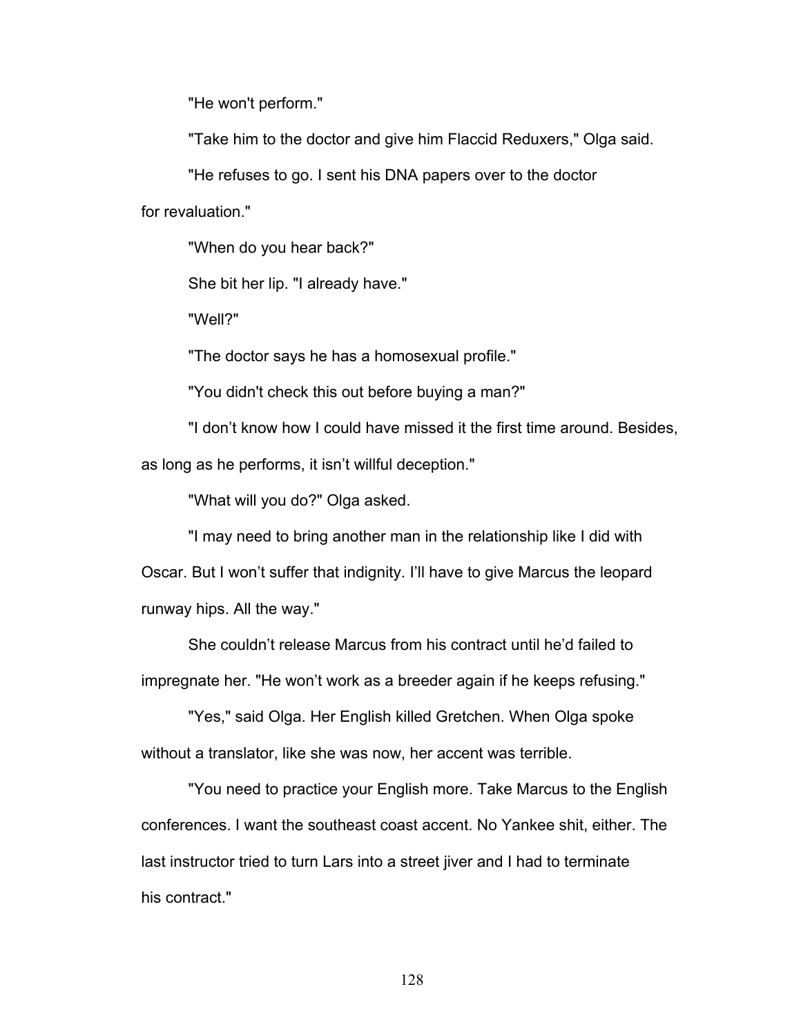"He won't perform."

"Take him to the doctor and give him Flaccid Reduxers," Olga said.

"He refuses to go. I sent his DNA papers over to the doctor

for revaluation."

"When do you hear back?"

She bit her lip. "I already have."

"Well?"

"The doctor says he has a homosexual profile."

"You didn't check this out before buying a man?"

"I don't know how I could have missed it the first time around. Besides, as long as he performs, it isn't willful deception."

"What will you do?" Olga asked.

"I may need to bring another man in the relationship like I did with Oscar. But I won't suffer that indignity. I'll have to give Marcus the leopard runway hips. All the way."

She couldn't release Marcus from his contract until he'd failed to impregnate her. "He won't work as a breeder again if he keeps refusing."

"Yes," said Olga. Her English killed Gretchen. When Olga spoke without a translator, like she was now, her accent was terrible.

"You need to practice your English more. Take Marcus to the English conferences. I want the southeast coast accent. No Yankee shit, either. The last instructor tried to turn Lars into a street jiver and I had to terminate his contract."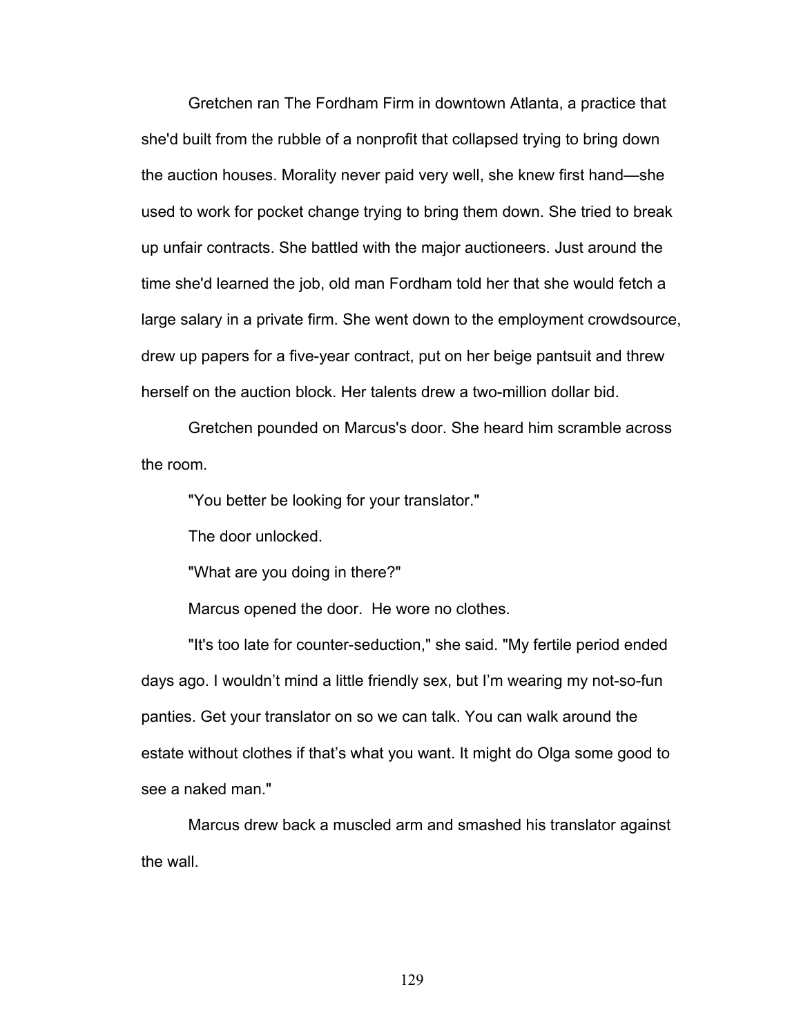Gretchen ran The Fordham Firm in downtown Atlanta, a practice that she'd built from the rubble of a nonprofit that collapsed trying to bring down the auction houses. Morality never paid very well, she knew first hand—she used to work for pocket change trying to bring them down. She tried to break up unfair contracts. She battled with the major auctioneers. Just around the time she'd learned the job, old man Fordham told her that she would fetch a large salary in a private firm. She went down to the employment crowdsource, drew up papers for a five-year contract, put on her beige pantsuit and threw herself on the auction block. Her talents drew a two-million dollar bid.

Gretchen pounded on Marcus's door. She heard him scramble across the room.

"You better be looking for your translator."

The door unlocked.

"What are you doing in there?"

Marcus opened the door. He wore no clothes.

"It's too late for counter-seduction," she said. "My fertile period ended days ago. I wouldn't mind a little friendly sex, but I'm wearing my not-so-fun panties. Get your translator on so we can talk. You can walk around the estate without clothes if that's what you want. It might do Olga some good to see a naked man."

Marcus drew back a muscled arm and smashed his translator against the wall.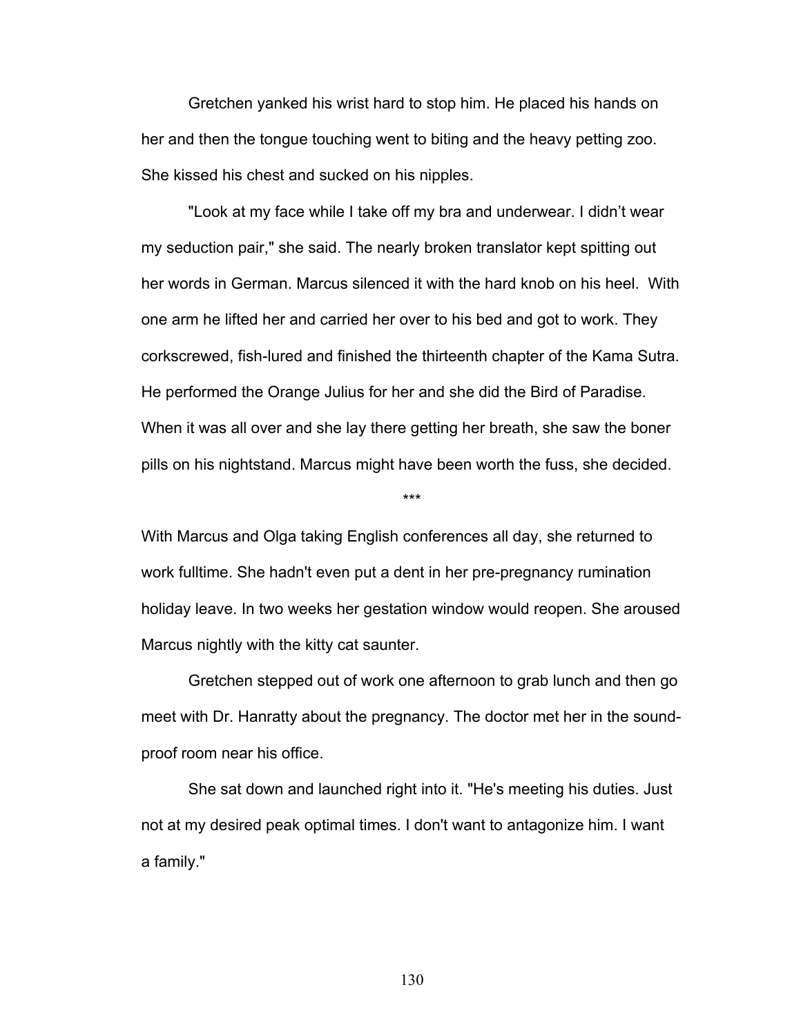Gretchen yanked his wrist hard to stop him. He placed his hands on her and then the tongue touching went to biting and the heavy petting zoo. She kissed his chest and sucked on his nipples.

"Look at my face while I take off my bra and underwear. I didn't wear my seduction pair," she said. The nearly broken translator kept spitting out her words in German. Marcus silenced it with the hard knob on his heel. With one arm he lifted her and carried her over to his bed and got to work. They corkscrewed, fish-lured and finished the thirteenth chapter of the Kama Sutra. He performed the Orange Julius for her and she did the Bird of Paradise. When it was all over and she lay there getting her breath, she saw the boner pills on his nightstand. Marcus might have been worth the fuss, she decided.

With Marcus and Olga taking English conferences all day, she returned to work fulltime. She hadn't even put a dent in her pre-pregnancy rumination holiday leave. In two weeks her gestation window would reopen. She aroused Marcus nightly with the kitty cat saunter.

\*\*\*

Gretchen stepped out of work one afternoon to grab lunch and then go meet with Dr. Hanratty about the pregnancy. The doctor met her in the soundproof room near his office.

She sat down and launched right into it. "He's meeting his duties. Just not at my desired peak optimal times. I don't want to antagonize him. I want a family."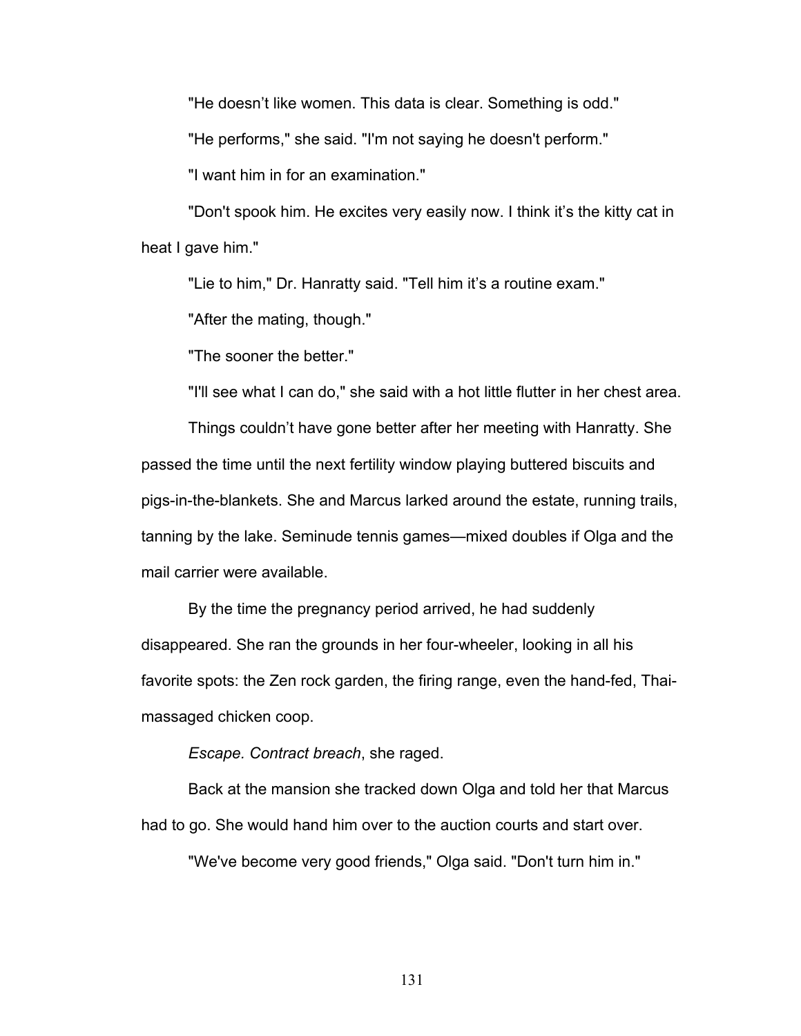"He doesn't like women. This data is clear. Something is odd."

"He performs," she said. "I'm not saying he doesn't perform."

"I want him in for an examination."

"Don't spook him. He excites very easily now. I think it's the kitty cat in heat I gave him."

"Lie to him," Dr. Hanratty said. "Tell him it's a routine exam."

"After the mating, though."

"The sooner the better."

"I'll see what I can do," she said with a hot little flutter in her chest area.

Things couldn't have gone better after her meeting with Hanratty. She passed the time until the next fertility window playing buttered biscuits and pigs-in-the-blankets. She and Marcus larked around the estate, running trails, tanning by the lake. Seminude tennis games—mixed doubles if Olga and the mail carrier were available.

By the time the pregnancy period arrived, he had suddenly disappeared. She ran the grounds in her four-wheeler, looking in all his favorite spots: the Zen rock garden, the firing range, even the hand-fed, Thaimassaged chicken coop.

*Escape. Contract breach*, she raged.

Back at the mansion she tracked down Olga and told her that Marcus had to go. She would hand him over to the auction courts and start over.

"We've become very good friends," Olga said. "Don't turn him in."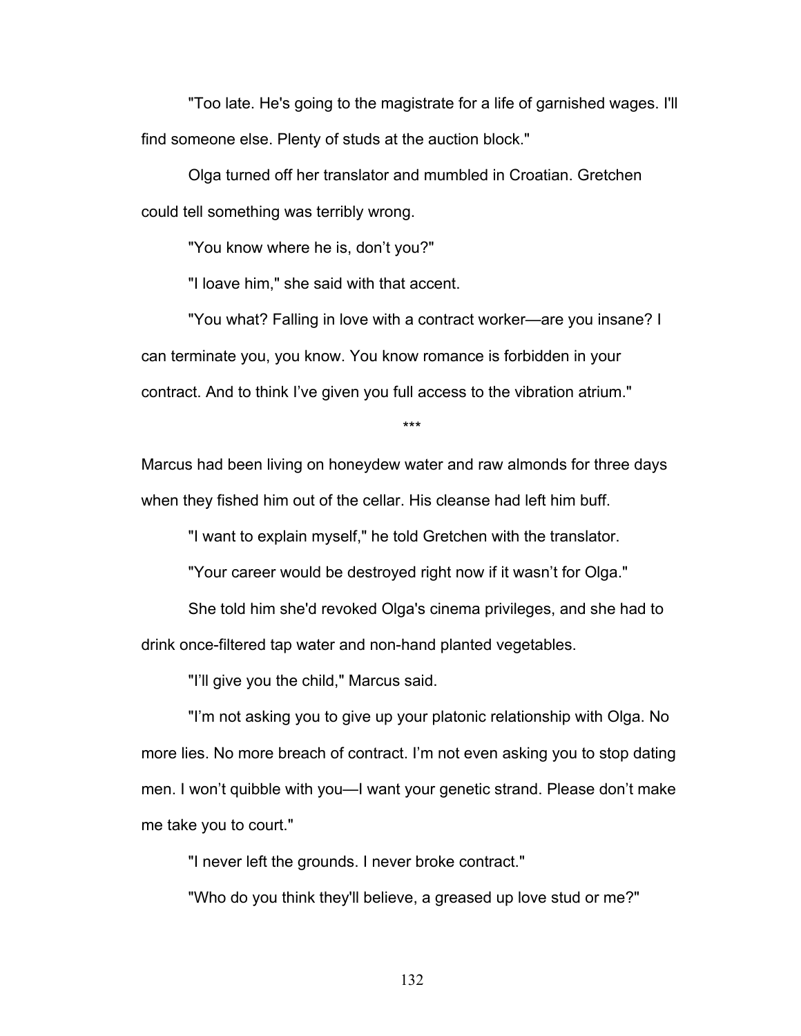"Too late. He's going to the magistrate for a life of garnished wages. I'll find someone else. Plenty of studs at the auction block."

Olga turned off her translator and mumbled in Croatian. Gretchen could tell something was terribly wrong.

"You know where he is, don't you?"

"I loave him," she said with that accent.

"You what? Falling in love with a contract worker—are you insane? I can terminate you, you know. You know romance is forbidden in your contract. And to think I've given you full access to the vibration atrium."

\*\*\*

Marcus had been living on honeydew water and raw almonds for three days when they fished him out of the cellar. His cleanse had left him buff.

"I want to explain myself," he told Gretchen with the translator.

"Your career would be destroyed right now if it wasn't for Olga."

She told him she'd revoked Olga's cinema privileges, and she had to drink once-filtered tap water and non-hand planted vegetables.

"I'll give you the child," Marcus said.

"I'm not asking you to give up your platonic relationship with Olga. No more lies. No more breach of contract. I'm not even asking you to stop dating men. I won't quibble with you—I want your genetic strand. Please don't make me take you to court."

"I never left the grounds. I never broke contract."

"Who do you think they'll believe, a greased up love stud or me?"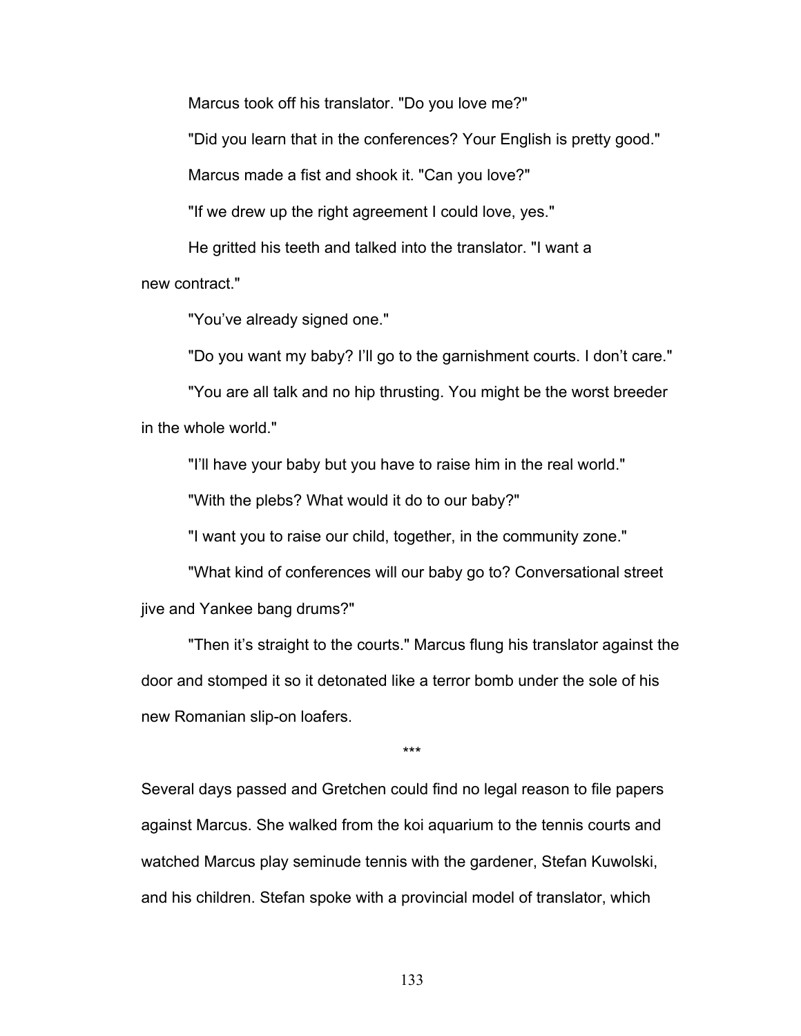Marcus took off his translator. "Do you love me?"

"Did you learn that in the conferences? Your English is pretty good."

Marcus made a fist and shook it. "Can you love?"

"If we drew up the right agreement I could love, yes."

He gritted his teeth and talked into the translator. "I want a

new contract."

"You've already signed one."

"Do you want my baby? I'll go to the garnishment courts. I don't care."

"You are all talk and no hip thrusting. You might be the worst breeder in the whole world."

"I'll have your baby but you have to raise him in the real world."

"With the plebs? What would it do to our baby?"

"I want you to raise our child, together, in the community zone."

"What kind of conferences will our baby go to? Conversational street jive and Yankee bang drums?"

"Then it's straight to the courts." Marcus flung his translator against the door and stomped it so it detonated like a terror bomb under the sole of his new Romanian slip-on loafers.

\*\*\*

Several days passed and Gretchen could find no legal reason to file papers against Marcus. She walked from the koi aquarium to the tennis courts and watched Marcus play seminude tennis with the gardener, Stefan Kuwolski, and his children. Stefan spoke with a provincial model of translator, which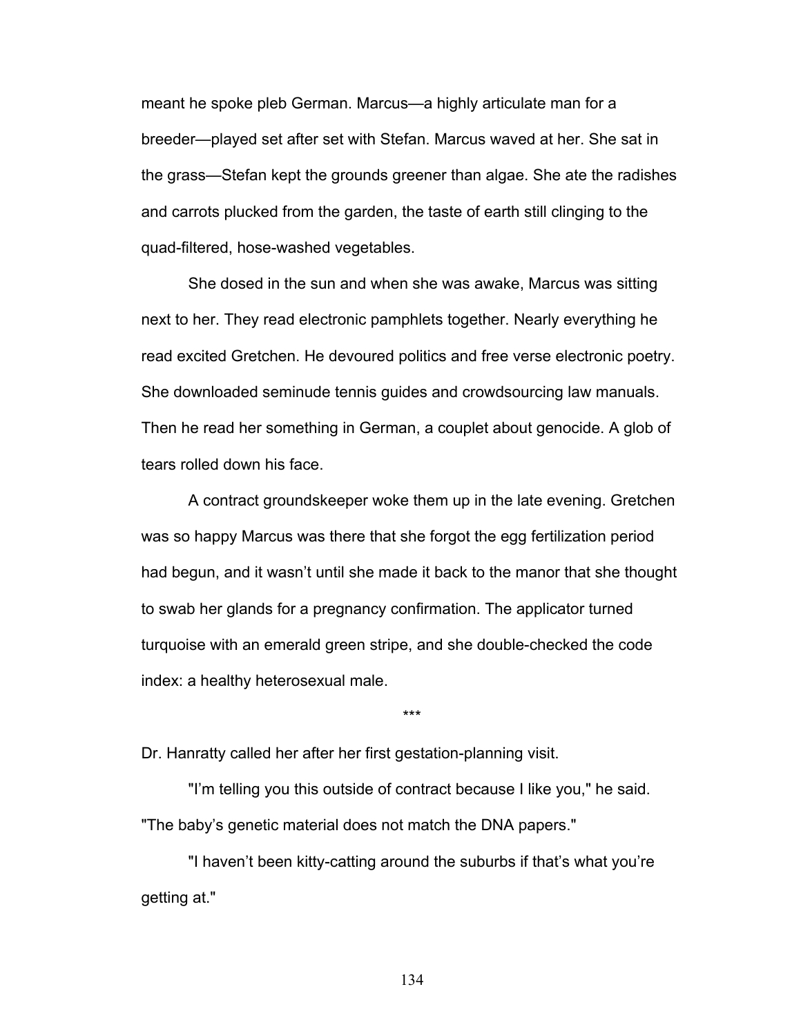meant he spoke pleb German. Marcus—a highly articulate man for a breeder—played set after set with Stefan. Marcus waved at her. She sat in the grass—Stefan kept the grounds greener than algae. She ate the radishes and carrots plucked from the garden, the taste of earth still clinging to the quad-filtered, hose-washed vegetables.

She dosed in the sun and when she was awake, Marcus was sitting next to her. They read electronic pamphlets together. Nearly everything he read excited Gretchen. He devoured politics and free verse electronic poetry. She downloaded seminude tennis guides and crowdsourcing law manuals. Then he read her something in German, a couplet about genocide. A glob of tears rolled down his face.

A contract groundskeeper woke them up in the late evening. Gretchen was so happy Marcus was there that she forgot the egg fertilization period had begun, and it wasn't until she made it back to the manor that she thought to swab her glands for a pregnancy confirmation. The applicator turned turquoise with an emerald green stripe, and she double-checked the code index: a healthy heterosexual male.

\*\*\*

Dr. Hanratty called her after her first gestation-planning visit.

"I'm telling you this outside of contract because I like you," he said. "The baby's genetic material does not match the DNA papers."

"I haven't been kitty-catting around the suburbs if that's what you're getting at."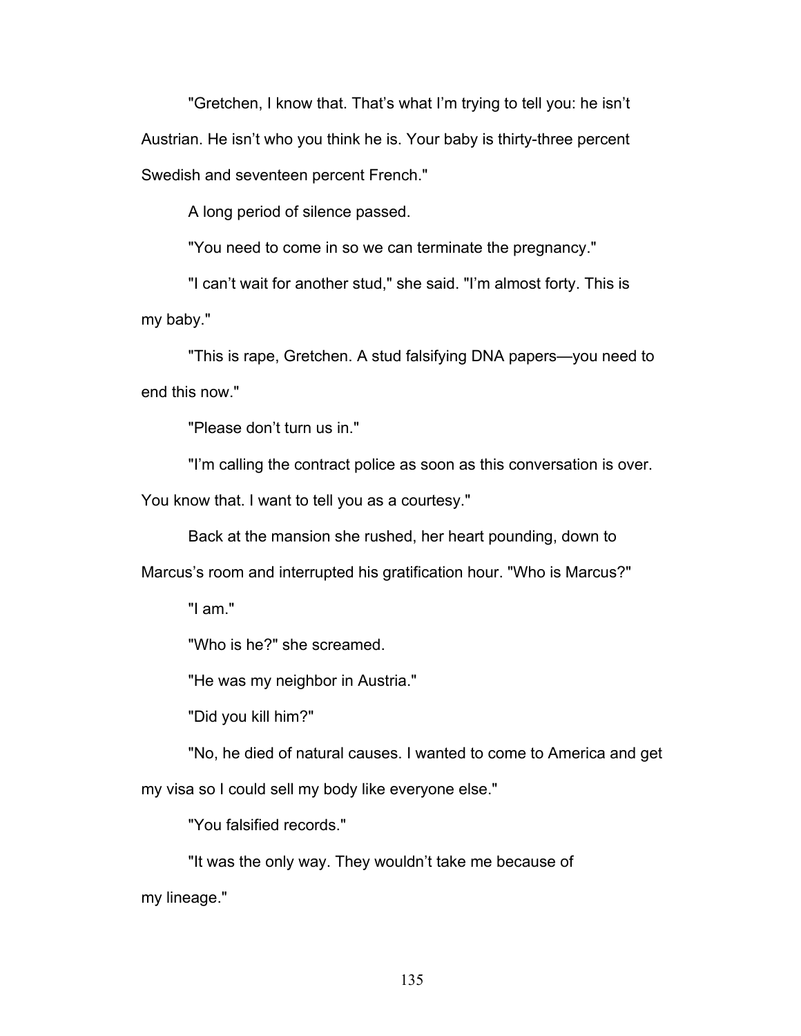"Gretchen, I know that. That's what I'm trying to tell you: he isn't Austrian. He isn't who you think he is. Your baby is thirty-three percent Swedish and seventeen percent French."

A long period of silence passed.

"You need to come in so we can terminate the pregnancy."

"I can't wait for another stud," she said. "I'm almost forty. This is my baby."

"This is rape, Gretchen. A stud falsifying DNA papers—you need to end this now."

"Please don't turn us in."

"I'm calling the contract police as soon as this conversation is over.

You know that. I want to tell you as a courtesy."

Back at the mansion she rushed, her heart pounding, down to

Marcus's room and interrupted his gratification hour. "Who is Marcus?"

"I am."

"Who is he?" she screamed.

"He was my neighbor in Austria."

"Did you kill him?"

"No, he died of natural causes. I wanted to come to America and get my visa so I could sell my body like everyone else."

"You falsified records."

"It was the only way. They wouldn't take me because of my lineage."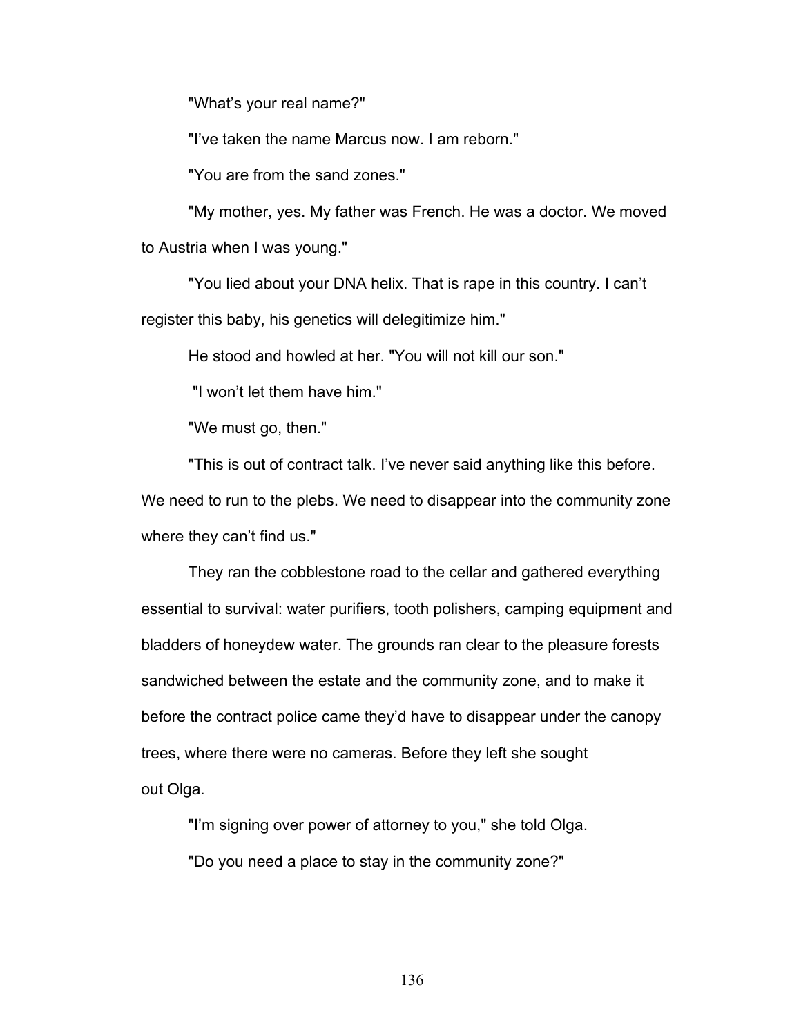"What's your real name?"

"I've taken the name Marcus now. I am reborn."

"You are from the sand zones."

"My mother, yes. My father was French. He was a doctor. We moved to Austria when I was young."

"You lied about your DNA helix. That is rape in this country. I can't register this baby, his genetics will delegitimize him."

He stood and howled at her. "You will not kill our son."

"I won't let them have him."

"We must go, then."

"This is out of contract talk. I've never said anything like this before. We need to run to the plebs. We need to disappear into the community zone where they can't find us."

They ran the cobblestone road to the cellar and gathered everything essential to survival: water purifiers, tooth polishers, camping equipment and bladders of honeydew water. The grounds ran clear to the pleasure forests sandwiched between the estate and the community zone, and to make it before the contract police came they'd have to disappear under the canopy trees, where there were no cameras. Before they left she sought out Olga.

"I'm signing over power of attorney to you," she told Olga. "Do you need a place to stay in the community zone?"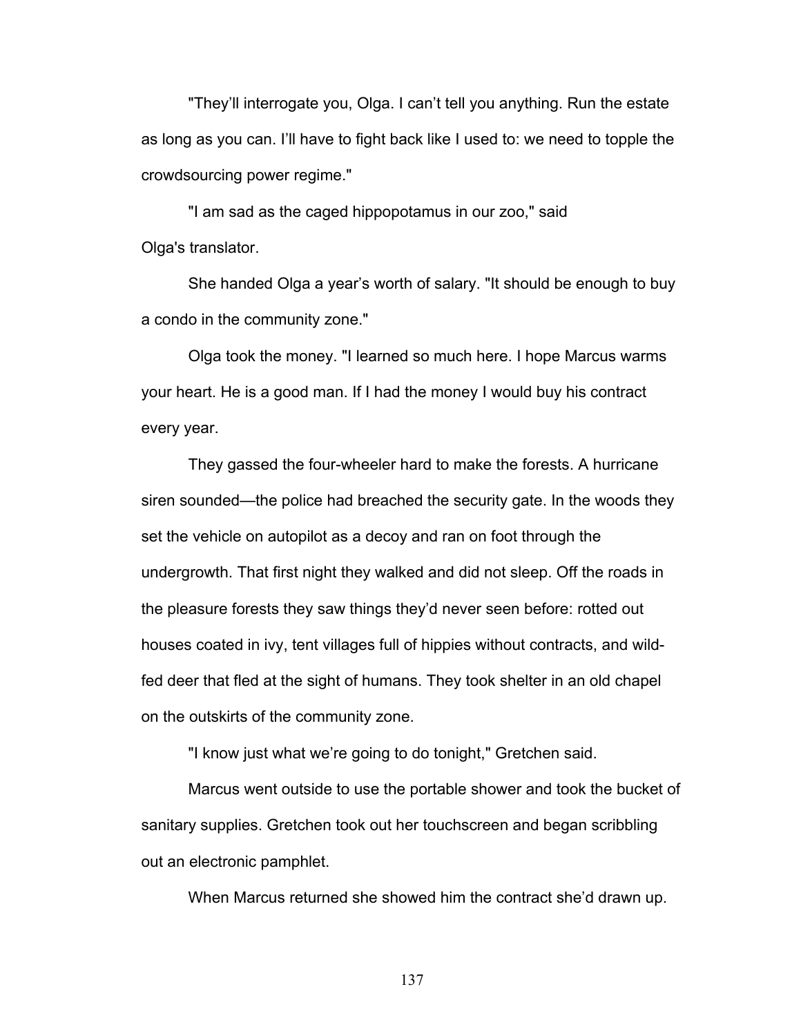"They'll interrogate you, Olga. I can't tell you anything. Run the estate as long as you can. I'll have to fight back like I used to: we need to topple the crowdsourcing power regime."

"I am sad as the caged hippopotamus in our zoo," said Olga's translator.

She handed Olga a year's worth of salary. "It should be enough to buy a condo in the community zone."

Olga took the money. "I learned so much here. I hope Marcus warms your heart. He is a good man. If I had the money I would buy his contract every year.

They gassed the four-wheeler hard to make the forests. A hurricane siren sounded—the police had breached the security gate. In the woods they set the vehicle on autopilot as a decoy and ran on foot through the undergrowth. That first night they walked and did not sleep. Off the roads in the pleasure forests they saw things they'd never seen before: rotted out houses coated in ivy, tent villages full of hippies without contracts, and wildfed deer that fled at the sight of humans. They took shelter in an old chapel on the outskirts of the community zone.

"I know just what we're going to do tonight," Gretchen said.

Marcus went outside to use the portable shower and took the bucket of sanitary supplies. Gretchen took out her touchscreen and began scribbling out an electronic pamphlet.

When Marcus returned she showed him the contract she'd drawn up.